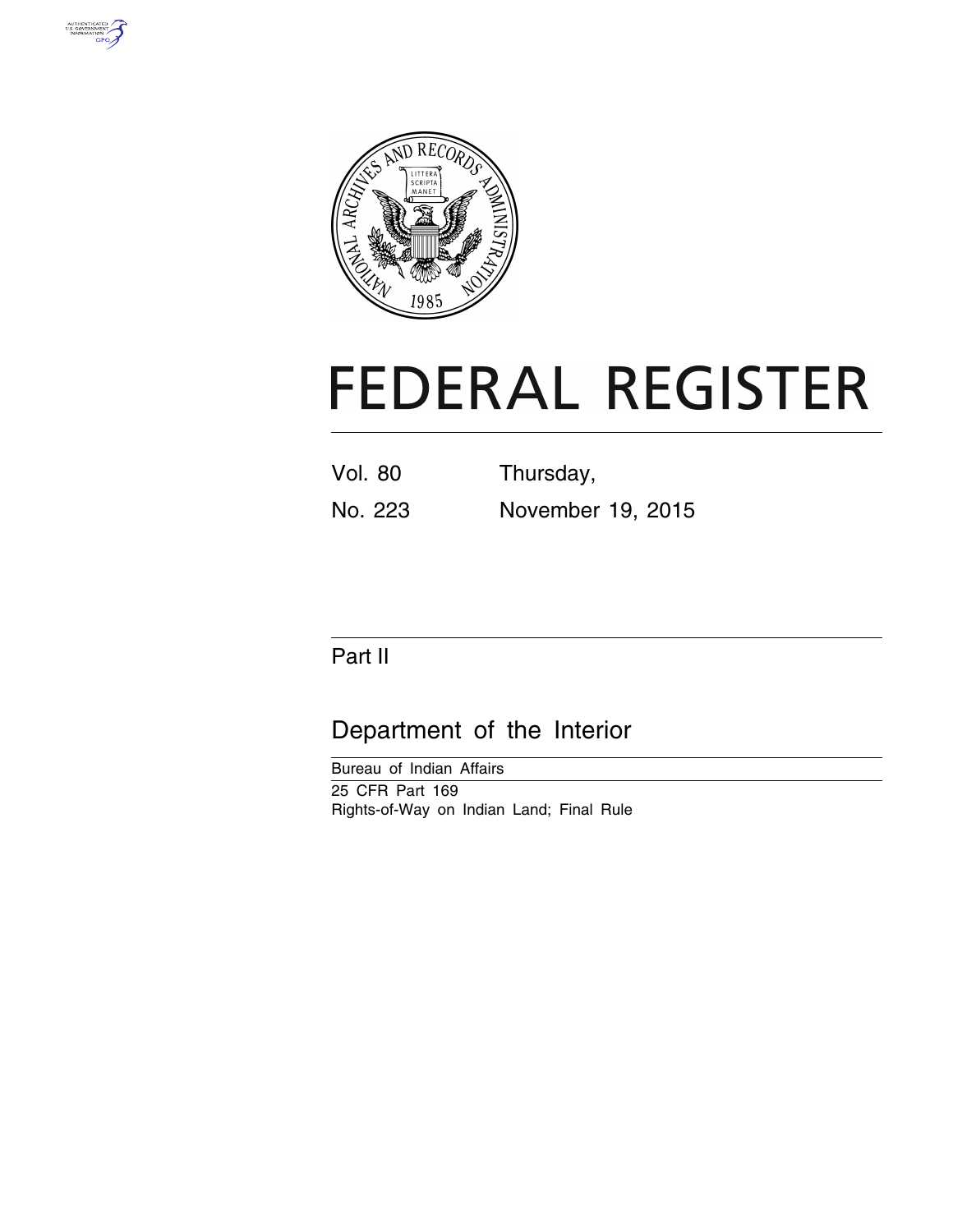



# **FEDERAL REGISTER**

| <b>Vol. 80</b> | Thursday,         |
|----------------|-------------------|
| No. 223        | November 19, 2015 |

# Part II

# Department of the Interior

Bureau of Indian Affairs 25 CFR Part 169 Rights-of-Way on Indian Land; Final Rule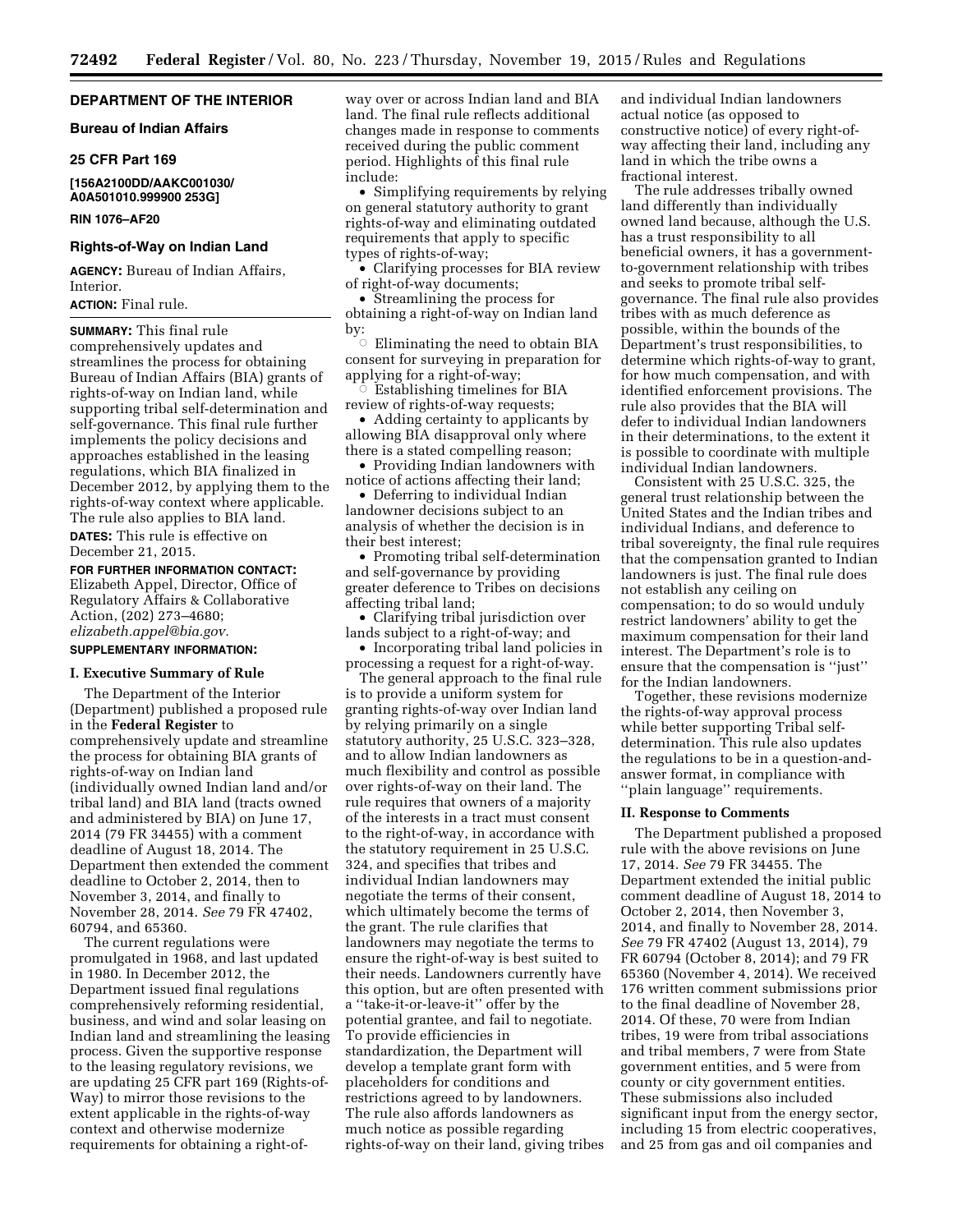# **DEPARTMENT OF THE INTERIOR**

**Bureau of Indian Affairs** 

#### **25 CFR Part 169**

# **[156A2100DD/AAKC001030/ A0A501010.999900 253G]**

## **RIN 1076–AF20**

# **Rights-of-Way on Indian Land**

**AGENCY:** Bureau of Indian Affairs, Interior.

# **ACTION:** Final rule.

**SUMMARY:** This final rule comprehensively updates and streamlines the process for obtaining Bureau of Indian Affairs (BIA) grants of rights-of-way on Indian land, while supporting tribal self-determination and self-governance. This final rule further implements the policy decisions and approaches established in the leasing regulations, which BIA finalized in December 2012, by applying them to the rights-of-way context where applicable. The rule also applies to BIA land. **DATES:** This rule is effective on December 21, 2015.

**FOR FURTHER INFORMATION CONTACT:** 

Elizabeth Appel, Director, Office of Regulatory Affairs & Collaborative Action, (202) 273–4680; *[elizabeth.appel@bia.gov.](mailto:elizabeth.appel@bia.gov)* 

# **SUPPLEMENTARY INFORMATION:**

# **I. Executive Summary of Rule**

The Department of the Interior (Department) published a proposed rule in the **Federal Register** to comprehensively update and streamline the process for obtaining BIA grants of rights-of-way on Indian land (individually owned Indian land and/or tribal land) and BIA land (tracts owned and administered by BIA) on June 17, 2014 (79 FR 34455) with a comment deadline of August 18, 2014. The Department then extended the comment deadline to October 2, 2014, then to November 3, 2014, and finally to November 28, 2014. *See* 79 FR 47402, 60794, and 65360.

The current regulations were promulgated in 1968, and last updated in 1980. In December 2012, the Department issued final regulations comprehensively reforming residential, business, and wind and solar leasing on Indian land and streamlining the leasing process. Given the supportive response to the leasing regulatory revisions, we are updating 25 CFR part 169 (Rights-of-Way) to mirror those revisions to the extent applicable in the rights-of-way context and otherwise modernize requirements for obtaining a right-of-

way over or across Indian land and BIA land. The final rule reflects additional changes made in response to comments received during the public comment period. Highlights of this final rule include:

• Simplifying requirements by relying on general statutory authority to grant rights-of-way and eliminating outdated requirements that apply to specific types of rights-of-way;

• Clarifying processes for BIA review of right-of-way documents;

• Streamlining the process for obtaining a right-of-way on Indian land by:

 $\bigcirc$  Eliminating the need to obtain BIA consent for surveying in preparation for applying for a right-of-way; Æ

 Establishing timelines for BIA review of rights-of-way requests;

• Adding certainty to applicants by allowing BIA disapproval only where there is a stated compelling reason;

• Providing Indian landowners with notice of actions affecting their land;

• Deferring to individual Indian landowner decisions subject to an analysis of whether the decision is in their best interest;

• Promoting tribal self-determination and self-governance by providing greater deference to Tribes on decisions affecting tribal land;

• Clarifying tribal jurisdiction over lands subject to a right-of-way; and

• Incorporating tribal land policies in processing a request for a right-of-way.

The general approach to the final rule is to provide a uniform system for granting rights-of-way over Indian land by relying primarily on a single statutory authority, 25 U.S.C. 323–328, and to allow Indian landowners as much flexibility and control as possible over rights-of-way on their land. The rule requires that owners of a majority of the interests in a tract must consent to the right-of-way, in accordance with the statutory requirement in 25 U.S.C. 324, and specifies that tribes and individual Indian landowners may negotiate the terms of their consent, which ultimately become the terms of the grant. The rule clarifies that landowners may negotiate the terms to ensure the right-of-way is best suited to their needs. Landowners currently have this option, but are often presented with a ''take-it-or-leave-it'' offer by the potential grantee, and fail to negotiate. To provide efficiencies in standardization, the Department will develop a template grant form with placeholders for conditions and restrictions agreed to by landowners. The rule also affords landowners as much notice as possible regarding rights-of-way on their land, giving tribes and individual Indian landowners actual notice (as opposed to constructive notice) of every right-ofway affecting their land, including any land in which the tribe owns a fractional interest.

The rule addresses tribally owned land differently than individually owned land because, although the U.S. has a trust responsibility to all beneficial owners, it has a governmentto-government relationship with tribes and seeks to promote tribal selfgovernance. The final rule also provides tribes with as much deference as possible, within the bounds of the Department's trust responsibilities, to determine which rights-of-way to grant, for how much compensation, and with identified enforcement provisions. The rule also provides that the BIA will defer to individual Indian landowners in their determinations, to the extent it is possible to coordinate with multiple individual Indian landowners.

Consistent with 25 U.S.C. 325, the general trust relationship between the United States and the Indian tribes and individual Indians, and deference to tribal sovereignty, the final rule requires that the compensation granted to Indian landowners is just. The final rule does not establish any ceiling on compensation; to do so would unduly restrict landowners' ability to get the maximum compensation for their land interest. The Department's role is to ensure that the compensation is ''just'' for the Indian landowners.

Together, these revisions modernize the rights-of-way approval process while better supporting Tribal selfdetermination. This rule also updates the regulations to be in a question-andanswer format, in compliance with ''plain language'' requirements.

# **II. Response to Comments**

The Department published a proposed rule with the above revisions on June 17, 2014. *See* 79 FR 34455. The Department extended the initial public comment deadline of August 18, 2014 to October 2, 2014, then November 3, 2014, and finally to November 28, 2014. *See* 79 FR 47402 (August 13, 2014), 79 FR 60794 (October 8, 2014); and 79 FR 65360 (November 4, 2014). We received 176 written comment submissions prior to the final deadline of November 28, 2014. Of these, 70 were from Indian tribes, 19 were from tribal associations and tribal members, 7 were from State government entities, and 5 were from county or city government entities. These submissions also included significant input from the energy sector, including 15 from electric cooperatives, and 25 from gas and oil companies and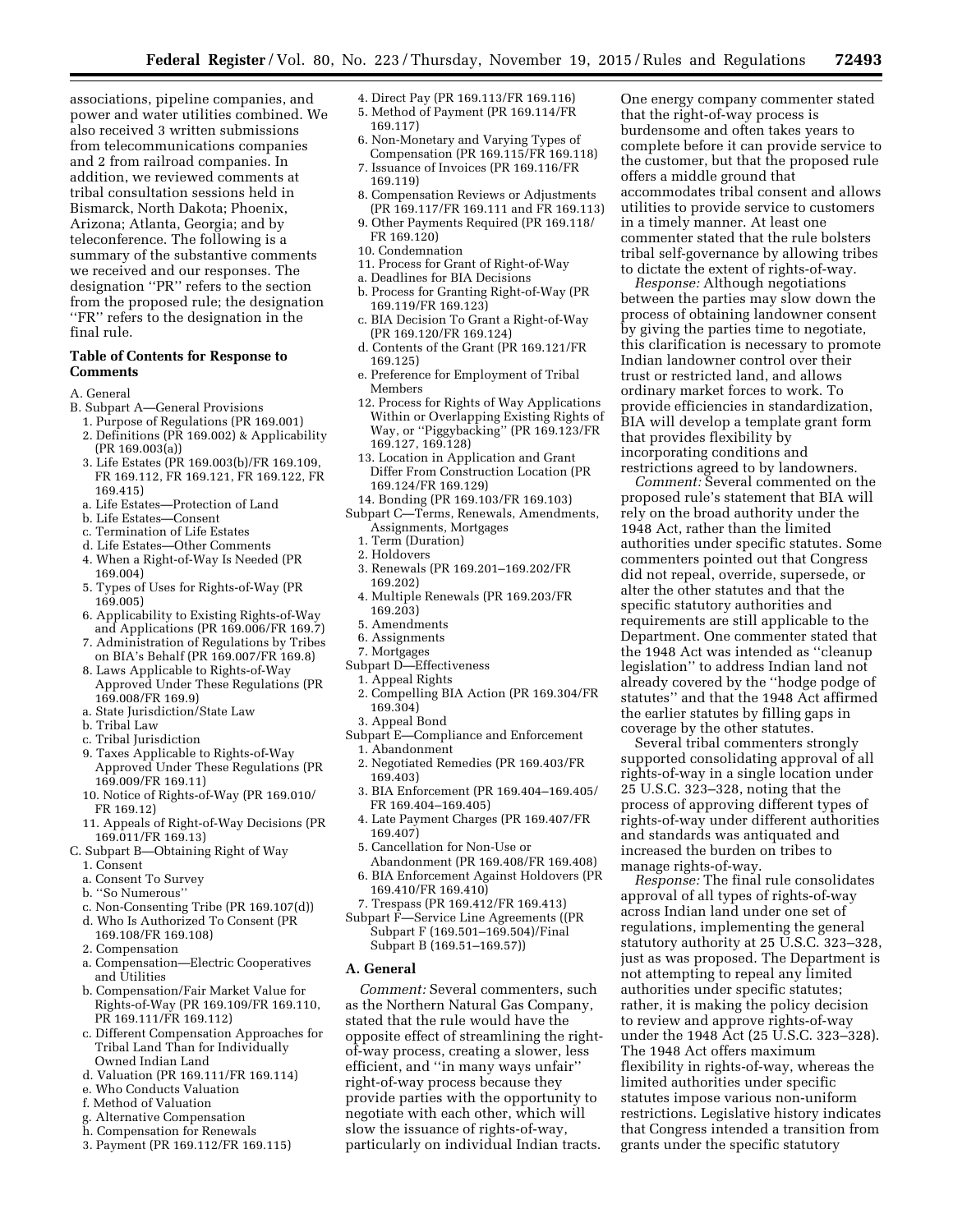associations, pipeline companies, and power and water utilities combined. We also received 3 written submissions from telecommunications companies and 2 from railroad companies. In addition, we reviewed comments at tribal consultation sessions held in Bismarck, North Dakota; Phoenix, Arizona; Atlanta, Georgia; and by teleconference. The following is a summary of the substantive comments we received and our responses. The designation ''PR'' refers to the section from the proposed rule; the designation ''FR'' refers to the designation in the final rule.

# **Table of Contents for Response to Comments**

- A. General
- B. Subpart A—General Provisions
	- 1. Purpose of Regulations (PR 169.001) 2. Definitions (PR 169.002) & Applicability (PR 169.003(a))
	- 3. Life Estates (PR 169.003(b)/FR 169.109, FR 169.112, FR 169.121, FR 169.122, FR 169.415)
	- a. Life Estates—Protection of Land
	- b. Life Estates—Consent
	- c. Termination of Life Estates
	- d. Life Estates—Other Comments
	- 4. When a Right-of-Way Is Needed (PR 169.004)
	- 5. Types of Uses for Rights-of-Way (PR 169.005)
	- 6. Applicability to Existing Rights-of-Way and Applications (PR 169.006/FR 169.7)
	- 7. Administration of Regulations by Tribes on BIA's Behalf (PR 169.007/FR 169.8)
	- 8. Laws Applicable to Rights-of-Way Approved Under These Regulations (PR 169.008/FR 169.9)
	- a. State Jurisdiction/State Law
	- b. Tribal Law
	- c. Tribal Jurisdiction
	- 9. Taxes Applicable to Rights-of-Way Approved Under These Regulations (PR 169.009/FR 169.11)
	- 10. Notice of Rights-of-Way (PR 169.010/ FR 169.12)
	- 11. Appeals of Right-of-Way Decisions (PR 169.011/FR 169.13)
- C. Subpart B—Obtaining Right of Way 1. Consent
	- a. Consent To Survey
	- b. ''So Numerous''
	- c. Non-Consenting Tribe (PR 169.107(d))
	- d. Who Is Authorized To Consent (PR
	- 169.108/FR 169.108) 2. Compensation
	- a. Compensation—Electric Cooperatives and Utilities
	- b. Compensation/Fair Market Value for Rights-of-Way (PR 169.109/FR 169.110, PR 169.111/FR 169.112)
	- c. Different Compensation Approaches for Tribal Land Than for Individually Owned Indian Land
	- d. Valuation (PR 169.111/FR 169.114)
	- e. Who Conducts Valuation
	- f. Method of Valuation
	- g. Alternative Compensation
	- h. Compensation for Renewals
	- 3. Payment (PR 169.112/FR 169.115)
- 4. Direct Pay (PR 169.113/FR 169.116) 5. Method of Payment (PR 169.114/FR
- 169.117)
- 6. Non-Monetary and Varying Types of Compensation (PR 169.115/FR 169.118) 7. Issuance of Invoices (PR 169.116/FR
- 169.119)
- 8. Compensation Reviews or Adjustments (PR 169.117/FR 169.111 and FR 169.113) 9. Other Payments Required (PR 169.118/
- FR 169.120)
- 10. Condemnation
- 11. Process for Grant of Right-of-Way
- a. Deadlines for BIA Decisions
- b. Process for Granting Right-of-Way (PR 169.119/FR 169.123)
- c. BIA Decision To Grant a Right-of-Way (PR 169.120/FR 169.124)
- d. Contents of the Grant (PR 169.121/FR 169.125)
- e. Preference for Employment of Tribal Members
- 12. Process for Rights of Way Applications Within or Overlapping Existing Rights of Way, or ''Piggybacking'' (PR 169.123/FR 169.127, 169.128)
- 13. Location in Application and Grant Differ From Construction Location (PR 169.124/FR 169.129)
- 14. Bonding (PR 169.103/FR 169.103)
- Subpart C—Terms, Renewals, Amendments, Assignments, Mortgages
	- 1. Term (Duration)
	- 2. Holdovers
	- 3. Renewals (PR 169.201–169.202/FR 169.202)
	- 4. Multiple Renewals (PR 169.203/FR 169.203)
	- 5. Amendments
	- 6. Assignments
	- 7. Mortgages
- Subpart D—Effectiveness
	- 1. Appeal Rights
	- 2. Compelling BIA Action (PR 169.304/FR 169.304)
	- 3. Appeal Bond
- Subpart E—Compliance and Enforcement 1. Abandonment
	- 2. Negotiated Remedies (PR 169.403/FR 169.403)
	- 3. BIA Enforcement (PR 169.404–169.405/ FR 169.404–169.405)
	- 4. Late Payment Charges (PR 169.407/FR 169.407)
	- 5. Cancellation for Non-Use or Abandonment (PR 169.408/FR 169.408)
	- 6. BIA Enforcement Against Holdovers (PR 169.410/FR 169.410)
- 7. Trespass (PR 169.412/FR 169.413)
- Subpart F—Service Line Agreements ((PR Subpart F (169.501–169.504)/Final Subpart B (169.51–169.57))

# **A. General**

*Comment:* Several commenters, such as the Northern Natural Gas Company, stated that the rule would have the opposite effect of streamlining the rightof-way process, creating a slower, less efficient, and ''in many ways unfair'' right-of-way process because they provide parties with the opportunity to negotiate with each other, which will slow the issuance of rights-of-way, particularly on individual Indian tracts.

One energy company commenter stated that the right-of-way process is burdensome and often takes years to complete before it can provide service to the customer, but that the proposed rule offers a middle ground that accommodates tribal consent and allows utilities to provide service to customers in a timely manner. At least one commenter stated that the rule bolsters tribal self-governance by allowing tribes to dictate the extent of rights-of-way.

*Response:* Although negotiations between the parties may slow down the process of obtaining landowner consent by giving the parties time to negotiate, this clarification is necessary to promote Indian landowner control over their trust or restricted land, and allows ordinary market forces to work. To provide efficiencies in standardization, BIA will develop a template grant form that provides flexibility by incorporating conditions and restrictions agreed to by landowners.

*Comment:* Several commented on the proposed rule's statement that BIA will rely on the broad authority under the 1948 Act, rather than the limited authorities under specific statutes. Some commenters pointed out that Congress did not repeal, override, supersede, or alter the other statutes and that the specific statutory authorities and requirements are still applicable to the Department. One commenter stated that the 1948 Act was intended as ''cleanup legislation'' to address Indian land not already covered by the ''hodge podge of statutes'' and that the 1948 Act affirmed the earlier statutes by filling gaps in coverage by the other statutes.

Several tribal commenters strongly supported consolidating approval of all rights-of-way in a single location under 25 U.S.C. 323–328, noting that the process of approving different types of rights-of-way under different authorities and standards was antiquated and increased the burden on tribes to manage rights-of-way.

*Response:* The final rule consolidates approval of all types of rights-of-way across Indian land under one set of regulations, implementing the general statutory authority at 25 U.S.C. 323–328, just as was proposed. The Department is not attempting to repeal any limited authorities under specific statutes; rather, it is making the policy decision to review and approve rights-of-way under the 1948 Act (25 U.S.C. 323–328). The 1948 Act offers maximum flexibility in rights-of-way, whereas the limited authorities under specific statutes impose various non-uniform restrictions. Legislative history indicates that Congress intended a transition from grants under the specific statutory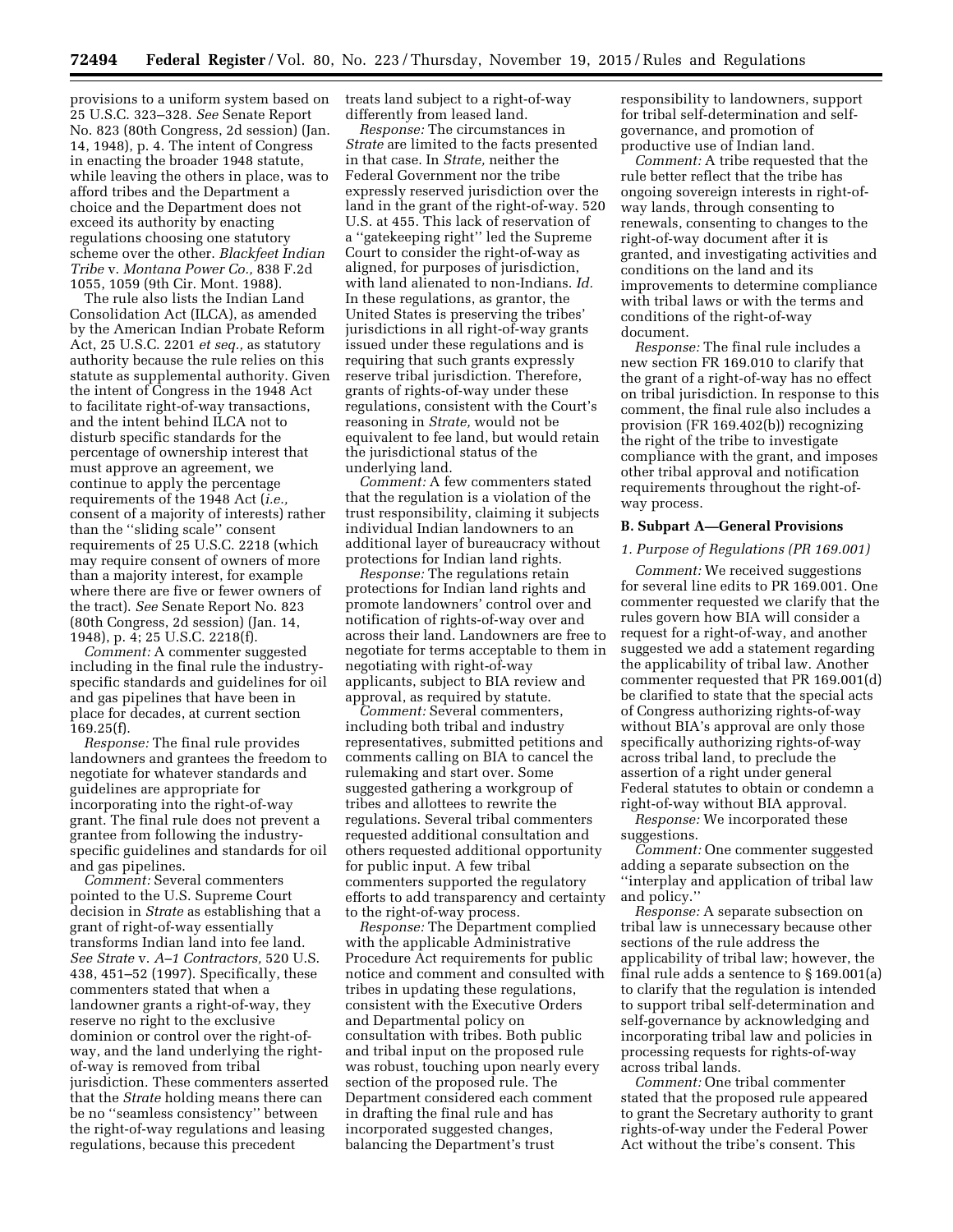provisions to a uniform system based on 25 U.S.C. 323–328. *See* Senate Report No. 823 (80th Congress, 2d session) (Jan. 14, 1948), p. 4. The intent of Congress in enacting the broader 1948 statute, while leaving the others in place, was to afford tribes and the Department a choice and the Department does not exceed its authority by enacting regulations choosing one statutory scheme over the other. *Blackfeet Indian Tribe* v. *Montana Power Co.,* 838 F.2d 1055, 1059 (9th Cir. Mont. 1988).

The rule also lists the Indian Land Consolidation Act (ILCA), as amended by the American Indian Probate Reform Act, 25 U.S.C. 2201 *et seq.,* as statutory authority because the rule relies on this statute as supplemental authority. Given the intent of Congress in the 1948 Act to facilitate right-of-way transactions, and the intent behind ILCA not to disturb specific standards for the percentage of ownership interest that must approve an agreement, we continue to apply the percentage requirements of the 1948 Act (*i.e.,*  consent of a majority of interests) rather than the ''sliding scale'' consent requirements of 25 U.S.C. 2218 (which may require consent of owners of more than a majority interest, for example where there are five or fewer owners of the tract). *See* Senate Report No. 823 (80th Congress, 2d session) (Jan. 14, 1948), p. 4; 25 U.S.C. 2218(f).

*Comment:* A commenter suggested including in the final rule the industryspecific standards and guidelines for oil and gas pipelines that have been in place for decades, at current section 169.25(f).

*Response:* The final rule provides landowners and grantees the freedom to negotiate for whatever standards and guidelines are appropriate for incorporating into the right-of-way grant. The final rule does not prevent a grantee from following the industryspecific guidelines and standards for oil and gas pipelines.

*Comment:* Several commenters pointed to the U.S. Supreme Court decision in *Strate* as establishing that a grant of right-of-way essentially transforms Indian land into fee land. *See Strate* v. *A–1 Contractors,* 520 U.S. 438, 451–52 (1997). Specifically, these commenters stated that when a landowner grants a right-of-way, they reserve no right to the exclusive dominion or control over the right-ofway, and the land underlying the rightof-way is removed from tribal jurisdiction. These commenters asserted that the *Strate* holding means there can be no ''seamless consistency'' between the right-of-way regulations and leasing regulations, because this precedent

treats land subject to a right-of-way differently from leased land.

*Response:* The circumstances in *Strate* are limited to the facts presented in that case. In *Strate,* neither the Federal Government nor the tribe expressly reserved jurisdiction over the land in the grant of the right-of-way. 520 U.S. at 455. This lack of reservation of a ''gatekeeping right'' led the Supreme Court to consider the right-of-way as aligned, for purposes of jurisdiction, with land alienated to non-Indians. *Id.*  In these regulations, as grantor, the United States is preserving the tribes' jurisdictions in all right-of-way grants issued under these regulations and is requiring that such grants expressly reserve tribal jurisdiction. Therefore, grants of rights-of-way under these regulations, consistent with the Court's reasoning in *Strate,* would not be equivalent to fee land, but would retain the jurisdictional status of the underlying land.

*Comment:* A few commenters stated that the regulation is a violation of the trust responsibility, claiming it subjects individual Indian landowners to an additional layer of bureaucracy without protections for Indian land rights.

*Response:* The regulations retain protections for Indian land rights and promote landowners' control over and notification of rights-of-way over and across their land. Landowners are free to negotiate for terms acceptable to them in negotiating with right-of-way applicants, subject to BIA review and approval, as required by statute.

*Comment:* Several commenters, including both tribal and industry representatives, submitted petitions and comments calling on BIA to cancel the rulemaking and start over. Some suggested gathering a workgroup of tribes and allottees to rewrite the regulations. Several tribal commenters requested additional consultation and others requested additional opportunity for public input. A few tribal commenters supported the regulatory efforts to add transparency and certainty to the right-of-way process.

*Response:* The Department complied with the applicable Administrative Procedure Act requirements for public notice and comment and consulted with tribes in updating these regulations, consistent with the Executive Orders and Departmental policy on consultation with tribes. Both public and tribal input on the proposed rule was robust, touching upon nearly every section of the proposed rule. The Department considered each comment in drafting the final rule and has incorporated suggested changes, balancing the Department's trust

responsibility to landowners, support for tribal self-determination and selfgovernance, and promotion of productive use of Indian land.

*Comment:* A tribe requested that the rule better reflect that the tribe has ongoing sovereign interests in right-ofway lands, through consenting to renewals, consenting to changes to the right-of-way document after it is granted, and investigating activities and conditions on the land and its improvements to determine compliance with tribal laws or with the terms and conditions of the right-of-way document.

*Response:* The final rule includes a new section FR 169.010 to clarify that the grant of a right-of-way has no effect on tribal jurisdiction. In response to this comment, the final rule also includes a provision (FR 169.402(b)) recognizing the right of the tribe to investigate compliance with the grant, and imposes other tribal approval and notification requirements throughout the right-ofway process.

# **B. Subpart A—General Provisions**

#### *1. Purpose of Regulations (PR 169.001)*

*Comment:* We received suggestions for several line edits to PR 169.001. One commenter requested we clarify that the rules govern how BIA will consider a request for a right-of-way, and another suggested we add a statement regarding the applicability of tribal law. Another commenter requested that PR 169.001(d) be clarified to state that the special acts of Congress authorizing rights-of-way without BIA's approval are only those specifically authorizing rights-of-way across tribal land, to preclude the assertion of a right under general Federal statutes to obtain or condemn a right-of-way without BIA approval.

*Response:* We incorporated these suggestions.

*Comment:* One commenter suggested adding a separate subsection on the ''interplay and application of tribal law and policy.''

*Response:* A separate subsection on tribal law is unnecessary because other sections of the rule address the applicability of tribal law; however, the final rule adds a sentence to § 169.001(a) to clarify that the regulation is intended to support tribal self-determination and self-governance by acknowledging and incorporating tribal law and policies in processing requests for rights-of-way across tribal lands.

*Comment:* One tribal commenter stated that the proposed rule appeared to grant the Secretary authority to grant rights-of-way under the Federal Power Act without the tribe's consent. This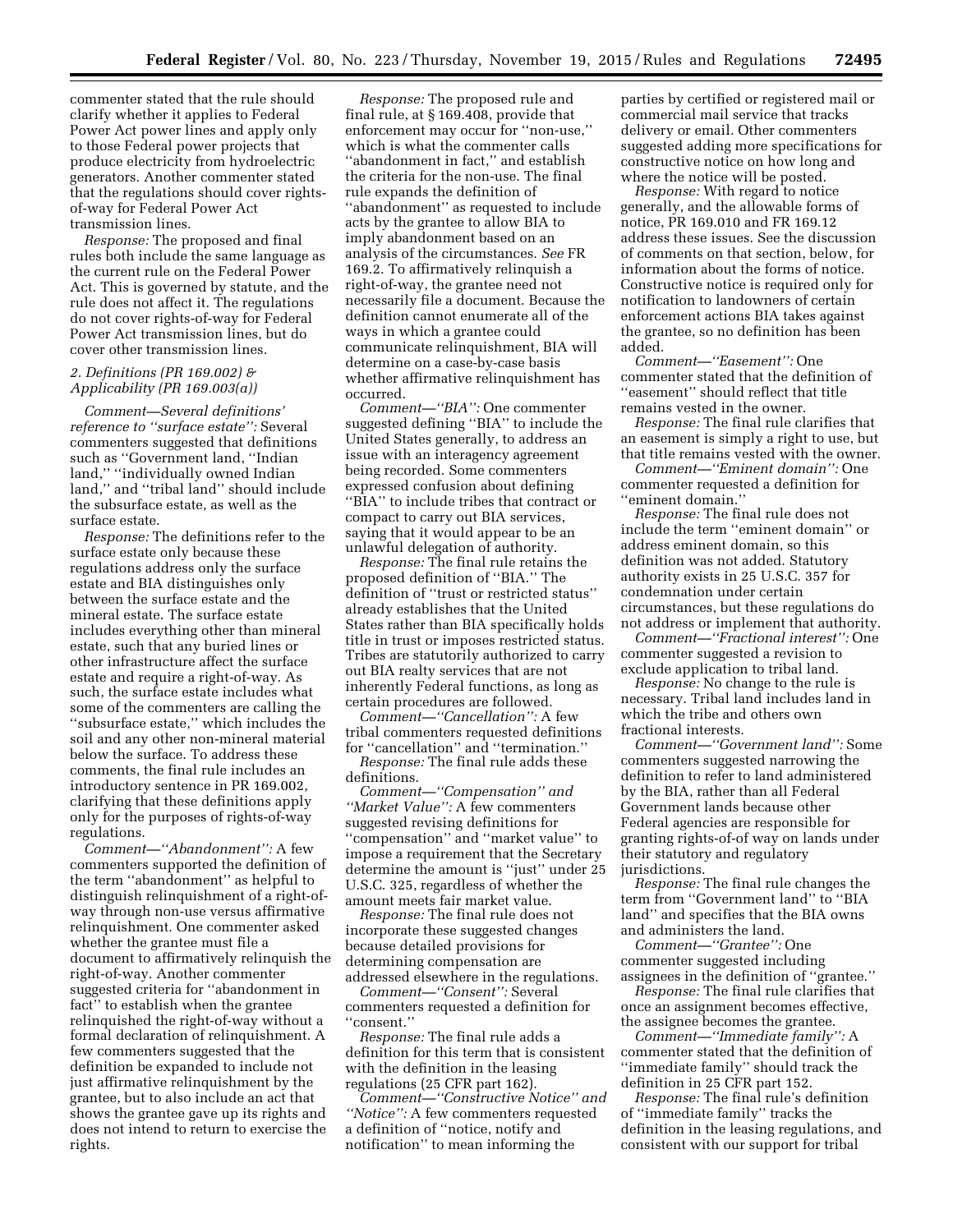commenter stated that the rule should clarify whether it applies to Federal Power Act power lines and apply only to those Federal power projects that produce electricity from hydroelectric generators. Another commenter stated that the regulations should cover rightsof-way for Federal Power Act transmission lines.

*Response:* The proposed and final rules both include the same language as the current rule on the Federal Power Act. This is governed by statute, and the rule does not affect it. The regulations do not cover rights-of-way for Federal Power Act transmission lines, but do cover other transmission lines.

# *2. Definitions (PR 169.002) & Applicability (PR 169.003(a))*

*Comment—Several definitions' reference to ''surface estate'':* Several commenters suggested that definitions such as ''Government land, ''Indian land,'' ''individually owned Indian land,'' and ''tribal land'' should include the subsurface estate, as well as the surface estate.

*Response:* The definitions refer to the surface estate only because these regulations address only the surface estate and BIA distinguishes only between the surface estate and the mineral estate. The surface estate includes everything other than mineral estate, such that any buried lines or other infrastructure affect the surface estate and require a right-of-way. As such, the surface estate includes what some of the commenters are calling the ''subsurface estate,'' which includes the soil and any other non-mineral material below the surface. To address these comments, the final rule includes an introductory sentence in PR 169.002, clarifying that these definitions apply only for the purposes of rights-of-way regulations.

*Comment—''Abandonment'':* A few commenters supported the definition of the term ''abandonment'' as helpful to distinguish relinquishment of a right-ofway through non-use versus affirmative relinquishment. One commenter asked whether the grantee must file a document to affirmatively relinquish the right-of-way. Another commenter suggested criteria for ''abandonment in fact'' to establish when the grantee relinquished the right-of-way without a formal declaration of relinquishment. A few commenters suggested that the definition be expanded to include not just affirmative relinquishment by the grantee, but to also include an act that shows the grantee gave up its rights and does not intend to return to exercise the rights.

*Response:* The proposed rule and final rule, at § 169.408, provide that enforcement may occur for ''non-use,'' which is what the commenter calls ''abandonment in fact,'' and establish the criteria for the non-use. The final rule expands the definition of ''abandonment'' as requested to include acts by the grantee to allow BIA to imply abandonment based on an analysis of the circumstances. *See* FR 169.2. To affirmatively relinquish a right-of-way, the grantee need not necessarily file a document. Because the definition cannot enumerate all of the ways in which a grantee could communicate relinquishment, BIA will determine on a case-by-case basis whether affirmative relinquishment has occurred.

*Comment—''BIA'':* One commenter suggested defining ''BIA'' to include the United States generally, to address an issue with an interagency agreement being recorded. Some commenters expressed confusion about defining ''BIA'' to include tribes that contract or compact to carry out BIA services, saying that it would appear to be an unlawful delegation of authority.

*Response:* The final rule retains the proposed definition of ''BIA.'' The definition of ''trust or restricted status'' already establishes that the United States rather than BIA specifically holds title in trust or imposes restricted status. Tribes are statutorily authorized to carry out BIA realty services that are not inherently Federal functions, as long as certain procedures are followed.

*Comment—''Cancellation'':* A few tribal commenters requested definitions for ''cancellation'' and ''termination.''

*Response:* The final rule adds these definitions.

*Comment—''Compensation'' and ''Market Value'':* A few commenters suggested revising definitions for ''compensation'' and ''market value'' to impose a requirement that the Secretary determine the amount is ''just'' under 25 U.S.C. 325, regardless of whether the amount meets fair market value.

*Response:* The final rule does not incorporate these suggested changes because detailed provisions for determining compensation are addressed elsewhere in the regulations.

*Comment—''Consent'':* Several commenters requested a definition for ''consent.''

*Response:* The final rule adds a definition for this term that is consistent with the definition in the leasing regulations (25 CFR part 162).

*Comment—''Constructive Notice'' and ''Notice'':* A few commenters requested a definition of ''notice, notify and notification'' to mean informing the

parties by certified or registered mail or commercial mail service that tracks delivery or email. Other commenters suggested adding more specifications for constructive notice on how long and where the notice will be posted.

*Response:* With regard to notice generally, and the allowable forms of notice, PR 169.010 and FR 169.12 address these issues. See the discussion of comments on that section, below, for information about the forms of notice. Constructive notice is required only for notification to landowners of certain enforcement actions BIA takes against the grantee, so no definition has been added.

*Comment—''Easement'':* One commenter stated that the definition of ''easement'' should reflect that title remains vested in the owner.

*Response:* The final rule clarifies that an easement is simply a right to use, but that title remains vested with the owner.

*Comment—''Eminent domain'':* One commenter requested a definition for ''eminent domain.''

*Response:* The final rule does not include the term ''eminent domain'' or address eminent domain, so this definition was not added. Statutory authority exists in 25 U.S.C. 357 for condemnation under certain circumstances, but these regulations do not address or implement that authority.

*Comment—''Fractional interest'':* One commenter suggested a revision to exclude application to tribal land.

*Response:* No change to the rule is necessary. Tribal land includes land in which the tribe and others own fractional interests.

*Comment—''Government land'':* Some commenters suggested narrowing the definition to refer to land administered by the BIA, rather than all Federal Government lands because other Federal agencies are responsible for granting rights-of-of way on lands under their statutory and regulatory jurisdictions.

*Response:* The final rule changes the term from ''Government land'' to ''BIA land'' and specifies that the BIA owns and administers the land.

*Comment—''Grantee'':* One commenter suggested including assignees in the definition of ''grantee.''

*Response:* The final rule clarifies that once an assignment becomes effective, the assignee becomes the grantee.

*Comment—''Immediate family'':* A commenter stated that the definition of ''immediate family'' should track the definition in 25 CFR part 152.

*Response:* The final rule's definition of ''immediate family'' tracks the definition in the leasing regulations, and consistent with our support for tribal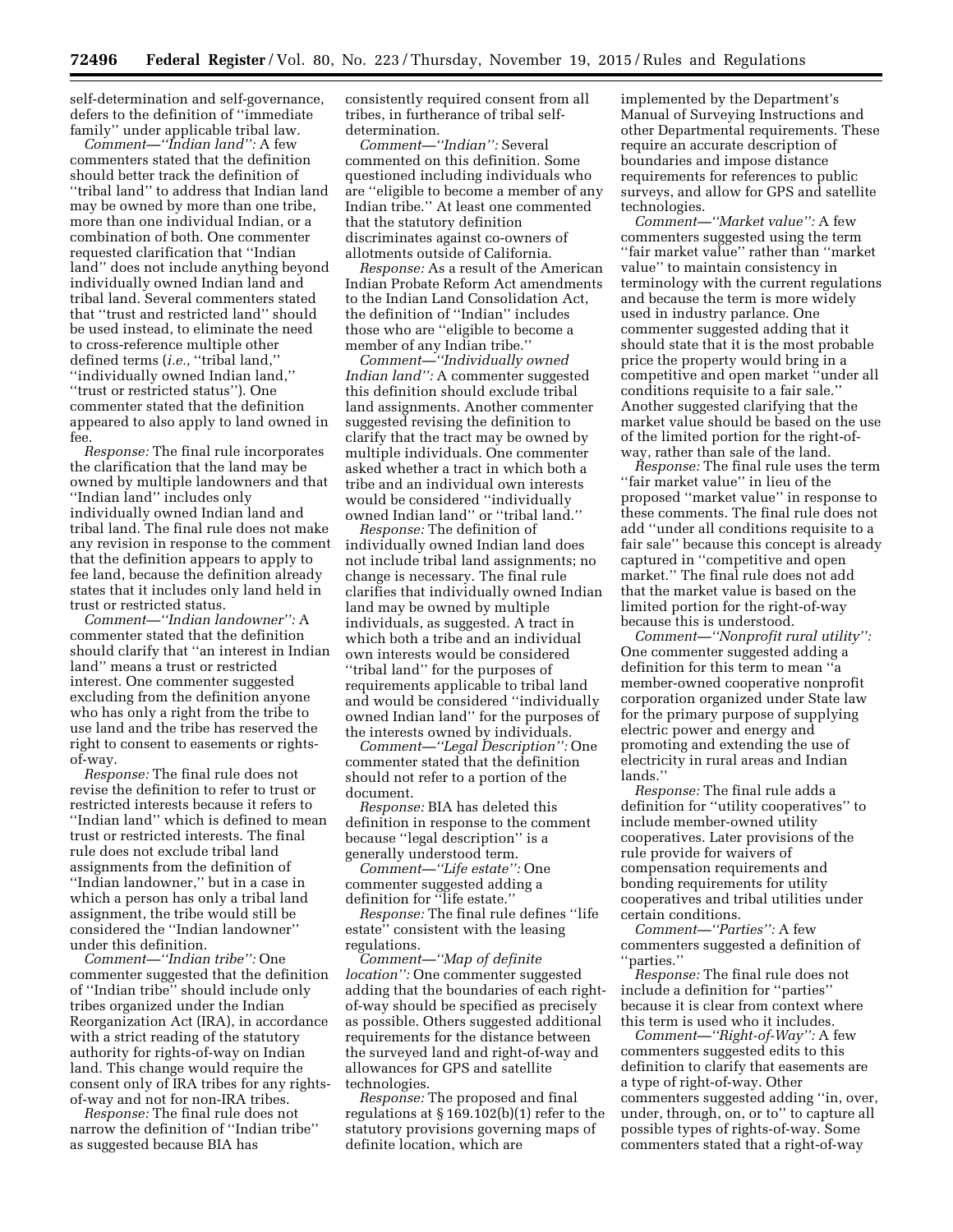self-determination and self-governance, defers to the definition of ''immediate family'' under applicable tribal law.

*Comment—''Indian land'':* A few commenters stated that the definition should better track the definition of ''tribal land'' to address that Indian land may be owned by more than one tribe, more than one individual Indian, or a combination of both. One commenter requested clarification that ''Indian land'' does not include anything beyond individually owned Indian land and tribal land. Several commenters stated that ''trust and restricted land'' should be used instead, to eliminate the need to cross-reference multiple other defined terms (*i.e.,* ''tribal land,'' ''individually owned Indian land,'' ''trust or restricted status''). One commenter stated that the definition appeared to also apply to land owned in fee.

*Response:* The final rule incorporates the clarification that the land may be owned by multiple landowners and that ''Indian land'' includes only individually owned Indian land and tribal land. The final rule does not make any revision in response to the comment that the definition appears to apply to fee land, because the definition already states that it includes only land held in trust or restricted status.

*Comment—''Indian landowner'':* A commenter stated that the definition should clarify that ''an interest in Indian land'' means a trust or restricted interest. One commenter suggested excluding from the definition anyone who has only a right from the tribe to use land and the tribe has reserved the right to consent to easements or rightsof-way.

*Response:* The final rule does not revise the definition to refer to trust or restricted interests because it refers to ''Indian land'' which is defined to mean trust or restricted interests. The final rule does not exclude tribal land assignments from the definition of ''Indian landowner,'' but in a case in which a person has only a tribal land assignment, the tribe would still be considered the ''Indian landowner'' under this definition.

*Comment—''Indian tribe'':* One commenter suggested that the definition of ''Indian tribe'' should include only tribes organized under the Indian Reorganization Act (IRA), in accordance with a strict reading of the statutory authority for rights-of-way on Indian land. This change would require the consent only of IRA tribes for any rightsof-way and not for non-IRA tribes.

*Response:* The final rule does not narrow the definition of ''Indian tribe'' as suggested because BIA has

consistently required consent from all tribes, in furtherance of tribal selfdetermination.

*Comment—''Indian'':* Several commented on this definition. Some questioned including individuals who are ''eligible to become a member of any Indian tribe.'' At least one commented that the statutory definition discriminates against co-owners of allotments outside of California.

*Response:* As a result of the American Indian Probate Reform Act amendments to the Indian Land Consolidation Act, the definition of ''Indian'' includes those who are ''eligible to become a member of any Indian tribe.''

*Comment—''Individually owned Indian land'':* A commenter suggested this definition should exclude tribal land assignments. Another commenter suggested revising the definition to clarify that the tract may be owned by multiple individuals. One commenter asked whether a tract in which both a tribe and an individual own interests would be considered ''individually owned Indian land'' or ''tribal land.''

*Response:* The definition of individually owned Indian land does not include tribal land assignments; no change is necessary. The final rule clarifies that individually owned Indian land may be owned by multiple individuals, as suggested. A tract in which both a tribe and an individual own interests would be considered ''tribal land'' for the purposes of requirements applicable to tribal land and would be considered ''individually owned Indian land'' for the purposes of the interests owned by individuals.

*Comment—''Legal Description'':* One commenter stated that the definition should not refer to a portion of the document.

*Response:* BIA has deleted this definition in response to the comment because ''legal description'' is a generally understood term.

*Comment—''Life estate'':* One commenter suggested adding a definition for "life estate."

*Response:* The final rule defines ''life estate'' consistent with the leasing regulations.

*Comment—''Map of definite location'':* One commenter suggested adding that the boundaries of each rightof-way should be specified as precisely as possible. Others suggested additional requirements for the distance between the surveyed land and right-of-way and allowances for GPS and satellite technologies.

*Response:* The proposed and final regulations at § 169.102(b)(1) refer to the statutory provisions governing maps of definite location, which are

implemented by the Department's Manual of Surveying Instructions and other Departmental requirements. These require an accurate description of boundaries and impose distance requirements for references to public surveys, and allow for GPS and satellite technologies.

*Comment—''Market value'':* A few commenters suggested using the term ''fair market value'' rather than ''market value'' to maintain consistency in terminology with the current regulations and because the term is more widely used in industry parlance. One commenter suggested adding that it should state that it is the most probable price the property would bring in a competitive and open market ''under all conditions requisite to a fair sale.'' Another suggested clarifying that the market value should be based on the use of the limited portion for the right-ofway, rather than sale of the land.

*Response:* The final rule uses the term ''fair market value'' in lieu of the proposed ''market value'' in response to these comments. The final rule does not add ''under all conditions requisite to a fair sale'' because this concept is already captured in ''competitive and open market.'' The final rule does not add that the market value is based on the limited portion for the right-of-way because this is understood.

*Comment—''Nonprofit rural utility'':*  One commenter suggested adding a definition for this term to mean ''a member-owned cooperative nonprofit corporation organized under State law for the primary purpose of supplying electric power and energy and promoting and extending the use of electricity in rural areas and Indian lands.''

*Response:* The final rule adds a definition for ''utility cooperatives'' to include member-owned utility cooperatives. Later provisions of the rule provide for waivers of compensation requirements and bonding requirements for utility cooperatives and tribal utilities under certain conditions.

*Comment—''Parties'':* A few commenters suggested a definition of ''parties.''

*Response:* The final rule does not include a definition for ''parties'' because it is clear from context where this term is used who it includes.

*Comment—''Right-of-Way'':* A few commenters suggested edits to this definition to clarify that easements are a type of right-of-way. Other commenters suggested adding ''in, over, under, through, on, or to'' to capture all possible types of rights-of-way. Some commenters stated that a right-of-way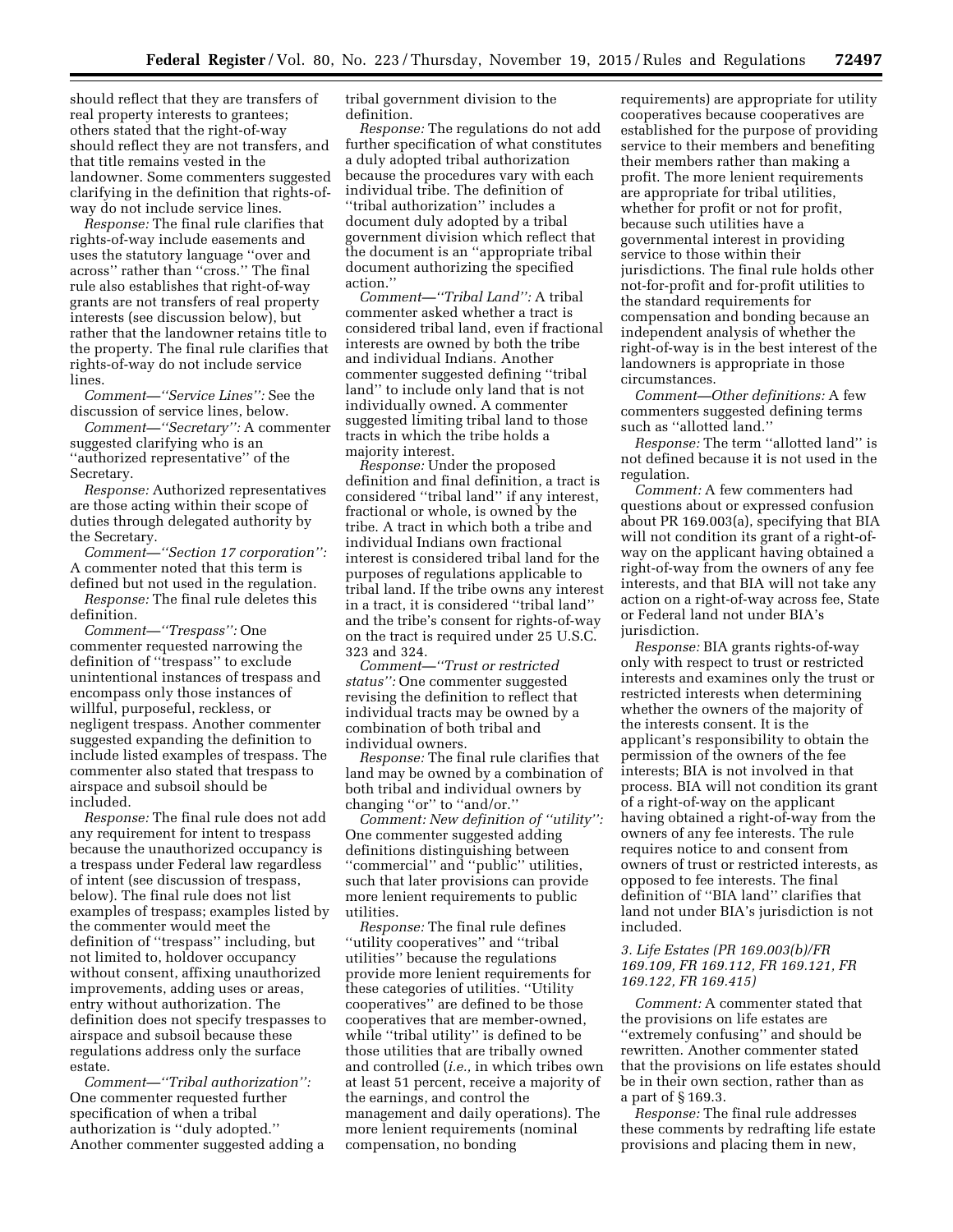should reflect that they are transfers of real property interests to grantees; others stated that the right-of-way should reflect they are not transfers, and that title remains vested in the landowner. Some commenters suggested clarifying in the definition that rights-ofway do not include service lines.

*Response:* The final rule clarifies that rights-of-way include easements and uses the statutory language ''over and across'' rather than ''cross.'' The final rule also establishes that right-of-way grants are not transfers of real property interests (see discussion below), but rather that the landowner retains title to the property. The final rule clarifies that rights-of-way do not include service lines.

*Comment—''Service Lines'':* See the discussion of service lines, below.

*Comment—''Secretary'':* A commenter suggested clarifying who is an ''authorized representative'' of the Secretary.

*Response:* Authorized representatives are those acting within their scope of duties through delegated authority by the Secretary.

*Comment—''Section 17 corporation'':*  A commenter noted that this term is defined but not used in the regulation.

*Response:* The final rule deletes this definition.

*Comment—''Trespass'':* One commenter requested narrowing the definition of ''trespass'' to exclude unintentional instances of trespass and encompass only those instances of willful, purposeful, reckless, or negligent trespass. Another commenter suggested expanding the definition to include listed examples of trespass. The commenter also stated that trespass to airspace and subsoil should be included.

*Response:* The final rule does not add any requirement for intent to trespass because the unauthorized occupancy is a trespass under Federal law regardless of intent (see discussion of trespass, below). The final rule does not list examples of trespass; examples listed by the commenter would meet the definition of ''trespass'' including, but not limited to, holdover occupancy without consent, affixing unauthorized improvements, adding uses or areas, entry without authorization. The definition does not specify trespasses to airspace and subsoil because these regulations address only the surface estate.

*Comment—''Tribal authorization'':*  One commenter requested further specification of when a tribal authorization is ''duly adopted.'' Another commenter suggested adding a tribal government division to the definition.

*Response:* The regulations do not add further specification of what constitutes a duly adopted tribal authorization because the procedures vary with each individual tribe. The definition of ''tribal authorization'' includes a document duly adopted by a tribal government division which reflect that the document is an ''appropriate tribal document authorizing the specified action.''

*Comment—''Tribal Land'':* A tribal commenter asked whether a tract is considered tribal land, even if fractional interests are owned by both the tribe and individual Indians. Another commenter suggested defining ''tribal land'' to include only land that is not individually owned. A commenter suggested limiting tribal land to those tracts in which the tribe holds a majority interest.

*Response:* Under the proposed definition and final definition, a tract is considered ''tribal land'' if any interest, fractional or whole, is owned by the tribe. A tract in which both a tribe and individual Indians own fractional interest is considered tribal land for the purposes of regulations applicable to tribal land. If the tribe owns any interest in a tract, it is considered ''tribal land'' and the tribe's consent for rights-of-way on the tract is required under 25 U.S.C. 323 and 324.

*Comment—''Trust or restricted status'':* One commenter suggested revising the definition to reflect that individual tracts may be owned by a combination of both tribal and individual owners.

*Response:* The final rule clarifies that land may be owned by a combination of both tribal and individual owners by changing "or" to "and/or."

*Comment: New definition of ''utility'':*  One commenter suggested adding definitions distinguishing between ''commercial'' and ''public'' utilities, such that later provisions can provide more lenient requirements to public utilities.

*Response:* The final rule defines ''utility cooperatives'' and ''tribal utilities'' because the regulations provide more lenient requirements for these categories of utilities. ''Utility cooperatives'' are defined to be those cooperatives that are member-owned, while ''tribal utility'' is defined to be those utilities that are tribally owned and controlled (*i.e.,* in which tribes own at least 51 percent, receive a majority of the earnings, and control the management and daily operations). The more lenient requirements (nominal compensation, no bonding

requirements) are appropriate for utility cooperatives because cooperatives are established for the purpose of providing service to their members and benefiting their members rather than making a profit. The more lenient requirements are appropriate for tribal utilities, whether for profit or not for profit, because such utilities have a governmental interest in providing service to those within their jurisdictions. The final rule holds other not-for-profit and for-profit utilities to the standard requirements for compensation and bonding because an independent analysis of whether the right-of-way is in the best interest of the landowners is appropriate in those circumstances.

*Comment—Other definitions:* A few commenters suggested defining terms such as ''allotted land.''

*Response:* The term ''allotted land'' is not defined because it is not used in the regulation.

*Comment:* A few commenters had questions about or expressed confusion about PR 169.003(a), specifying that BIA will not condition its grant of a right-ofway on the applicant having obtained a right-of-way from the owners of any fee interests, and that BIA will not take any action on a right-of-way across fee, State or Federal land not under BIA's jurisdiction.

*Response:* BIA grants rights-of-way only with respect to trust or restricted interests and examines only the trust or restricted interests when determining whether the owners of the majority of the interests consent. It is the applicant's responsibility to obtain the permission of the owners of the fee interests; BIA is not involved in that process. BIA will not condition its grant of a right-of-way on the applicant having obtained a right-of-way from the owners of any fee interests. The rule requires notice to and consent from owners of trust or restricted interests, as opposed to fee interests. The final definition of ''BIA land'' clarifies that land not under BIA's jurisdiction is not included.

# *3. Life Estates (PR 169.003(b)/FR 169.109, FR 169.112, FR 169.121, FR 169.122, FR 169.415)*

*Comment:* A commenter stated that the provisions on life estates are ''extremely confusing'' and should be rewritten. Another commenter stated that the provisions on life estates should be in their own section, rather than as a part of § 169.3.

*Response:* The final rule addresses these comments by redrafting life estate provisions and placing them in new,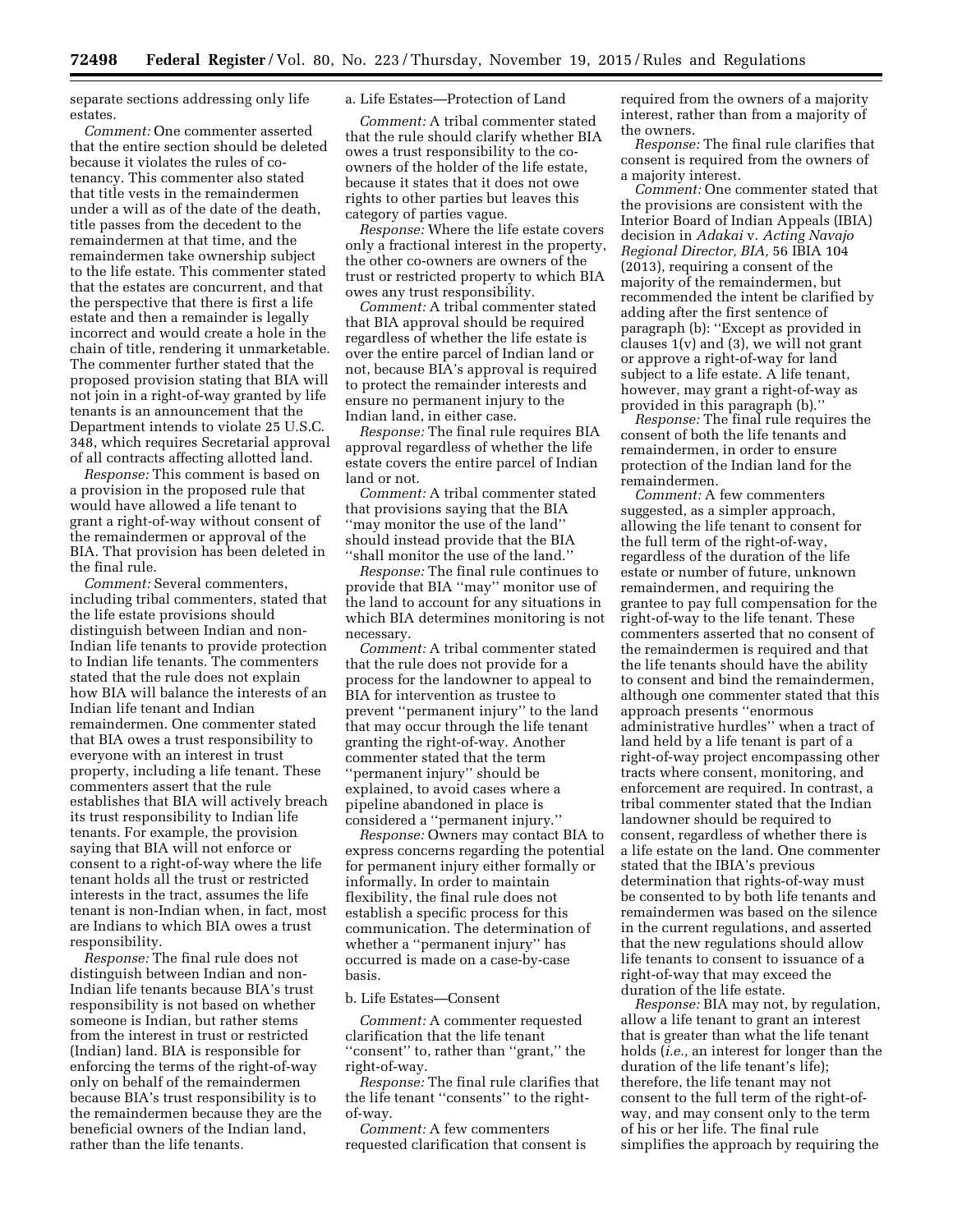separate sections addressing only life estates.

*Comment:* One commenter asserted that the entire section should be deleted because it violates the rules of cotenancy. This commenter also stated that title vests in the remaindermen under a will as of the date of the death, title passes from the decedent to the remaindermen at that time, and the remaindermen take ownership subject to the life estate. This commenter stated that the estates are concurrent, and that the perspective that there is first a life estate and then a remainder is legally incorrect and would create a hole in the chain of title, rendering it unmarketable. The commenter further stated that the proposed provision stating that BIA will not join in a right-of-way granted by life tenants is an announcement that the Department intends to violate 25 U.S.C. 348, which requires Secretarial approval of all contracts affecting allotted land.

*Response:* This comment is based on a provision in the proposed rule that would have allowed a life tenant to grant a right-of-way without consent of the remaindermen or approval of the BIA. That provision has been deleted in the final rule.

*Comment:* Several commenters, including tribal commenters, stated that the life estate provisions should distinguish between Indian and non-Indian life tenants to provide protection to Indian life tenants. The commenters stated that the rule does not explain how BIA will balance the interests of an Indian life tenant and Indian remaindermen. One commenter stated that BIA owes a trust responsibility to everyone with an interest in trust property, including a life tenant. These commenters assert that the rule establishes that BIA will actively breach its trust responsibility to Indian life tenants. For example, the provision saying that BIA will not enforce or consent to a right-of-way where the life tenant holds all the trust or restricted interests in the tract, assumes the life tenant is non-Indian when, in fact, most are Indians to which BIA owes a trust responsibility.

*Response:* The final rule does not distinguish between Indian and non-Indian life tenants because BIA's trust responsibility is not based on whether someone is Indian, but rather stems from the interest in trust or restricted (Indian) land. BIA is responsible for enforcing the terms of the right-of-way only on behalf of the remaindermen because BIA's trust responsibility is to the remaindermen because they are the beneficial owners of the Indian land, rather than the life tenants.

## a. Life Estates—Protection of Land

*Comment:* A tribal commenter stated that the rule should clarify whether BIA owes a trust responsibility to the coowners of the holder of the life estate, because it states that it does not owe rights to other parties but leaves this category of parties vague.

*Response:* Where the life estate covers only a fractional interest in the property, the other co-owners are owners of the trust or restricted property to which BIA owes any trust responsibility.

*Comment:* A tribal commenter stated that BIA approval should be required regardless of whether the life estate is over the entire parcel of Indian land or not, because BIA's approval is required to protect the remainder interests and ensure no permanent injury to the Indian land, in either case.

*Response:* The final rule requires BIA approval regardless of whether the life estate covers the entire parcel of Indian land or not.

*Comment:* A tribal commenter stated that provisions saying that the BIA ''may monitor the use of the land'' should instead provide that the BIA ''shall monitor the use of the land.''

*Response:* The final rule continues to provide that BIA ''may'' monitor use of the land to account for any situations in which BIA determines monitoring is not necessary.

*Comment:* A tribal commenter stated that the rule does not provide for a process for the landowner to appeal to BIA for intervention as trustee to prevent ''permanent injury'' to the land that may occur through the life tenant granting the right-of-way. Another commenter stated that the term ''permanent injury'' should be explained, to avoid cases where a pipeline abandoned in place is considered a ''permanent injury.''

*Response:* Owners may contact BIA to express concerns regarding the potential for permanent injury either formally or informally. In order to maintain flexibility, the final rule does not establish a specific process for this communication. The determination of whether a ''permanent injury'' has occurred is made on a case-by-case basis.

# b. Life Estates—Consent

*Comment:* A commenter requested clarification that the life tenant ''consent'' to, rather than ''grant,'' the right-of-way.

*Response:* The final rule clarifies that the life tenant ''consents'' to the rightof-way.

*Comment:* A few commenters requested clarification that consent is required from the owners of a majority interest, rather than from a majority of the owners.

*Response:* The final rule clarifies that consent is required from the owners of a majority interest.

*Comment:* One commenter stated that the provisions are consistent with the Interior Board of Indian Appeals (IBIA) decision in *Adakai* v. *Acting Navajo Regional Director, BIA,* 56 IBIA 104 (2013), requiring a consent of the majority of the remaindermen, but recommended the intent be clarified by adding after the first sentence of paragraph (b): ''Except as provided in clauses  $1(v)$  and  $(3)$ , we will not grant or approve a right-of-way for land subject to a life estate. A life tenant, however, may grant a right-of-way as provided in this paragraph (b).''

*Response:* The final rule requires the consent of both the life tenants and remaindermen, in order to ensure protection of the Indian land for the remaindermen.

*Comment:* A few commenters suggested, as a simpler approach, allowing the life tenant to consent for the full term of the right-of-way, regardless of the duration of the life estate or number of future, unknown remaindermen, and requiring the grantee to pay full compensation for the right-of-way to the life tenant. These commenters asserted that no consent of the remaindermen is required and that the life tenants should have the ability to consent and bind the remaindermen, although one commenter stated that this approach presents ''enormous administrative hurdles'' when a tract of land held by a life tenant is part of a right-of-way project encompassing other tracts where consent, monitoring, and enforcement are required. In contrast, a tribal commenter stated that the Indian landowner should be required to consent, regardless of whether there is a life estate on the land. One commenter stated that the IBIA's previous determination that rights-of-way must be consented to by both life tenants and remaindermen was based on the silence in the current regulations, and asserted that the new regulations should allow life tenants to consent to issuance of a right-of-way that may exceed the duration of the life estate.

*Response:* BIA may not, by regulation, allow a life tenant to grant an interest that is greater than what the life tenant holds (*i.e.,* an interest for longer than the duration of the life tenant's life); therefore, the life tenant may not consent to the full term of the right-ofway, and may consent only to the term of his or her life. The final rule simplifies the approach by requiring the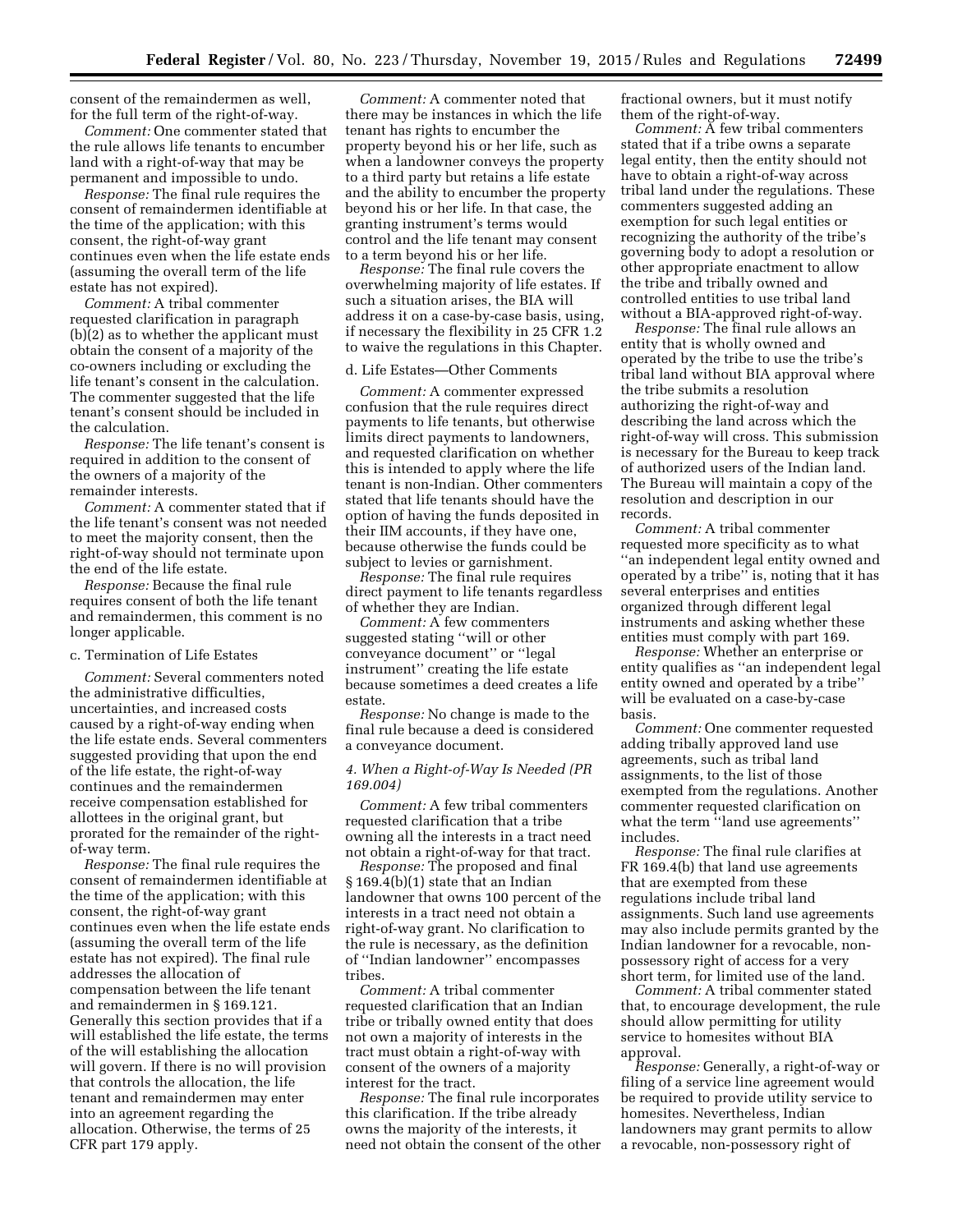consent of the remaindermen as well, for the full term of the right-of-way.

*Comment:* One commenter stated that the rule allows life tenants to encumber land with a right-of-way that may be permanent and impossible to undo.

*Response:* The final rule requires the consent of remaindermen identifiable at the time of the application; with this consent, the right-of-way grant continues even when the life estate ends (assuming the overall term of the life estate has not expired).

*Comment:* A tribal commenter requested clarification in paragraph (b)(2) as to whether the applicant must obtain the consent of a majority of the co-owners including or excluding the life tenant's consent in the calculation. The commenter suggested that the life tenant's consent should be included in the calculation.

*Response:* The life tenant's consent is required in addition to the consent of the owners of a majority of the remainder interests.

*Comment:* A commenter stated that if the life tenant's consent was not needed to meet the majority consent, then the right-of-way should not terminate upon the end of the life estate.

*Response:* Because the final rule requires consent of both the life tenant and remaindermen, this comment is no longer applicable.

# c. Termination of Life Estates

*Comment:* Several commenters noted the administrative difficulties, uncertainties, and increased costs caused by a right-of-way ending when the life estate ends. Several commenters suggested providing that upon the end of the life estate, the right-of-way continues and the remaindermen receive compensation established for allottees in the original grant, but prorated for the remainder of the rightof-way term.

*Response:* The final rule requires the consent of remaindermen identifiable at the time of the application; with this consent, the right-of-way grant continues even when the life estate ends (assuming the overall term of the life estate has not expired). The final rule addresses the allocation of compensation between the life tenant and remaindermen in § 169.121. Generally this section provides that if a will established the life estate, the terms of the will establishing the allocation will govern. If there is no will provision that controls the allocation, the life tenant and remaindermen may enter into an agreement regarding the allocation. Otherwise, the terms of 25 CFR part 179 apply.

*Comment:* A commenter noted that there may be instances in which the life tenant has rights to encumber the property beyond his or her life, such as when a landowner conveys the property to a third party but retains a life estate and the ability to encumber the property beyond his or her life. In that case, the granting instrument's terms would control and the life tenant may consent to a term beyond his or her life.

*Response:* The final rule covers the overwhelming majority of life estates. If such a situation arises, the BIA will address it on a case-by-case basis, using, if necessary the flexibility in 25 CFR 1.2 to waive the regulations in this Chapter.

#### d. Life Estates—Other Comments

*Comment:* A commenter expressed confusion that the rule requires direct payments to life tenants, but otherwise limits direct payments to landowners, and requested clarification on whether this is intended to apply where the life tenant is non-Indian. Other commenters stated that life tenants should have the option of having the funds deposited in their IIM accounts, if they have one, because otherwise the funds could be subject to levies or garnishment.

*Response:* The final rule requires direct payment to life tenants regardless of whether they are Indian.

*Comment:* A few commenters suggested stating ''will or other conveyance document'' or ''legal instrument'' creating the life estate because sometimes a deed creates a life estate.

*Response:* No change is made to the final rule because a deed is considered a conveyance document.

# *4. When a Right-of-Way Is Needed (PR 169.004)*

*Comment:* A few tribal commenters requested clarification that a tribe owning all the interests in a tract need not obtain a right-of-way for that tract.

*Response:* The proposed and final § 169.4(b)(1) state that an Indian landowner that owns 100 percent of the interests in a tract need not obtain a right-of-way grant. No clarification to the rule is necessary, as the definition of ''Indian landowner'' encompasses tribes.

*Comment:* A tribal commenter requested clarification that an Indian tribe or tribally owned entity that does not own a majority of interests in the tract must obtain a right-of-way with consent of the owners of a majority interest for the tract.

*Response:* The final rule incorporates this clarification. If the tribe already owns the majority of the interests, it need not obtain the consent of the other fractional owners, but it must notify them of the right-of-way.

*Comment:* A few tribal commenters stated that if a tribe owns a separate legal entity, then the entity should not have to obtain a right-of-way across tribal land under the regulations. These commenters suggested adding an exemption for such legal entities or recognizing the authority of the tribe's governing body to adopt a resolution or other appropriate enactment to allow the tribe and tribally owned and controlled entities to use tribal land without a BIA-approved right-of-way.

*Response:* The final rule allows an entity that is wholly owned and operated by the tribe to use the tribe's tribal land without BIA approval where the tribe submits a resolution authorizing the right-of-way and describing the land across which the right-of-way will cross. This submission is necessary for the Bureau to keep track of authorized users of the Indian land. The Bureau will maintain a copy of the resolution and description in our records.

*Comment:* A tribal commenter requested more specificity as to what ''an independent legal entity owned and operated by a tribe'' is, noting that it has several enterprises and entities organized through different legal instruments and asking whether these entities must comply with part 169.

*Response:* Whether an enterprise or entity qualifies as ''an independent legal entity owned and operated by a tribe'' will be evaluated on a case-by-case basis.

*Comment:* One commenter requested adding tribally approved land use agreements, such as tribal land assignments, to the list of those exempted from the regulations. Another commenter requested clarification on what the term "land use agreements" includes.

*Response:* The final rule clarifies at FR 169.4(b) that land use agreements that are exempted from these regulations include tribal land assignments. Such land use agreements may also include permits granted by the Indian landowner for a revocable, nonpossessory right of access for a very short term, for limited use of the land.

*Comment:* A tribal commenter stated that, to encourage development, the rule should allow permitting for utility service to homesites without BIA approval.

*Response:* Generally, a right-of-way or filing of a service line agreement would be required to provide utility service to homesites. Nevertheless, Indian landowners may grant permits to allow a revocable, non-possessory right of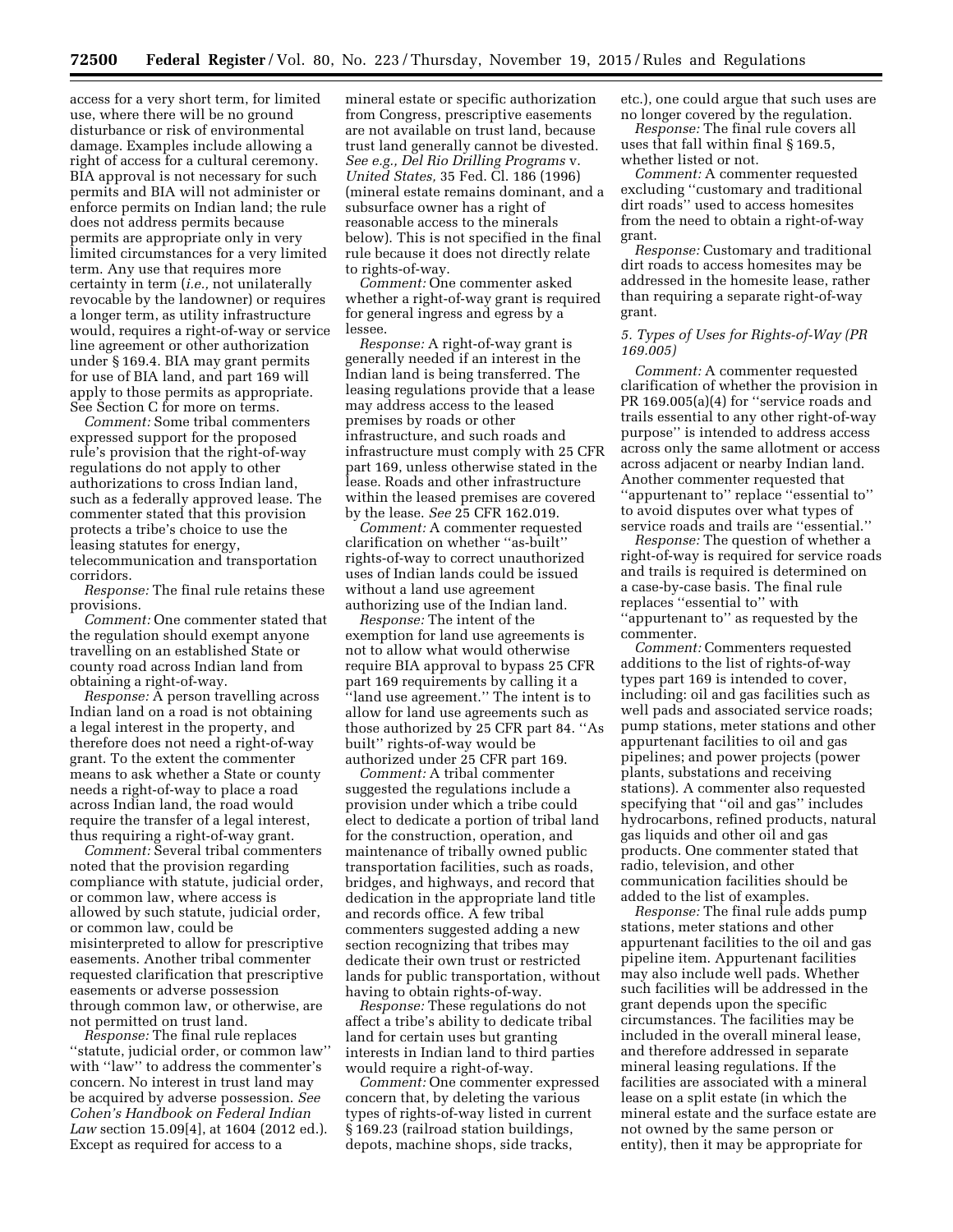access for a very short term, for limited use, where there will be no ground disturbance or risk of environmental damage. Examples include allowing a right of access for a cultural ceremony. BIA approval is not necessary for such permits and BIA will not administer or enforce permits on Indian land; the rule does not address permits because permits are appropriate only in very limited circumstances for a very limited term. Any use that requires more certainty in term (*i.e.,* not unilaterally revocable by the landowner) or requires a longer term, as utility infrastructure would, requires a right-of-way or service line agreement or other authorization under § 169.4. BIA may grant permits for use of BIA land, and part 169 will apply to those permits as appropriate. See Section C for more on terms.

*Comment:* Some tribal commenters expressed support for the proposed rule's provision that the right-of-way regulations do not apply to other authorizations to cross Indian land, such as a federally approved lease. The commenter stated that this provision protects a tribe's choice to use the leasing statutes for energy, telecommunication and transportation corridors.

*Response:* The final rule retains these provisions.

*Comment:* One commenter stated that the regulation should exempt anyone travelling on an established State or county road across Indian land from obtaining a right-of-way.

*Response:* A person travelling across Indian land on a road is not obtaining a legal interest in the property, and therefore does not need a right-of-way grant. To the extent the commenter means to ask whether a State or county needs a right-of-way to place a road across Indian land, the road would require the transfer of a legal interest, thus requiring a right-of-way grant.

*Comment:* Several tribal commenters noted that the provision regarding compliance with statute, judicial order, or common law, where access is allowed by such statute, judicial order, or common law, could be misinterpreted to allow for prescriptive easements. Another tribal commenter requested clarification that prescriptive easements or adverse possession through common law, or otherwise, are not permitted on trust land.

*Response:* The final rule replaces ''statute, judicial order, or common law'' with ''law'' to address the commenter's concern. No interest in trust land may be acquired by adverse possession. *See Cohen's Handbook on Federal Indian Law* section 15.09[4], at 1604 (2012 ed.). Except as required for access to a

mineral estate or specific authorization from Congress, prescriptive easements are not available on trust land, because trust land generally cannot be divested. *See e.g., Del Rio Drilling Programs* v. *United States,* 35 Fed. Cl. 186 (1996) (mineral estate remains dominant, and a subsurface owner has a right of reasonable access to the minerals below). This is not specified in the final rule because it does not directly relate to rights-of-way.

*Comment:* One commenter asked whether a right-of-way grant is required for general ingress and egress by a lessee.

*Response:* A right-of-way grant is generally needed if an interest in the Indian land is being transferred. The leasing regulations provide that a lease may address access to the leased premises by roads or other infrastructure, and such roads and infrastructure must comply with 25 CFR part 169, unless otherwise stated in the lease. Roads and other infrastructure within the leased premises are covered by the lease. *See* 25 CFR 162.019.

*Comment:* A commenter requested clarification on whether ''as-built'' rights-of-way to correct unauthorized uses of Indian lands could be issued without a land use agreement authorizing use of the Indian land.

*Response:* The intent of the exemption for land use agreements is not to allow what would otherwise require BIA approval to bypass 25 CFR part 169 requirements by calling it a ''land use agreement.'' The intent is to allow for land use agreements such as those authorized by 25 CFR part 84. ''As built'' rights-of-way would be authorized under 25 CFR part 169.

*Comment:* A tribal commenter suggested the regulations include a provision under which a tribe could elect to dedicate a portion of tribal land for the construction, operation, and maintenance of tribally owned public transportation facilities, such as roads, bridges, and highways, and record that dedication in the appropriate land title and records office. A few tribal commenters suggested adding a new section recognizing that tribes may dedicate their own trust or restricted lands for public transportation, without having to obtain rights-of-way.

*Response:* These regulations do not affect a tribe's ability to dedicate tribal land for certain uses but granting interests in Indian land to third parties would require a right-of-way.

*Comment:* One commenter expressed concern that, by deleting the various types of rights-of-way listed in current § 169.23 (railroad station buildings, depots, machine shops, side tracks,

etc.), one could argue that such uses are no longer covered by the regulation.

*Response:* The final rule covers all uses that fall within final § 169.5, whether listed or not.

*Comment:* A commenter requested excluding ''customary and traditional dirt roads'' used to access homesites from the need to obtain a right-of-way grant.

*Response:* Customary and traditional dirt roads to access homesites may be addressed in the homesite lease, rather than requiring a separate right-of-way grant.

# *5. Types of Uses for Rights-of-Way (PR 169.005)*

*Comment:* A commenter requested clarification of whether the provision in PR 169.005(a)(4) for "service roads and trails essential to any other right-of-way purpose'' is intended to address access across only the same allotment or access across adjacent or nearby Indian land. Another commenter requested that ''appurtenant to'' replace ''essential to'' to avoid disputes over what types of service roads and trails are ''essential.''

*Response:* The question of whether a right-of-way is required for service roads and trails is required is determined on a case-by-case basis. The final rule replaces ''essential to'' with ''appurtenant to'' as requested by the commenter.

*Comment:* Commenters requested additions to the list of rights-of-way types part 169 is intended to cover, including: oil and gas facilities such as well pads and associated service roads; pump stations, meter stations and other appurtenant facilities to oil and gas pipelines; and power projects (power plants, substations and receiving stations). A commenter also requested specifying that ''oil and gas'' includes hydrocarbons, refined products, natural gas liquids and other oil and gas products. One commenter stated that radio, television, and other communication facilities should be added to the list of examples.

*Response:* The final rule adds pump stations, meter stations and other appurtenant facilities to the oil and gas pipeline item. Appurtenant facilities may also include well pads. Whether such facilities will be addressed in the grant depends upon the specific circumstances. The facilities may be included in the overall mineral lease, and therefore addressed in separate mineral leasing regulations. If the facilities are associated with a mineral lease on a split estate (in which the mineral estate and the surface estate are not owned by the same person or entity), then it may be appropriate for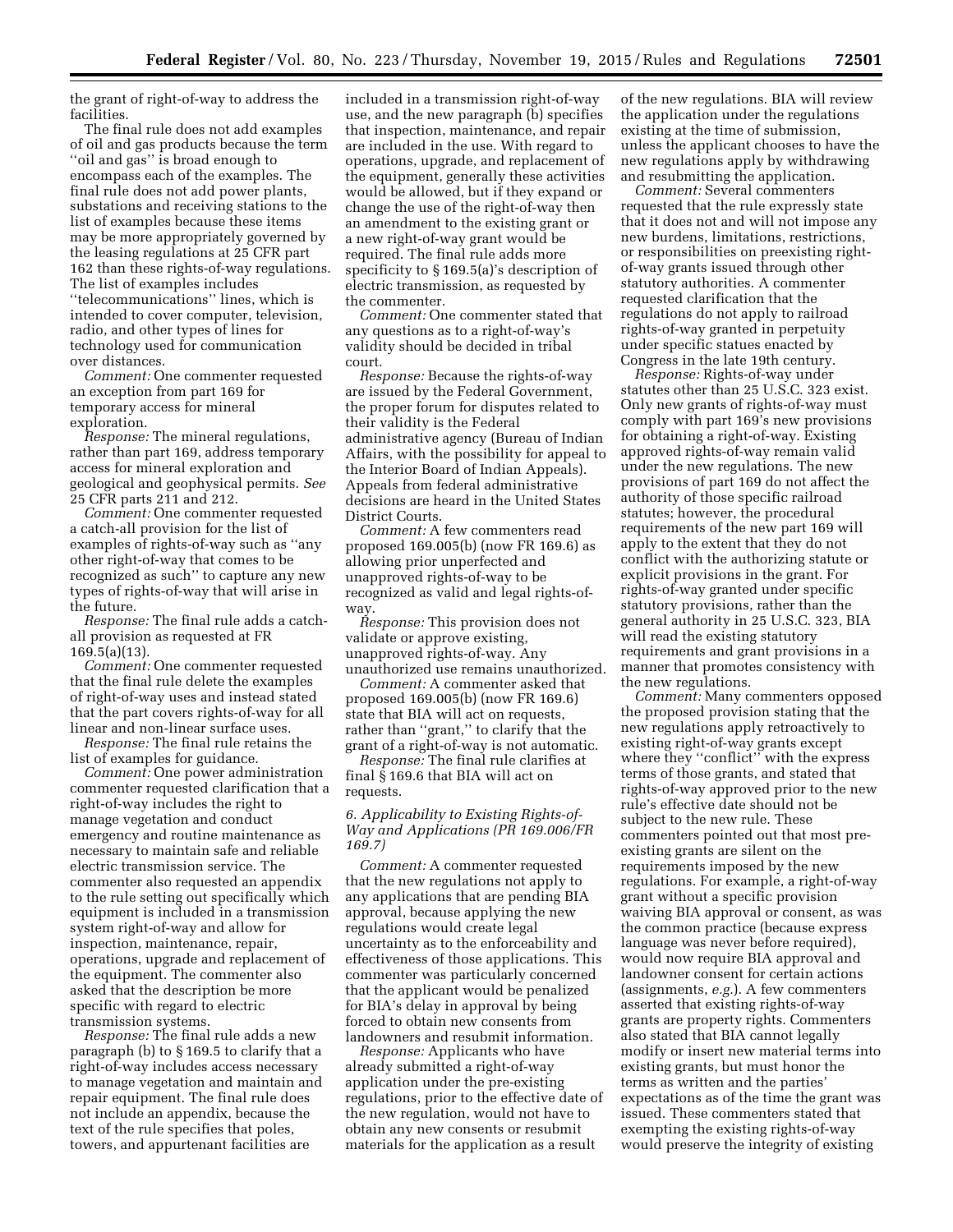the grant of right-of-way to address the facilities.

The final rule does not add examples of oil and gas products because the term ''oil and gas'' is broad enough to encompass each of the examples. The final rule does not add power plants, substations and receiving stations to the list of examples because these items may be more appropriately governed by the leasing regulations at 25 CFR part 162 than these rights-of-way regulations. The list of examples includes ''telecommunications'' lines, which is intended to cover computer, television, radio, and other types of lines for technology used for communication over distances.

*Comment:* One commenter requested an exception from part 169 for temporary access for mineral exploration.

*Response:* The mineral regulations, rather than part 169, address temporary access for mineral exploration and geological and geophysical permits. *See*  25 CFR parts 211 and 212.

*Comment:* One commenter requested a catch-all provision for the list of examples of rights-of-way such as ''any other right-of-way that comes to be recognized as such'' to capture any new types of rights-of-way that will arise in the future.

*Response:* The final rule adds a catchall provision as requested at FR 169.5(a)(13).

*Comment:* One commenter requested that the final rule delete the examples of right-of-way uses and instead stated that the part covers rights-of-way for all linear and non-linear surface uses.

*Response:* The final rule retains the list of examples for guidance.

*Comment:* One power administration commenter requested clarification that a right-of-way includes the right to manage vegetation and conduct emergency and routine maintenance as necessary to maintain safe and reliable electric transmission service. The commenter also requested an appendix to the rule setting out specifically which equipment is included in a transmission system right-of-way and allow for inspection, maintenance, repair, operations, upgrade and replacement of the equipment. The commenter also asked that the description be more specific with regard to electric transmission systems.

*Response:* The final rule adds a new paragraph (b) to § 169.5 to clarify that a right-of-way includes access necessary to manage vegetation and maintain and repair equipment. The final rule does not include an appendix, because the text of the rule specifies that poles, towers, and appurtenant facilities are

included in a transmission right-of-way use, and the new paragraph (b) specifies that inspection, maintenance, and repair are included in the use. With regard to operations, upgrade, and replacement of the equipment, generally these activities would be allowed, but if they expand or change the use of the right-of-way then an amendment to the existing grant or a new right-of-way grant would be required. The final rule adds more specificity to § 169.5(a)'s description of electric transmission, as requested by the commenter.

*Comment:* One commenter stated that any questions as to a right-of-way's validity should be decided in tribal court.

*Response:* Because the rights-of-way are issued by the Federal Government, the proper forum for disputes related to their validity is the Federal administrative agency (Bureau of Indian Affairs, with the possibility for appeal to the Interior Board of Indian Appeals). Appeals from federal administrative decisions are heard in the United States District Courts.

*Comment:* A few commenters read proposed 169.005(b) (now FR 169.6) as allowing prior unperfected and unapproved rights-of-way to be recognized as valid and legal rights-ofway.

*Response:* This provision does not validate or approve existing, unapproved rights-of-way. Any unauthorized use remains unauthorized.

*Comment:* A commenter asked that proposed 169.005(b) (now FR 169.6) state that BIA will act on requests, rather than ''grant,'' to clarify that the grant of a right-of-way is not automatic.

*Response:* The final rule clarifies at final § 169.6 that BIA will act on requests.

# *6. Applicability to Existing Rights-of-Way and Applications (PR 169.006/FR 169.7)*

*Comment:* A commenter requested that the new regulations not apply to any applications that are pending BIA approval, because applying the new regulations would create legal uncertainty as to the enforceability and effectiveness of those applications. This commenter was particularly concerned that the applicant would be penalized for BIA's delay in approval by being forced to obtain new consents from landowners and resubmit information.

*Response:* Applicants who have already submitted a right-of-way application under the pre-existing regulations, prior to the effective date of the new regulation, would not have to obtain any new consents or resubmit materials for the application as a result

of the new regulations. BIA will review the application under the regulations existing at the time of submission, unless the applicant chooses to have the new regulations apply by withdrawing and resubmitting the application.

*Comment:* Several commenters requested that the rule expressly state that it does not and will not impose any new burdens, limitations, restrictions, or responsibilities on preexisting rightof-way grants issued through other statutory authorities. A commenter requested clarification that the regulations do not apply to railroad rights-of-way granted in perpetuity under specific statues enacted by Congress in the late 19th century.

*Response:* Rights-of-way under statutes other than 25 U.S.C. 323 exist. Only new grants of rights-of-way must comply with part 169's new provisions for obtaining a right-of-way. Existing approved rights-of-way remain valid under the new regulations. The new provisions of part 169 do not affect the authority of those specific railroad statutes; however, the procedural requirements of the new part 169 will apply to the extent that they do not conflict with the authorizing statute or explicit provisions in the grant. For rights-of-way granted under specific statutory provisions, rather than the general authority in 25 U.S.C. 323, BIA will read the existing statutory requirements and grant provisions in a manner that promotes consistency with the new regulations.

*Comment:* Many commenters opposed the proposed provision stating that the new regulations apply retroactively to existing right-of-way grants except where they ''conflict'' with the express terms of those grants, and stated that rights-of-way approved prior to the new rule's effective date should not be subject to the new rule. These commenters pointed out that most preexisting grants are silent on the requirements imposed by the new regulations. For example, a right-of-way grant without a specific provision waiving BIA approval or consent, as was the common practice (because express language was never before required), would now require BIA approval and landowner consent for certain actions (assignments, *e.g.*). A few commenters asserted that existing rights-of-way grants are property rights. Commenters also stated that BIA cannot legally modify or insert new material terms into existing grants, but must honor the terms as written and the parties' expectations as of the time the grant was issued. These commenters stated that exempting the existing rights-of-way would preserve the integrity of existing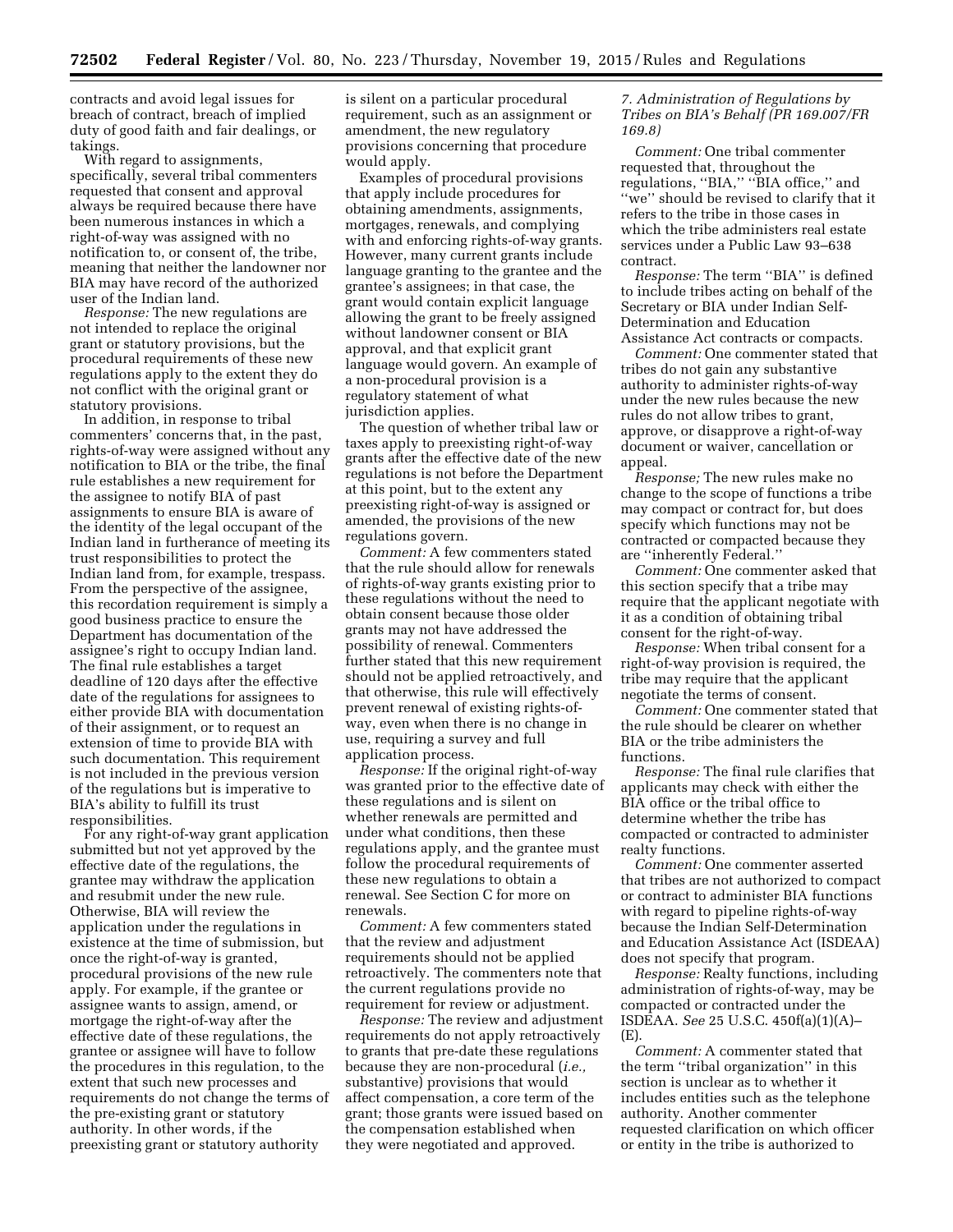contracts and avoid legal issues for breach of contract, breach of implied duty of good faith and fair dealings, or takings.

With regard to assignments, specifically, several tribal commenters requested that consent and approval always be required because there have been numerous instances in which a right-of-way was assigned with no notification to, or consent of, the tribe, meaning that neither the landowner nor BIA may have record of the authorized user of the Indian land.

*Response:* The new regulations are not intended to replace the original grant or statutory provisions, but the procedural requirements of these new regulations apply to the extent they do not conflict with the original grant or statutory provisions.

In addition, in response to tribal commenters' concerns that, in the past, rights-of-way were assigned without any notification to BIA or the tribe, the final rule establishes a new requirement for the assignee to notify BIA of past assignments to ensure BIA is aware of the identity of the legal occupant of the Indian land in furtherance of meeting its trust responsibilities to protect the Indian land from, for example, trespass. From the perspective of the assignee, this recordation requirement is simply a good business practice to ensure the Department has documentation of the assignee's right to occupy Indian land. The final rule establishes a target deadline of 120 days after the effective date of the regulations for assignees to either provide BIA with documentation of their assignment, or to request an extension of time to provide BIA with such documentation. This requirement is not included in the previous version of the regulations but is imperative to BIA's ability to fulfill its trust responsibilities.

For any right-of-way grant application submitted but not yet approved by the effective date of the regulations, the grantee may withdraw the application and resubmit under the new rule. Otherwise, BIA will review the application under the regulations in existence at the time of submission, but once the right-of-way is granted, procedural provisions of the new rule apply. For example, if the grantee or assignee wants to assign, amend, or mortgage the right-of-way after the effective date of these regulations, the grantee or assignee will have to follow the procedures in this regulation, to the extent that such new processes and requirements do not change the terms of the pre-existing grant or statutory authority. In other words, if the preexisting grant or statutory authority

is silent on a particular procedural requirement, such as an assignment or amendment, the new regulatory provisions concerning that procedure would apply.

Examples of procedural provisions that apply include procedures for obtaining amendments, assignments, mortgages, renewals, and complying with and enforcing rights-of-way grants. However, many current grants include language granting to the grantee and the grantee's assignees; in that case, the grant would contain explicit language allowing the grant to be freely assigned without landowner consent or BIA approval, and that explicit grant language would govern. An example of a non-procedural provision is a regulatory statement of what jurisdiction applies.

The question of whether tribal law or taxes apply to preexisting right-of-way grants after the effective date of the new regulations is not before the Department at this point, but to the extent any preexisting right-of-way is assigned or amended, the provisions of the new regulations govern.

*Comment:* A few commenters stated that the rule should allow for renewals of rights-of-way grants existing prior to these regulations without the need to obtain consent because those older grants may not have addressed the possibility of renewal. Commenters further stated that this new requirement should not be applied retroactively, and that otherwise, this rule will effectively prevent renewal of existing rights-ofway, even when there is no change in use, requiring a survey and full application process.

*Response:* If the original right-of-way was granted prior to the effective date of these regulations and is silent on whether renewals are permitted and under what conditions, then these regulations apply, and the grantee must follow the procedural requirements of these new regulations to obtain a renewal. See Section C for more on renewals.

*Comment:* A few commenters stated that the review and adjustment requirements should not be applied retroactively. The commenters note that the current regulations provide no requirement for review or adjustment.

*Response:* The review and adjustment requirements do not apply retroactively to grants that pre-date these regulations because they are non-procedural (*i.e.,*  substantive) provisions that would affect compensation, a core term of the grant; those grants were issued based on the compensation established when they were negotiated and approved.

# *7. Administration of Regulations by Tribes on BIA's Behalf (PR 169.007/FR 169.8)*

*Comment:* One tribal commenter requested that, throughout the regulations, ''BIA,'' ''BIA office,'' and ''we'' should be revised to clarify that it refers to the tribe in those cases in which the tribe administers real estate services under a Public Law 93–638 contract.

*Response:* The term ''BIA'' is defined to include tribes acting on behalf of the Secretary or BIA under Indian Self-Determination and Education Assistance Act contracts or compacts.

*Comment:* One commenter stated that tribes do not gain any substantive authority to administer rights-of-way under the new rules because the new rules do not allow tribes to grant, approve, or disapprove a right-of-way document or waiver, cancellation or appeal.

*Response;* The new rules make no change to the scope of functions a tribe may compact or contract for, but does specify which functions may not be contracted or compacted because they are ''inherently Federal.''

*Comment:* One commenter asked that this section specify that a tribe may require that the applicant negotiate with it as a condition of obtaining tribal consent for the right-of-way.

*Response:* When tribal consent for a right-of-way provision is required, the tribe may require that the applicant negotiate the terms of consent.

*Comment:* One commenter stated that the rule should be clearer on whether BIA or the tribe administers the functions.

*Response:* The final rule clarifies that applicants may check with either the BIA office or the tribal office to determine whether the tribe has compacted or contracted to administer realty functions.

*Comment:* One commenter asserted that tribes are not authorized to compact or contract to administer BIA functions with regard to pipeline rights-of-way because the Indian Self-Determination and Education Assistance Act (ISDEAA) does not specify that program.

*Response:* Realty functions, including administration of rights-of-way, may be compacted or contracted under the ISDEAA. *See* 25 U.S.C. 450f(a)(1)(A)– (E).

*Comment:* A commenter stated that the term ''tribal organization'' in this section is unclear as to whether it includes entities such as the telephone authority. Another commenter requested clarification on which officer or entity in the tribe is authorized to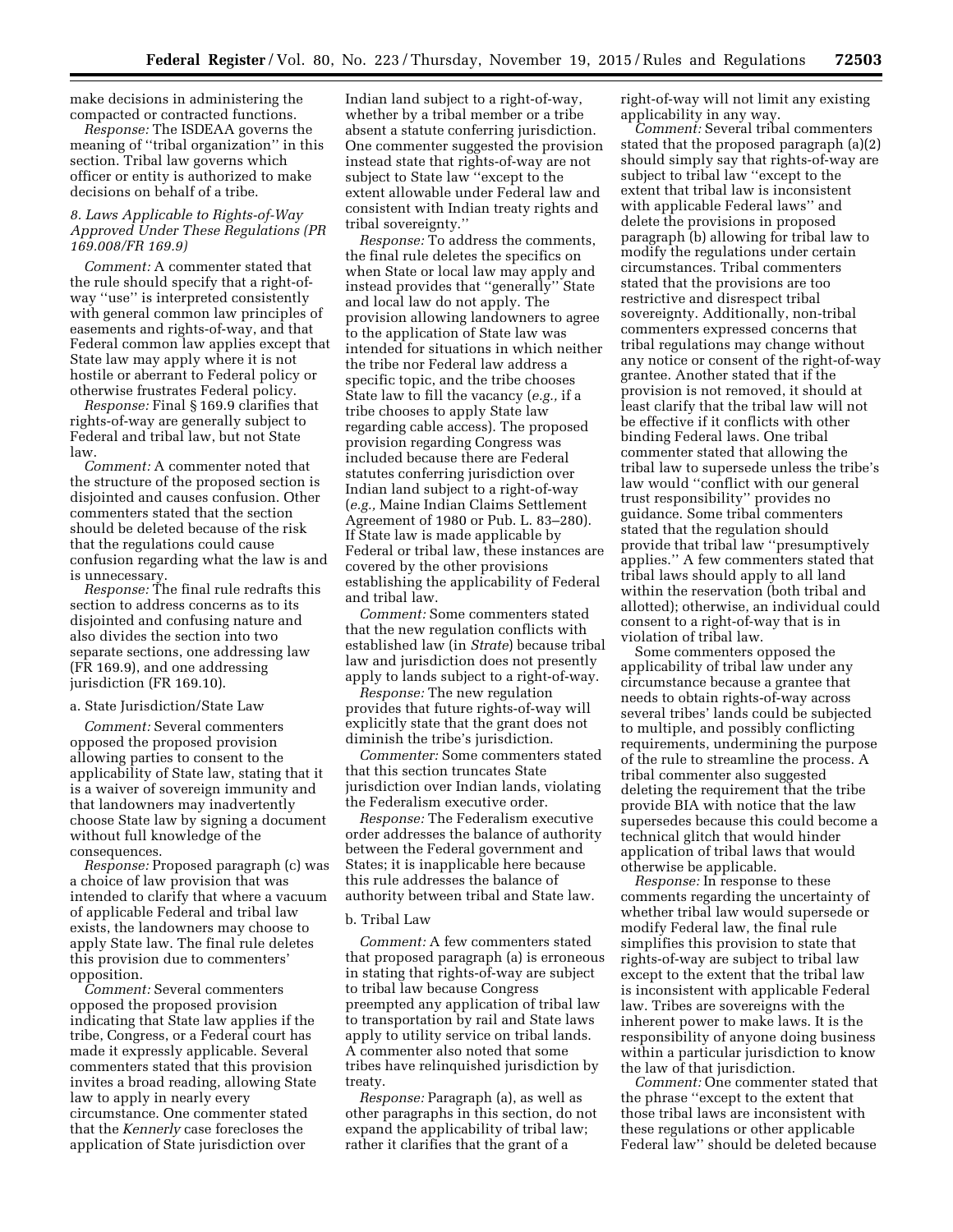make decisions in administering the compacted or contracted functions.

*Response:* The ISDEAA governs the meaning of ''tribal organization'' in this section. Tribal law governs which officer or entity is authorized to make decisions on behalf of a tribe.

# *8. Laws Applicable to Rights-of-Way Approved Under These Regulations (PR 169.008/FR 169.9)*

*Comment:* A commenter stated that the rule should specify that a right-ofway ''use'' is interpreted consistently with general common law principles of easements and rights-of-way, and that Federal common law applies except that State law may apply where it is not hostile or aberrant to Federal policy or otherwise frustrates Federal policy.

*Response:* Final § 169.9 clarifies that rights-of-way are generally subject to Federal and tribal law, but not State law.

*Comment:* A commenter noted that the structure of the proposed section is disjointed and causes confusion. Other commenters stated that the section should be deleted because of the risk that the regulations could cause confusion regarding what the law is and is unnecessary.

*Response:* The final rule redrafts this section to address concerns as to its disjointed and confusing nature and also divides the section into two separate sections, one addressing law (FR 169.9), and one addressing jurisdiction (FR 169.10).

#### a. State Jurisdiction/State Law

*Comment:* Several commenters opposed the proposed provision allowing parties to consent to the applicability of State law, stating that it is a waiver of sovereign immunity and that landowners may inadvertently choose State law by signing a document without full knowledge of the consequences.

*Response:* Proposed paragraph (c) was a choice of law provision that was intended to clarify that where a vacuum of applicable Federal and tribal law exists, the landowners may choose to apply State law. The final rule deletes this provision due to commenters' opposition.

*Comment:* Several commenters opposed the proposed provision indicating that State law applies if the tribe, Congress, or a Federal court has made it expressly applicable. Several commenters stated that this provision invites a broad reading, allowing State law to apply in nearly every circumstance. One commenter stated that the *Kennerly* case forecloses the application of State jurisdiction over

Indian land subject to a right-of-way, whether by a tribal member or a tribe absent a statute conferring jurisdiction. One commenter suggested the provision instead state that rights-of-way are not subject to State law ''except to the extent allowable under Federal law and consistent with Indian treaty rights and tribal sovereignty.''

*Response:* To address the comments, the final rule deletes the specifics on when State or local law may apply and instead provides that ''generally'' State and local law do not apply. The provision allowing landowners to agree to the application of State law was intended for situations in which neither the tribe nor Federal law address a specific topic, and the tribe chooses State law to fill the vacancy (*e.g.,* if a tribe chooses to apply State law regarding cable access). The proposed provision regarding Congress was included because there are Federal statutes conferring jurisdiction over Indian land subject to a right-of-way (*e.g.,* Maine Indian Claims Settlement Agreement of 1980 or Pub. L. 83–280). If State law is made applicable by Federal or tribal law, these instances are covered by the other provisions establishing the applicability of Federal and tribal law.

*Comment:* Some commenters stated that the new regulation conflicts with established law (in *Strate*) because tribal law and jurisdiction does not presently apply to lands subject to a right-of-way.

*Response:* The new regulation provides that future rights-of-way will explicitly state that the grant does not diminish the tribe's jurisdiction.

*Commenter:* Some commenters stated that this section truncates State jurisdiction over Indian lands, violating the Federalism executive order.

*Response:* The Federalism executive order addresses the balance of authority between the Federal government and States; it is inapplicable here because this rule addresses the balance of authority between tribal and State law.

# b. Tribal Law

*Comment:* A few commenters stated that proposed paragraph (a) is erroneous in stating that rights-of-way are subject to tribal law because Congress preempted any application of tribal law to transportation by rail and State laws apply to utility service on tribal lands. A commenter also noted that some tribes have relinquished jurisdiction by treaty.

*Response:* Paragraph (a), as well as other paragraphs in this section, do not expand the applicability of tribal law; rather it clarifies that the grant of a

right-of-way will not limit any existing applicability in any way.

*Comment:* Several tribal commenters stated that the proposed paragraph (a)(2) should simply say that rights-of-way are subject to tribal law ''except to the extent that tribal law is inconsistent with applicable Federal laws'' and delete the provisions in proposed paragraph (b) allowing for tribal law to modify the regulations under certain circumstances. Tribal commenters stated that the provisions are too restrictive and disrespect tribal sovereignty. Additionally, non-tribal commenters expressed concerns that tribal regulations may change without any notice or consent of the right-of-way grantee. Another stated that if the provision is not removed, it should at least clarify that the tribal law will not be effective if it conflicts with other binding Federal laws. One tribal commenter stated that allowing the tribal law to supersede unless the tribe's law would ''conflict with our general trust responsibility'' provides no guidance. Some tribal commenters stated that the regulation should provide that tribal law ''presumptively applies.'' A few commenters stated that tribal laws should apply to all land within the reservation (both tribal and allotted); otherwise, an individual could consent to a right-of-way that is in violation of tribal law.

Some commenters opposed the applicability of tribal law under any circumstance because a grantee that needs to obtain rights-of-way across several tribes' lands could be subjected to multiple, and possibly conflicting requirements, undermining the purpose of the rule to streamline the process. A tribal commenter also suggested deleting the requirement that the tribe provide BIA with notice that the law supersedes because this could become a technical glitch that would hinder application of tribal laws that would otherwise be applicable.

*Response:* In response to these comments regarding the uncertainty of whether tribal law would supersede or modify Federal law, the final rule simplifies this provision to state that rights-of-way are subject to tribal law except to the extent that the tribal law is inconsistent with applicable Federal law. Tribes are sovereigns with the inherent power to make laws. It is the responsibility of anyone doing business within a particular jurisdiction to know the law of that jurisdiction.

*Comment:* One commenter stated that the phrase ''except to the extent that those tribal laws are inconsistent with these regulations or other applicable Federal law'' should be deleted because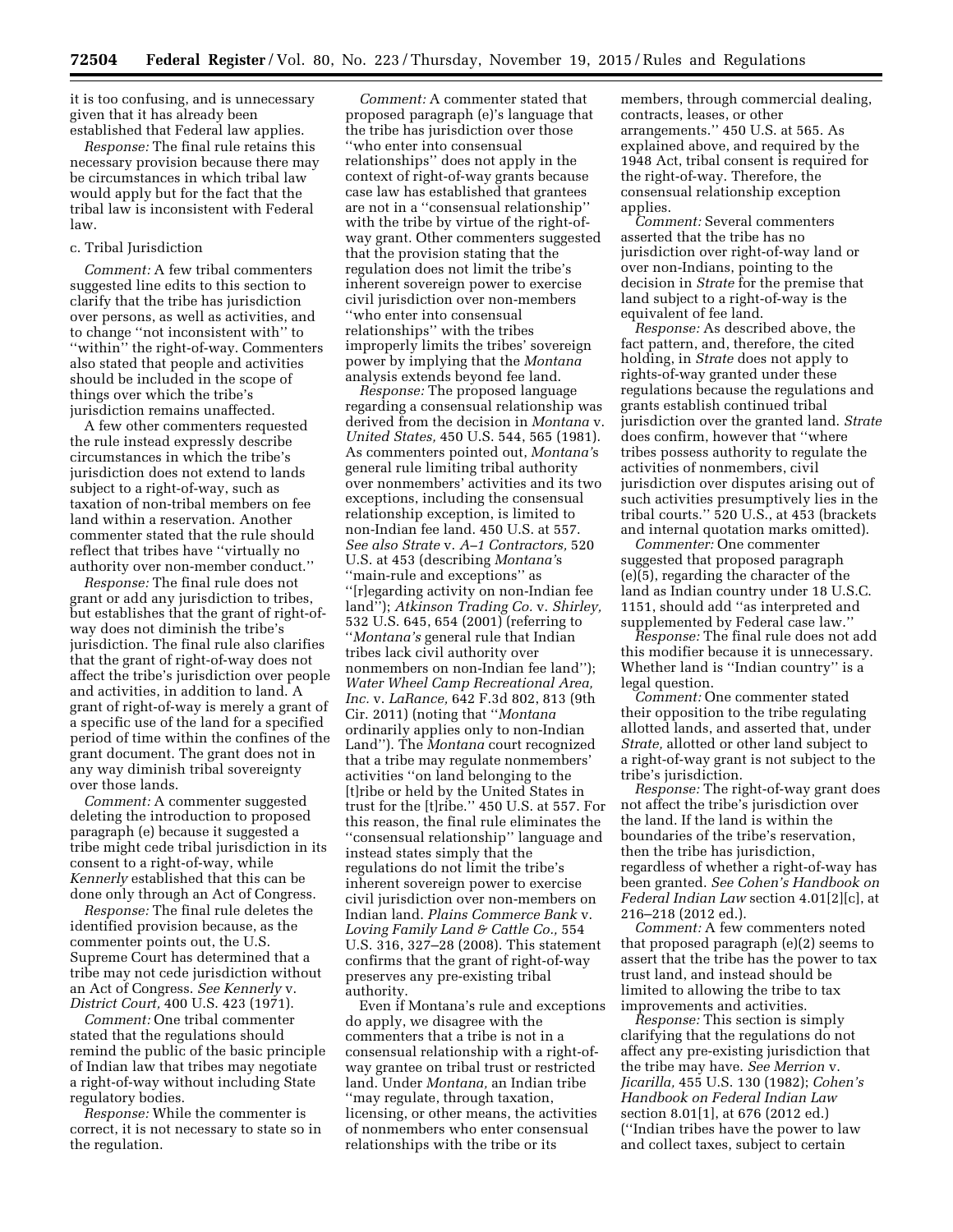it is too confusing, and is unnecessary given that it has already been established that Federal law applies.

*Response:* The final rule retains this necessary provision because there may be circumstances in which tribal law would apply but for the fact that the tribal law is inconsistent with Federal law.

# c. Tribal Jurisdiction

*Comment:* A few tribal commenters suggested line edits to this section to clarify that the tribe has jurisdiction over persons, as well as activities, and to change ''not inconsistent with'' to ''within'' the right-of-way. Commenters also stated that people and activities should be included in the scope of things over which the tribe's jurisdiction remains unaffected.

A few other commenters requested the rule instead expressly describe circumstances in which the tribe's jurisdiction does not extend to lands subject to a right-of-way, such as taxation of non-tribal members on fee land within a reservation. Another commenter stated that the rule should reflect that tribes have ''virtually no authority over non-member conduct.''

*Response:* The final rule does not grant or add any jurisdiction to tribes, but establishes that the grant of right-ofway does not diminish the tribe's jurisdiction. The final rule also clarifies that the grant of right-of-way does not affect the tribe's jurisdiction over people and activities, in addition to land. A grant of right-of-way is merely a grant of a specific use of the land for a specified period of time within the confines of the grant document. The grant does not in any way diminish tribal sovereignty over those lands.

*Comment:* A commenter suggested deleting the introduction to proposed paragraph (e) because it suggested a tribe might cede tribal jurisdiction in its consent to a right-of-way, while *Kennerly* established that this can be done only through an Act of Congress.

*Response:* The final rule deletes the identified provision because, as the commenter points out, the U.S. Supreme Court has determined that a tribe may not cede jurisdiction without an Act of Congress. *See Kennerly* v. *District Court,* 400 U.S. 423 (1971).

*Comment:* One tribal commenter stated that the regulations should remind the public of the basic principle of Indian law that tribes may negotiate a right-of-way without including State regulatory bodies.

*Response:* While the commenter is correct, it is not necessary to state so in the regulation.

*Comment:* A commenter stated that proposed paragraph (e)'s language that the tribe has jurisdiction over those ''who enter into consensual relationships'' does not apply in the context of right-of-way grants because case law has established that grantees are not in a ''consensual relationship'' with the tribe by virtue of the right-ofway grant. Other commenters suggested that the provision stating that the regulation does not limit the tribe's inherent sovereign power to exercise civil jurisdiction over non-members ''who enter into consensual relationships'' with the tribes improperly limits the tribes' sovereign power by implying that the *Montana*  analysis extends beyond fee land.

*Response:* The proposed language regarding a consensual relationship was derived from the decision in *Montana* v. *United States,* 450 U.S. 544, 565 (1981). As commenters pointed out, *Montana'*s general rule limiting tribal authority over nonmembers' activities and its two exceptions, including the consensual relationship exception, is limited to non-Indian fee land. 450 U.S. at 557. *See also Strate* v. *A–1 Contractors,* 520 U.S. at 453 (describing *Montana'*s ''main-rule and exceptions'' as ''[r]egarding activity on non-Indian fee land''); *Atkinson Trading Co.* v. *Shirley,*  532 U.S. 645, 654 (2001) (referring to ''*Montana's* general rule that Indian tribes lack civil authority over nonmembers on non-Indian fee land''); *Water Wheel Camp Recreational Area, Inc.* v. *LaRance,* 642 F.3d 802, 813 (9th Cir. 2011) (noting that ''*Montana*  ordinarily applies only to non-Indian Land''). The *Montana* court recognized that a tribe may regulate nonmembers' activities ''on land belonging to the [t]ribe or held by the United States in trust for the [t]ribe.'' 450 U.S. at 557. For this reason, the final rule eliminates the ''consensual relationship'' language and instead states simply that the regulations do not limit the tribe's inherent sovereign power to exercise civil jurisdiction over non-members on Indian land. *Plains Commerce Bank* v. *Loving Family Land & Cattle Co.,* 554 U.S. 316, 327–28 (2008). This statement confirms that the grant of right-of-way preserves any pre-existing tribal authority.

Even if Montana's rule and exceptions do apply, we disagree with the commenters that a tribe is not in a consensual relationship with a right-ofway grantee on tribal trust or restricted land. Under *Montana,* an Indian tribe ''may regulate, through taxation, licensing, or other means, the activities of nonmembers who enter consensual relationships with the tribe or its

members, through commercial dealing, contracts, leases, or other arrangements.'' 450 U.S. at 565. As explained above, and required by the 1948 Act, tribal consent is required for the right-of-way. Therefore, the consensual relationship exception applies.

*Comment:* Several commenters asserted that the tribe has no jurisdiction over right-of-way land or over non-Indians, pointing to the decision in *Strate* for the premise that land subject to a right-of-way is the equivalent of fee land.

*Response:* As described above, the fact pattern, and, therefore, the cited holding, in *Strate* does not apply to rights-of-way granted under these regulations because the regulations and grants establish continued tribal jurisdiction over the granted land. *Strate*  does confirm, however that ''where tribes possess authority to regulate the activities of nonmembers, civil jurisdiction over disputes arising out of such activities presumptively lies in the tribal courts.'' 520 U.S., at 453 (brackets and internal quotation marks omitted).

*Commenter:* One commenter suggested that proposed paragraph (e)(5), regarding the character of the land as Indian country under 18 U.S.C. 1151, should add ''as interpreted and supplemented by Federal case law.''

*Response:* The final rule does not add this modifier because it is unnecessary. Whether land is ''Indian country'' is a legal question.

*Comment:* One commenter stated their opposition to the tribe regulating allotted lands, and asserted that, under *Strate,* allotted or other land subject to a right-of-way grant is not subject to the tribe's jurisdiction.

*Response:* The right-of-way grant does not affect the tribe's jurisdiction over the land. If the land is within the boundaries of the tribe's reservation, then the tribe has jurisdiction, regardless of whether a right-of-way has been granted. *See Cohen's Handbook on Federal Indian Law* section 4.01[2][c], at 216–218 (2012 ed.).

*Comment:* A few commenters noted that proposed paragraph (e)(2) seems to assert that the tribe has the power to tax trust land, and instead should be limited to allowing the tribe to tax improvements and activities.

*Response:* This section is simply clarifying that the regulations do not affect any pre-existing jurisdiction that the tribe may have. *See Merrion* v. *Jicarilla,* 455 U.S. 130 (1982); *Cohen's Handbook on Federal Indian Law*  section 8.01[1], at 676 (2012 ed.) (''Indian tribes have the power to law and collect taxes, subject to certain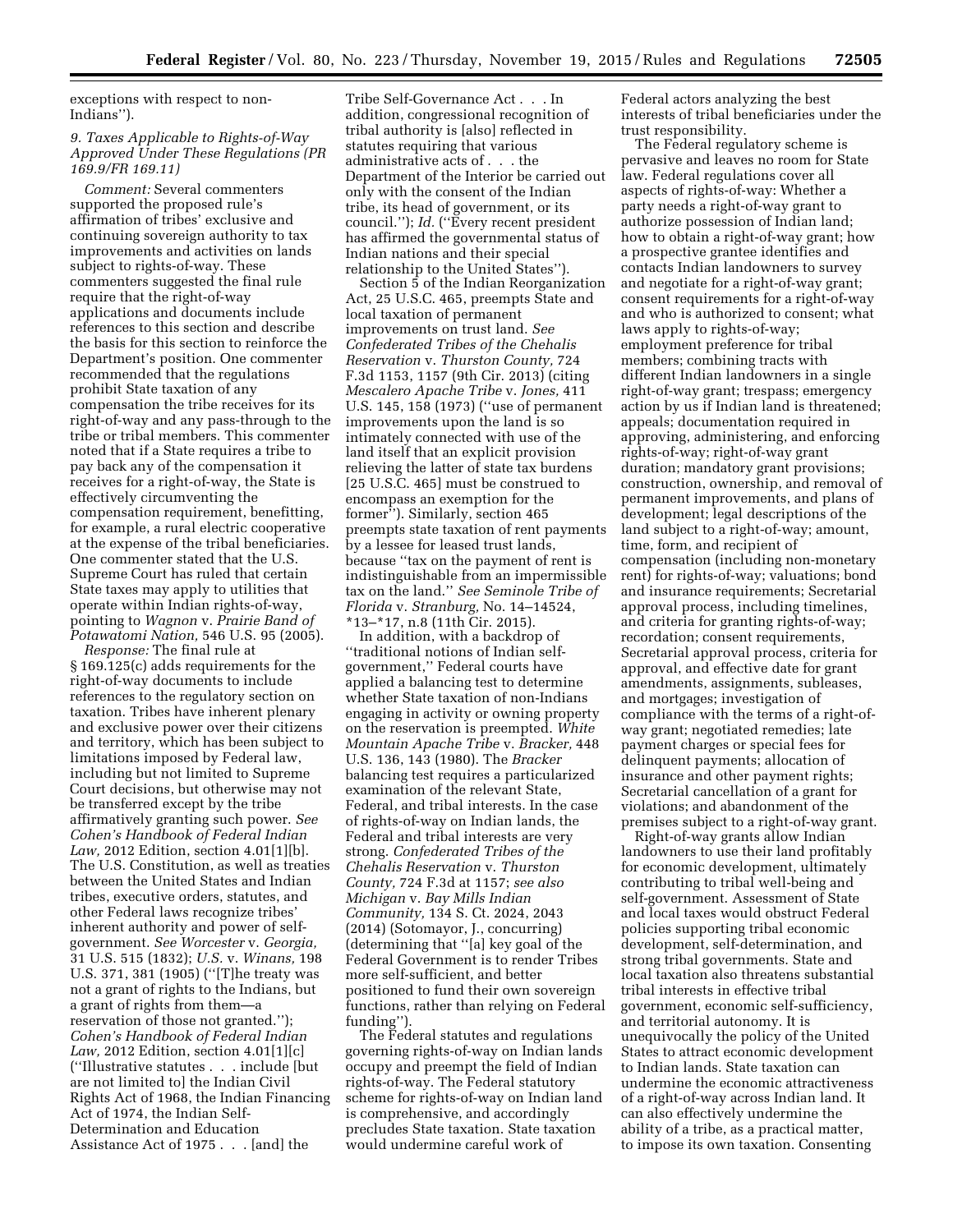exceptions with respect to non-Indians'').

# *9. Taxes Applicable to Rights-of-Way Approved Under These Regulations (PR 169.9/FR 169.11)*

*Comment:* Several commenters supported the proposed rule's affirmation of tribes' exclusive and continuing sovereign authority to tax improvements and activities on lands subject to rights-of-way. These commenters suggested the final rule require that the right-of-way applications and documents include references to this section and describe the basis for this section to reinforce the Department's position. One commenter recommended that the regulations prohibit State taxation of any compensation the tribe receives for its right-of-way and any pass-through to the tribe or tribal members. This commenter noted that if a State requires a tribe to pay back any of the compensation it receives for a right-of-way, the State is effectively circumventing the compensation requirement, benefitting, for example, a rural electric cooperative at the expense of the tribal beneficiaries. One commenter stated that the U.S. Supreme Court has ruled that certain State taxes may apply to utilities that operate within Indian rights-of-way, pointing to *Wagnon* v. *Prairie Band of Potawatomi Nation,* 546 U.S. 95 (2005).

*Response:* The final rule at § 169.125(c) adds requirements for the right-of-way documents to include references to the regulatory section on taxation. Tribes have inherent plenary and exclusive power over their citizens and territory, which has been subject to limitations imposed by Federal law, including but not limited to Supreme Court decisions, but otherwise may not be transferred except by the tribe affirmatively granting such power. *See Cohen's Handbook of Federal Indian Law,* 2012 Edition, section 4.01[1][b]. The U.S. Constitution, as well as treaties between the United States and Indian tribes, executive orders, statutes, and other Federal laws recognize tribes' inherent authority and power of selfgovernment. *See Worcester* v. *Georgia,*  31 U.S. 515 (1832); *U.S.* v. *Winans,* 198 U.S. 371, 381 (1905) (''[T]he treaty was not a grant of rights to the Indians, but a grant of rights from them—a reservation of those not granted.''); *Cohen's Handbook of Federal Indian Law,* 2012 Edition, section 4.01[1][c] (''Illustrative statutes . . . include [but are not limited to] the Indian Civil Rights Act of 1968, the Indian Financing Act of 1974, the Indian Self-Determination and Education Assistance Act of 1975 . . . [and] the

Tribe Self-Governance Act . . . In addition, congressional recognition of tribal authority is [also] reflected in statutes requiring that various administrative acts of . . . the Department of the Interior be carried out only with the consent of the Indian tribe, its head of government, or its council.''); *Id.* (''Every recent president has affirmed the governmental status of Indian nations and their special relationship to the United States'').

Section 5 of the Indian Reorganization Act, 25 U.S.C. 465, preempts State and local taxation of permanent improvements on trust land. *See Confederated Tribes of the Chehalis Reservation* v. *Thurston County,* 724 F.3d 1153, 1157 (9th Cir. 2013) (citing *Mescalero Apache Tribe* v. *Jones,* 411 U.S. 145, 158 (1973) (''use of permanent improvements upon the land is so intimately connected with use of the land itself that an explicit provision relieving the latter of state tax burdens [25 U.S.C. 465] must be construed to encompass an exemption for the former''). Similarly, section 465 preempts state taxation of rent payments by a lessee for leased trust lands, because ''tax on the payment of rent is indistinguishable from an impermissible tax on the land.'' *See Seminole Tribe of Florida* v. *Stranburg,* No. 14–14524, \*13–\*17, n.8 (11th Cir. 2015).

In addition, with a backdrop of ''traditional notions of Indian selfgovernment,'' Federal courts have applied a balancing test to determine whether State taxation of non-Indians engaging in activity or owning property on the reservation is preempted. *White Mountain Apache Tribe* v. *Bracker,* 448 U.S. 136, 143 (1980). The *Bracker*  balancing test requires a particularized examination of the relevant State, Federal, and tribal interests. In the case of rights-of-way on Indian lands, the Federal and tribal interests are very strong. *Confederated Tribes of the Chehalis Reservation* v. *Thurston County,* 724 F.3d at 1157; *see also Michigan* v. *Bay Mills Indian Community,* 134 S. Ct. 2024, 2043 (2014) (Sotomayor, J., concurring) (determining that ''[a] key goal of the Federal Government is to render Tribes more self-sufficient, and better positioned to fund their own sovereign functions, rather than relying on Federal funding'').

The Federal statutes and regulations governing rights-of-way on Indian lands occupy and preempt the field of Indian rights-of-way. The Federal statutory scheme for rights-of-way on Indian land is comprehensive, and accordingly precludes State taxation. State taxation would undermine careful work of

Federal actors analyzing the best interests of tribal beneficiaries under the trust responsibility.

The Federal regulatory scheme is pervasive and leaves no room for State law. Federal regulations cover all aspects of rights-of-way: Whether a party needs a right-of-way grant to authorize possession of Indian land; how to obtain a right-of-way grant; how a prospective grantee identifies and contacts Indian landowners to survey and negotiate for a right-of-way grant; consent requirements for a right-of-way and who is authorized to consent; what laws apply to rights-of-way; employment preference for tribal members; combining tracts with different Indian landowners in a single right-of-way grant; trespass; emergency action by us if Indian land is threatened; appeals; documentation required in approving, administering, and enforcing rights-of-way; right-of-way grant duration; mandatory grant provisions; construction, ownership, and removal of permanent improvements, and plans of development; legal descriptions of the land subject to a right-of-way; amount, time, form, and recipient of compensation (including non-monetary rent) for rights-of-way; valuations; bond and insurance requirements; Secretarial approval process, including timelines, and criteria for granting rights-of-way; recordation; consent requirements, Secretarial approval process, criteria for approval, and effective date for grant amendments, assignments, subleases, and mortgages; investigation of compliance with the terms of a right-ofway grant; negotiated remedies; late payment charges or special fees for delinquent payments; allocation of insurance and other payment rights; Secretarial cancellation of a grant for violations; and abandonment of the premises subject to a right-of-way grant.

Right-of-way grants allow Indian landowners to use their land profitably for economic development, ultimately contributing to tribal well-being and self-government. Assessment of State and local taxes would obstruct Federal policies supporting tribal economic development, self-determination, and strong tribal governments. State and local taxation also threatens substantial tribal interests in effective tribal government, economic self-sufficiency, and territorial autonomy. It is unequivocally the policy of the United States to attract economic development to Indian lands. State taxation can undermine the economic attractiveness of a right-of-way across Indian land. It can also effectively undermine the ability of a tribe, as a practical matter, to impose its own taxation. Consenting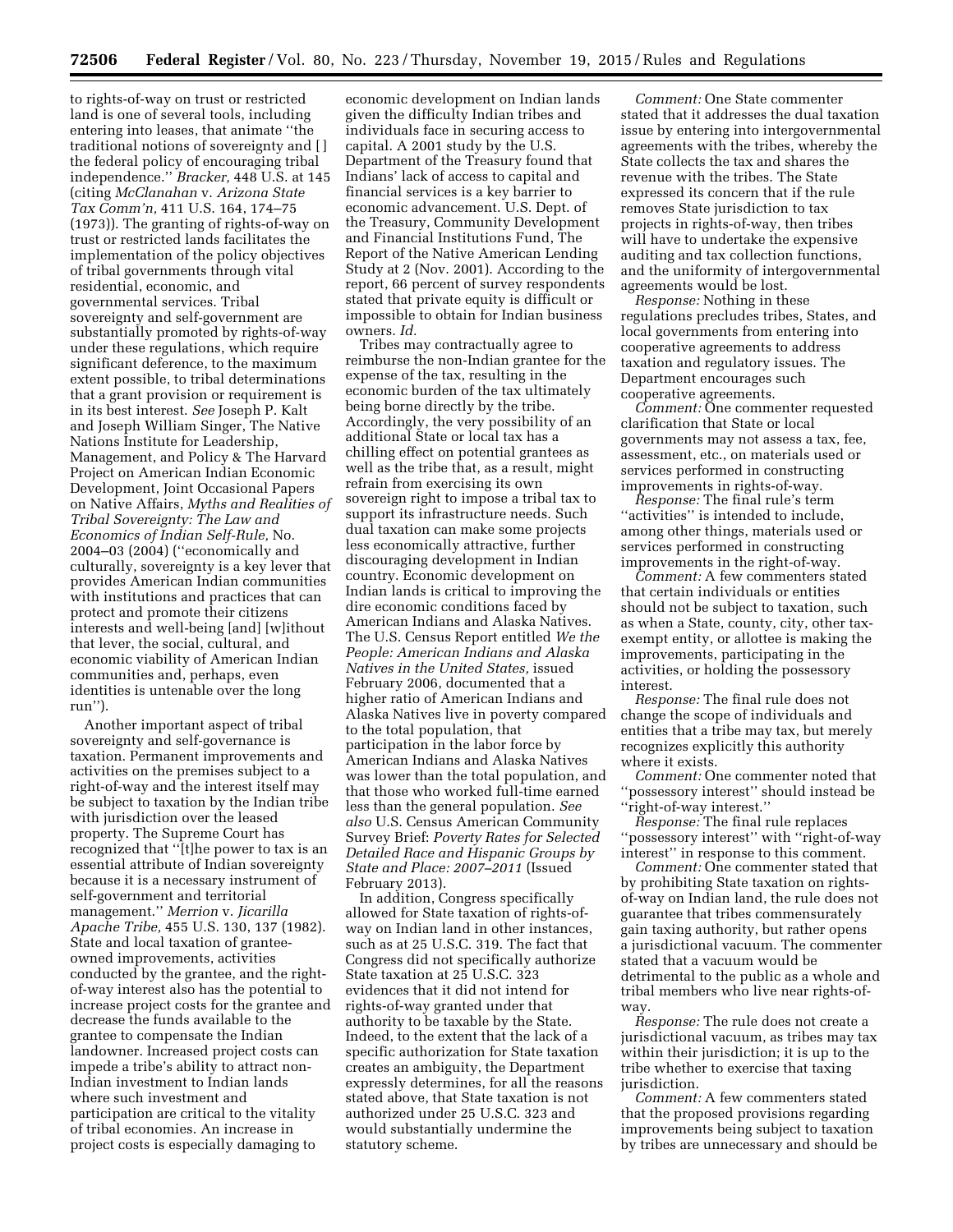to rights-of-way on trust or restricted land is one of several tools, including entering into leases, that animate ''the traditional notions of sovereignty and [ ] the federal policy of encouraging tribal independence.'' *Bracker,* 448 U.S. at 145 (citing *McClanahan* v. *Arizona State Tax Comm'n,* 411 U.S. 164, 174–75 (1973)). The granting of rights-of-way on trust or restricted lands facilitates the implementation of the policy objectives of tribal governments through vital residential, economic, and governmental services. Tribal sovereignty and self-government are substantially promoted by rights-of-way under these regulations, which require significant deference, to the maximum extent possible, to tribal determinations that a grant provision or requirement is in its best interest. *See* Joseph P. Kalt and Joseph William Singer, The Native Nations Institute for Leadership, Management, and Policy & The Harvard Project on American Indian Economic Development, Joint Occasional Papers on Native Affairs, *Myths and Realities of Tribal Sovereignty: The Law and Economics of Indian Self-Rule,* No. 2004–03 (2004) (''economically and culturally, sovereignty is a key lever that provides American Indian communities with institutions and practices that can protect and promote their citizens interests and well-being [and] [w]ithout that lever, the social, cultural, and economic viability of American Indian communities and, perhaps, even identities is untenable over the long run'').

Another important aspect of tribal sovereignty and self-governance is taxation. Permanent improvements and activities on the premises subject to a right-of-way and the interest itself may be subject to taxation by the Indian tribe with jurisdiction over the leased property. The Supreme Court has recognized that ''[t]he power to tax is an essential attribute of Indian sovereignty because it is a necessary instrument of self-government and territorial management.'' *Merrion* v. *Jicarilla Apache Tribe,* 455 U.S. 130, 137 (1982). State and local taxation of granteeowned improvements, activities conducted by the grantee, and the rightof-way interest also has the potential to increase project costs for the grantee and decrease the funds available to the grantee to compensate the Indian landowner. Increased project costs can impede a tribe's ability to attract non-Indian investment to Indian lands where such investment and participation are critical to the vitality of tribal economies. An increase in project costs is especially damaging to

economic development on Indian lands given the difficulty Indian tribes and individuals face in securing access to capital. A 2001 study by the U.S. Department of the Treasury found that Indians' lack of access to capital and financial services is a key barrier to economic advancement. U.S. Dept. of the Treasury, Community Development and Financial Institutions Fund, The Report of the Native American Lending Study at 2 (Nov. 2001). According to the report, 66 percent of survey respondents stated that private equity is difficult or impossible to obtain for Indian business owners. *Id.* 

Tribes may contractually agree to reimburse the non-Indian grantee for the expense of the tax, resulting in the economic burden of the tax ultimately being borne directly by the tribe. Accordingly, the very possibility of an additional State or local tax has a chilling effect on potential grantees as well as the tribe that, as a result, might refrain from exercising its own sovereign right to impose a tribal tax to support its infrastructure needs. Such dual taxation can make some projects less economically attractive, further discouraging development in Indian country. Economic development on Indian lands is critical to improving the dire economic conditions faced by American Indians and Alaska Natives. The U.S. Census Report entitled *We the People: American Indians and Alaska Natives in the United States,* issued February 2006, documented that a higher ratio of American Indians and Alaska Natives live in poverty compared to the total population, that participation in the labor force by American Indians and Alaska Natives was lower than the total population, and that those who worked full-time earned less than the general population. *See also* U.S. Census American Community Survey Brief: *Poverty Rates for Selected Detailed Race and Hispanic Groups by State and Place: 2007–2011* (Issued February 2013).

In addition, Congress specifically allowed for State taxation of rights-ofway on Indian land in other instances, such as at 25 U.S.C. 319. The fact that Congress did not specifically authorize State taxation at 25 U.S.C. 323 evidences that it did not intend for rights-of-way granted under that authority to be taxable by the State. Indeed, to the extent that the lack of a specific authorization for State taxation creates an ambiguity, the Department expressly determines, for all the reasons stated above, that State taxation is not authorized under 25 U.S.C. 323 and would substantially undermine the statutory scheme.

*Comment:* One State commenter stated that it addresses the dual taxation issue by entering into intergovernmental agreements with the tribes, whereby the State collects the tax and shares the revenue with the tribes. The State expressed its concern that if the rule removes State jurisdiction to tax projects in rights-of-way, then tribes will have to undertake the expensive auditing and tax collection functions, and the uniformity of intergovernmental agreements would be lost.

*Response:* Nothing in these regulations precludes tribes, States, and local governments from entering into cooperative agreements to address taxation and regulatory issues. The Department encourages such cooperative agreements.

*Comment:* One commenter requested clarification that State or local governments may not assess a tax, fee, assessment, etc., on materials used or services performed in constructing improvements in rights-of-way.

*Response:* The final rule's term "activities" is intended to include, among other things, materials used or services performed in constructing improvements in the right-of-way.

*Comment:* A few commenters stated that certain individuals or entities should not be subject to taxation, such as when a State, county, city, other taxexempt entity, or allottee is making the improvements, participating in the activities, or holding the possessory interest.

*Response:* The final rule does not change the scope of individuals and entities that a tribe may tax, but merely recognizes explicitly this authority where it exists.

*Comment:* One commenter noted that ''possessory interest'' should instead be ''right-of-way interest.''

*Response:* The final rule replaces ''possessory interest'' with ''right-of-way interest'' in response to this comment.

*Comment:* One commenter stated that by prohibiting State taxation on rightsof-way on Indian land, the rule does not guarantee that tribes commensurately gain taxing authority, but rather opens a jurisdictional vacuum. The commenter stated that a vacuum would be detrimental to the public as a whole and tribal members who live near rights-ofway.

*Response:* The rule does not create a jurisdictional vacuum, as tribes may tax within their jurisdiction; it is up to the tribe whether to exercise that taxing jurisdiction.

*Comment:* A few commenters stated that the proposed provisions regarding improvements being subject to taxation by tribes are unnecessary and should be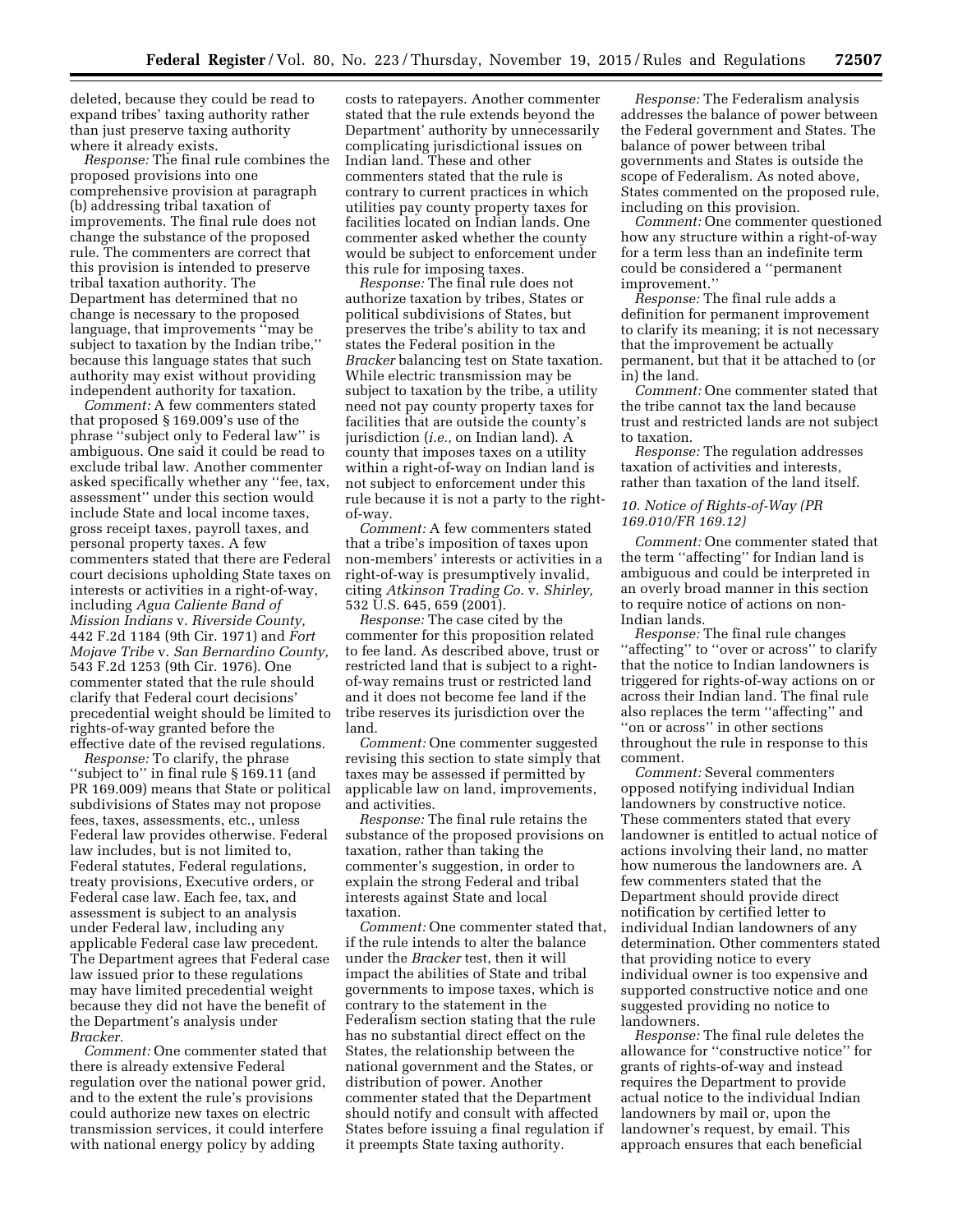deleted, because they could be read to expand tribes' taxing authority rather than just preserve taxing authority where it already exists.

*Response:* The final rule combines the proposed provisions into one comprehensive provision at paragraph (b) addressing tribal taxation of improvements. The final rule does not change the substance of the proposed rule. The commenters are correct that this provision is intended to preserve tribal taxation authority. The Department has determined that no change is necessary to the proposed language, that improvements ''may be subject to taxation by the Indian tribe,'' because this language states that such authority may exist without providing independent authority for taxation.

*Comment:* A few commenters stated that proposed § 169.009's use of the phrase ''subject only to Federal law'' is ambiguous. One said it could be read to exclude tribal law. Another commenter asked specifically whether any ''fee, tax, assessment'' under this section would include State and local income taxes, gross receipt taxes, payroll taxes, and personal property taxes. A few commenters stated that there are Federal court decisions upholding State taxes on interests or activities in a right-of-way, including *Agua Caliente Band of Mission Indians* v. *Riverside County,*  442 F.2d 1184 (9th Cir. 1971) and *Fort Mojave Tribe* v. *San Bernardino County,*  543 F.2d 1253 (9th Cir. 1976). One commenter stated that the rule should clarify that Federal court decisions' precedential weight should be limited to rights-of-way granted before the effective date of the revised regulations.

*Response:* To clarify, the phrase ''subject to'' in final rule § 169.11 (and PR 169.009) means that State or political subdivisions of States may not propose fees, taxes, assessments, etc., unless Federal law provides otherwise. Federal law includes, but is not limited to, Federal statutes, Federal regulations, treaty provisions, Executive orders, or Federal case law. Each fee, tax, and assessment is subject to an analysis under Federal law, including any applicable Federal case law precedent. The Department agrees that Federal case law issued prior to these regulations may have limited precedential weight because they did not have the benefit of the Department's analysis under *Bracker.* 

*Comment:* One commenter stated that there is already extensive Federal regulation over the national power grid, and to the extent the rule's provisions could authorize new taxes on electric transmission services, it could interfere with national energy policy by adding

costs to ratepayers. Another commenter stated that the rule extends beyond the Department' authority by unnecessarily complicating jurisdictional issues on Indian land. These and other commenters stated that the rule is contrary to current practices in which utilities pay county property taxes for facilities located on Indian lands. One commenter asked whether the county would be subject to enforcement under this rule for imposing taxes.

*Response:* The final rule does not authorize taxation by tribes, States or political subdivisions of States, but preserves the tribe's ability to tax and states the Federal position in the *Bracker* balancing test on State taxation. While electric transmission may be subject to taxation by the tribe, a utility need not pay county property taxes for facilities that are outside the county's jurisdiction (*i.e.,* on Indian land). A county that imposes taxes on a utility within a right-of-way on Indian land is not subject to enforcement under this rule because it is not a party to the rightof-way.

*Comment:* A few commenters stated that a tribe's imposition of taxes upon non-members' interests or activities in a right-of-way is presumptively invalid, citing *Atkinson Trading Co.* v. *Shirley,*  532 U.S. 645, 659 (2001).

*Response:* The case cited by the commenter for this proposition related to fee land. As described above, trust or restricted land that is subject to a rightof-way remains trust or restricted land and it does not become fee land if the tribe reserves its jurisdiction over the land.

*Comment:* One commenter suggested revising this section to state simply that taxes may be assessed if permitted by applicable law on land, improvements, and activities.

*Response:* The final rule retains the substance of the proposed provisions on taxation, rather than taking the commenter's suggestion, in order to explain the strong Federal and tribal interests against State and local taxation.

*Comment:* One commenter stated that, if the rule intends to alter the balance under the *Bracker* test, then it will impact the abilities of State and tribal governments to impose taxes, which is contrary to the statement in the Federalism section stating that the rule has no substantial direct effect on the States, the relationship between the national government and the States, or distribution of power. Another commenter stated that the Department should notify and consult with affected States before issuing a final regulation if it preempts State taxing authority.

*Response:* The Federalism analysis addresses the balance of power between the Federal government and States. The balance of power between tribal governments and States is outside the scope of Federalism. As noted above, States commented on the proposed rule, including on this provision.

*Comment:* One commenter questioned how any structure within a right-of-way for a term less than an indefinite term could be considered a ''permanent improvement.''

*Response:* The final rule adds a definition for permanent improvement to clarify its meaning; it is not necessary that the improvement be actually permanent, but that it be attached to (or in) the land.

*Comment:* One commenter stated that the tribe cannot tax the land because trust and restricted lands are not subject to taxation.

*Response:* The regulation addresses taxation of activities and interests, rather than taxation of the land itself.

# *10. Notice of Rights-of-Way (PR 169.010/FR 169.12)*

*Comment:* One commenter stated that the term ''affecting'' for Indian land is ambiguous and could be interpreted in an overly broad manner in this section to require notice of actions on non-Indian lands.

*Response:* The final rule changes ''affecting'' to ''over or across'' to clarify that the notice to Indian landowners is triggered for rights-of-way actions on or across their Indian land. The final rule also replaces the term ''affecting'' and ''on or across'' in other sections throughout the rule in response to this comment.

*Comment:* Several commenters opposed notifying individual Indian landowners by constructive notice. These commenters stated that every landowner is entitled to actual notice of actions involving their land, no matter how numerous the landowners are. A few commenters stated that the Department should provide direct notification by certified letter to individual Indian landowners of any determination. Other commenters stated that providing notice to every individual owner is too expensive and supported constructive notice and one suggested providing no notice to landowners.

*Response:* The final rule deletes the allowance for ''constructive notice'' for grants of rights-of-way and instead requires the Department to provide actual notice to the individual Indian landowners by mail or, upon the landowner's request, by email. This approach ensures that each beneficial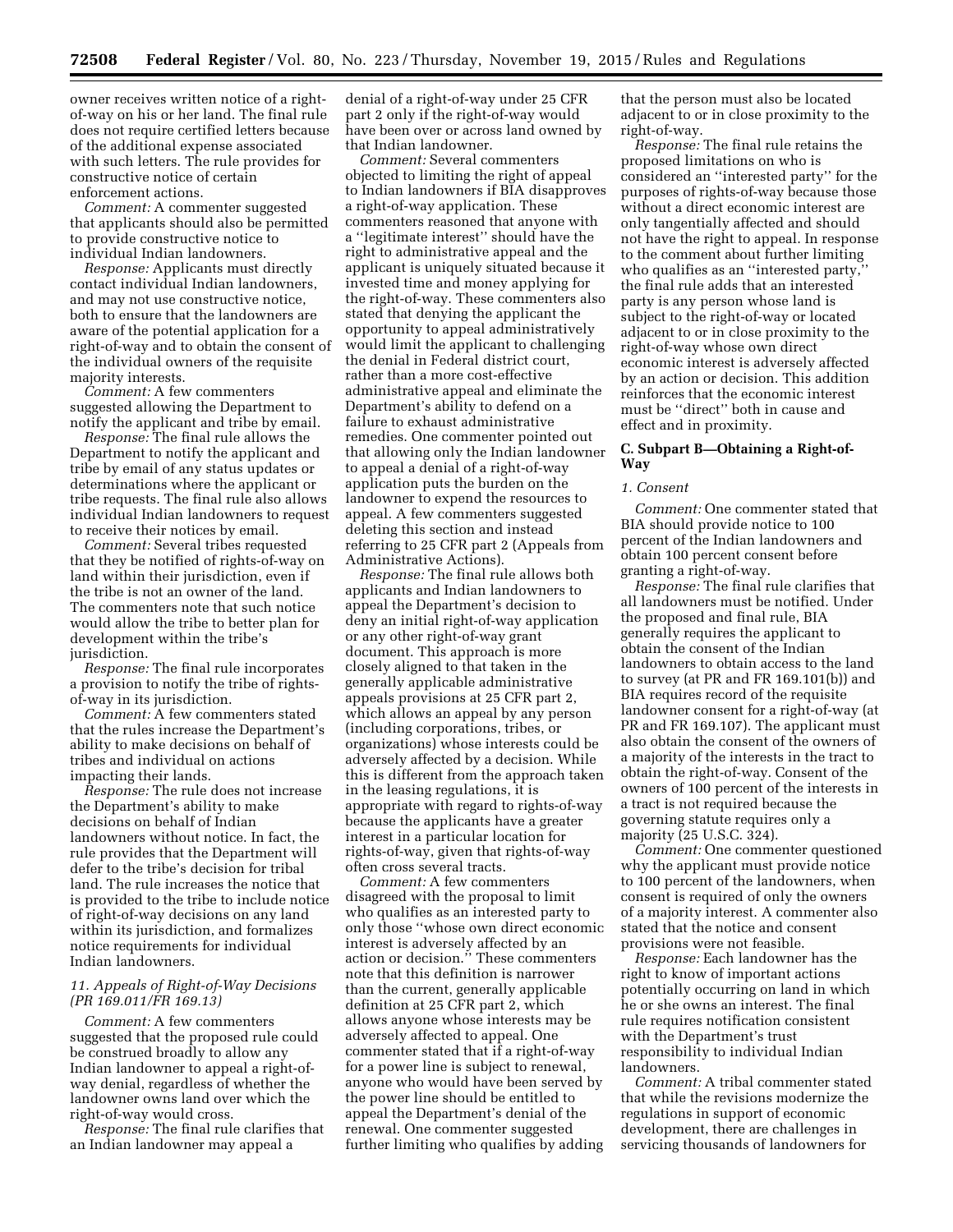owner receives written notice of a rightof-way on his or her land. The final rule does not require certified letters because of the additional expense associated with such letters. The rule provides for constructive notice of certain enforcement actions.

*Comment:* A commenter suggested that applicants should also be permitted to provide constructive notice to individual Indian landowners.

*Response:* Applicants must directly contact individual Indian landowners, and may not use constructive notice, both to ensure that the landowners are aware of the potential application for a right-of-way and to obtain the consent of the individual owners of the requisite majority interests.

*Comment:* A few commenters suggested allowing the Department to notify the applicant and tribe by email.

*Response:* The final rule allows the Department to notify the applicant and tribe by email of any status updates or determinations where the applicant or tribe requests. The final rule also allows individual Indian landowners to request to receive their notices by email.

*Comment:* Several tribes requested that they be notified of rights-of-way on land within their jurisdiction, even if the tribe is not an owner of the land. The commenters note that such notice would allow the tribe to better plan for development within the tribe's jurisdiction.

*Response:* The final rule incorporates a provision to notify the tribe of rightsof-way in its jurisdiction.

*Comment:* A few commenters stated that the rules increase the Department's ability to make decisions on behalf of tribes and individual on actions impacting their lands.

*Response:* The rule does not increase the Department's ability to make decisions on behalf of Indian landowners without notice. In fact, the rule provides that the Department will defer to the tribe's decision for tribal land. The rule increases the notice that is provided to the tribe to include notice of right-of-way decisions on any land within its jurisdiction, and formalizes notice requirements for individual Indian landowners.

# *11. Appeals of Right-of-Way Decisions (PR 169.011/FR 169.13)*

*Comment:* A few commenters suggested that the proposed rule could be construed broadly to allow any Indian landowner to appeal a right-ofway denial, regardless of whether the landowner owns land over which the right-of-way would cross.

*Response:* The final rule clarifies that an Indian landowner may appeal a

denial of a right-of-way under 25 CFR part 2 only if the right-of-way would have been over or across land owned by that Indian landowner.

*Comment:* Several commenters objected to limiting the right of appeal to Indian landowners if BIA disapproves a right-of-way application. These commenters reasoned that anyone with a ''legitimate interest'' should have the right to administrative appeal and the applicant is uniquely situated because it invested time and money applying for the right-of-way. These commenters also stated that denying the applicant the opportunity to appeal administratively would limit the applicant to challenging the denial in Federal district court, rather than a more cost-effective administrative appeal and eliminate the Department's ability to defend on a failure to exhaust administrative remedies. One commenter pointed out that allowing only the Indian landowner to appeal a denial of a right-of-way application puts the burden on the landowner to expend the resources to appeal. A few commenters suggested deleting this section and instead referring to 25 CFR part 2 (Appeals from Administrative Actions).

*Response:* The final rule allows both applicants and Indian landowners to appeal the Department's decision to deny an initial right-of-way application or any other right-of-way grant document. This approach is more closely aligned to that taken in the generally applicable administrative appeals provisions at 25 CFR part 2, which allows an appeal by any person (including corporations, tribes, or organizations) whose interests could be adversely affected by a decision. While this is different from the approach taken in the leasing regulations, it is appropriate with regard to rights-of-way because the applicants have a greater interest in a particular location for rights-of-way, given that rights-of-way often cross several tracts.

*Comment:* A few commenters disagreed with the proposal to limit who qualifies as an interested party to only those ''whose own direct economic interest is adversely affected by an action or decision.'' These commenters note that this definition is narrower than the current, generally applicable definition at 25 CFR part 2, which allows anyone whose interests may be adversely affected to appeal. One commenter stated that if a right-of-way for a power line is subject to renewal, anyone who would have been served by the power line should be entitled to appeal the Department's denial of the renewal. One commenter suggested further limiting who qualifies by adding

that the person must also be located adjacent to or in close proximity to the right-of-way.

*Response:* The final rule retains the proposed limitations on who is considered an ''interested party'' for the purposes of rights-of-way because those without a direct economic interest are only tangentially affected and should not have the right to appeal. In response to the comment about further limiting who qualifies as an "interested party, the final rule adds that an interested party is any person whose land is subject to the right-of-way or located adjacent to or in close proximity to the right-of-way whose own direct economic interest is adversely affected by an action or decision. This addition reinforces that the economic interest must be ''direct'' both in cause and effect and in proximity.

# **C. Subpart B—Obtaining a Right-of-Way**

# *1. Consent*

*Comment:* One commenter stated that BIA should provide notice to 100 percent of the Indian landowners and obtain 100 percent consent before granting a right-of-way.

*Response:* The final rule clarifies that all landowners must be notified. Under the proposed and final rule, BIA generally requires the applicant to obtain the consent of the Indian landowners to obtain access to the land to survey (at PR and FR 169.101(b)) and BIA requires record of the requisite landowner consent for a right-of-way (at PR and FR 169.107). The applicant must also obtain the consent of the owners of a majority of the interests in the tract to obtain the right-of-way. Consent of the owners of 100 percent of the interests in a tract is not required because the governing statute requires only a majority (25 U.S.C. 324).

*Comment:* One commenter questioned why the applicant must provide notice to 100 percent of the landowners, when consent is required of only the owners of a majority interest. A commenter also stated that the notice and consent provisions were not feasible.

*Response:* Each landowner has the right to know of important actions potentially occurring on land in which he or she owns an interest. The final rule requires notification consistent with the Department's trust responsibility to individual Indian landowners.

*Comment:* A tribal commenter stated that while the revisions modernize the regulations in support of economic development, there are challenges in servicing thousands of landowners for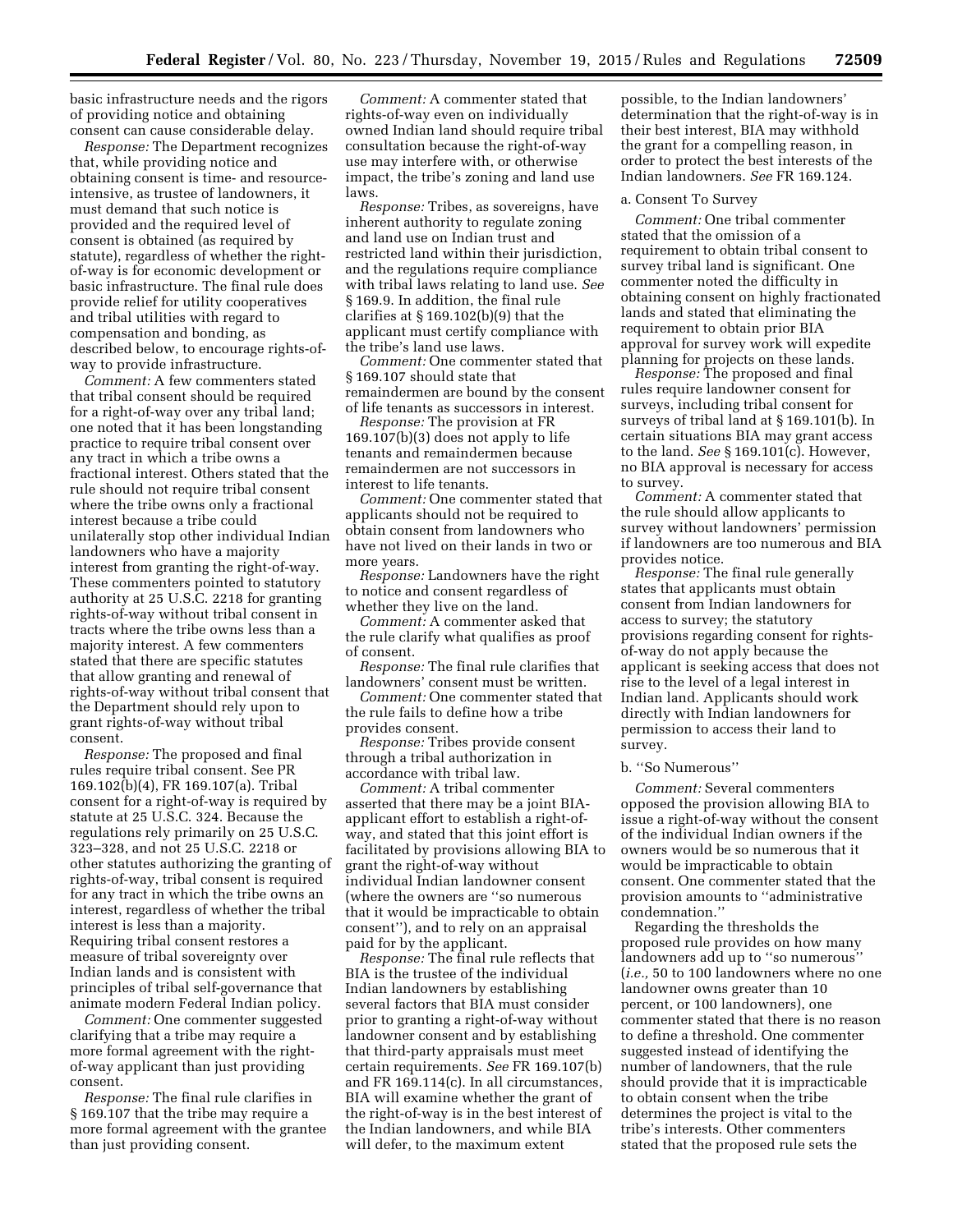basic infrastructure needs and the rigors of providing notice and obtaining consent can cause considerable delay.

*Response:* The Department recognizes that, while providing notice and obtaining consent is time- and resourceintensive, as trustee of landowners, it must demand that such notice is provided and the required level of consent is obtained (as required by statute), regardless of whether the rightof-way is for economic development or basic infrastructure. The final rule does provide relief for utility cooperatives and tribal utilities with regard to compensation and bonding, as described below, to encourage rights-ofway to provide infrastructure.

*Comment:* A few commenters stated that tribal consent should be required for a right-of-way over any tribal land; one noted that it has been longstanding practice to require tribal consent over any tract in which a tribe owns a fractional interest. Others stated that the rule should not require tribal consent where the tribe owns only a fractional interest because a tribe could unilaterally stop other individual Indian landowners who have a majority interest from granting the right-of-way. These commenters pointed to statutory authority at 25 U.S.C. 2218 for granting rights-of-way without tribal consent in tracts where the tribe owns less than a majority interest. A few commenters stated that there are specific statutes that allow granting and renewal of rights-of-way without tribal consent that the Department should rely upon to grant rights-of-way without tribal consent.

*Response:* The proposed and final rules require tribal consent. See PR 169.102(b)(4), FR 169.107(a). Tribal consent for a right-of-way is required by statute at 25 U.S.C. 324. Because the regulations rely primarily on 25 U.S.C. 323–328, and not 25 U.S.C. 2218 or other statutes authorizing the granting of rights-of-way, tribal consent is required for any tract in which the tribe owns an interest, regardless of whether the tribal interest is less than a majority. Requiring tribal consent restores a measure of tribal sovereignty over Indian lands and is consistent with principles of tribal self-governance that animate modern Federal Indian policy.

*Comment:* One commenter suggested clarifying that a tribe may require a more formal agreement with the rightof-way applicant than just providing consent.

*Response:* The final rule clarifies in § 169.107 that the tribe may require a more formal agreement with the grantee than just providing consent.

*Comment:* A commenter stated that rights-of-way even on individually owned Indian land should require tribal consultation because the right-of-way use may interfere with, or otherwise impact, the tribe's zoning and land use laws.

*Response:* Tribes, as sovereigns, have inherent authority to regulate zoning and land use on Indian trust and restricted land within their jurisdiction, and the regulations require compliance with tribal laws relating to land use. *See*  § 169.9. In addition, the final rule clarifies at § 169.102(b)(9) that the applicant must certify compliance with the tribe's land use laws.

*Comment:* One commenter stated that § 169.107 should state that remaindermen are bound by the consent of life tenants as successors in interest.

*Response:* The provision at FR 169.107(b)(3) does not apply to life tenants and remaindermen because remaindermen are not successors in interest to life tenants.

*Comment:* One commenter stated that applicants should not be required to obtain consent from landowners who have not lived on their lands in two or more years.

*Response:* Landowners have the right to notice and consent regardless of whether they live on the land.

*Comment:* A commenter asked that the rule clarify what qualifies as proof of consent.

*Response:* The final rule clarifies that landowners' consent must be written.

*Comment:* One commenter stated that the rule fails to define how a tribe provides consent.

*Response:* Tribes provide consent through a tribal authorization in accordance with tribal law.

*Comment:* A tribal commenter asserted that there may be a joint BIAapplicant effort to establish a right-ofway, and stated that this joint effort is facilitated by provisions allowing BIA to grant the right-of-way without individual Indian landowner consent (where the owners are ''so numerous that it would be impracticable to obtain consent''), and to rely on an appraisal paid for by the applicant.

*Response:* The final rule reflects that BIA is the trustee of the individual Indian landowners by establishing several factors that BIA must consider prior to granting a right-of-way without landowner consent and by establishing that third-party appraisals must meet certain requirements. *See* FR 169.107(b) and FR 169.114(c). In all circumstances, BIA will examine whether the grant of the right-of-way is in the best interest of the Indian landowners, and while BIA will defer, to the maximum extent

possible, to the Indian landowners' determination that the right-of-way is in their best interest, BIA may withhold the grant for a compelling reason, in order to protect the best interests of the Indian landowners. *See* FR 169.124.

#### a. Consent To Survey

*Comment:* One tribal commenter stated that the omission of a requirement to obtain tribal consent to survey tribal land is significant. One commenter noted the difficulty in obtaining consent on highly fractionated lands and stated that eliminating the requirement to obtain prior BIA approval for survey work will expedite planning for projects on these lands.

*Response:* The proposed and final rules require landowner consent for surveys, including tribal consent for surveys of tribal land at § 169.101(b). In certain situations BIA may grant access to the land. *See* § 169.101(c). However, no BIA approval is necessary for access to survey.

*Comment:* A commenter stated that the rule should allow applicants to survey without landowners' permission if landowners are too numerous and BIA provides notice.

*Response:* The final rule generally states that applicants must obtain consent from Indian landowners for access to survey; the statutory provisions regarding consent for rightsof-way do not apply because the applicant is seeking access that does not rise to the level of a legal interest in Indian land. Applicants should work directly with Indian landowners for permission to access their land to survey.

# b. ''So Numerous''

*Comment:* Several commenters opposed the provision allowing BIA to issue a right-of-way without the consent of the individual Indian owners if the owners would be so numerous that it would be impracticable to obtain consent. One commenter stated that the provision amounts to ''administrative condemnation.''

Regarding the thresholds the proposed rule provides on how many landowners add up to ''so numerous'' (*i.e.,* 50 to 100 landowners where no one landowner owns greater than 10 percent, or 100 landowners), one commenter stated that there is no reason to define a threshold. One commenter suggested instead of identifying the number of landowners, that the rule should provide that it is impracticable to obtain consent when the tribe determines the project is vital to the tribe's interests. Other commenters stated that the proposed rule sets the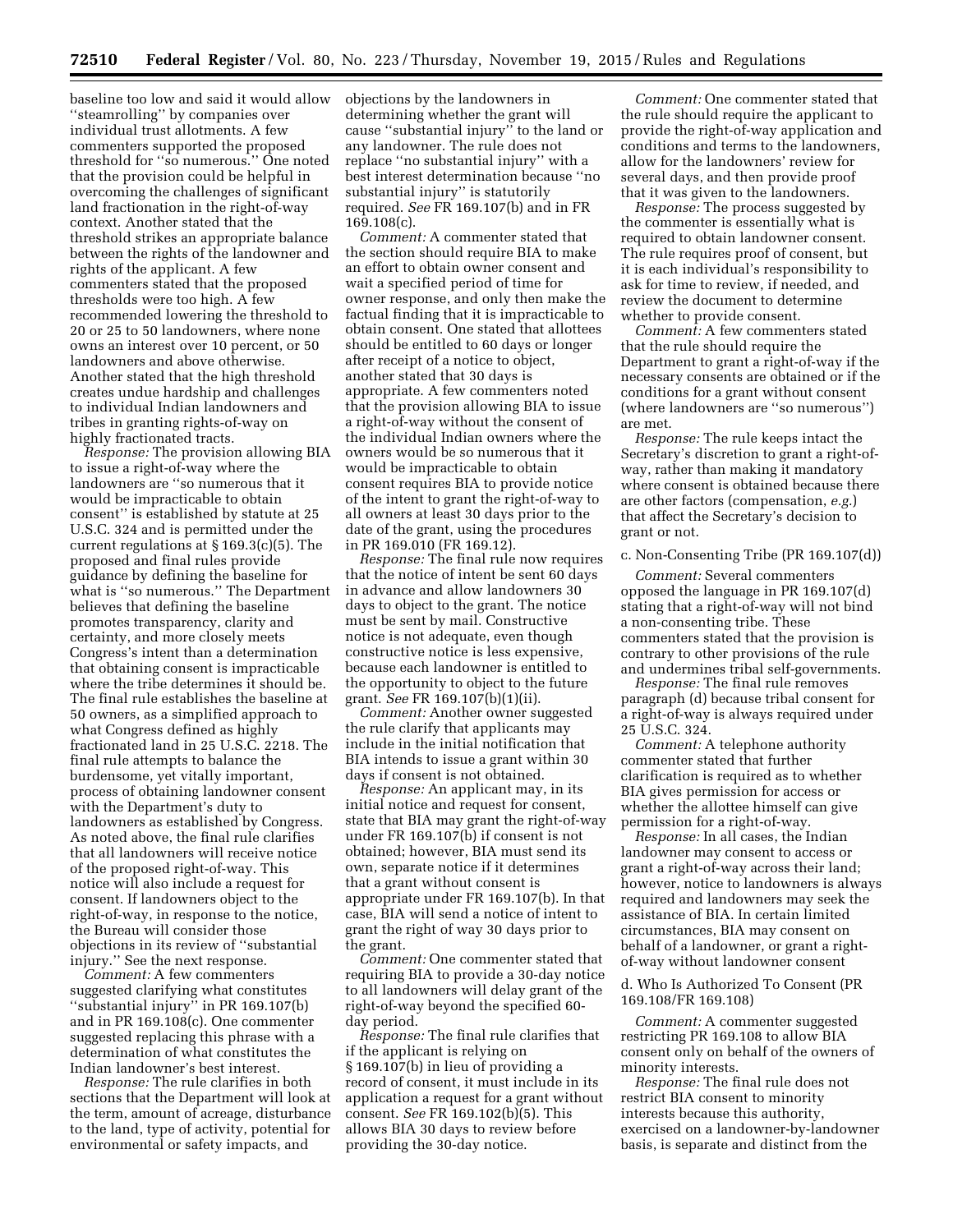baseline too low and said it would allow ''steamrolling'' by companies over individual trust allotments. A few commenters supported the proposed threshold for ''so numerous.'' One noted that the provision could be helpful in overcoming the challenges of significant land fractionation in the right-of-way context. Another stated that the threshold strikes an appropriate balance between the rights of the landowner and rights of the applicant. A few commenters stated that the proposed thresholds were too high. A few recommended lowering the threshold to 20 or 25 to 50 landowners, where none owns an interest over 10 percent, or 50 landowners and above otherwise. Another stated that the high threshold creates undue hardship and challenges to individual Indian landowners and tribes in granting rights-of-way on highly fractionated tracts.

*Response:* The provision allowing BIA to issue a right-of-way where the landowners are ''so numerous that it would be impracticable to obtain consent'' is established by statute at 25 U.S.C. 324 and is permitted under the current regulations at § 169.3(c)(5). The proposed and final rules provide guidance by defining the baseline for what is ''so numerous.'' The Department believes that defining the baseline promotes transparency, clarity and certainty, and more closely meets Congress's intent than a determination that obtaining consent is impracticable where the tribe determines it should be. The final rule establishes the baseline at 50 owners, as a simplified approach to what Congress defined as highly fractionated land in 25 U.S.C. 2218. The final rule attempts to balance the burdensome, yet vitally important, process of obtaining landowner consent with the Department's duty to landowners as established by Congress. As noted above, the final rule clarifies that all landowners will receive notice of the proposed right-of-way. This notice will also include a request for consent. If landowners object to the right-of-way, in response to the notice, the Bureau will consider those objections in its review of ''substantial injury.'' See the next response.

*Comment:* A few commenters suggested clarifying what constitutes ''substantial injury'' in PR 169.107(b) and in PR 169.108(c). One commenter suggested replacing this phrase with a determination of what constitutes the Indian landowner's best interest.

*Response:* The rule clarifies in both sections that the Department will look at the term, amount of acreage, disturbance to the land, type of activity, potential for environmental or safety impacts, and

objections by the landowners in determining whether the grant will cause ''substantial injury'' to the land or any landowner. The rule does not replace ''no substantial injury'' with a best interest determination because ''no substantial injury'' is statutorily required. *See* FR 169.107(b) and in FR 169.108(c).

*Comment:* A commenter stated that the section should require BIA to make an effort to obtain owner consent and wait a specified period of time for owner response, and only then make the factual finding that it is impracticable to obtain consent. One stated that allottees should be entitled to 60 days or longer after receipt of a notice to object, another stated that 30 days is appropriate. A few commenters noted that the provision allowing BIA to issue a right-of-way without the consent of the individual Indian owners where the owners would be so numerous that it would be impracticable to obtain consent requires BIA to provide notice of the intent to grant the right-of-way to all owners at least 30 days prior to the date of the grant, using the procedures in PR 169.010 (FR 169.12).

*Response:* The final rule now requires that the notice of intent be sent 60 days in advance and allow landowners 30 days to object to the grant. The notice must be sent by mail. Constructive notice is not adequate, even though constructive notice is less expensive, because each landowner is entitled to the opportunity to object to the future grant. *See* FR 169.107(b)(1)(ii).

*Comment:* Another owner suggested the rule clarify that applicants may include in the initial notification that BIA intends to issue a grant within 30 days if consent is not obtained.

*Response:* An applicant may, in its initial notice and request for consent, state that BIA may grant the right-of-way under FR 169.107(b) if consent is not obtained; however, BIA must send its own, separate notice if it determines that a grant without consent is appropriate under FR 169.107(b). In that case, BIA will send a notice of intent to grant the right of way 30 days prior to the grant.

*Comment:* One commenter stated that requiring BIA to provide a 30-day notice to all landowners will delay grant of the right-of-way beyond the specified 60 day period.

*Response:* The final rule clarifies that if the applicant is relying on § 169.107(b) in lieu of providing a record of consent, it must include in its application a request for a grant without consent. *See* FR 169.102(b)(5). This allows BIA 30 days to review before providing the 30-day notice.

*Comment:* One commenter stated that the rule should require the applicant to provide the right-of-way application and conditions and terms to the landowners, allow for the landowners' review for several days, and then provide proof that it was given to the landowners.

*Response:* The process suggested by the commenter is essentially what is required to obtain landowner consent. The rule requires proof of consent, but it is each individual's responsibility to ask for time to review, if needed, and review the document to determine whether to provide consent.

*Comment:* A few commenters stated that the rule should require the Department to grant a right-of-way if the necessary consents are obtained or if the conditions for a grant without consent (where landowners are ''so numerous'') are met.

*Response:* The rule keeps intact the Secretary's discretion to grant a right-ofway, rather than making it mandatory where consent is obtained because there are other factors (compensation, *e.g.*) that affect the Secretary's decision to grant or not.

c. Non-Consenting Tribe (PR 169.107(d))

*Comment:* Several commenters opposed the language in PR 169.107(d) stating that a right-of-way will not bind a non-consenting tribe. These commenters stated that the provision is contrary to other provisions of the rule and undermines tribal self-governments.

*Response:* The final rule removes paragraph (d) because tribal consent for a right-of-way is always required under 25 U.S.C. 324.

*Comment:* A telephone authority commenter stated that further clarification is required as to whether BIA gives permission for access or whether the allottee himself can give permission for a right-of-way.

*Response:* In all cases, the Indian landowner may consent to access or grant a right-of-way across their land; however, notice to landowners is always required and landowners may seek the assistance of BIA. In certain limited circumstances, BIA may consent on behalf of a landowner, or grant a rightof-way without landowner consent

d. Who Is Authorized To Consent (PR 169.108/FR 169.108)

*Comment:* A commenter suggested restricting PR 169.108 to allow BIA consent only on behalf of the owners of minority interests.

*Response:* The final rule does not restrict BIA consent to minority interests because this authority, exercised on a landowner-by-landowner basis, is separate and distinct from the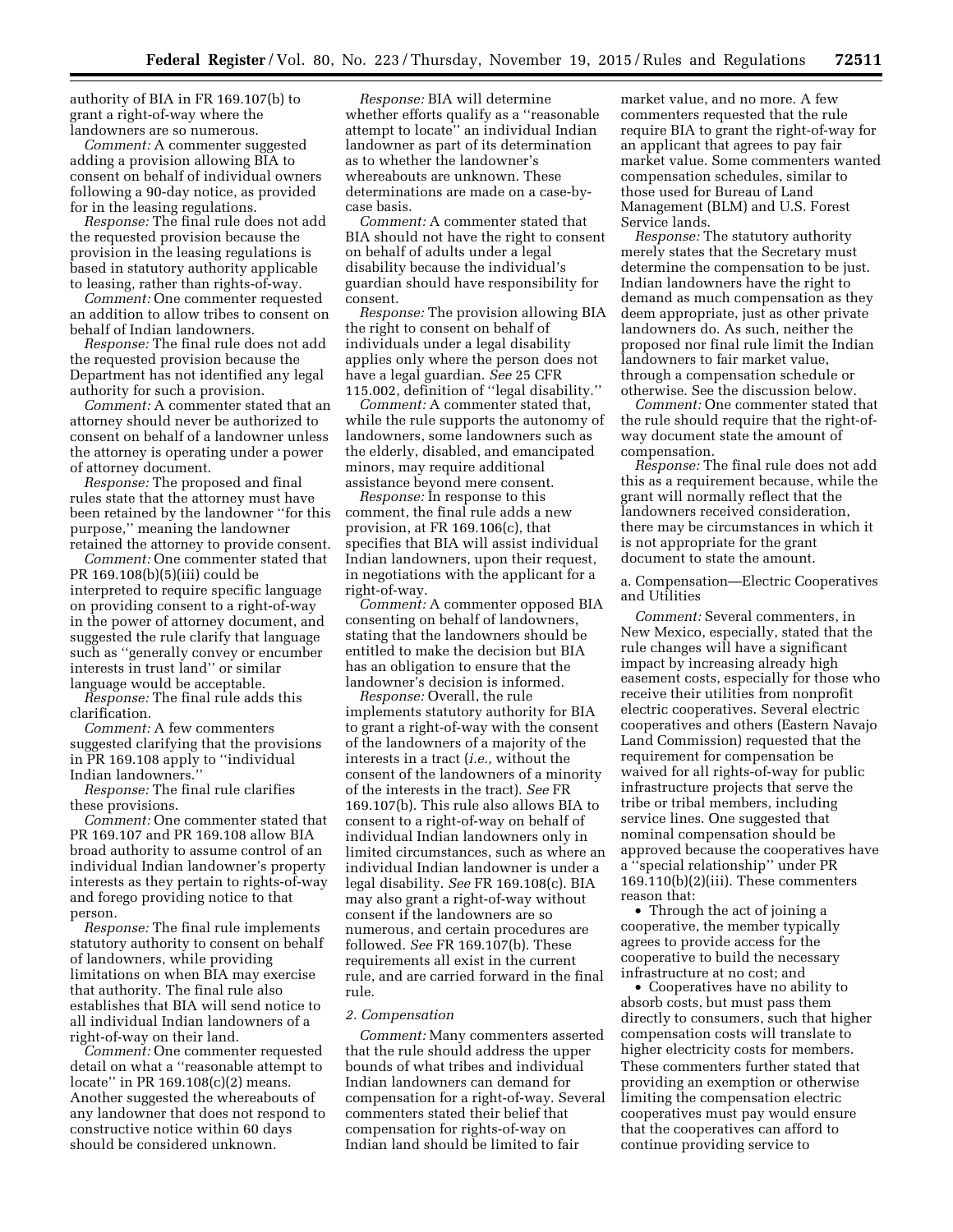authority of BIA in FR 169.107(b) to grant a right-of-way where the landowners are so numerous.

*Comment:* A commenter suggested adding a provision allowing BIA to consent on behalf of individual owners following a 90-day notice, as provided for in the leasing regulations.

*Response:* The final rule does not add the requested provision because the provision in the leasing regulations is based in statutory authority applicable to leasing, rather than rights-of-way.

*Comment:* One commenter requested an addition to allow tribes to consent on behalf of Indian landowners.

*Response:* The final rule does not add the requested provision because the Department has not identified any legal authority for such a provision.

*Comment:* A commenter stated that an attorney should never be authorized to consent on behalf of a landowner unless the attorney is operating under a power of attorney document.

*Response:* The proposed and final rules state that the attorney must have been retained by the landowner ''for this purpose,'' meaning the landowner retained the attorney to provide consent.

*Comment:* One commenter stated that PR 169.108(b)(5)(iii) could be interpreted to require specific language on providing consent to a right-of-way in the power of attorney document, and suggested the rule clarify that language such as ''generally convey or encumber interests in trust land'' or similar language would be acceptable.

*Response:* The final rule adds this clarification.

*Comment:* A few commenters suggested clarifying that the provisions in PR 169.108 apply to ''individual Indian landowners.''

*Response:* The final rule clarifies these provisions.

*Comment:* One commenter stated that PR 169.107 and PR 169.108 allow BIA broad authority to assume control of an individual Indian landowner's property interests as they pertain to rights-of-way and forego providing notice to that person.

*Response:* The final rule implements statutory authority to consent on behalf of landowners, while providing limitations on when BIA may exercise that authority. The final rule also establishes that BIA will send notice to all individual Indian landowners of a right-of-way on their land.

*Comment:* One commenter requested detail on what a ''reasonable attempt to locate'' in PR 169.108(c)(2) means. Another suggested the whereabouts of any landowner that does not respond to constructive notice within 60 days should be considered unknown.

*Response:* BIA will determine whether efforts qualify as a ''reasonable attempt to locate'' an individual Indian landowner as part of its determination as to whether the landowner's whereabouts are unknown. These determinations are made on a case-bycase basis.

*Comment:* A commenter stated that BIA should not have the right to consent on behalf of adults under a legal disability because the individual's guardian should have responsibility for consent.

*Response:* The provision allowing BIA the right to consent on behalf of individuals under a legal disability applies only where the person does not have a legal guardian. *See* 25 CFR 115.002, definition of ''legal disability.''

*Comment:* A commenter stated that, while the rule supports the autonomy of landowners, some landowners such as the elderly, disabled, and emancipated minors, may require additional assistance beyond mere consent.

*Response:* In response to this comment, the final rule adds a new provision, at FR 169.106(c), that specifies that BIA will assist individual Indian landowners, upon their request, in negotiations with the applicant for a right-of-way.

*Comment:* A commenter opposed BIA consenting on behalf of landowners, stating that the landowners should be entitled to make the decision but BIA has an obligation to ensure that the landowner's decision is informed.

*Response:* Overall, the rule implements statutory authority for BIA to grant a right-of-way with the consent of the landowners of a majority of the interests in a tract (*i.e.,* without the consent of the landowners of a minority of the interests in the tract). *See* FR 169.107(b). This rule also allows BIA to consent to a right-of-way on behalf of individual Indian landowners only in limited circumstances, such as where an individual Indian landowner is under a legal disability. *See* FR 169.108(c). BIA may also grant a right-of-way without consent if the landowners are so numerous, and certain procedures are followed. *See* FR 169.107(b). These requirements all exist in the current rule, and are carried forward in the final rule.

#### *2. Compensation*

*Comment:* Many commenters asserted that the rule should address the upper bounds of what tribes and individual Indian landowners can demand for compensation for a right-of-way. Several commenters stated their belief that compensation for rights-of-way on Indian land should be limited to fair

market value, and no more. A few commenters requested that the rule require BIA to grant the right-of-way for an applicant that agrees to pay fair market value. Some commenters wanted compensation schedules, similar to those used for Bureau of Land Management (BLM) and U.S. Forest Service lands.

*Response:* The statutory authority merely states that the Secretary must determine the compensation to be just. Indian landowners have the right to demand as much compensation as they deem appropriate, just as other private landowners do. As such, neither the proposed nor final rule limit the Indian landowners to fair market value, through a compensation schedule or otherwise. See the discussion below.

*Comment:* One commenter stated that the rule should require that the right-ofway document state the amount of compensation.

*Response:* The final rule does not add this as a requirement because, while the grant will normally reflect that the landowners received consideration, there may be circumstances in which it is not appropriate for the grant document to state the amount.

a. Compensation—Electric Cooperatives and Utilities

*Comment:* Several commenters, in New Mexico, especially, stated that the rule changes will have a significant impact by increasing already high easement costs, especially for those who receive their utilities from nonprofit electric cooperatives. Several electric cooperatives and others (Eastern Navajo Land Commission) requested that the requirement for compensation be waived for all rights-of-way for public infrastructure projects that serve the tribe or tribal members, including service lines. One suggested that nominal compensation should be approved because the cooperatives have a ''special relationship'' under PR 169.110(b)(2)(iii). These commenters reason that:

• Through the act of joining a cooperative, the member typically agrees to provide access for the cooperative to build the necessary infrastructure at no cost; and

• Cooperatives have no ability to absorb costs, but must pass them directly to consumers, such that higher compensation costs will translate to higher electricity costs for members. These commenters further stated that providing an exemption or otherwise limiting the compensation electric cooperatives must pay would ensure that the cooperatives can afford to continue providing service to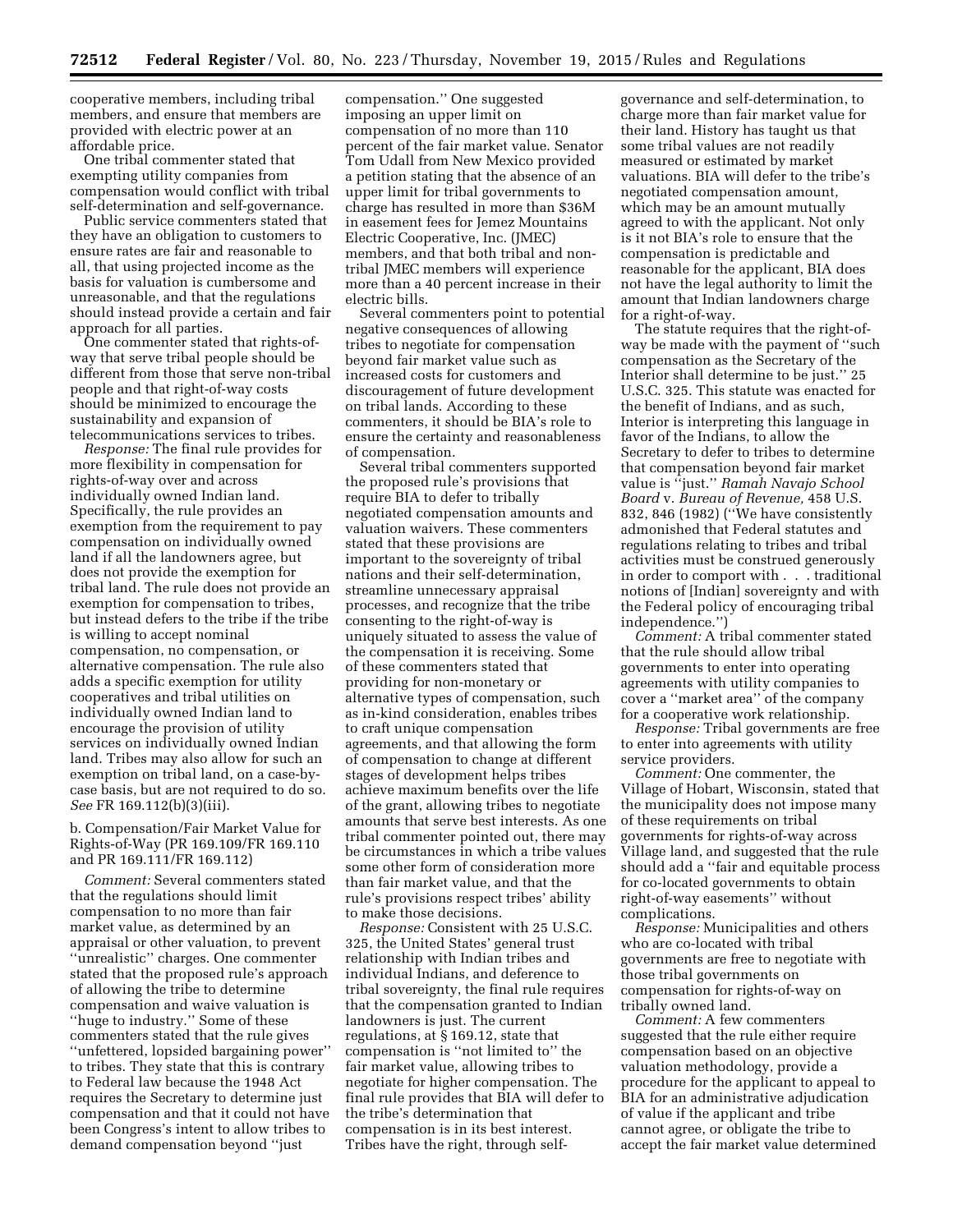cooperative members, including tribal members, and ensure that members are provided with electric power at an affordable price.

One tribal commenter stated that exempting utility companies from compensation would conflict with tribal self-determination and self-governance.

Public service commenters stated that they have an obligation to customers to ensure rates are fair and reasonable to all, that using projected income as the basis for valuation is cumbersome and unreasonable, and that the regulations should instead provide a certain and fair approach for all parties.

One commenter stated that rights-ofway that serve tribal people should be different from those that serve non-tribal people and that right-of-way costs should be minimized to encourage the sustainability and expansion of telecommunications services to tribes.

*Response:* The final rule provides for more flexibility in compensation for rights-of-way over and across individually owned Indian land. Specifically, the rule provides an exemption from the requirement to pay compensation on individually owned land if all the landowners agree, but does not provide the exemption for tribal land. The rule does not provide an exemption for compensation to tribes, but instead defers to the tribe if the tribe is willing to accept nominal compensation, no compensation, or alternative compensation. The rule also adds a specific exemption for utility cooperatives and tribal utilities on individually owned Indian land to encourage the provision of utility services on individually owned Indian land. Tribes may also allow for such an exemption on tribal land, on a case-bycase basis, but are not required to do so. *See* FR 169.112(b)(3)(iii).

# b. Compensation/Fair Market Value for Rights-of-Way (PR 169.109/FR 169.110 and PR 169.111/FR 169.112)

*Comment:* Several commenters stated that the regulations should limit compensation to no more than fair market value, as determined by an appraisal or other valuation, to prevent ''unrealistic'' charges. One commenter stated that the proposed rule's approach of allowing the tribe to determine compensation and waive valuation is ''huge to industry.'' Some of these commenters stated that the rule gives ''unfettered, lopsided bargaining power'' to tribes. They state that this is contrary to Federal law because the 1948 Act requires the Secretary to determine just compensation and that it could not have been Congress's intent to allow tribes to demand compensation beyond ''just

compensation.'' One suggested imposing an upper limit on compensation of no more than 110 percent of the fair market value. Senator Tom Udall from New Mexico provided a petition stating that the absence of an upper limit for tribal governments to charge has resulted in more than \$36M in easement fees for Jemez Mountains Electric Cooperative, Inc. (JMEC) members, and that both tribal and nontribal JMEC members will experience more than a 40 percent increase in their electric bills.

Several commenters point to potential negative consequences of allowing tribes to negotiate for compensation beyond fair market value such as increased costs for customers and discouragement of future development on tribal lands. According to these commenters, it should be BIA's role to ensure the certainty and reasonableness of compensation.

Several tribal commenters supported the proposed rule's provisions that require BIA to defer to tribally negotiated compensation amounts and valuation waivers. These commenters stated that these provisions are important to the sovereignty of tribal nations and their self-determination, streamline unnecessary appraisal processes, and recognize that the tribe consenting to the right-of-way is uniquely situated to assess the value of the compensation it is receiving. Some of these commenters stated that providing for non-monetary or alternative types of compensation, such as in-kind consideration, enables tribes to craft unique compensation agreements, and that allowing the form of compensation to change at different stages of development helps tribes achieve maximum benefits over the life of the grant, allowing tribes to negotiate amounts that serve best interests. As one tribal commenter pointed out, there may be circumstances in which a tribe values some other form of consideration more than fair market value, and that the rule's provisions respect tribes' ability to make those decisions.

*Response:* Consistent with 25 U.S.C. 325, the United States' general trust relationship with Indian tribes and individual Indians, and deference to tribal sovereignty, the final rule requires that the compensation granted to Indian landowners is just. The current regulations, at § 169.12, state that compensation is ''not limited to'' the fair market value, allowing tribes to negotiate for higher compensation. The final rule provides that BIA will defer to the tribe's determination that compensation is in its best interest. Tribes have the right, through self-

governance and self-determination, to charge more than fair market value for their land. History has taught us that some tribal values are not readily measured or estimated by market valuations. BIA will defer to the tribe's negotiated compensation amount, which may be an amount mutually agreed to with the applicant. Not only is it not BIA's role to ensure that the compensation is predictable and reasonable for the applicant, BIA does not have the legal authority to limit the amount that Indian landowners charge for a right-of-way.

The statute requires that the right-ofway be made with the payment of ''such compensation as the Secretary of the Interior shall determine to be just.'' 25 U.S.C. 325. This statute was enacted for the benefit of Indians, and as such, Interior is interpreting this language in favor of the Indians, to allow the Secretary to defer to tribes to determine that compensation beyond fair market value is ''just.'' *Ramah Navajo School Board* v. *Bureau of Revenue,* 458 U.S. 832, 846 (1982) (''We have consistently admonished that Federal statutes and regulations relating to tribes and tribal activities must be construed generously in order to comport with . . . traditional notions of [Indian] sovereignty and with the Federal policy of encouraging tribal independence.'')

*Comment:* A tribal commenter stated that the rule should allow tribal governments to enter into operating agreements with utility companies to cover a ''market area'' of the company for a cooperative work relationship.

*Response:* Tribal governments are free to enter into agreements with utility service providers.

*Comment:* One commenter, the Village of Hobart, Wisconsin, stated that the municipality does not impose many of these requirements on tribal governments for rights-of-way across Village land, and suggested that the rule should add a ''fair and equitable process for co-located governments to obtain right-of-way easements'' without complications.

*Response:* Municipalities and others who are co-located with tribal governments are free to negotiate with those tribal governments on compensation for rights-of-way on tribally owned land.

*Comment:* A few commenters suggested that the rule either require compensation based on an objective valuation methodology, provide a procedure for the applicant to appeal to BIA for an administrative adjudication of value if the applicant and tribe cannot agree, or obligate the tribe to accept the fair market value determined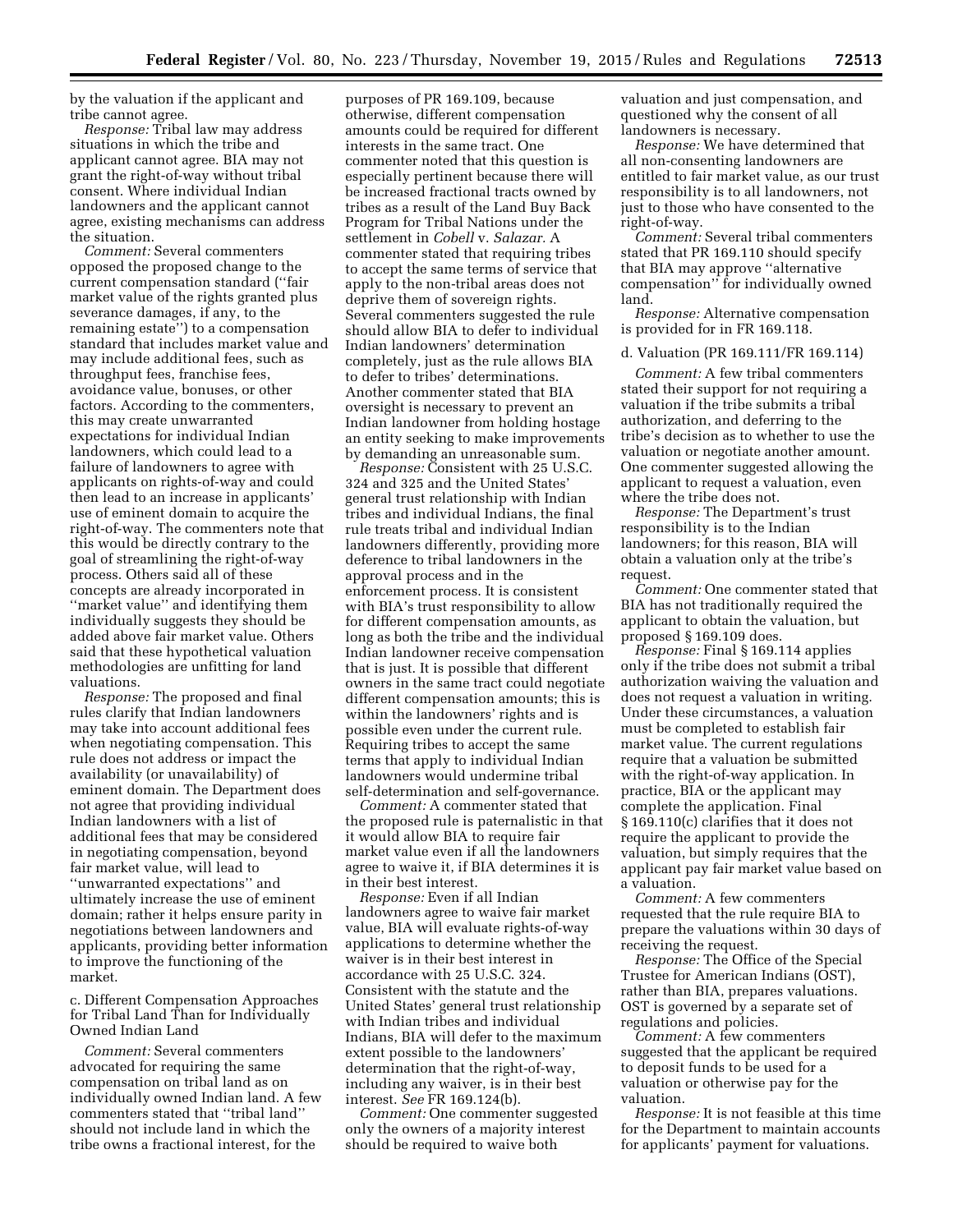by the valuation if the applicant and tribe cannot agree.

*Response:* Tribal law may address situations in which the tribe and applicant cannot agree. BIA may not grant the right-of-way without tribal consent. Where individual Indian landowners and the applicant cannot agree, existing mechanisms can address the situation.

*Comment:* Several commenters opposed the proposed change to the current compensation standard (''fair market value of the rights granted plus severance damages, if any, to the remaining estate'') to a compensation standard that includes market value and may include additional fees, such as throughput fees, franchise fees, avoidance value, bonuses, or other factors. According to the commenters, this may create unwarranted expectations for individual Indian landowners, which could lead to a failure of landowners to agree with applicants on rights-of-way and could then lead to an increase in applicants' use of eminent domain to acquire the right-of-way. The commenters note that this would be directly contrary to the goal of streamlining the right-of-way process. Others said all of these concepts are already incorporated in ''market value'' and identifying them individually suggests they should be added above fair market value. Others said that these hypothetical valuation methodologies are unfitting for land valuations.

*Response:* The proposed and final rules clarify that Indian landowners may take into account additional fees when negotiating compensation. This rule does not address or impact the availability (or unavailability) of eminent domain. The Department does not agree that providing individual Indian landowners with a list of additional fees that may be considered in negotiating compensation, beyond fair market value, will lead to ''unwarranted expectations'' and ultimately increase the use of eminent domain; rather it helps ensure parity in negotiations between landowners and applicants, providing better information to improve the functioning of the market.

c. Different Compensation Approaches for Tribal Land Than for Individually Owned Indian Land

*Comment:* Several commenters advocated for requiring the same compensation on tribal land as on individually owned Indian land. A few commenters stated that ''tribal land'' should not include land in which the tribe owns a fractional interest, for the

purposes of PR 169.109, because otherwise, different compensation amounts could be required for different interests in the same tract. One commenter noted that this question is especially pertinent because there will be increased fractional tracts owned by tribes as a result of the Land Buy Back Program for Tribal Nations under the settlement in *Cobell* v. *Salazar.* A commenter stated that requiring tribes to accept the same terms of service that apply to the non-tribal areas does not deprive them of sovereign rights. Several commenters suggested the rule should allow BIA to defer to individual Indian landowners' determination completely, just as the rule allows BIA to defer to tribes' determinations. Another commenter stated that BIA oversight is necessary to prevent an Indian landowner from holding hostage an entity seeking to make improvements by demanding an unreasonable sum.

*Response:* Consistent with 25 U.S.C. 324 and 325 and the United States' general trust relationship with Indian tribes and individual Indians, the final rule treats tribal and individual Indian landowners differently, providing more deference to tribal landowners in the approval process and in the enforcement process. It is consistent with BIA's trust responsibility to allow for different compensation amounts, as long as both the tribe and the individual Indian landowner receive compensation that is just. It is possible that different owners in the same tract could negotiate different compensation amounts; this is within the landowners' rights and is possible even under the current rule. Requiring tribes to accept the same terms that apply to individual Indian landowners would undermine tribal self-determination and self-governance.

*Comment:* A commenter stated that the proposed rule is paternalistic in that it would allow BIA to require fair market value even if all the landowners agree to waive it, if BIA determines it is in their best interest.

*Response:* Even if all Indian landowners agree to waive fair market value, BIA will evaluate rights-of-way applications to determine whether the waiver is in their best interest in accordance with 25 U.S.C. 324. Consistent with the statute and the United States' general trust relationship with Indian tribes and individual Indians, BIA will defer to the maximum extent possible to the landowners' determination that the right-of-way, including any waiver, is in their best interest. *See* FR 169.124(b).

*Comment:* One commenter suggested only the owners of a majority interest should be required to waive both

valuation and just compensation, and questioned why the consent of all landowners is necessary.

*Response:* We have determined that all non-consenting landowners are entitled to fair market value, as our trust responsibility is to all landowners, not just to those who have consented to the right-of-way.

*Comment:* Several tribal commenters stated that PR 169.110 should specify that BIA may approve ''alternative compensation'' for individually owned land.

*Response:* Alternative compensation is provided for in FR 169.118.

#### d. Valuation (PR 169.111/FR 169.114)

*Comment:* A few tribal commenters stated their support for not requiring a valuation if the tribe submits a tribal authorization, and deferring to the tribe's decision as to whether to use the valuation or negotiate another amount. One commenter suggested allowing the applicant to request a valuation, even where the tribe does not.

*Response:* The Department's trust responsibility is to the Indian landowners; for this reason, BIA will obtain a valuation only at the tribe's request.

*Comment:* One commenter stated that BIA has not traditionally required the applicant to obtain the valuation, but proposed § 169.109 does.

*Response:* Final § 169.114 applies only if the tribe does not submit a tribal authorization waiving the valuation and does not request a valuation in writing. Under these circumstances, a valuation must be completed to establish fair market value. The current regulations require that a valuation be submitted with the right-of-way application. In practice, BIA or the applicant may complete the application. Final § 169.110(c) clarifies that it does not require the applicant to provide the valuation, but simply requires that the applicant pay fair market value based on a valuation.

*Comment:* A few commenters requested that the rule require BIA to prepare the valuations within 30 days of receiving the request.

*Response:* The Office of the Special Trustee for American Indians (OST), rather than BIA, prepares valuations. OST is governed by a separate set of regulations and policies.

*Comment:* A few commenters suggested that the applicant be required to deposit funds to be used for a valuation or otherwise pay for the valuation.

*Response:* It is not feasible at this time for the Department to maintain accounts for applicants' payment for valuations.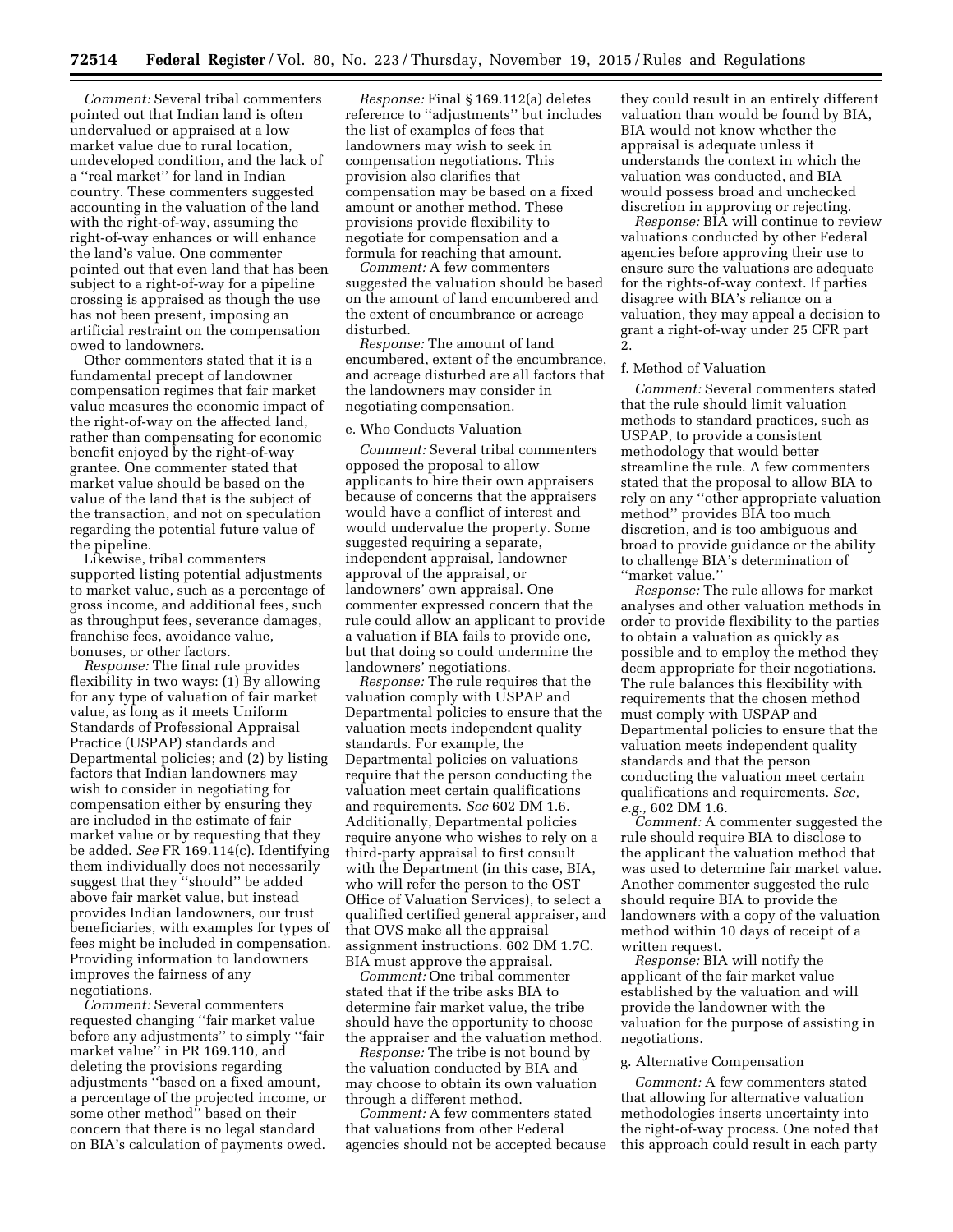*Comment:* Several tribal commenters pointed out that Indian land is often undervalued or appraised at a low market value due to rural location, undeveloped condition, and the lack of a ''real market'' for land in Indian country. These commenters suggested accounting in the valuation of the land with the right-of-way, assuming the right-of-way enhances or will enhance the land's value. One commenter pointed out that even land that has been subject to a right-of-way for a pipeline crossing is appraised as though the use has not been present, imposing an artificial restraint on the compensation owed to landowners.

Other commenters stated that it is a fundamental precept of landowner compensation regimes that fair market value measures the economic impact of the right-of-way on the affected land, rather than compensating for economic benefit enjoyed by the right-of-way grantee. One commenter stated that market value should be based on the value of the land that is the subject of the transaction, and not on speculation regarding the potential future value of the pipeline.

Likewise, tribal commenters supported listing potential adjustments to market value, such as a percentage of gross income, and additional fees, such as throughput fees, severance damages, franchise fees, avoidance value, bonuses, or other factors.

*Response:* The final rule provides flexibility in two ways: (1) By allowing for any type of valuation of fair market value, as long as it meets Uniform Standards of Professional Appraisal Practice (USPAP) standards and Departmental policies; and (2) by listing factors that Indian landowners may wish to consider in negotiating for compensation either by ensuring they are included in the estimate of fair market value or by requesting that they be added. *See* FR 169.114(c). Identifying them individually does not necessarily suggest that they ''should'' be added above fair market value, but instead provides Indian landowners, our trust beneficiaries, with examples for types of fees might be included in compensation. Providing information to landowners improves the fairness of any negotiations.

*Comment:* Several commenters requested changing ''fair market value before any adjustments'' to simply ''fair market value'' in PR 169.110, and deleting the provisions regarding adjustments ''based on a fixed amount, a percentage of the projected income, or some other method'' based on their concern that there is no legal standard on BIA's calculation of payments owed.

*Response:* Final § 169.112(a) deletes reference to ''adjustments'' but includes the list of examples of fees that landowners may wish to seek in compensation negotiations. This provision also clarifies that compensation may be based on a fixed amount or another method. These provisions provide flexibility to negotiate for compensation and a formula for reaching that amount.

*Comment:* A few commenters suggested the valuation should be based on the amount of land encumbered and the extent of encumbrance or acreage disturbed.

*Response:* The amount of land encumbered, extent of the encumbrance, and acreage disturbed are all factors that the landowners may consider in negotiating compensation.

#### e. Who Conducts Valuation

*Comment:* Several tribal commenters opposed the proposal to allow applicants to hire their own appraisers because of concerns that the appraisers would have a conflict of interest and would undervalue the property. Some suggested requiring a separate, independent appraisal, landowner approval of the appraisal, or landowners' own appraisal. One commenter expressed concern that the rule could allow an applicant to provide a valuation if BIA fails to provide one, but that doing so could undermine the landowners' negotiations.

*Response:* The rule requires that the valuation comply with USPAP and Departmental policies to ensure that the valuation meets independent quality standards. For example, the Departmental policies on valuations require that the person conducting the valuation meet certain qualifications and requirements. *See* 602 DM 1.6. Additionally, Departmental policies require anyone who wishes to rely on a third-party appraisal to first consult with the Department (in this case, BIA, who will refer the person to the OST Office of Valuation Services), to select a qualified certified general appraiser, and that OVS make all the appraisal assignment instructions. 602 DM 1.7C. BIA must approve the appraisal.

*Comment:* One tribal commenter stated that if the tribe asks BIA to determine fair market value, the tribe should have the opportunity to choose the appraiser and the valuation method.

*Response:* The tribe is not bound by the valuation conducted by BIA and may choose to obtain its own valuation through a different method.

*Comment:* A few commenters stated that valuations from other Federal agencies should not be accepted because

they could result in an entirely different valuation than would be found by BIA, BIA would not know whether the appraisal is adequate unless it understands the context in which the valuation was conducted, and BIA would possess broad and unchecked discretion in approving or rejecting.

*Response:* BIA will continue to review valuations conducted by other Federal agencies before approving their use to ensure sure the valuations are adequate for the rights-of-way context. If parties disagree with BIA's reliance on a valuation, they may appeal a decision to grant a right-of-way under 25 CFR part 2.

#### f. Method of Valuation

*Comment:* Several commenters stated that the rule should limit valuation methods to standard practices, such as USPAP, to provide a consistent methodology that would better streamline the rule. A few commenters stated that the proposal to allow BIA to rely on any ''other appropriate valuation method'' provides BIA too much discretion, and is too ambiguous and broad to provide guidance or the ability to challenge BIA's determination of ''market value.''

*Response:* The rule allows for market analyses and other valuation methods in order to provide flexibility to the parties to obtain a valuation as quickly as possible and to employ the method they deem appropriate for their negotiations. The rule balances this flexibility with requirements that the chosen method must comply with USPAP and Departmental policies to ensure that the valuation meets independent quality standards and that the person conducting the valuation meet certain qualifications and requirements. *See, e.g.,* 602 DM 1.6.

*Comment:* A commenter suggested the rule should require BIA to disclose to the applicant the valuation method that was used to determine fair market value. Another commenter suggested the rule should require BIA to provide the landowners with a copy of the valuation method within 10 days of receipt of a written request.

*Response:* BIA will notify the applicant of the fair market value established by the valuation and will provide the landowner with the valuation for the purpose of assisting in negotiations.

#### g. Alternative Compensation

*Comment:* A few commenters stated that allowing for alternative valuation methodologies inserts uncertainty into the right-of-way process. One noted that this approach could result in each party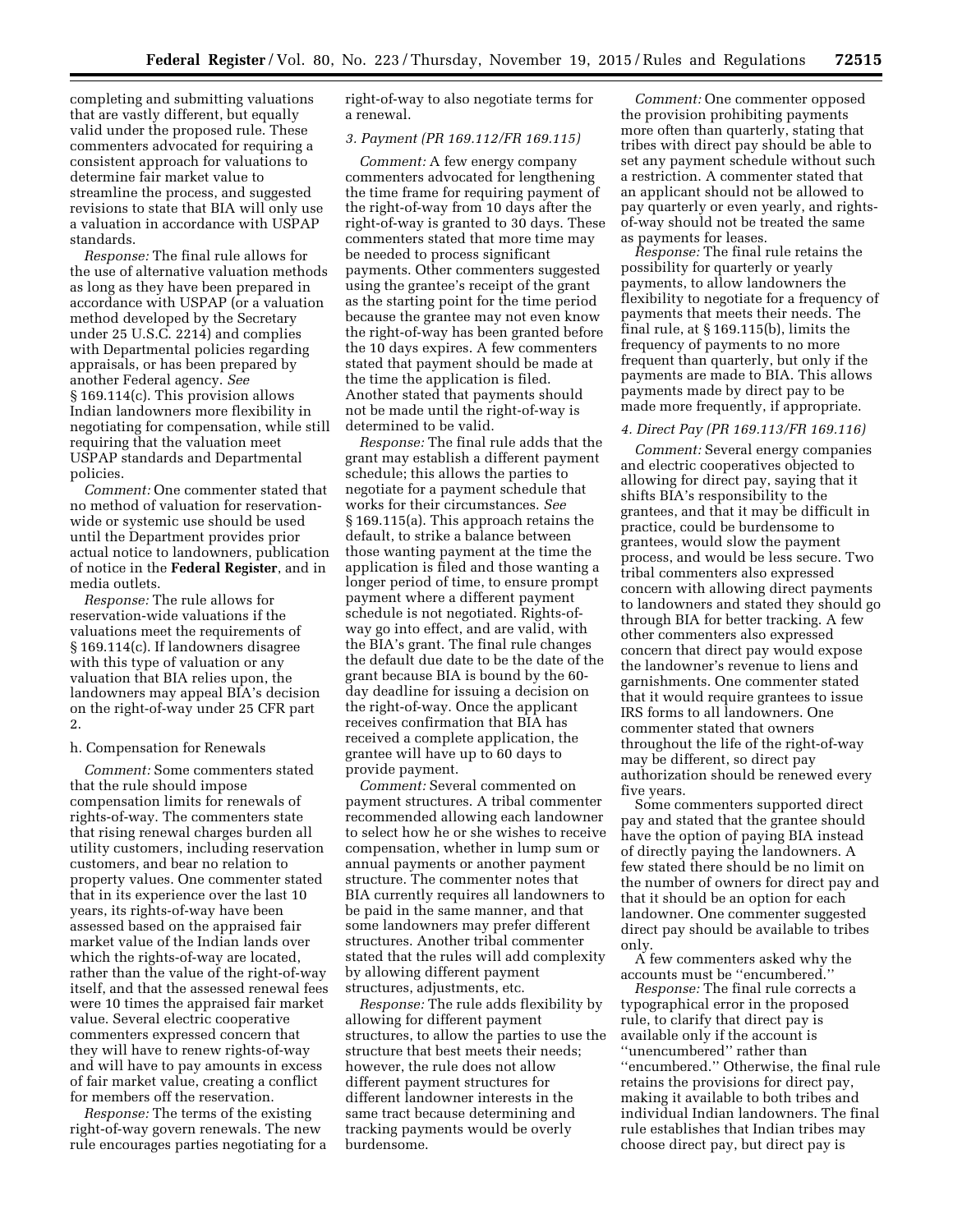completing and submitting valuations that are vastly different, but equally valid under the proposed rule. These commenters advocated for requiring a consistent approach for valuations to determine fair market value to streamline the process, and suggested revisions to state that BIA will only use a valuation in accordance with USPAP standards.

*Response:* The final rule allows for the use of alternative valuation methods as long as they have been prepared in accordance with USPAP (or a valuation method developed by the Secretary under 25 U.S.C. 2214) and complies with Departmental policies regarding appraisals, or has been prepared by another Federal agency. *See*  § 169.114(c). This provision allows Indian landowners more flexibility in negotiating for compensation, while still requiring that the valuation meet USPAP standards and Departmental policies.

*Comment:* One commenter stated that no method of valuation for reservationwide or systemic use should be used until the Department provides prior actual notice to landowners, publication of notice in the **Federal Register**, and in media outlets.

*Response:* The rule allows for reservation-wide valuations if the valuations meet the requirements of § 169.114(c). If landowners disagree with this type of valuation or any valuation that BIA relies upon, the landowners may appeal BIA's decision on the right-of-way under 25 CFR part 2.

#### h. Compensation for Renewals

*Comment:* Some commenters stated that the rule should impose compensation limits for renewals of rights-of-way. The commenters state that rising renewal charges burden all utility customers, including reservation customers, and bear no relation to property values. One commenter stated that in its experience over the last 10 years, its rights-of-way have been assessed based on the appraised fair market value of the Indian lands over which the rights-of-way are located, rather than the value of the right-of-way itself, and that the assessed renewal fees were 10 times the appraised fair market value. Several electric cooperative commenters expressed concern that they will have to renew rights-of-way and will have to pay amounts in excess of fair market value, creating a conflict for members off the reservation.

*Response:* The terms of the existing right-of-way govern renewals. The new rule encourages parties negotiating for a right-of-way to also negotiate terms for a renewal.

# *3. Payment (PR 169.112/FR 169.115)*

*Comment:* A few energy company commenters advocated for lengthening the time frame for requiring payment of the right-of-way from 10 days after the right-of-way is granted to 30 days. These commenters stated that more time may be needed to process significant payments. Other commenters suggested using the grantee's receipt of the grant as the starting point for the time period because the grantee may not even know the right-of-way has been granted before the 10 days expires. A few commenters stated that payment should be made at the time the application is filed. Another stated that payments should not be made until the right-of-way is determined to be valid.

*Response:* The final rule adds that the grant may establish a different payment schedule; this allows the parties to negotiate for a payment schedule that works for their circumstances. *See*  § 169.115(a). This approach retains the default, to strike a balance between those wanting payment at the time the application is filed and those wanting a longer period of time, to ensure prompt payment where a different payment schedule is not negotiated. Rights-ofway go into effect, and are valid, with the BIA's grant. The final rule changes the default due date to be the date of the grant because BIA is bound by the 60 day deadline for issuing a decision on the right-of-way. Once the applicant receives confirmation that BIA has received a complete application, the grantee will have up to 60 days to provide payment.

*Comment:* Several commented on payment structures. A tribal commenter recommended allowing each landowner to select how he or she wishes to receive compensation, whether in lump sum or annual payments or another payment structure. The commenter notes that BIA currently requires all landowners to be paid in the same manner, and that some landowners may prefer different structures. Another tribal commenter stated that the rules will add complexity by allowing different payment structures, adjustments, etc.

*Response:* The rule adds flexibility by allowing for different payment structures, to allow the parties to use the structure that best meets their needs; however, the rule does not allow different payment structures for different landowner interests in the same tract because determining and tracking payments would be overly burdensome.

*Comment:* One commenter opposed the provision prohibiting payments more often than quarterly, stating that tribes with direct pay should be able to set any payment schedule without such a restriction. A commenter stated that an applicant should not be allowed to pay quarterly or even yearly, and rightsof-way should not be treated the same as payments for leases.

*Response:* The final rule retains the possibility for quarterly or yearly payments, to allow landowners the flexibility to negotiate for a frequency of payments that meets their needs. The final rule, at § 169.115(b), limits the frequency of payments to no more frequent than quarterly, but only if the payments are made to BIA. This allows payments made by direct pay to be made more frequently, if appropriate.

#### *4. Direct Pay (PR 169.113/FR 169.116)*

*Comment:* Several energy companies and electric cooperatives objected to allowing for direct pay, saying that it shifts BIA's responsibility to the grantees, and that it may be difficult in practice, could be burdensome to grantees, would slow the payment process, and would be less secure. Two tribal commenters also expressed concern with allowing direct payments to landowners and stated they should go through BIA for better tracking. A few other commenters also expressed concern that direct pay would expose the landowner's revenue to liens and garnishments. One commenter stated that it would require grantees to issue IRS forms to all landowners. One commenter stated that owners throughout the life of the right-of-way may be different, so direct pay authorization should be renewed every five years.

Some commenters supported direct pay and stated that the grantee should have the option of paying BIA instead of directly paying the landowners. A few stated there should be no limit on the number of owners for direct pay and that it should be an option for each landowner. One commenter suggested direct pay should be available to tribes only.

A few commenters asked why the accounts must be ''encumbered.''

*Response:* The final rule corrects a typographical error in the proposed rule, to clarify that direct pay is available only if the account is ''unencumbered'' rather than ''encumbered.'' Otherwise, the final rule retains the provisions for direct pay, making it available to both tribes and individual Indian landowners. The final rule establishes that Indian tribes may choose direct pay, but direct pay is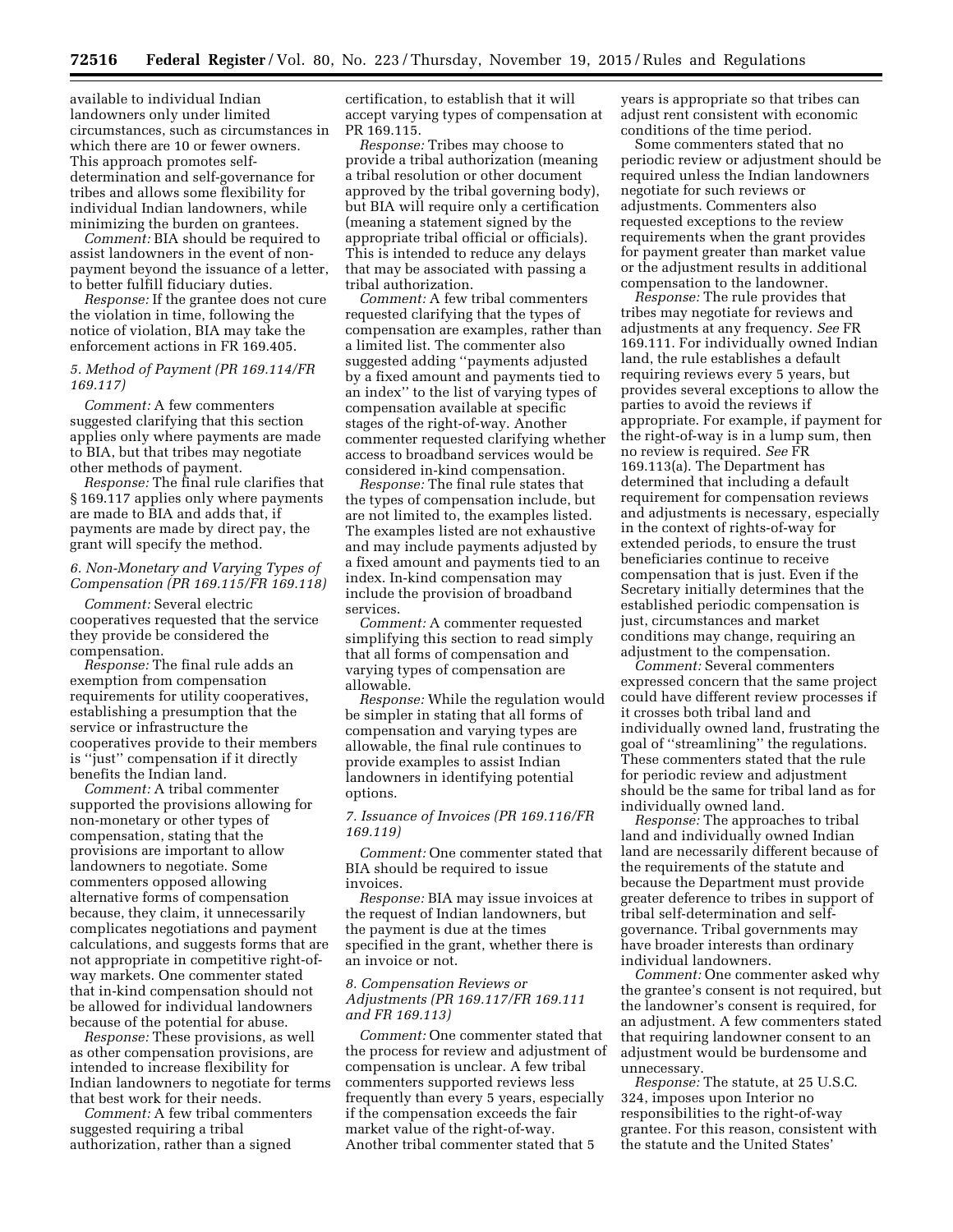available to individual Indian landowners only under limited circumstances, such as circumstances in which there are 10 or fewer owners. This approach promotes selfdetermination and self-governance for tribes and allows some flexibility for individual Indian landowners, while minimizing the burden on grantees.

*Comment:* BIA should be required to assist landowners in the event of nonpayment beyond the issuance of a letter, to better fulfill fiduciary duties.

*Response:* If the grantee does not cure the violation in time, following the notice of violation, BIA may take the enforcement actions in FR 169.405.

# *5. Method of Payment (PR 169.114/FR 169.117)*

*Comment:* A few commenters suggested clarifying that this section applies only where payments are made to BIA, but that tribes may negotiate other methods of payment.

*Response:* The final rule clarifies that § 169.117 applies only where payments are made to BIA and adds that, if payments are made by direct pay, the grant will specify the method.

# *6. Non-Monetary and Varying Types of Compensation (PR 169.115/FR 169.118)*

*Comment:* Several electric cooperatives requested that the service they provide be considered the compensation.

*Response:* The final rule adds an exemption from compensation requirements for utility cooperatives, establishing a presumption that the service or infrastructure the cooperatives provide to their members is ''just'' compensation if it directly benefits the Indian land.

*Comment:* A tribal commenter supported the provisions allowing for non-monetary or other types of compensation, stating that the provisions are important to allow landowners to negotiate. Some commenters opposed allowing alternative forms of compensation because, they claim, it unnecessarily complicates negotiations and payment calculations, and suggests forms that are not appropriate in competitive right-ofway markets. One commenter stated that in-kind compensation should not be allowed for individual landowners because of the potential for abuse.

*Response:* These provisions, as well as other compensation provisions, are intended to increase flexibility for Indian landowners to negotiate for terms that best work for their needs.

*Comment:* A few tribal commenters suggested requiring a tribal authorization, rather than a signed

certification, to establish that it will accept varying types of compensation at PR 169.115.

*Response:* Tribes may choose to provide a tribal authorization (meaning a tribal resolution or other document approved by the tribal governing body), but BIA will require only a certification (meaning a statement signed by the appropriate tribal official or officials). This is intended to reduce any delays that may be associated with passing a tribal authorization.

*Comment:* A few tribal commenters requested clarifying that the types of compensation are examples, rather than a limited list. The commenter also suggested adding ''payments adjusted by a fixed amount and payments tied to an index'' to the list of varying types of compensation available at specific stages of the right-of-way. Another commenter requested clarifying whether access to broadband services would be considered in-kind compensation.

*Response:* The final rule states that the types of compensation include, but are not limited to, the examples listed. The examples listed are not exhaustive and may include payments adjusted by a fixed amount and payments tied to an index. In-kind compensation may include the provision of broadband services.

*Comment:* A commenter requested simplifying this section to read simply that all forms of compensation and varying types of compensation are allowable.

*Response:* While the regulation would be simpler in stating that all forms of compensation and varying types are allowable, the final rule continues to provide examples to assist Indian landowners in identifying potential options.

# *7. Issuance of Invoices (PR 169.116/FR 169.119)*

*Comment:* One commenter stated that BIA should be required to issue invoices.

*Response:* BIA may issue invoices at the request of Indian landowners, but the payment is due at the times specified in the grant, whether there is an invoice or not.

# *8. Compensation Reviews or Adjustments (PR 169.117/FR 169.111 and FR 169.113)*

*Comment:* One commenter stated that the process for review and adjustment of compensation is unclear. A few tribal commenters supported reviews less frequently than every 5 years, especially if the compensation exceeds the fair market value of the right-of-way. Another tribal commenter stated that 5

years is appropriate so that tribes can adjust rent consistent with economic conditions of the time period.

Some commenters stated that no periodic review or adjustment should be required unless the Indian landowners negotiate for such reviews or adjustments. Commenters also requested exceptions to the review requirements when the grant provides for payment greater than market value or the adjustment results in additional compensation to the landowner.

*Response:* The rule provides that tribes may negotiate for reviews and adjustments at any frequency. *See* FR 169.111. For individually owned Indian land, the rule establishes a default requiring reviews every 5 years, but provides several exceptions to allow the parties to avoid the reviews if appropriate. For example, if payment for the right-of-way is in a lump sum, then no review is required. *See* FR 169.113(a). The Department has determined that including a default requirement for compensation reviews and adjustments is necessary, especially in the context of rights-of-way for extended periods, to ensure the trust beneficiaries continue to receive compensation that is just. Even if the Secretary initially determines that the established periodic compensation is just, circumstances and market conditions may change, requiring an adjustment to the compensation.

*Comment:* Several commenters expressed concern that the same project could have different review processes if it crosses both tribal land and individually owned land, frustrating the goal of ''streamlining'' the regulations. These commenters stated that the rule for periodic review and adjustment should be the same for tribal land as for individually owned land.

*Response:* The approaches to tribal land and individually owned Indian land are necessarily different because of the requirements of the statute and because the Department must provide greater deference to tribes in support of tribal self-determination and selfgovernance. Tribal governments may have broader interests than ordinary individual landowners.

*Comment:* One commenter asked why the grantee's consent is not required, but the landowner's consent is required, for an adjustment. A few commenters stated that requiring landowner consent to an adjustment would be burdensome and unnecessary.

*Response:* The statute, at 25 U.S.C. 324, imposes upon Interior no responsibilities to the right-of-way grantee. For this reason, consistent with the statute and the United States'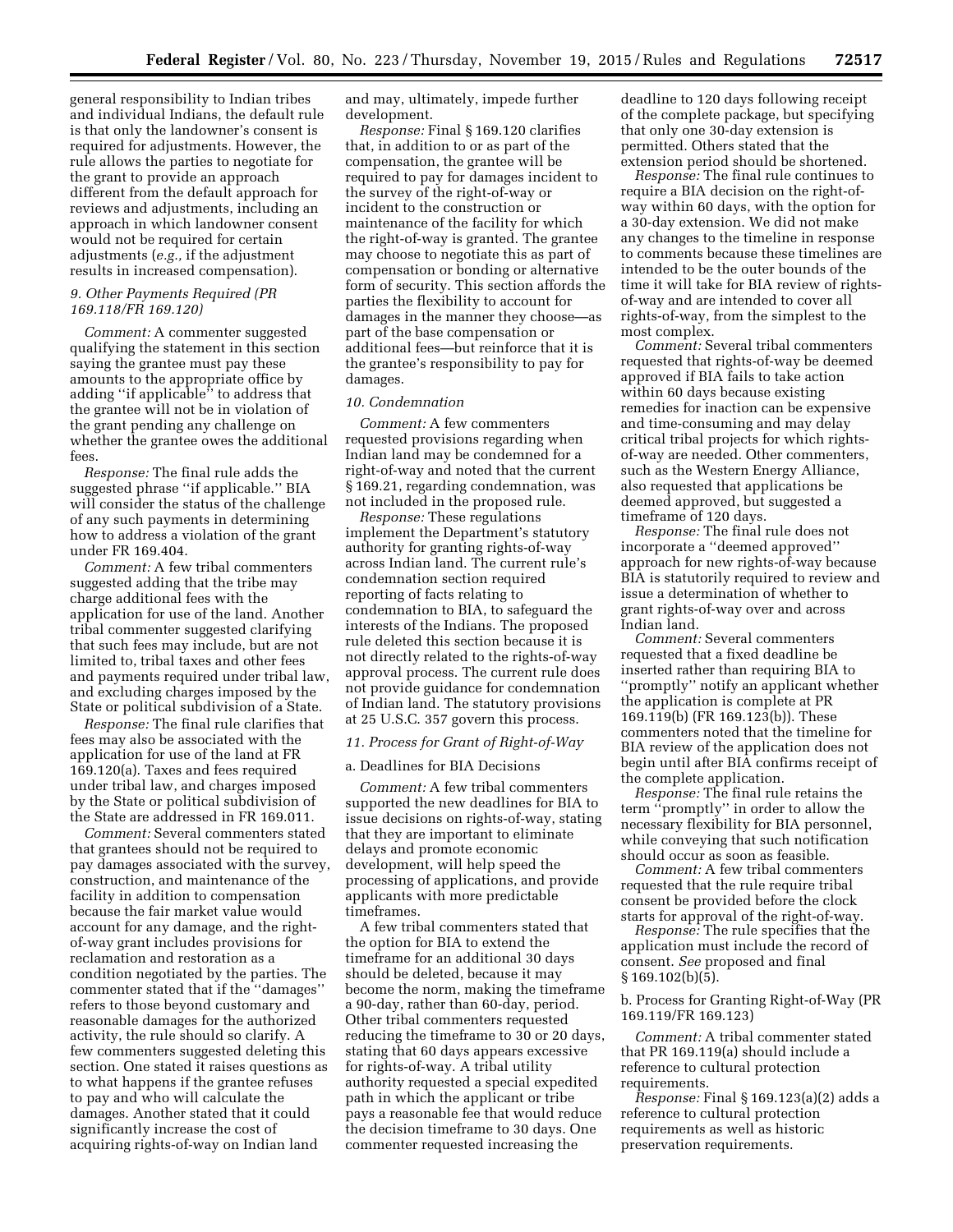general responsibility to Indian tribes and individual Indians, the default rule is that only the landowner's consent is required for adjustments. However, the rule allows the parties to negotiate for the grant to provide an approach different from the default approach for reviews and adjustments, including an approach in which landowner consent would not be required for certain adjustments (*e.g.,* if the adjustment results in increased compensation).

## *9. Other Payments Required (PR 169.118/FR 169.120)*

*Comment:* A commenter suggested qualifying the statement in this section saying the grantee must pay these amounts to the appropriate office by adding ''if applicable'' to address that the grantee will not be in violation of the grant pending any challenge on whether the grantee owes the additional fees.

*Response:* The final rule adds the suggested phrase ''if applicable.'' BIA will consider the status of the challenge of any such payments in determining how to address a violation of the grant under FR 169.404.

*Comment:* A few tribal commenters suggested adding that the tribe may charge additional fees with the application for use of the land. Another tribal commenter suggested clarifying that such fees may include, but are not limited to, tribal taxes and other fees and payments required under tribal law, and excluding charges imposed by the State or political subdivision of a State.

*Response:* The final rule clarifies that fees may also be associated with the application for use of the land at FR 169.120(a). Taxes and fees required under tribal law, and charges imposed by the State or political subdivision of the State are addressed in FR 169.011.

*Comment:* Several commenters stated that grantees should not be required to pay damages associated with the survey, construction, and maintenance of the facility in addition to compensation because the fair market value would account for any damage, and the rightof-way grant includes provisions for reclamation and restoration as a condition negotiated by the parties. The commenter stated that if the ''damages'' refers to those beyond customary and reasonable damages for the authorized activity, the rule should so clarify. A few commenters suggested deleting this section. One stated it raises questions as to what happens if the grantee refuses to pay and who will calculate the damages. Another stated that it could significantly increase the cost of acquiring rights-of-way on Indian land

and may, ultimately, impede further development.

*Response:* Final § 169.120 clarifies that, in addition to or as part of the compensation, the grantee will be required to pay for damages incident to the survey of the right-of-way or incident to the construction or maintenance of the facility for which the right-of-way is granted. The grantee may choose to negotiate this as part of compensation or bonding or alternative form of security. This section affords the parties the flexibility to account for damages in the manner they choose—as part of the base compensation or additional fees—but reinforce that it is the grantee's responsibility to pay for damages.

## *10. Condemnation*

*Comment:* A few commenters requested provisions regarding when Indian land may be condemned for a right-of-way and noted that the current § 169.21, regarding condemnation, was not included in the proposed rule.

*Response:* These regulations implement the Department's statutory authority for granting rights-of-way across Indian land. The current rule's condemnation section required reporting of facts relating to condemnation to BIA, to safeguard the interests of the Indians. The proposed rule deleted this section because it is not directly related to the rights-of-way approval process. The current rule does not provide guidance for condemnation of Indian land. The statutory provisions at 25 U.S.C. 357 govern this process.

# *11. Process for Grant of Right-of-Way*

#### a. Deadlines for BIA Decisions

*Comment:* A few tribal commenters supported the new deadlines for BIA to issue decisions on rights-of-way, stating that they are important to eliminate delays and promote economic development, will help speed the processing of applications, and provide applicants with more predictable timeframes.

A few tribal commenters stated that the option for BIA to extend the timeframe for an additional 30 days should be deleted, because it may become the norm, making the timeframe a 90-day, rather than 60-day, period. Other tribal commenters requested reducing the timeframe to 30 or 20 days, stating that 60 days appears excessive for rights-of-way. A tribal utility authority requested a special expedited path in which the applicant or tribe pays a reasonable fee that would reduce the decision timeframe to 30 days. One commenter requested increasing the

deadline to 120 days following receipt of the complete package, but specifying that only one 30-day extension is permitted. Others stated that the extension period should be shortened.

*Response:* The final rule continues to require a BIA decision on the right-ofway within 60 days, with the option for a 30-day extension. We did not make any changes to the timeline in response to comments because these timelines are intended to be the outer bounds of the time it will take for BIA review of rightsof-way and are intended to cover all rights-of-way, from the simplest to the most complex.

*Comment:* Several tribal commenters requested that rights-of-way be deemed approved if BIA fails to take action within 60 days because existing remedies for inaction can be expensive and time-consuming and may delay critical tribal projects for which rightsof-way are needed. Other commenters, such as the Western Energy Alliance, also requested that applications be deemed approved, but suggested a timeframe of 120 days.

*Response:* The final rule does not incorporate a ''deemed approved'' approach for new rights-of-way because BIA is statutorily required to review and issue a determination of whether to grant rights-of-way over and across Indian land.

*Comment:* Several commenters requested that a fixed deadline be inserted rather than requiring BIA to ''promptly'' notify an applicant whether the application is complete at PR 169.119(b) (FR 169.123(b)). These commenters noted that the timeline for BIA review of the application does not begin until after BIA confirms receipt of the complete application.

*Response:* The final rule retains the term ''promptly'' in order to allow the necessary flexibility for BIA personnel, while conveying that such notification should occur as soon as feasible.

*Comment:* A few tribal commenters requested that the rule require tribal consent be provided before the clock starts for approval of the right-of-way.

*Response:* The rule specifies that the application must include the record of consent. *See* proposed and final § 169.102(b)(5).

b. Process for Granting Right-of-Way (PR 169.119/FR 169.123)

*Comment:* A tribal commenter stated that PR 169.119(a) should include a reference to cultural protection requirements.

*Response:* Final § 169.123(a)(2) adds a reference to cultural protection requirements as well as historic preservation requirements.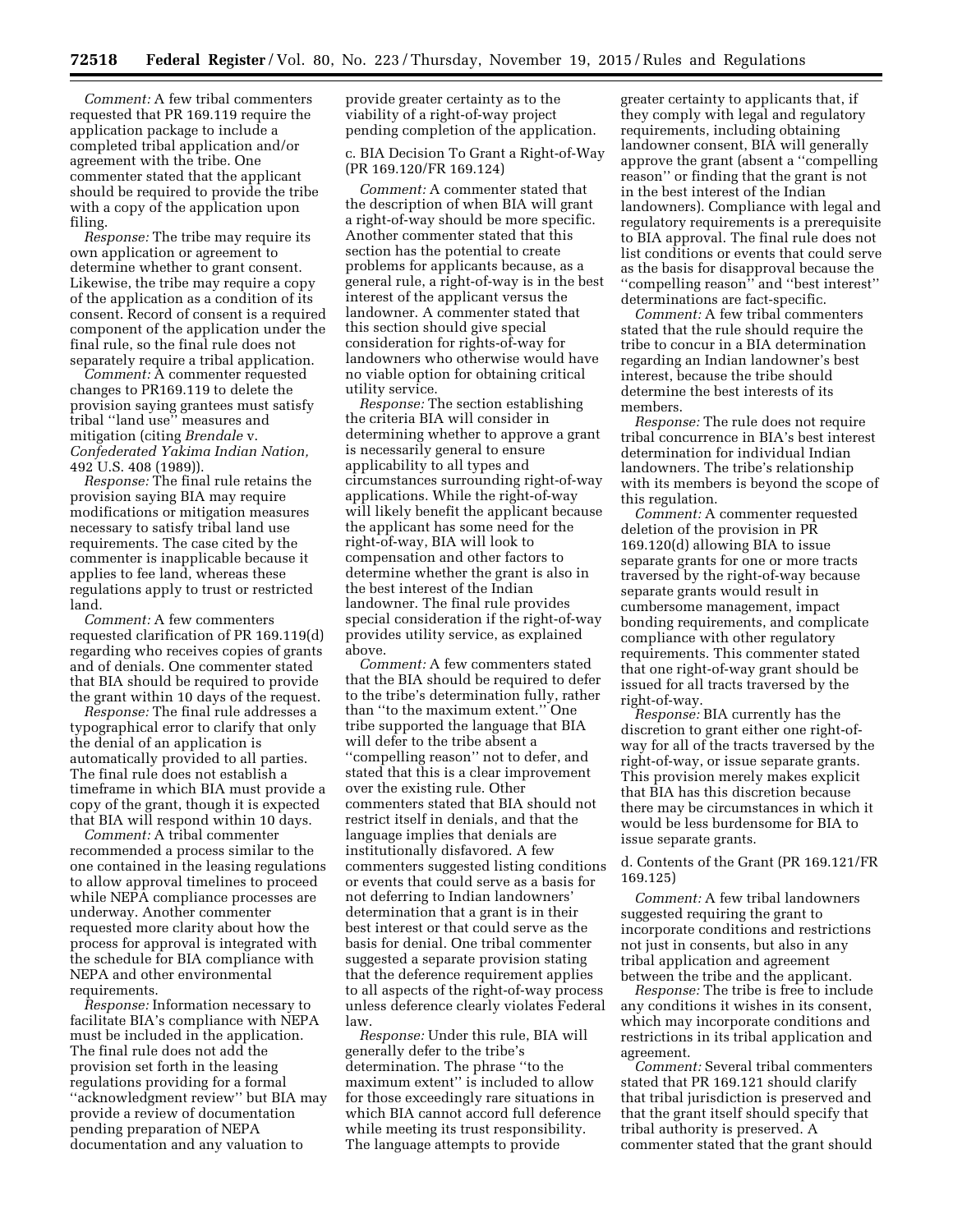*Comment:* A few tribal commenters requested that PR 169.119 require the application package to include a completed tribal application and/or agreement with the tribe. One commenter stated that the applicant should be required to provide the tribe with a copy of the application upon filing.

*Response:* The tribe may require its own application or agreement to determine whether to grant consent. Likewise, the tribe may require a copy of the application as a condition of its consent. Record of consent is a required component of the application under the final rule, so the final rule does not separately require a tribal application.

*Comment:* A commenter requested changes to PR169.119 to delete the provision saying grantees must satisfy tribal ''land use'' measures and mitigation (citing *Brendale* v. *Confederated Yakima Indian Nation,*  492 U.S. 408 (1989)).

*Response:* The final rule retains the provision saying BIA may require modifications or mitigation measures necessary to satisfy tribal land use requirements. The case cited by the commenter is inapplicable because it applies to fee land, whereas these regulations apply to trust or restricted land.

*Comment:* A few commenters requested clarification of PR 169.119(d) regarding who receives copies of grants and of denials. One commenter stated that BIA should be required to provide the grant within 10 days of the request.

*Response:* The final rule addresses a typographical error to clarify that only the denial of an application is automatically provided to all parties. The final rule does not establish a timeframe in which BIA must provide a copy of the grant, though it is expected that BIA will respond within 10 days.

*Comment:* A tribal commenter recommended a process similar to the one contained in the leasing regulations to allow approval timelines to proceed while NEPA compliance processes are underway. Another commenter requested more clarity about how the process for approval is integrated with the schedule for BIA compliance with NEPA and other environmental requirements.

*Response:* Information necessary to facilitate BIA's compliance with NEPA must be included in the application. The final rule does not add the provision set forth in the leasing regulations providing for a formal ''acknowledgment review'' but BIA may provide a review of documentation pending preparation of NEPA documentation and any valuation to

provide greater certainty as to the viability of a right-of-way project pending completion of the application.

c. BIA Decision To Grant a Right-of-Way (PR 169.120/FR 169.124)

*Comment:* A commenter stated that the description of when BIA will grant a right-of-way should be more specific. Another commenter stated that this section has the potential to create problems for applicants because, as a general rule, a right-of-way is in the best interest of the applicant versus the landowner. A commenter stated that this section should give special consideration for rights-of-way for landowners who otherwise would have no viable option for obtaining critical utility service.

*Response:* The section establishing the criteria BIA will consider in determining whether to approve a grant is necessarily general to ensure applicability to all types and circumstances surrounding right-of-way applications. While the right-of-way will likely benefit the applicant because the applicant has some need for the right-of-way, BIA will look to compensation and other factors to determine whether the grant is also in the best interest of the Indian landowner. The final rule provides special consideration if the right-of-way provides utility service, as explained above.

*Comment:* A few commenters stated that the BIA should be required to defer to the tribe's determination fully, rather than ''to the maximum extent.'' One tribe supported the language that BIA will defer to the tribe absent a ''compelling reason'' not to defer, and stated that this is a clear improvement over the existing rule. Other commenters stated that BIA should not restrict itself in denials, and that the language implies that denials are institutionally disfavored. A few commenters suggested listing conditions or events that could serve as a basis for not deferring to Indian landowners' determination that a grant is in their best interest or that could serve as the basis for denial. One tribal commenter suggested a separate provision stating that the deference requirement applies to all aspects of the right-of-way process unless deference clearly violates Federal law.

*Response:* Under this rule, BIA will generally defer to the tribe's determination. The phrase ''to the maximum extent'' is included to allow for those exceedingly rare situations in which BIA cannot accord full deference while meeting its trust responsibility. The language attempts to provide

greater certainty to applicants that, if they comply with legal and regulatory requirements, including obtaining landowner consent, BIA will generally approve the grant (absent a ''compelling reason'' or finding that the grant is not in the best interest of the Indian landowners). Compliance with legal and regulatory requirements is a prerequisite to BIA approval. The final rule does not list conditions or events that could serve as the basis for disapproval because the ''compelling reason'' and ''best interest'' determinations are fact-specific.

*Comment:* A few tribal commenters stated that the rule should require the tribe to concur in a BIA determination regarding an Indian landowner's best interest, because the tribe should determine the best interests of its members.

*Response:* The rule does not require tribal concurrence in BIA's best interest determination for individual Indian landowners. The tribe's relationship with its members is beyond the scope of this regulation.

*Comment:* A commenter requested deletion of the provision in PR 169.120(d) allowing BIA to issue separate grants for one or more tracts traversed by the right-of-way because separate grants would result in cumbersome management, impact bonding requirements, and complicate compliance with other regulatory requirements. This commenter stated that one right-of-way grant should be issued for all tracts traversed by the right-of-way.

*Response:* BIA currently has the discretion to grant either one right-ofway for all of the tracts traversed by the right-of-way, or issue separate grants. This provision merely makes explicit that BIA has this discretion because there may be circumstances in which it would be less burdensome for BIA to issue separate grants.

d. Contents of the Grant (PR 169.121/FR 169.125)

*Comment:* A few tribal landowners suggested requiring the grant to incorporate conditions and restrictions not just in consents, but also in any tribal application and agreement between the tribe and the applicant.

*Response:* The tribe is free to include any conditions it wishes in its consent, which may incorporate conditions and restrictions in its tribal application and agreement.

*Comment:* Several tribal commenters stated that PR 169.121 should clarify that tribal jurisdiction is preserved and that the grant itself should specify that tribal authority is preserved. A commenter stated that the grant should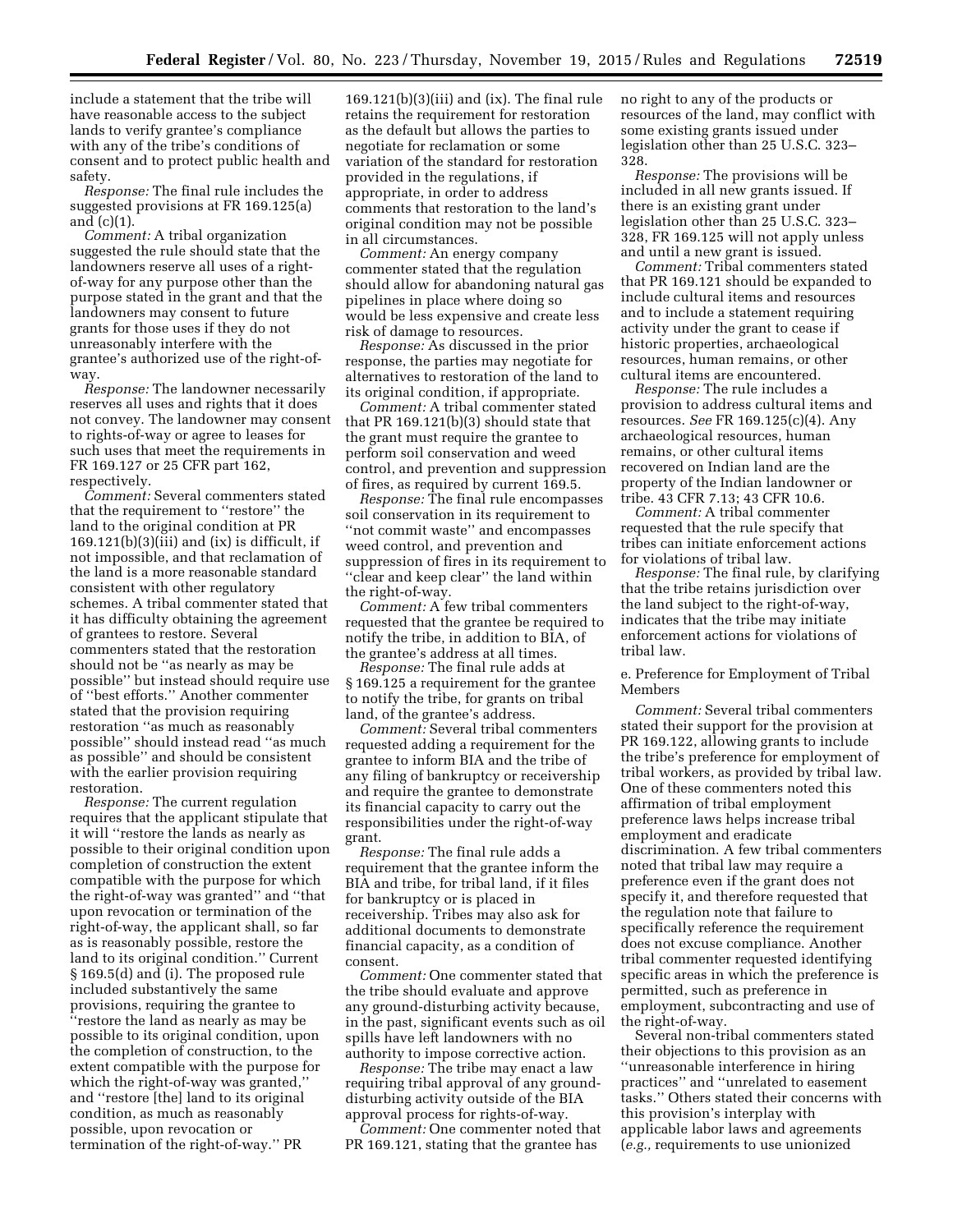include a statement that the tribe will have reasonable access to the subject lands to verify grantee's compliance with any of the tribe's conditions of consent and to protect public health and safety.

*Response:* The final rule includes the suggested provisions at FR 169.125(a) and (c)(1).

*Comment:* A tribal organization suggested the rule should state that the landowners reserve all uses of a rightof-way for any purpose other than the purpose stated in the grant and that the landowners may consent to future grants for those uses if they do not unreasonably interfere with the grantee's authorized use of the right-ofway.

*Response:* The landowner necessarily reserves all uses and rights that it does not convey. The landowner may consent to rights-of-way or agree to leases for such uses that meet the requirements in FR 169.127 or 25 CFR part 162, respectively.

*Comment:* Several commenters stated that the requirement to ''restore'' the land to the original condition at PR  $169.121(b)(3)(iii)$  and  $(ix)$  is difficult, if not impossible, and that reclamation of the land is a more reasonable standard consistent with other regulatory schemes. A tribal commenter stated that it has difficulty obtaining the agreement of grantees to restore. Several commenters stated that the restoration should not be ''as nearly as may be possible'' but instead should require use of ''best efforts.'' Another commenter stated that the provision requiring restoration ''as much as reasonably possible'' should instead read ''as much as possible'' and should be consistent with the earlier provision requiring restoration.

*Response:* The current regulation requires that the applicant stipulate that it will ''restore the lands as nearly as possible to their original condition upon completion of construction the extent compatible with the purpose for which the right-of-way was granted'' and ''that upon revocation or termination of the right-of-way, the applicant shall, so far as is reasonably possible, restore the land to its original condition.'' Current § 169.5(d) and (i). The proposed rule included substantively the same provisions, requiring the grantee to ''restore the land as nearly as may be possible to its original condition, upon the completion of construction, to the extent compatible with the purpose for which the right-of-way was granted,'' and ''restore [the] land to its original condition, as much as reasonably possible, upon revocation or termination of the right-of-way.'' PR

169.121(b)(3)(iii) and (ix). The final rule retains the requirement for restoration as the default but allows the parties to negotiate for reclamation or some variation of the standard for restoration provided in the regulations, if appropriate, in order to address comments that restoration to the land's original condition may not be possible in all circumstances.

*Comment:* An energy company commenter stated that the regulation should allow for abandoning natural gas pipelines in place where doing so would be less expensive and create less risk of damage to resources.

*Response:* As discussed in the prior response, the parties may negotiate for alternatives to restoration of the land to its original condition, if appropriate.

*Comment:* A tribal commenter stated that PR 169.121(b)(3) should state that the grant must require the grantee to perform soil conservation and weed control, and prevention and suppression of fires, as required by current 169.5.

*Response:* The final rule encompasses soil conservation in its requirement to ''not commit waste'' and encompasses weed control, and prevention and suppression of fires in its requirement to ''clear and keep clear'' the land within the right-of-way.

*Comment:* A few tribal commenters requested that the grantee be required to notify the tribe, in addition to BIA, of the grantee's address at all times.

*Response:* The final rule adds at § 169.125 a requirement for the grantee to notify the tribe, for grants on tribal land, of the grantee's address.

*Comment:* Several tribal commenters requested adding a requirement for the grantee to inform BIA and the tribe of any filing of bankruptcy or receivership and require the grantee to demonstrate its financial capacity to carry out the responsibilities under the right-of-way grant.

*Response:* The final rule adds a requirement that the grantee inform the BIA and tribe, for tribal land, if it files for bankruptcy or is placed in receivership. Tribes may also ask for additional documents to demonstrate financial capacity, as a condition of consent.

*Comment:* One commenter stated that the tribe should evaluate and approve any ground-disturbing activity because, in the past, significant events such as oil spills have left landowners with no authority to impose corrective action.

*Response:* The tribe may enact a law requiring tribal approval of any grounddisturbing activity outside of the BIA approval process for rights-of-way.

*Comment:* One commenter noted that PR 169.121, stating that the grantee has

no right to any of the products or resources of the land, may conflict with some existing grants issued under legislation other than 25 U.S.C. 323– 328.

*Response:* The provisions will be included in all new grants issued. If there is an existing grant under legislation other than 25 U.S.C. 323– 328, FR 169.125 will not apply unless and until a new grant is issued.

*Comment:* Tribal commenters stated that PR 169.121 should be expanded to include cultural items and resources and to include a statement requiring activity under the grant to cease if historic properties, archaeological resources, human remains, or other cultural items are encountered.

*Response:* The rule includes a provision to address cultural items and resources. *See* FR 169.125(c)(4). Any archaeological resources, human remains, or other cultural items recovered on Indian land are the property of the Indian landowner or tribe. 43 CFR 7.13; 43 CFR 10.6.

*Comment:* A tribal commenter requested that the rule specify that tribes can initiate enforcement actions for violations of tribal law.

*Response:* The final rule, by clarifying that the tribe retains jurisdiction over the land subject to the right-of-way, indicates that the tribe may initiate enforcement actions for violations of tribal law.

e. Preference for Employment of Tribal Members

*Comment:* Several tribal commenters stated their support for the provision at PR 169.122, allowing grants to include the tribe's preference for employment of tribal workers, as provided by tribal law. One of these commenters noted this affirmation of tribal employment preference laws helps increase tribal employment and eradicate discrimination. A few tribal commenters noted that tribal law may require a preference even if the grant does not specify it, and therefore requested that the regulation note that failure to specifically reference the requirement does not excuse compliance. Another tribal commenter requested identifying specific areas in which the preference is permitted, such as preference in employment, subcontracting and use of the right-of-way.

Several non-tribal commenters stated their objections to this provision as an ''unreasonable interference in hiring practices'' and ''unrelated to easement tasks.'' Others stated their concerns with this provision's interplay with applicable labor laws and agreements (*e.g.,* requirements to use unionized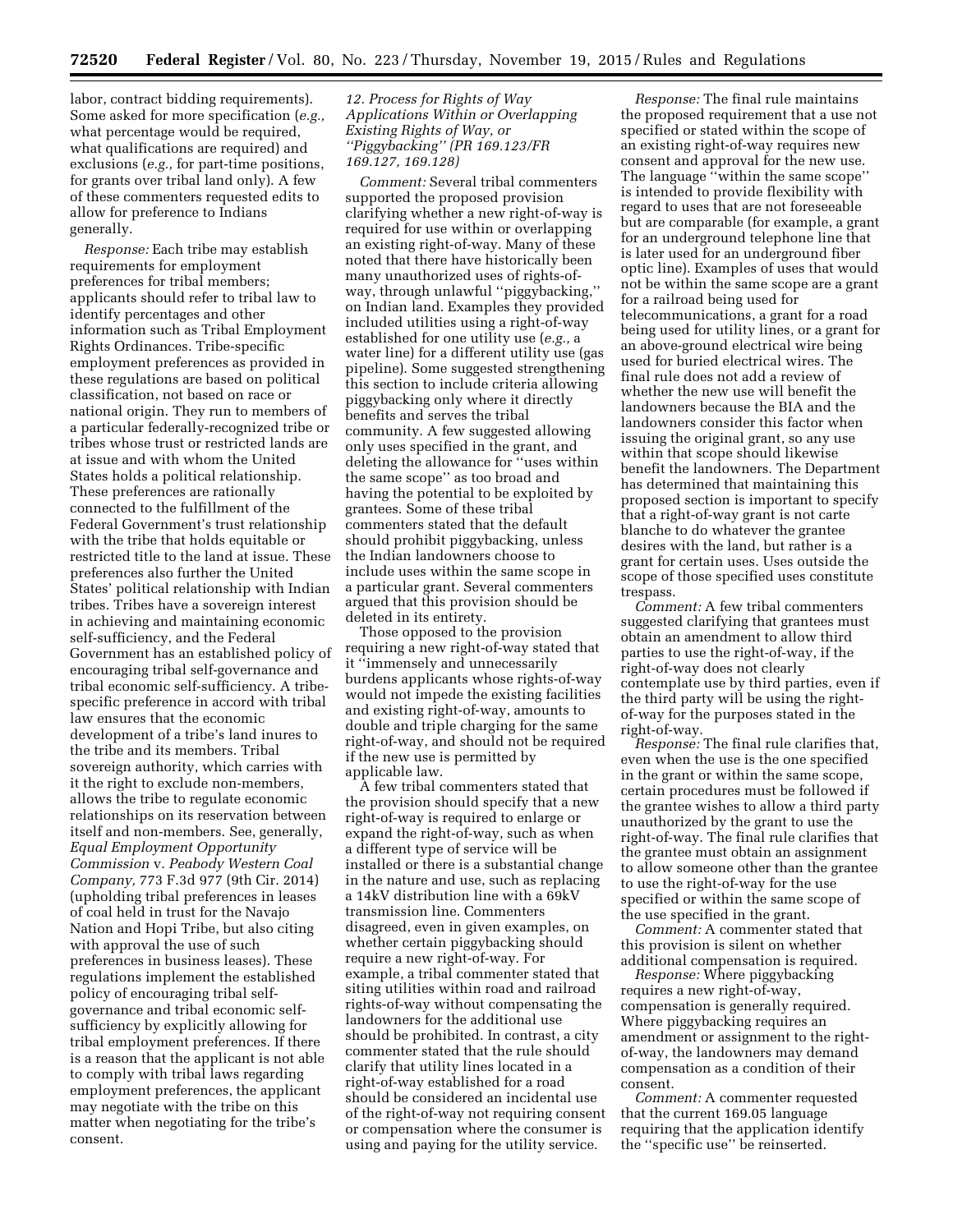labor, contract bidding requirements). Some asked for more specification (*e.g.,*  what percentage would be required, what qualifications are required) and exclusions (*e.g.,* for part-time positions, for grants over tribal land only). A few of these commenters requested edits to allow for preference to Indians generally.

*Response:* Each tribe may establish requirements for employment preferences for tribal members; applicants should refer to tribal law to identify percentages and other information such as Tribal Employment Rights Ordinances. Tribe-specific employment preferences as provided in these regulations are based on political classification, not based on race or national origin. They run to members of a particular federally-recognized tribe or tribes whose trust or restricted lands are at issue and with whom the United States holds a political relationship. These preferences are rationally connected to the fulfillment of the Federal Government's trust relationship with the tribe that holds equitable or restricted title to the land at issue. These preferences also further the United States' political relationship with Indian tribes. Tribes have a sovereign interest in achieving and maintaining economic self-sufficiency, and the Federal Government has an established policy of encouraging tribal self-governance and tribal economic self-sufficiency. A tribespecific preference in accord with tribal law ensures that the economic development of a tribe's land inures to the tribe and its members. Tribal sovereign authority, which carries with it the right to exclude non-members, allows the tribe to regulate economic relationships on its reservation between itself and non-members. See, generally, *Equal Employment Opportunity Commission* v. *Peabody Western Coal Company,* 773 F.3d 977 (9th Cir. 2014) (upholding tribal preferences in leases of coal held in trust for the Navajo Nation and Hopi Tribe, but also citing with approval the use of such preferences in business leases). These regulations implement the established policy of encouraging tribal selfgovernance and tribal economic selfsufficiency by explicitly allowing for tribal employment preferences. If there is a reason that the applicant is not able to comply with tribal laws regarding employment preferences, the applicant may negotiate with the tribe on this matter when negotiating for the tribe's consent.

# *12. Process for Rights of Way Applications Within or Overlapping Existing Rights of Way, or ''Piggybacking'' (PR 169.123/FR 169.127, 169.128)*

*Comment:* Several tribal commenters supported the proposed provision clarifying whether a new right-of-way is required for use within or overlapping an existing right-of-way. Many of these noted that there have historically been many unauthorized uses of rights-ofway, through unlawful ''piggybacking,'' on Indian land. Examples they provided included utilities using a right-of-way established for one utility use (*e.g.,* a water line) for a different utility use (gas pipeline). Some suggested strengthening this section to include criteria allowing piggybacking only where it directly benefits and serves the tribal community. A few suggested allowing only uses specified in the grant, and deleting the allowance for ''uses within the same scope'' as too broad and having the potential to be exploited by grantees. Some of these tribal commenters stated that the default should prohibit piggybacking, unless the Indian landowners choose to include uses within the same scope in a particular grant. Several commenters argued that this provision should be deleted in its entirety.

Those opposed to the provision requiring a new right-of-way stated that it ''immensely and unnecessarily burdens applicants whose rights-of-way would not impede the existing facilities and existing right-of-way, amounts to double and triple charging for the same right-of-way, and should not be required if the new use is permitted by applicable law.

A few tribal commenters stated that the provision should specify that a new right-of-way is required to enlarge or expand the right-of-way, such as when a different type of service will be installed or there is a substantial change in the nature and use, such as replacing a 14kV distribution line with a 69kV transmission line. Commenters disagreed, even in given examples, on whether certain piggybacking should require a new right-of-way. For example, a tribal commenter stated that siting utilities within road and railroad rights-of-way without compensating the landowners for the additional use should be prohibited. In contrast, a city commenter stated that the rule should clarify that utility lines located in a right-of-way established for a road should be considered an incidental use of the right-of-way not requiring consent or compensation where the consumer is using and paying for the utility service.

*Response:* The final rule maintains the proposed requirement that a use not specified or stated within the scope of an existing right-of-way requires new consent and approval for the new use. The language ''within the same scope'' is intended to provide flexibility with regard to uses that are not foreseeable but are comparable (for example, a grant for an underground telephone line that is later used for an underground fiber optic line). Examples of uses that would not be within the same scope are a grant for a railroad being used for telecommunications, a grant for a road being used for utility lines, or a grant for an above-ground electrical wire being used for buried electrical wires. The final rule does not add a review of whether the new use will benefit the landowners because the BIA and the landowners consider this factor when issuing the original grant, so any use within that scope should likewise benefit the landowners. The Department has determined that maintaining this proposed section is important to specify that a right-of-way grant is not carte blanche to do whatever the grantee desires with the land, but rather is a grant for certain uses. Uses outside the scope of those specified uses constitute trespass.

*Comment:* A few tribal commenters suggested clarifying that grantees must obtain an amendment to allow third parties to use the right-of-way, if the right-of-way does not clearly contemplate use by third parties, even if the third party will be using the rightof-way for the purposes stated in the right-of-way.

*Response:* The final rule clarifies that, even when the use is the one specified in the grant or within the same scope, certain procedures must be followed if the grantee wishes to allow a third party unauthorized by the grant to use the right-of-way. The final rule clarifies that the grantee must obtain an assignment to allow someone other than the grantee to use the right-of-way for the use specified or within the same scope of the use specified in the grant.

*Comment:* A commenter stated that this provision is silent on whether additional compensation is required.

*Response:* Where piggybacking requires a new right-of-way, compensation is generally required. Where piggybacking requires an amendment or assignment to the rightof-way, the landowners may demand compensation as a condition of their consent.

*Comment:* A commenter requested that the current 169.05 language requiring that the application identify the ''specific use'' be reinserted.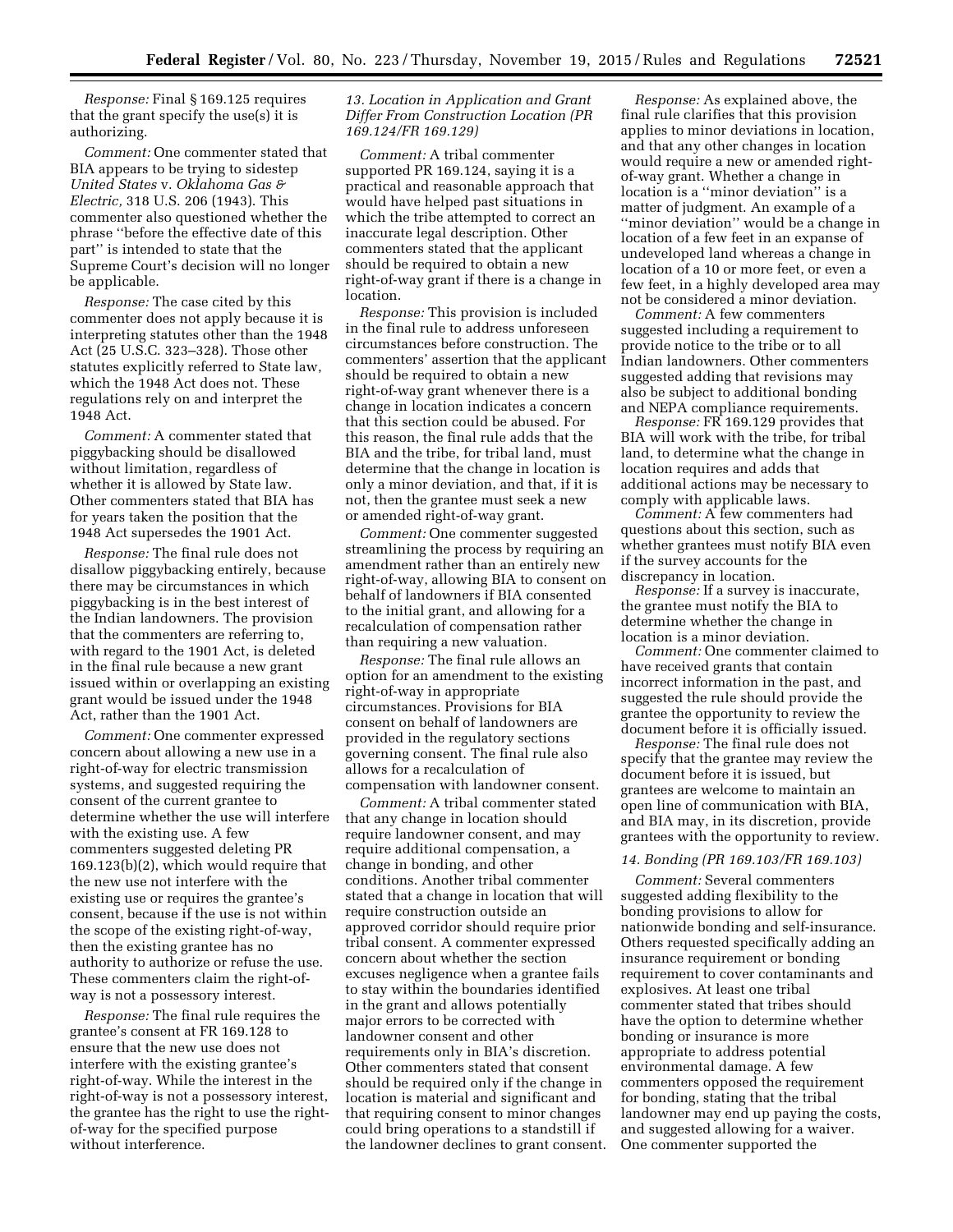*Response:* Final § 169.125 requires that the grant specify the use(s) it is authorizing.

*Comment:* One commenter stated that BIA appears to be trying to sidestep *United States* v. *Oklahoma Gas & Electric,* 318 U.S. 206 (1943). This commenter also questioned whether the phrase ''before the effective date of this part'' is intended to state that the Supreme Court's decision will no longer be applicable.

*Response:* The case cited by this commenter does not apply because it is interpreting statutes other than the 1948 Act (25 U.S.C. 323–328). Those other statutes explicitly referred to State law, which the 1948 Act does not. These regulations rely on and interpret the 1948 Act.

*Comment:* A commenter stated that piggybacking should be disallowed without limitation, regardless of whether it is allowed by State law. Other commenters stated that BIA has for years taken the position that the 1948 Act supersedes the 1901 Act.

*Response:* The final rule does not disallow piggybacking entirely, because there may be circumstances in which piggybacking is in the best interest of the Indian landowners. The provision that the commenters are referring to, with regard to the 1901 Act, is deleted in the final rule because a new grant issued within or overlapping an existing grant would be issued under the 1948 Act, rather than the 1901 Act.

*Comment:* One commenter expressed concern about allowing a new use in a right-of-way for electric transmission systems, and suggested requiring the consent of the current grantee to determine whether the use will interfere with the existing use. A few commenters suggested deleting PR 169.123(b)(2), which would require that the new use not interfere with the existing use or requires the grantee's consent, because if the use is not within the scope of the existing right-of-way, then the existing grantee has no authority to authorize or refuse the use. These commenters claim the right-ofway is not a possessory interest.

*Response:* The final rule requires the grantee's consent at FR 169.128 to ensure that the new use does not interfere with the existing grantee's right-of-way. While the interest in the right-of-way is not a possessory interest, the grantee has the right to use the rightof-way for the specified purpose without interference.

# *13. Location in Application and Grant Differ From Construction Location (PR 169.124/FR 169.129)*

*Comment:* A tribal commenter supported PR 169.124, saying it is a practical and reasonable approach that would have helped past situations in which the tribe attempted to correct an inaccurate legal description. Other commenters stated that the applicant should be required to obtain a new right-of-way grant if there is a change in location.

*Response:* This provision is included in the final rule to address unforeseen circumstances before construction. The commenters' assertion that the applicant should be required to obtain a new right-of-way grant whenever there is a change in location indicates a concern that this section could be abused. For this reason, the final rule adds that the BIA and the tribe, for tribal land, must determine that the change in location is only a minor deviation, and that, if it is not, then the grantee must seek a new or amended right-of-way grant.

*Comment:* One commenter suggested streamlining the process by requiring an amendment rather than an entirely new right-of-way, allowing BIA to consent on behalf of landowners if BIA consented to the initial grant, and allowing for a recalculation of compensation rather than requiring a new valuation.

*Response:* The final rule allows an option for an amendment to the existing right-of-way in appropriate circumstances. Provisions for BIA consent on behalf of landowners are provided in the regulatory sections governing consent. The final rule also allows for a recalculation of compensation with landowner consent.

*Comment:* A tribal commenter stated that any change in location should require landowner consent, and may require additional compensation, a change in bonding, and other conditions. Another tribal commenter stated that a change in location that will require construction outside an approved corridor should require prior tribal consent. A commenter expressed concern about whether the section excuses negligence when a grantee fails to stay within the boundaries identified in the grant and allows potentially major errors to be corrected with landowner consent and other requirements only in BIA's discretion. Other commenters stated that consent should be required only if the change in location is material and significant and that requiring consent to minor changes could bring operations to a standstill if the landowner declines to grant consent.

*Response:* As explained above, the final rule clarifies that this provision applies to minor deviations in location, and that any other changes in location would require a new or amended rightof-way grant. Whether a change in location is a ''minor deviation'' is a matter of judgment. An example of a ''minor deviation'' would be a change in location of a few feet in an expanse of undeveloped land whereas a change in location of a 10 or more feet, or even a few feet, in a highly developed area may not be considered a minor deviation.

*Comment:* A few commenters suggested including a requirement to provide notice to the tribe or to all Indian landowners. Other commenters suggested adding that revisions may also be subject to additional bonding and NEPA compliance requirements.

*Response:* FR 169.129 provides that BIA will work with the tribe, for tribal land, to determine what the change in location requires and adds that additional actions may be necessary to comply with applicable laws.

*Comment:* A few commenters had questions about this section, such as whether grantees must notify BIA even if the survey accounts for the discrepancy in location.

*Response:* If a survey is inaccurate, the grantee must notify the BIA to determine whether the change in location is a minor deviation.

*Comment:* One commenter claimed to have received grants that contain incorrect information in the past, and suggested the rule should provide the grantee the opportunity to review the document before it is officially issued.

*Response:* The final rule does not specify that the grantee may review the document before it is issued, but grantees are welcome to maintain an open line of communication with BIA, and BIA may, in its discretion, provide grantees with the opportunity to review.

#### *14. Bonding (PR 169.103/FR 169.103)*

*Comment:* Several commenters suggested adding flexibility to the bonding provisions to allow for nationwide bonding and self-insurance. Others requested specifically adding an insurance requirement or bonding requirement to cover contaminants and explosives. At least one tribal commenter stated that tribes should have the option to determine whether bonding or insurance is more appropriate to address potential environmental damage. A few commenters opposed the requirement for bonding, stating that the tribal landowner may end up paying the costs, and suggested allowing for a waiver. One commenter supported the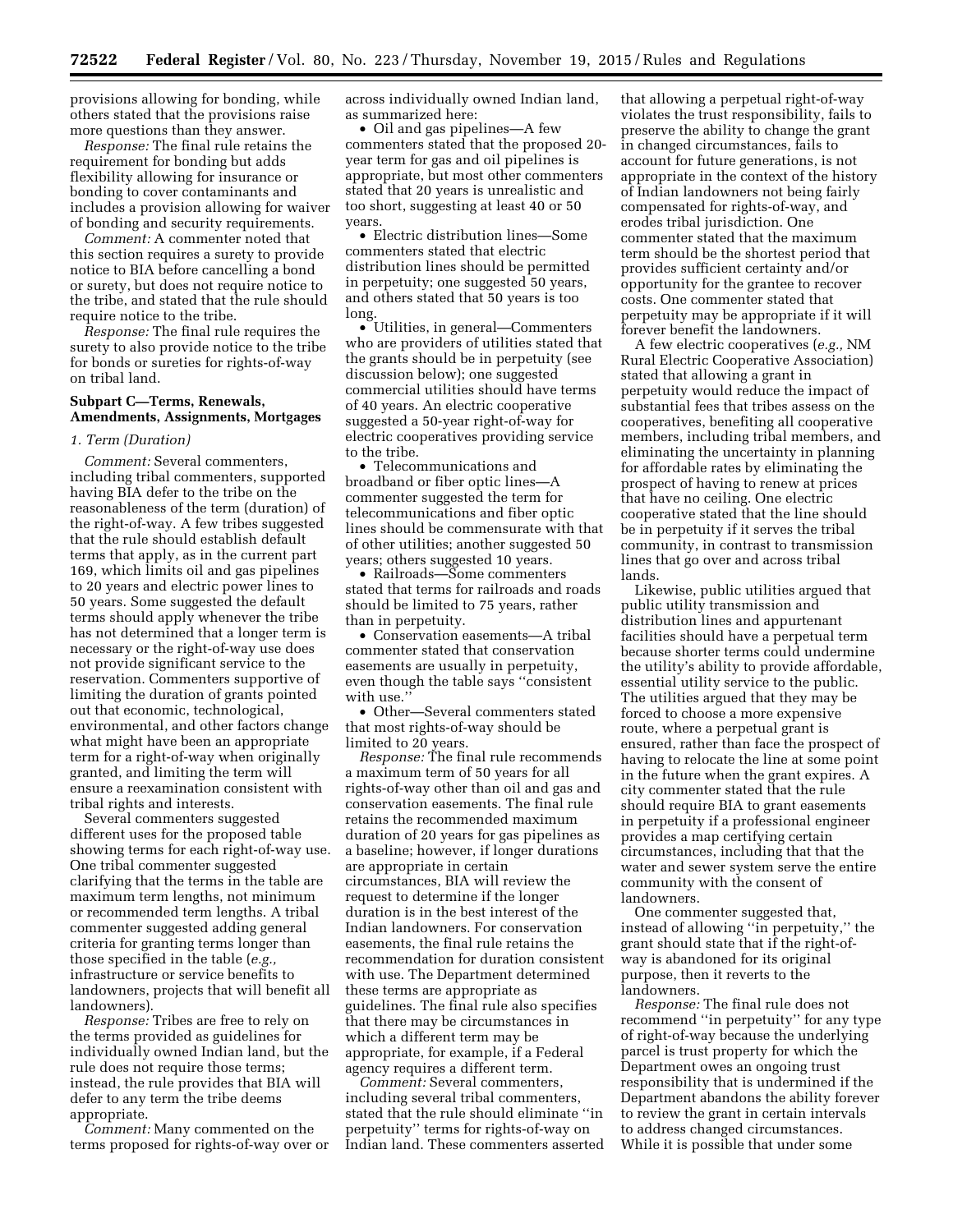provisions allowing for bonding, while others stated that the provisions raise more questions than they answer.

*Response:* The final rule retains the requirement for bonding but adds flexibility allowing for insurance or bonding to cover contaminants and includes a provision allowing for waiver of bonding and security requirements.

*Comment:* A commenter noted that this section requires a surety to provide notice to BIA before cancelling a bond or surety, but does not require notice to the tribe, and stated that the rule should require notice to the tribe.

*Response:* The final rule requires the surety to also provide notice to the tribe for bonds or sureties for rights-of-way on tribal land.

# **Subpart C—Terms, Renewals, Amendments, Assignments, Mortgages**

# *1. Term (Duration)*

*Comment:* Several commenters, including tribal commenters, supported having BIA defer to the tribe on the reasonableness of the term (duration) of the right-of-way. A few tribes suggested that the rule should establish default terms that apply, as in the current part 169, which limits oil and gas pipelines to 20 years and electric power lines to 50 years. Some suggested the default terms should apply whenever the tribe has not determined that a longer term is necessary or the right-of-way use does not provide significant service to the reservation. Commenters supportive of limiting the duration of grants pointed out that economic, technological, environmental, and other factors change what might have been an appropriate term for a right-of-way when originally granted, and limiting the term will ensure a reexamination consistent with tribal rights and interests.

Several commenters suggested different uses for the proposed table showing terms for each right-of-way use. One tribal commenter suggested clarifying that the terms in the table are maximum term lengths, not minimum or recommended term lengths. A tribal commenter suggested adding general criteria for granting terms longer than those specified in the table (*e.g.,*  infrastructure or service benefits to landowners, projects that will benefit all landowners).

*Response:* Tribes are free to rely on the terms provided as guidelines for individually owned Indian land, but the rule does not require those terms; instead, the rule provides that BIA will defer to any term the tribe deems appropriate.

*Comment:* Many commented on the terms proposed for rights-of-way over or across individually owned Indian land, as summarized here:

• Oil and gas pipelines—A few commenters stated that the proposed 20 year term for gas and oil pipelines is appropriate, but most other commenters stated that 20 years is unrealistic and too short, suggesting at least 40 or 50 years.

• Electric distribution lines—Some commenters stated that electric distribution lines should be permitted in perpetuity; one suggested 50 years, and others stated that 50 years is too long.

• Utilities, in general—Commenters who are providers of utilities stated that the grants should be in perpetuity (see discussion below); one suggested commercial utilities should have terms of 40 years. An electric cooperative suggested a 50-year right-of-way for electric cooperatives providing service to the tribe.

• Telecommunications and broadband or fiber optic lines—A commenter suggested the term for telecommunications and fiber optic lines should be commensurate with that of other utilities; another suggested 50 years; others suggested 10 years.

• Railroads—Some commenters stated that terms for railroads and roads should be limited to 75 years, rather than in perpetuity.

• Conservation easements—A tribal commenter stated that conservation easements are usually in perpetuity, even though the table says ''consistent with use.'

• Other—Several commenters stated that most rights-of-way should be limited to 20 years.

*Response:* The final rule recommends a maximum term of 50 years for all rights-of-way other than oil and gas and conservation easements. The final rule retains the recommended maximum duration of 20 years for gas pipelines as a baseline; however, if longer durations are appropriate in certain circumstances, BIA will review the request to determine if the longer duration is in the best interest of the Indian landowners. For conservation easements, the final rule retains the recommendation for duration consistent with use. The Department determined these terms are appropriate as guidelines. The final rule also specifies that there may be circumstances in which a different term may be appropriate, for example, if a Federal agency requires a different term.

*Comment:* Several commenters, including several tribal commenters, stated that the rule should eliminate ''in perpetuity'' terms for rights-of-way on Indian land. These commenters asserted

that allowing a perpetual right-of-way violates the trust responsibility, fails to preserve the ability to change the grant in changed circumstances, fails to account for future generations, is not appropriate in the context of the history of Indian landowners not being fairly compensated for rights-of-way, and erodes tribal jurisdiction. One commenter stated that the maximum term should be the shortest period that provides sufficient certainty and/or opportunity for the grantee to recover costs. One commenter stated that perpetuity may be appropriate if it will forever benefit the landowners.

A few electric cooperatives (*e.g.,* NM Rural Electric Cooperative Association) stated that allowing a grant in perpetuity would reduce the impact of substantial fees that tribes assess on the cooperatives, benefiting all cooperative members, including tribal members, and eliminating the uncertainty in planning for affordable rates by eliminating the prospect of having to renew at prices that have no ceiling. One electric cooperative stated that the line should be in perpetuity if it serves the tribal community, in contrast to transmission lines that go over and across tribal lands.

Likewise, public utilities argued that public utility transmission and distribution lines and appurtenant facilities should have a perpetual term because shorter terms could undermine the utility's ability to provide affordable, essential utility service to the public. The utilities argued that they may be forced to choose a more expensive route, where a perpetual grant is ensured, rather than face the prospect of having to relocate the line at some point in the future when the grant expires. A city commenter stated that the rule should require BIA to grant easements in perpetuity if a professional engineer provides a map certifying certain circumstances, including that that the water and sewer system serve the entire community with the consent of landowners.

One commenter suggested that, instead of allowing ''in perpetuity,'' the grant should state that if the right-ofway is abandoned for its original purpose, then it reverts to the landowners.

*Response:* The final rule does not recommend ''in perpetuity'' for any type of right-of-way because the underlying parcel is trust property for which the Department owes an ongoing trust responsibility that is undermined if the Department abandons the ability forever to review the grant in certain intervals to address changed circumstances. While it is possible that under some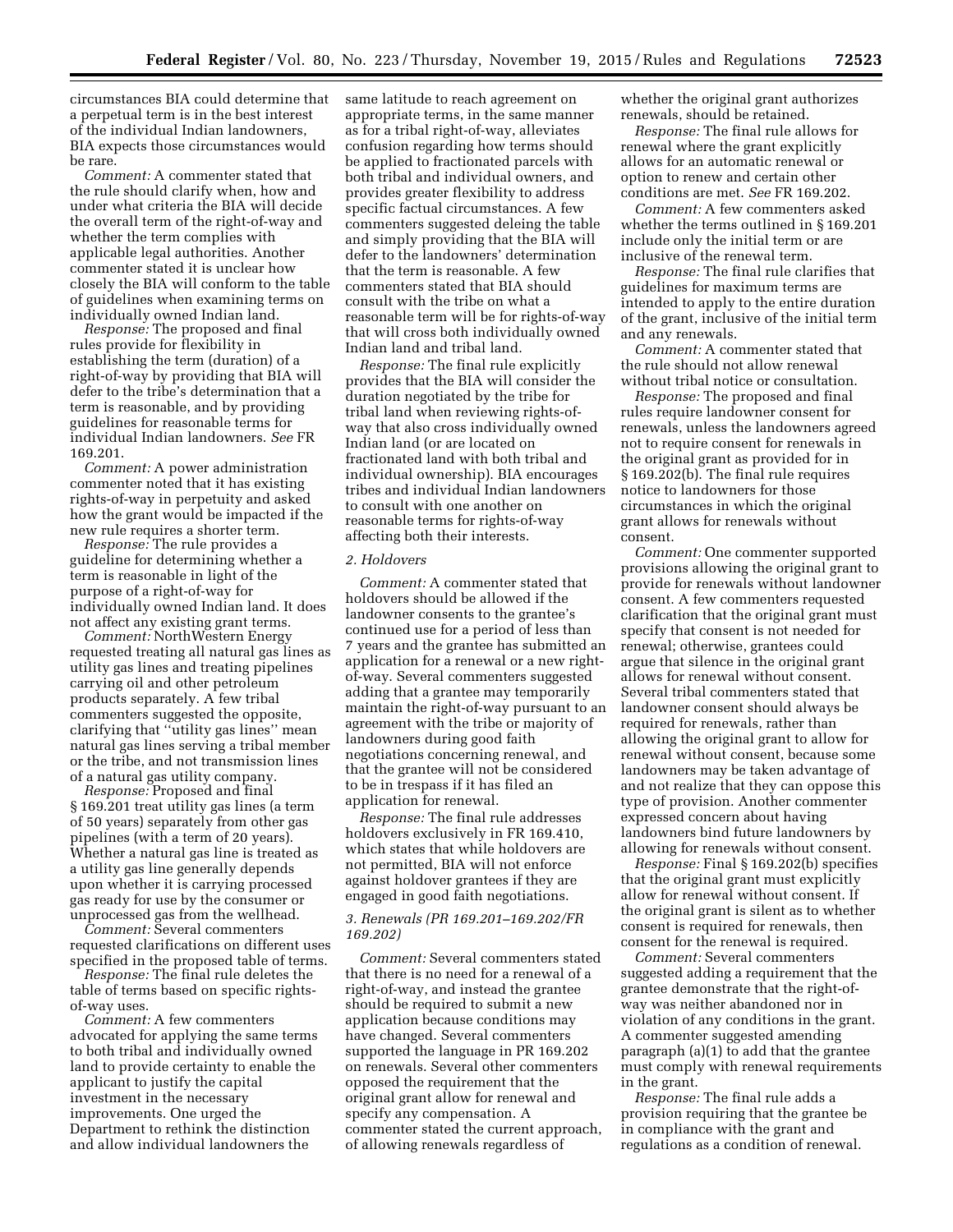circumstances BIA could determine that a perpetual term is in the best interest of the individual Indian landowners, BIA expects those circumstances would be rare.

*Comment:* A commenter stated that the rule should clarify when, how and under what criteria the BIA will decide the overall term of the right-of-way and whether the term complies with applicable legal authorities. Another commenter stated it is unclear how closely the BIA will conform to the table of guidelines when examining terms on individually owned Indian land.

*Response:* The proposed and final rules provide for flexibility in establishing the term (duration) of a right-of-way by providing that BIA will defer to the tribe's determination that a term is reasonable, and by providing guidelines for reasonable terms for individual Indian landowners. *See* FR 169.201.

*Comment:* A power administration commenter noted that it has existing rights-of-way in perpetuity and asked how the grant would be impacted if the new rule requires a shorter term.

*Response:* The rule provides a guideline for determining whether a term is reasonable in light of the purpose of a right-of-way for individually owned Indian land. It does not affect any existing grant terms.

*Comment:* NorthWestern Energy requested treating all natural gas lines as utility gas lines and treating pipelines carrying oil and other petroleum products separately. A few tribal commenters suggested the opposite, clarifying that ''utility gas lines'' mean natural gas lines serving a tribal member or the tribe, and not transmission lines of a natural gas utility company.

*Response:* Proposed and final § 169.201 treat utility gas lines (a term of 50 years) separately from other gas pipelines (with a term of 20 years). Whether a natural gas line is treated as a utility gas line generally depends upon whether it is carrying processed gas ready for use by the consumer or unprocessed gas from the wellhead.

*Comment:* Several commenters requested clarifications on different uses specified in the proposed table of terms.

*Response:* The final rule deletes the table of terms based on specific rightsof-way uses.

*Comment:* A few commenters advocated for applying the same terms to both tribal and individually owned land to provide certainty to enable the applicant to justify the capital investment in the necessary improvements. One urged the Department to rethink the distinction and allow individual landowners the

same latitude to reach agreement on appropriate terms, in the same manner as for a tribal right-of-way, alleviates confusion regarding how terms should be applied to fractionated parcels with both tribal and individual owners, and provides greater flexibility to address specific factual circumstances. A few commenters suggested deleing the table and simply providing that the BIA will defer to the landowners' determination that the term is reasonable. A few commenters stated that BIA should consult with the tribe on what a reasonable term will be for rights-of-way that will cross both individually owned Indian land and tribal land.

*Response:* The final rule explicitly provides that the BIA will consider the duration negotiated by the tribe for tribal land when reviewing rights-ofway that also cross individually owned Indian land (or are located on fractionated land with both tribal and individual ownership). BIA encourages tribes and individual Indian landowners to consult with one another on reasonable terms for rights-of-way affecting both their interests.

#### *2. Holdovers*

*Comment:* A commenter stated that holdovers should be allowed if the landowner consents to the grantee's continued use for a period of less than 7 years and the grantee has submitted an application for a renewal or a new rightof-way. Several commenters suggested adding that a grantee may temporarily maintain the right-of-way pursuant to an agreement with the tribe or majority of landowners during good faith negotiations concerning renewal, and that the grantee will not be considered to be in trespass if it has filed an application for renewal.

*Response:* The final rule addresses holdovers exclusively in FR 169.410, which states that while holdovers are not permitted, BIA will not enforce against holdover grantees if they are engaged in good faith negotiations.

# *3. Renewals (PR 169.201–169.202/FR 169.202)*

*Comment:* Several commenters stated that there is no need for a renewal of a right-of-way, and instead the grantee should be required to submit a new application because conditions may have changed. Several commenters supported the language in PR 169.202 on renewals. Several other commenters opposed the requirement that the original grant allow for renewal and specify any compensation. A commenter stated the current approach, of allowing renewals regardless of

whether the original grant authorizes renewals, should be retained.

*Response:* The final rule allows for renewal where the grant explicitly allows for an automatic renewal or option to renew and certain other conditions are met. *See* FR 169.202.

*Comment:* A few commenters asked whether the terms outlined in § 169.201 include only the initial term or are inclusive of the renewal term.

*Response:* The final rule clarifies that guidelines for maximum terms are intended to apply to the entire duration of the grant, inclusive of the initial term and any renewals.

*Comment:* A commenter stated that the rule should not allow renewal without tribal notice or consultation.

*Response:* The proposed and final rules require landowner consent for renewals, unless the landowners agreed not to require consent for renewals in the original grant as provided for in § 169.202(b). The final rule requires notice to landowners for those circumstances in which the original grant allows for renewals without consent.

*Comment:* One commenter supported provisions allowing the original grant to provide for renewals without landowner consent. A few commenters requested clarification that the original grant must specify that consent is not needed for renewal; otherwise, grantees could argue that silence in the original grant allows for renewal without consent. Several tribal commenters stated that landowner consent should always be required for renewals, rather than allowing the original grant to allow for renewal without consent, because some landowners may be taken advantage of and not realize that they can oppose this type of provision. Another commenter expressed concern about having landowners bind future landowners by allowing for renewals without consent.

*Response:* Final § 169.202(b) specifies that the original grant must explicitly allow for renewal without consent. If the original grant is silent as to whether consent is required for renewals, then consent for the renewal is required.

*Comment:* Several commenters suggested adding a requirement that the grantee demonstrate that the right-ofway was neither abandoned nor in violation of any conditions in the grant. A commenter suggested amending paragraph (a)(1) to add that the grantee must comply with renewal requirements in the grant.

*Response:* The final rule adds a provision requiring that the grantee be in compliance with the grant and regulations as a condition of renewal.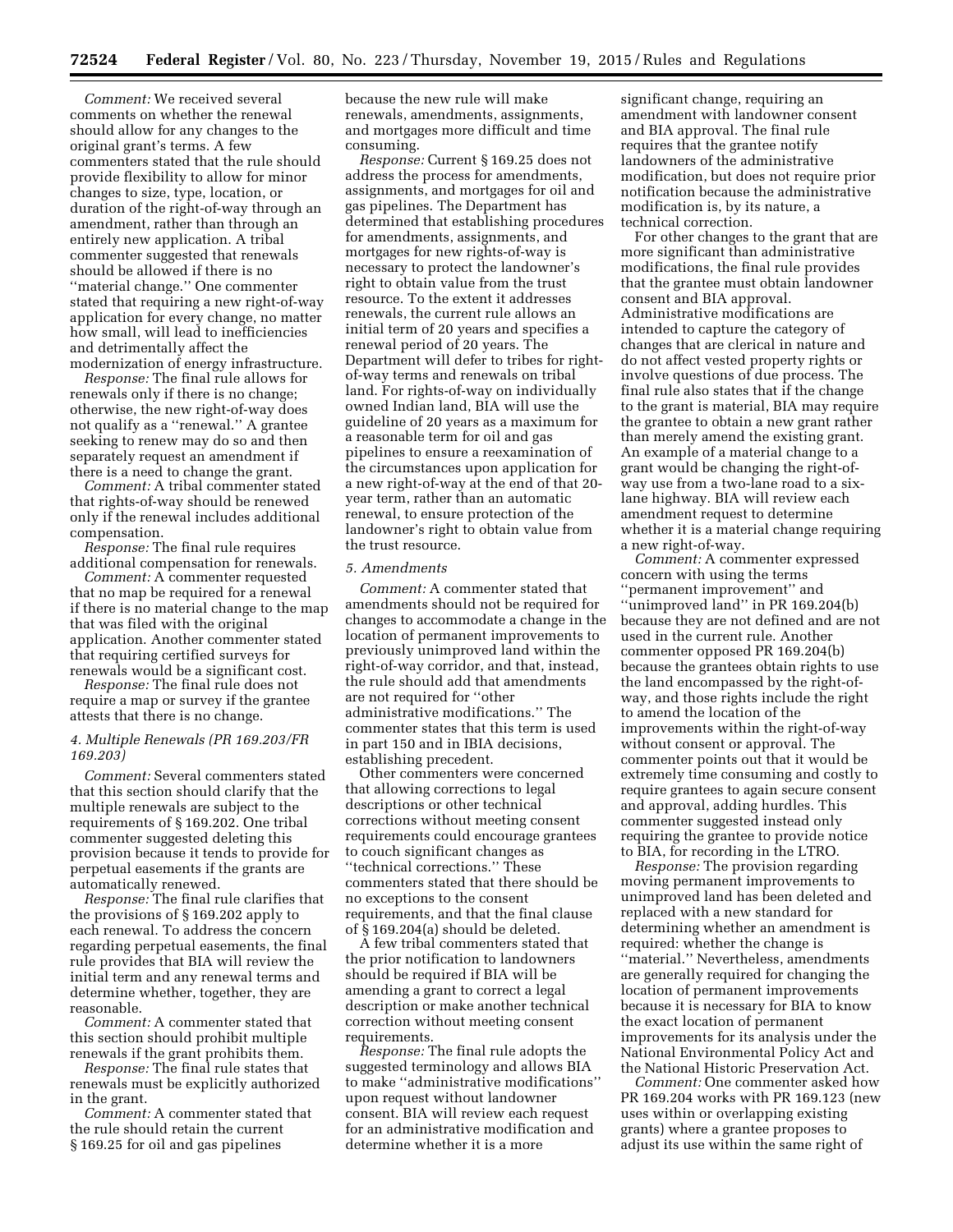*Comment:* We received several comments on whether the renewal should allow for any changes to the original grant's terms. A few commenters stated that the rule should provide flexibility to allow for minor changes to size, type, location, or duration of the right-of-way through an amendment, rather than through an entirely new application. A tribal commenter suggested that renewals should be allowed if there is no ''material change.'' One commenter stated that requiring a new right-of-way application for every change, no matter how small, will lead to inefficiencies and detrimentally affect the modernization of energy infrastructure.

*Response:* The final rule allows for renewals only if there is no change; otherwise, the new right-of-way does not qualify as a ''renewal.'' A grantee seeking to renew may do so and then separately request an amendment if there is a need to change the grant.

*Comment:* A tribal commenter stated that rights-of-way should be renewed only if the renewal includes additional compensation.

*Response:* The final rule requires additional compensation for renewals.

*Comment:* A commenter requested that no map be required for a renewal if there is no material change to the map that was filed with the original application. Another commenter stated that requiring certified surveys for renewals would be a significant cost.

*Response:* The final rule does not require a map or survey if the grantee attests that there is no change.

# *4. Multiple Renewals (PR 169.203/FR 169.203)*

*Comment:* Several commenters stated that this section should clarify that the multiple renewals are subject to the requirements of § 169.202. One tribal commenter suggested deleting this provision because it tends to provide for perpetual easements if the grants are automatically renewed.

*Response:* The final rule clarifies that the provisions of § 169.202 apply to each renewal. To address the concern regarding perpetual easements, the final rule provides that BIA will review the initial term and any renewal terms and determine whether, together, they are reasonable.

*Comment:* A commenter stated that this section should prohibit multiple renewals if the grant prohibits them.

*Response:* The final rule states that renewals must be explicitly authorized in the grant.

*Comment:* A commenter stated that the rule should retain the current § 169.25 for oil and gas pipelines

because the new rule will make renewals, amendments, assignments, and mortgages more difficult and time consuming.

*Response:* Current § 169.25 does not address the process for amendments, assignments, and mortgages for oil and gas pipelines. The Department has determined that establishing procedures for amendments, assignments, and mortgages for new rights-of-way is necessary to protect the landowner's right to obtain value from the trust resource. To the extent it addresses renewals, the current rule allows an initial term of 20 years and specifies a renewal period of 20 years. The Department will defer to tribes for rightof-way terms and renewals on tribal land. For rights-of-way on individually owned Indian land, BIA will use the guideline of 20 years as a maximum for a reasonable term for oil and gas pipelines to ensure a reexamination of the circumstances upon application for a new right-of-way at the end of that 20 year term, rather than an automatic renewal, to ensure protection of the landowner's right to obtain value from the trust resource.

# *5. Amendments*

*Comment:* A commenter stated that amendments should not be required for changes to accommodate a change in the location of permanent improvements to previously unimproved land within the right-of-way corridor, and that, instead, the rule should add that amendments are not required for ''other administrative modifications.'' The commenter states that this term is used in part 150 and in IBIA decisions, establishing precedent.

Other commenters were concerned that allowing corrections to legal descriptions or other technical corrections without meeting consent requirements could encourage grantees to couch significant changes as ''technical corrections.'' These commenters stated that there should be no exceptions to the consent requirements, and that the final clause of § 169.204(a) should be deleted.

A few tribal commenters stated that the prior notification to landowners should be required if BIA will be amending a grant to correct a legal description or make another technical correction without meeting consent requirements.

*Response:* The final rule adopts the suggested terminology and allows BIA to make ''administrative modifications'' upon request without landowner consent. BIA will review each request for an administrative modification and determine whether it is a more

significant change, requiring an amendment with landowner consent and BIA approval. The final rule requires that the grantee notify landowners of the administrative modification, but does not require prior notification because the administrative modification is, by its nature, a technical correction.

For other changes to the grant that are more significant than administrative modifications, the final rule provides that the grantee must obtain landowner consent and BIA approval. Administrative modifications are intended to capture the category of changes that are clerical in nature and do not affect vested property rights or involve questions of due process. The final rule also states that if the change to the grant is material, BIA may require the grantee to obtain a new grant rather than merely amend the existing grant. An example of a material change to a grant would be changing the right-ofway use from a two-lane road to a sixlane highway. BIA will review each amendment request to determine whether it is a material change requiring a new right-of-way.

*Comment:* A commenter expressed concern with using the terms ''permanent improvement'' and ''unimproved land'' in PR 169.204(b) because they are not defined and are not used in the current rule. Another commenter opposed PR 169.204(b) because the grantees obtain rights to use the land encompassed by the right-ofway, and those rights include the right to amend the location of the improvements within the right-of-way without consent or approval. The commenter points out that it would be extremely time consuming and costly to require grantees to again secure consent and approval, adding hurdles. This commenter suggested instead only requiring the grantee to provide notice to BIA, for recording in the LTRO.

*Response:* The provision regarding moving permanent improvements to unimproved land has been deleted and replaced with a new standard for determining whether an amendment is required: whether the change is ''material.'' Nevertheless, amendments are generally required for changing the location of permanent improvements because it is necessary for BIA to know the exact location of permanent improvements for its analysis under the National Environmental Policy Act and the National Historic Preservation Act.

*Comment:* One commenter asked how PR 169.204 works with PR 169.123 (new uses within or overlapping existing grants) where a grantee proposes to adjust its use within the same right of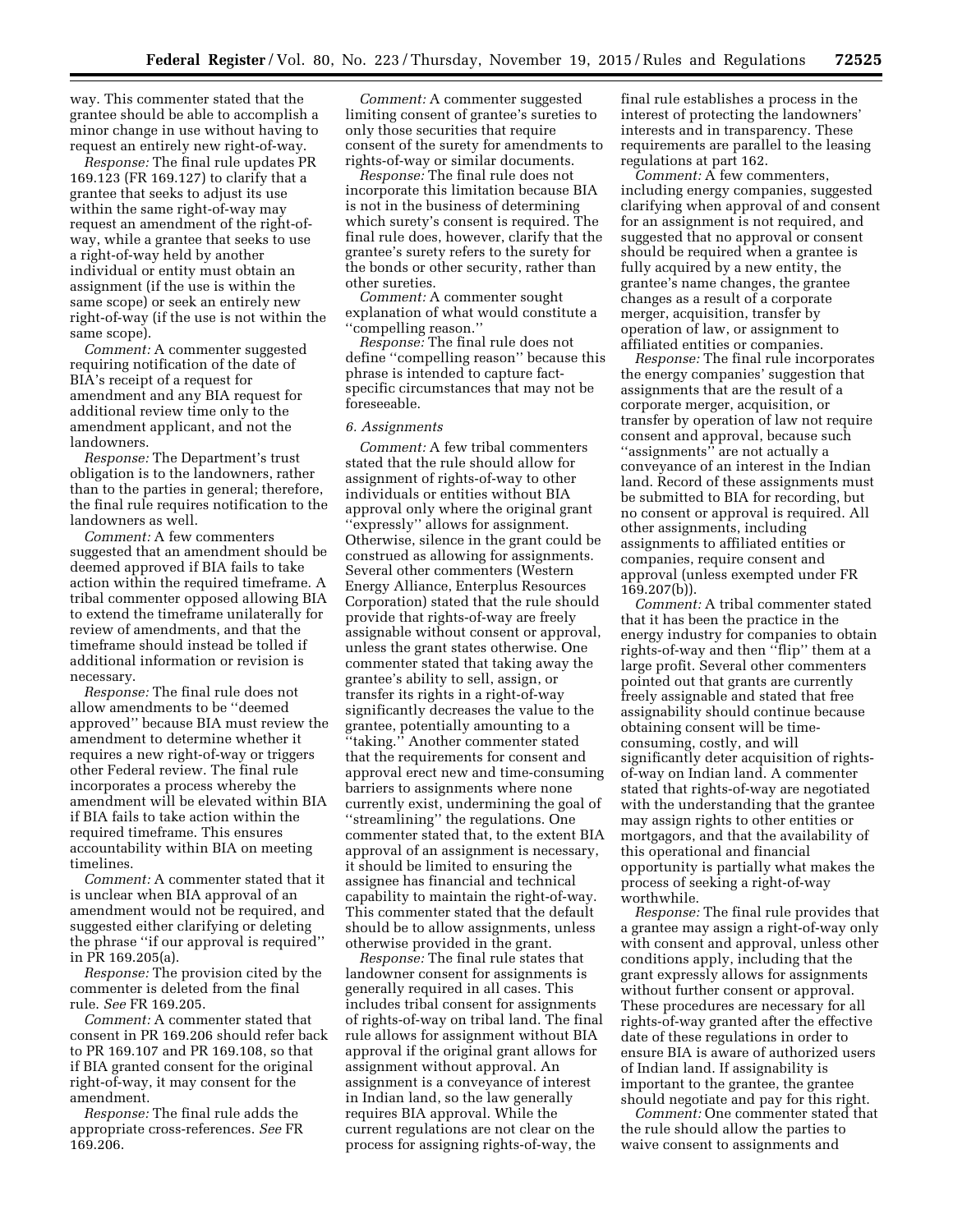way. This commenter stated that the grantee should be able to accomplish a minor change in use without having to request an entirely new right-of-way.

*Response:* The final rule updates PR 169.123 (FR 169.127) to clarify that a grantee that seeks to adjust its use within the same right-of-way may request an amendment of the right-ofway, while a grantee that seeks to use a right-of-way held by another individual or entity must obtain an assignment (if the use is within the same scope) or seek an entirely new right-of-way (if the use is not within the same scope).

*Comment:* A commenter suggested requiring notification of the date of BIA's receipt of a request for amendment and any BIA request for additional review time only to the amendment applicant, and not the landowners.

*Response:* The Department's trust obligation is to the landowners, rather than to the parties in general; therefore, the final rule requires notification to the landowners as well.

*Comment:* A few commenters suggested that an amendment should be deemed approved if BIA fails to take action within the required timeframe. A tribal commenter opposed allowing BIA to extend the timeframe unilaterally for review of amendments, and that the timeframe should instead be tolled if additional information or revision is necessary.

*Response:* The final rule does not allow amendments to be ''deemed approved'' because BIA must review the amendment to determine whether it requires a new right-of-way or triggers other Federal review. The final rule incorporates a process whereby the amendment will be elevated within BIA if BIA fails to take action within the required timeframe. This ensures accountability within BIA on meeting timelines.

*Comment:* A commenter stated that it is unclear when BIA approval of an amendment would not be required, and suggested either clarifying or deleting the phrase ''if our approval is required'' in PR 169.205(a).

*Response:* The provision cited by the commenter is deleted from the final rule. *See* FR 169.205.

*Comment:* A commenter stated that consent in PR 169.206 should refer back to PR 169.107 and PR 169.108, so that if BIA granted consent for the original right-of-way, it may consent for the amendment.

*Response:* The final rule adds the appropriate cross-references. *See* FR 169.206.

*Comment:* A commenter suggested limiting consent of grantee's sureties to only those securities that require consent of the surety for amendments to rights-of-way or similar documents.

*Response:* The final rule does not incorporate this limitation because BIA is not in the business of determining which surety's consent is required. The final rule does, however, clarify that the grantee's surety refers to the surety for the bonds or other security, rather than other sureties.

*Comment:* A commenter sought explanation of what would constitute a ''compelling reason.''

*Response:* The final rule does not define ''compelling reason'' because this phrase is intended to capture factspecific circumstances that may not be foreseeable.

# *6. Assignments*

*Comment:* A few tribal commenters stated that the rule should allow for assignment of rights-of-way to other individuals or entities without BIA approval only where the original grant ''expressly'' allows for assignment. Otherwise, silence in the grant could be construed as allowing for assignments. Several other commenters (Western Energy Alliance, Enterplus Resources Corporation) stated that the rule should provide that rights-of-way are freely assignable without consent or approval, unless the grant states otherwise. One commenter stated that taking away the grantee's ability to sell, assign, or transfer its rights in a right-of-way significantly decreases the value to the grantee, potentially amounting to a ''taking.'' Another commenter stated that the requirements for consent and approval erect new and time-consuming barriers to assignments where none currently exist, undermining the goal of ''streamlining'' the regulations. One commenter stated that, to the extent BIA approval of an assignment is necessary, it should be limited to ensuring the assignee has financial and technical capability to maintain the right-of-way. This commenter stated that the default should be to allow assignments, unless otherwise provided in the grant.

*Response:* The final rule states that landowner consent for assignments is generally required in all cases. This includes tribal consent for assignments of rights-of-way on tribal land. The final rule allows for assignment without BIA approval if the original grant allows for assignment without approval. An assignment is a conveyance of interest in Indian land, so the law generally requires BIA approval. While the current regulations are not clear on the process for assigning rights-of-way, the

final rule establishes a process in the interest of protecting the landowners' interests and in transparency. These requirements are parallel to the leasing regulations at part 162.

*Comment:* A few commenters, including energy companies, suggested clarifying when approval of and consent for an assignment is not required, and suggested that no approval or consent should be required when a grantee is fully acquired by a new entity, the grantee's name changes, the grantee changes as a result of a corporate merger, acquisition, transfer by operation of law, or assignment to affiliated entities or companies.

*Response:* The final rule incorporates the energy companies' suggestion that assignments that are the result of a corporate merger, acquisition, or transfer by operation of law not require consent and approval, because such "assignments" are not actually a conveyance of an interest in the Indian land. Record of these assignments must be submitted to BIA for recording, but no consent or approval is required. All other assignments, including assignments to affiliated entities or companies, require consent and approval (unless exempted under FR 169.207(b)).

*Comment:* A tribal commenter stated that it has been the practice in the energy industry for companies to obtain rights-of-way and then ''flip'' them at a large profit. Several other commenters pointed out that grants are currently freely assignable and stated that free assignability should continue because obtaining consent will be timeconsuming, costly, and will significantly deter acquisition of rightsof-way on Indian land. A commenter stated that rights-of-way are negotiated with the understanding that the grantee may assign rights to other entities or mortgagors, and that the availability of this operational and financial opportunity is partially what makes the process of seeking a right-of-way worthwhile.

*Response:* The final rule provides that a grantee may assign a right-of-way only with consent and approval, unless other conditions apply, including that the grant expressly allows for assignments without further consent or approval. These procedures are necessary for all rights-of-way granted after the effective date of these regulations in order to ensure BIA is aware of authorized users of Indian land. If assignability is important to the grantee, the grantee should negotiate and pay for this right.

*Comment:* One commenter stated that the rule should allow the parties to waive consent to assignments and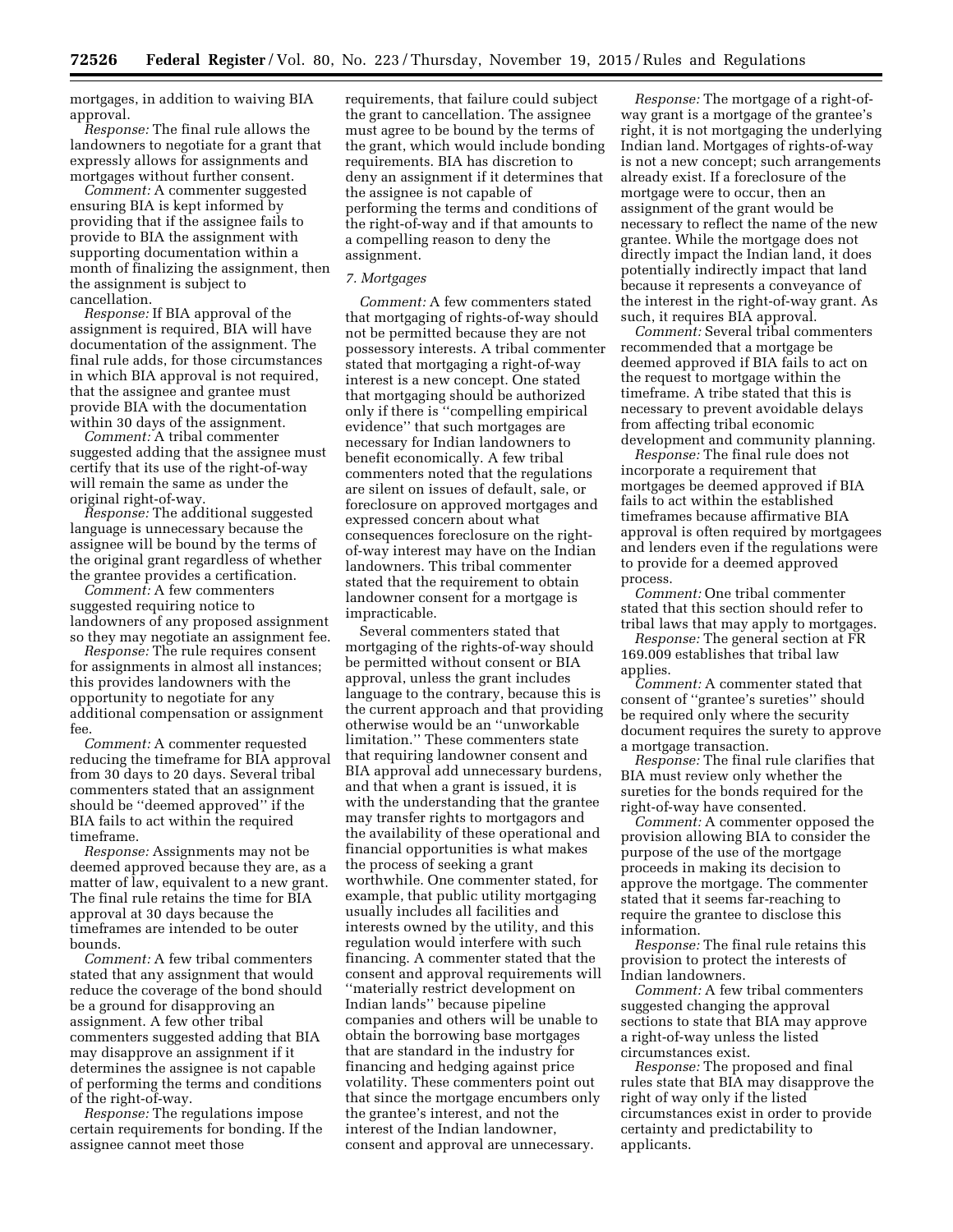mortgages, in addition to waiving BIA approval.

*Response:* The final rule allows the landowners to negotiate for a grant that expressly allows for assignments and mortgages without further consent.

*Comment:* A commenter suggested ensuring BIA is kept informed by providing that if the assignee fails to provide to BIA the assignment with supporting documentation within a month of finalizing the assignment, then the assignment is subject to cancellation.

*Response:* If BIA approval of the assignment is required, BIA will have documentation of the assignment. The final rule adds, for those circumstances in which BIA approval is not required, that the assignee and grantee must provide BIA with the documentation within 30 days of the assignment.

*Comment:* A tribal commenter suggested adding that the assignee must certify that its use of the right-of-way will remain the same as under the original right-of-way.

*Response:* The additional suggested language is unnecessary because the assignee will be bound by the terms of the original grant regardless of whether the grantee provides a certification.

*Comment:* A few commenters suggested requiring notice to landowners of any proposed assignment so they may negotiate an assignment fee.

*Response:* The rule requires consent for assignments in almost all instances; this provides landowners with the opportunity to negotiate for any additional compensation or assignment fee.

*Comment:* A commenter requested reducing the timeframe for BIA approval from 30 days to 20 days. Several tribal commenters stated that an assignment should be ''deemed approved'' if the BIA fails to act within the required timeframe.

*Response:* Assignments may not be deemed approved because they are, as a matter of law, equivalent to a new grant. The final rule retains the time for BIA approval at 30 days because the timeframes are intended to be outer bounds.

*Comment:* A few tribal commenters stated that any assignment that would reduce the coverage of the bond should be a ground for disapproving an assignment. A few other tribal commenters suggested adding that BIA may disapprove an assignment if it determines the assignee is not capable of performing the terms and conditions of the right-of-way.

*Response:* The regulations impose certain requirements for bonding. If the assignee cannot meet those

requirements, that failure could subject the grant to cancellation. The assignee must agree to be bound by the terms of the grant, which would include bonding requirements. BIA has discretion to deny an assignment if it determines that the assignee is not capable of performing the terms and conditions of the right-of-way and if that amounts to a compelling reason to deny the assignment.

# *7. Mortgages*

*Comment:* A few commenters stated that mortgaging of rights-of-way should not be permitted because they are not possessory interests. A tribal commenter stated that mortgaging a right-of-way interest is a new concept. One stated that mortgaging should be authorized only if there is ''compelling empirical evidence'' that such mortgages are necessary for Indian landowners to benefit economically. A few tribal commenters noted that the regulations are silent on issues of default, sale, or foreclosure on approved mortgages and expressed concern about what consequences foreclosure on the rightof-way interest may have on the Indian landowners. This tribal commenter stated that the requirement to obtain landowner consent for a mortgage is impracticable.

Several commenters stated that mortgaging of the rights-of-way should be permitted without consent or BIA approval, unless the grant includes language to the contrary, because this is the current approach and that providing otherwise would be an ''unworkable limitation.'' These commenters state that requiring landowner consent and BIA approval add unnecessary burdens, and that when a grant is issued, it is with the understanding that the grantee may transfer rights to mortgagors and the availability of these operational and financial opportunities is what makes the process of seeking a grant worthwhile. One commenter stated, for example, that public utility mortgaging usually includes all facilities and interests owned by the utility, and this regulation would interfere with such financing. A commenter stated that the consent and approval requirements will ''materially restrict development on Indian lands'' because pipeline companies and others will be unable to obtain the borrowing base mortgages that are standard in the industry for financing and hedging against price volatility. These commenters point out that since the mortgage encumbers only the grantee's interest, and not the interest of the Indian landowner, consent and approval are unnecessary.

*Response:* The mortgage of a right-ofway grant is a mortgage of the grantee's right, it is not mortgaging the underlying Indian land. Mortgages of rights-of-way is not a new concept; such arrangements already exist. If a foreclosure of the mortgage were to occur, then an assignment of the grant would be necessary to reflect the name of the new grantee. While the mortgage does not directly impact the Indian land, it does potentially indirectly impact that land because it represents a conveyance of the interest in the right-of-way grant. As such, it requires BIA approval.

*Comment:* Several tribal commenters recommended that a mortgage be deemed approved if BIA fails to act on the request to mortgage within the timeframe. A tribe stated that this is necessary to prevent avoidable delays from affecting tribal economic development and community planning.

*Response:* The final rule does not incorporate a requirement that mortgages be deemed approved if BIA fails to act within the established timeframes because affirmative BIA approval is often required by mortgagees and lenders even if the regulations were to provide for a deemed approved process.

*Comment:* One tribal commenter stated that this section should refer to tribal laws that may apply to mortgages.

*Response:* The general section at FR 169.009 establishes that tribal law applies.

*Comment:* A commenter stated that consent of ''grantee's sureties'' should be required only where the security document requires the surety to approve a mortgage transaction.

*Response:* The final rule clarifies that BIA must review only whether the sureties for the bonds required for the right-of-way have consented.

*Comment:* A commenter opposed the provision allowing BIA to consider the purpose of the use of the mortgage proceeds in making its decision to approve the mortgage. The commenter stated that it seems far-reaching to require the grantee to disclose this information.

*Response:* The final rule retains this provision to protect the interests of Indian landowners.

*Comment:* A few tribal commenters suggested changing the approval sections to state that BIA may approve a right-of-way unless the listed circumstances exist.

*Response:* The proposed and final rules state that BIA may disapprove the right of way only if the listed circumstances exist in order to provide certainty and predictability to applicants.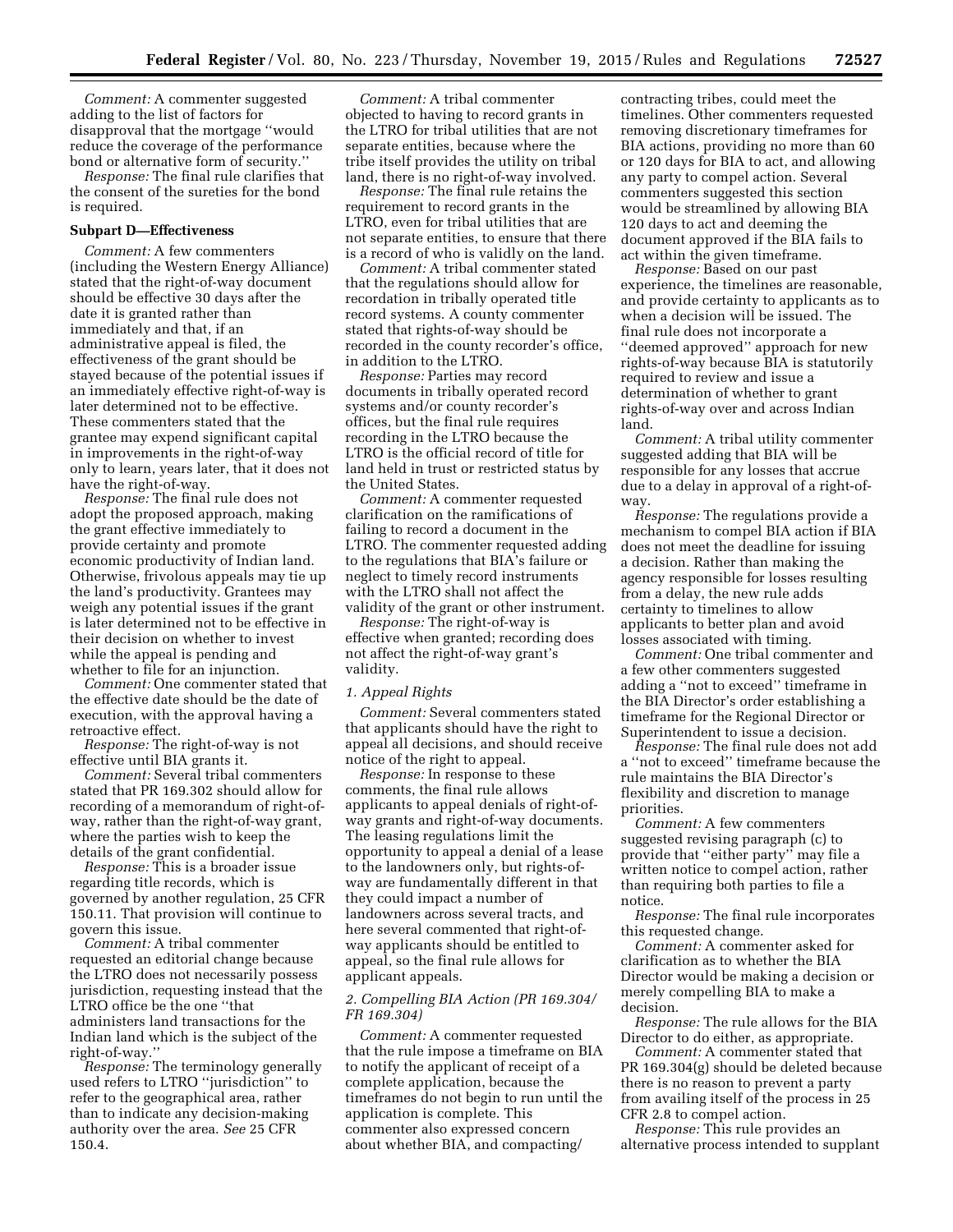*Comment:* A commenter suggested adding to the list of factors for disapproval that the mortgage ''would reduce the coverage of the performance bond or alternative form of security.''

*Response:* The final rule clarifies that the consent of the sureties for the bond is required.

# **Subpart D—Effectiveness**

*Comment:* A few commenters (including the Western Energy Alliance) stated that the right-of-way document should be effective 30 days after the date it is granted rather than immediately and that, if an administrative appeal is filed, the effectiveness of the grant should be stayed because of the potential issues if an immediately effective right-of-way is later determined not to be effective. These commenters stated that the grantee may expend significant capital in improvements in the right-of-way only to learn, years later, that it does not have the right-of-way.

*Response:* The final rule does not adopt the proposed approach, making the grant effective immediately to provide certainty and promote economic productivity of Indian land. Otherwise, frivolous appeals may tie up the land's productivity. Grantees may weigh any potential issues if the grant is later determined not to be effective in their decision on whether to invest while the appeal is pending and whether to file for an injunction.

*Comment:* One commenter stated that the effective date should be the date of execution, with the approval having a retroactive effect.

*Response:* The right-of-way is not effective until BIA grants it.

*Comment:* Several tribal commenters stated that PR 169.302 should allow for recording of a memorandum of right-ofway, rather than the right-of-way grant, where the parties wish to keep the details of the grant confidential.

*Response:* This is a broader issue regarding title records, which is governed by another regulation, 25 CFR 150.11. That provision will continue to govern this issue.

*Comment:* A tribal commenter requested an editorial change because the LTRO does not necessarily possess jurisdiction, requesting instead that the LTRO office be the one ''that administers land transactions for the Indian land which is the subject of the right-of-way.''

*Response:* The terminology generally used refers to LTRO ''jurisdiction'' to refer to the geographical area, rather than to indicate any decision-making authority over the area. *See* 25 CFR 150.4.

*Comment:* A tribal commenter objected to having to record grants in the LTRO for tribal utilities that are not separate entities, because where the tribe itself provides the utility on tribal land, there is no right-of-way involved.

*Response:* The final rule retains the requirement to record grants in the LTRO, even for tribal utilities that are not separate entities, to ensure that there is a record of who is validly on the land.

*Comment:* A tribal commenter stated that the regulations should allow for recordation in tribally operated title record systems. A county commenter stated that rights-of-way should be recorded in the county recorder's office, in addition to the LTRO.

*Response:* Parties may record documents in tribally operated record systems and/or county recorder's offices, but the final rule requires recording in the LTRO because the LTRO is the official record of title for land held in trust or restricted status by the United States.

*Comment:* A commenter requested clarification on the ramifications of failing to record a document in the LTRO. The commenter requested adding to the regulations that BIA's failure or neglect to timely record instruments with the LTRO shall not affect the validity of the grant or other instrument.

*Response:* The right-of-way is effective when granted; recording does not affect the right-of-way grant's validity.

#### *1. Appeal Rights*

*Comment:* Several commenters stated that applicants should have the right to appeal all decisions, and should receive notice of the right to appeal.

*Response:* In response to these comments, the final rule allows applicants to appeal denials of right-ofway grants and right-of-way documents. The leasing regulations limit the opportunity to appeal a denial of a lease to the landowners only, but rights-ofway are fundamentally different in that they could impact a number of landowners across several tracts, and here several commented that right-ofway applicants should be entitled to appeal, so the final rule allows for applicant appeals.

# *2. Compelling BIA Action (PR 169.304/ FR 169.304)*

*Comment:* A commenter requested that the rule impose a timeframe on BIA to notify the applicant of receipt of a complete application, because the timeframes do not begin to run until the application is complete. This commenter also expressed concern about whether BIA, and compacting/

contracting tribes, could meet the timelines. Other commenters requested removing discretionary timeframes for BIA actions, providing no more than 60 or 120 days for BIA to act, and allowing any party to compel action. Several commenters suggested this section would be streamlined by allowing BIA 120 days to act and deeming the document approved if the BIA fails to act within the given timeframe.

*Response:* Based on our past experience, the timelines are reasonable, and provide certainty to applicants as to when a decision will be issued. The final rule does not incorporate a ''deemed approved'' approach for new rights-of-way because BIA is statutorily required to review and issue a determination of whether to grant rights-of-way over and across Indian land.

*Comment:* A tribal utility commenter suggested adding that BIA will be responsible for any losses that accrue due to a delay in approval of a right-ofway.

*Response:* The regulations provide a mechanism to compel BIA action if BIA does not meet the deadline for issuing a decision. Rather than making the agency responsible for losses resulting from a delay, the new rule adds certainty to timelines to allow applicants to better plan and avoid losses associated with timing.

*Comment:* One tribal commenter and a few other commenters suggested adding a ''not to exceed'' timeframe in the BIA Director's order establishing a timeframe for the Regional Director or Superintendent to issue a decision.

*Response:* The final rule does not add a ''not to exceed'' timeframe because the rule maintains the BIA Director's flexibility and discretion to manage priorities.

*Comment:* A few commenters suggested revising paragraph (c) to provide that ''either party'' may file a written notice to compel action, rather than requiring both parties to file a notice.

*Response:* The final rule incorporates this requested change.

*Comment:* A commenter asked for clarification as to whether the BIA Director would be making a decision or merely compelling BIA to make a decision.

*Response:* The rule allows for the BIA Director to do either, as appropriate.

*Comment:* A commenter stated that PR 169.304(g) should be deleted because there is no reason to prevent a party from availing itself of the process in 25 CFR 2.8 to compel action.

*Response:* This rule provides an alternative process intended to supplant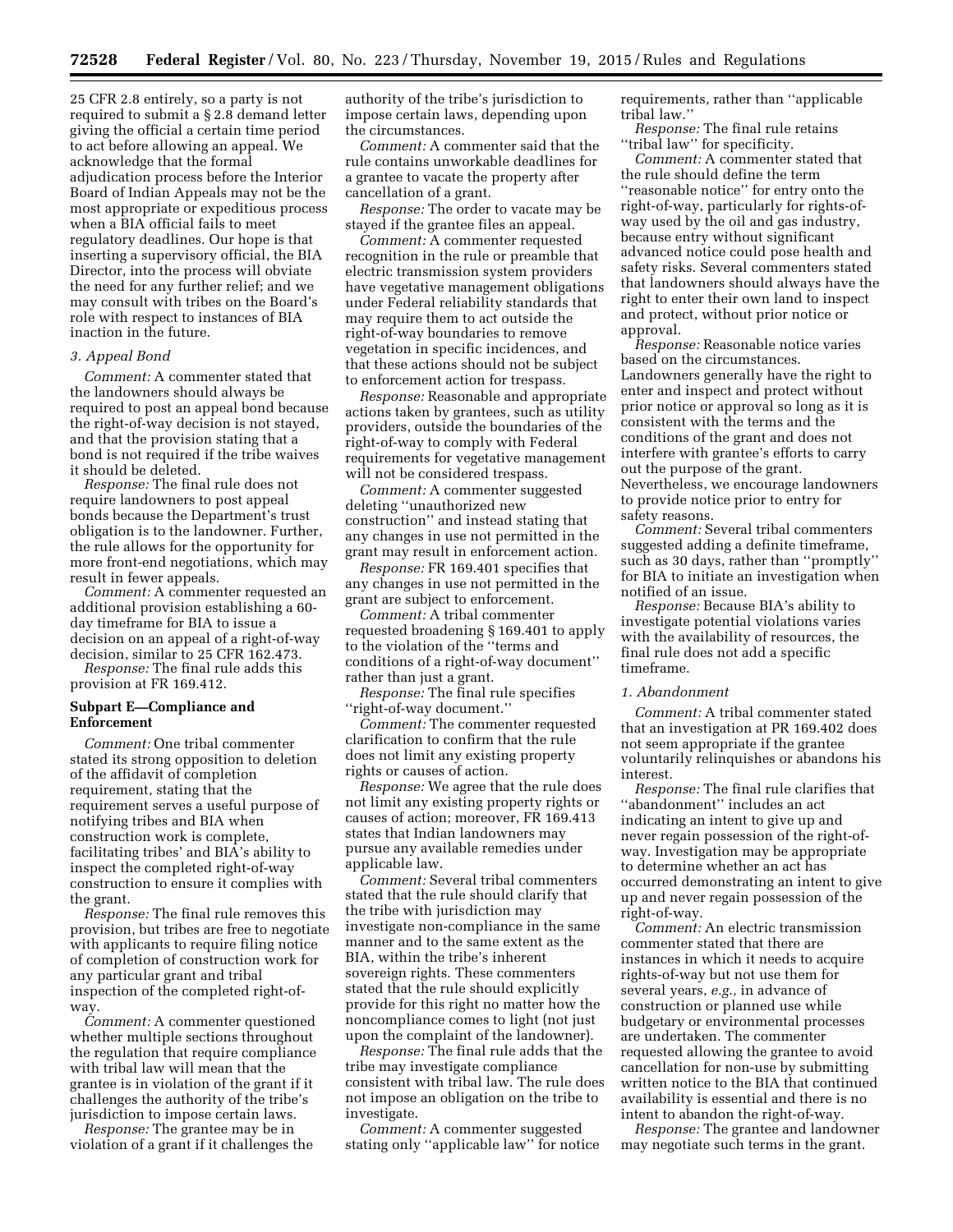25 CFR 2.8 entirely, so a party is not required to submit a § 2.8 demand letter giving the official a certain time period to act before allowing an appeal. We acknowledge that the formal adjudication process before the Interior Board of Indian Appeals may not be the most appropriate or expeditious process when a BIA official fails to meet regulatory deadlines. Our hope is that inserting a supervisory official, the BIA Director, into the process will obviate the need for any further relief; and we may consult with tribes on the Board's role with respect to instances of BIA inaction in the future.

# *3. Appeal Bond*

*Comment:* A commenter stated that the landowners should always be required to post an appeal bond because the right-of-way decision is not stayed, and that the provision stating that a bond is not required if the tribe waives it should be deleted.

*Response:* The final rule does not require landowners to post appeal bonds because the Department's trust obligation is to the landowner. Further, the rule allows for the opportunity for more front-end negotiations, which may result in fewer appeals.

*Comment:* A commenter requested an additional provision establishing a 60 day timeframe for BIA to issue a decision on an appeal of a right-of-way decision, similar to 25 CFR 162.473. *Response:* The final rule adds this

provision at FR 169.412.

# **Subpart E—Compliance and Enforcement**

*Comment:* One tribal commenter stated its strong opposition to deletion of the affidavit of completion requirement, stating that the requirement serves a useful purpose of notifying tribes and BIA when construction work is complete, facilitating tribes' and BIA's ability to inspect the completed right-of-way construction to ensure it complies with the grant.

*Response:* The final rule removes this provision, but tribes are free to negotiate with applicants to require filing notice of completion of construction work for any particular grant and tribal inspection of the completed right-ofway.

*Comment:* A commenter questioned whether multiple sections throughout the regulation that require compliance with tribal law will mean that the grantee is in violation of the grant if it challenges the authority of the tribe's jurisdiction to impose certain laws.

*Response:* The grantee may be in violation of a grant if it challenges the authority of the tribe's jurisdiction to impose certain laws, depending upon the circumstances.

*Comment:* A commenter said that the rule contains unworkable deadlines for a grantee to vacate the property after cancellation of a grant.

*Response:* The order to vacate may be stayed if the grantee files an appeal.

*Comment:* A commenter requested recognition in the rule or preamble that electric transmission system providers have vegetative management obligations under Federal reliability standards that may require them to act outside the right-of-way boundaries to remove vegetation in specific incidences, and that these actions should not be subject to enforcement action for trespass.

*Response:* Reasonable and appropriate actions taken by grantees, such as utility providers, outside the boundaries of the right-of-way to comply with Federal requirements for vegetative management will not be considered trespass.

*Comment:* A commenter suggested deleting ''unauthorized new construction'' and instead stating that any changes in use not permitted in the grant may result in enforcement action.

*Response:* FR 169.401 specifies that any changes in use not permitted in the grant are subject to enforcement.

*Comment:* A tribal commenter requested broadening § 169.401 to apply to the violation of the ''terms and conditions of a right-of-way document'' rather than just a grant.

*Response:* The final rule specifies ''right-of-way document.''

*Comment:* The commenter requested clarification to confirm that the rule does not limit any existing property rights or causes of action.

*Response:* We agree that the rule does not limit any existing property rights or causes of action; moreover, FR 169.413 states that Indian landowners may pursue any available remedies under applicable law.

*Comment:* Several tribal commenters stated that the rule should clarify that the tribe with jurisdiction may investigate non-compliance in the same manner and to the same extent as the BIA, within the tribe's inherent sovereign rights. These commenters stated that the rule should explicitly provide for this right no matter how the noncompliance comes to light (not just upon the complaint of the landowner).

*Response:* The final rule adds that the tribe may investigate compliance consistent with tribal law. The rule does not impose an obligation on the tribe to investigate.

*Comment:* A commenter suggested stating only ''applicable law'' for notice requirements, rather than ''applicable tribal law.''

*Response:* The final rule retains ''tribal law'' for specificity.

*Comment:* A commenter stated that the rule should define the term ''reasonable notice'' for entry onto the right-of-way, particularly for rights-ofway used by the oil and gas industry, because entry without significant advanced notice could pose health and safety risks. Several commenters stated that landowners should always have the right to enter their own land to inspect and protect, without prior notice or approval.

*Response:* Reasonable notice varies based on the circumstances. Landowners generally have the right to enter and inspect and protect without prior notice or approval so long as it is consistent with the terms and the conditions of the grant and does not interfere with grantee's efforts to carry out the purpose of the grant. Nevertheless, we encourage landowners to provide notice prior to entry for safety reasons.

*Comment:* Several tribal commenters suggested adding a definite timeframe, such as 30 days, rather than ''promptly'' for BIA to initiate an investigation when notified of an issue.

*Response:* Because BIA's ability to investigate potential violations varies with the availability of resources, the final rule does not add a specific timeframe.

#### *1. Abandonment*

*Comment:* A tribal commenter stated that an investigation at PR 169.402 does not seem appropriate if the grantee voluntarily relinquishes or abandons his interest.

*Response:* The final rule clarifies that ''abandonment'' includes an act indicating an intent to give up and never regain possession of the right-ofway. Investigation may be appropriate to determine whether an act has occurred demonstrating an intent to give up and never regain possession of the right-of-way.

*Comment:* An electric transmission commenter stated that there are instances in which it needs to acquire rights-of-way but not use them for several years, *e.g.,* in advance of construction or planned use while budgetary or environmental processes are undertaken. The commenter requested allowing the grantee to avoid cancellation for non-use by submitting written notice to the BIA that continued availability is essential and there is no intent to abandon the right-of-way.

*Response:* The grantee and landowner may negotiate such terms in the grant.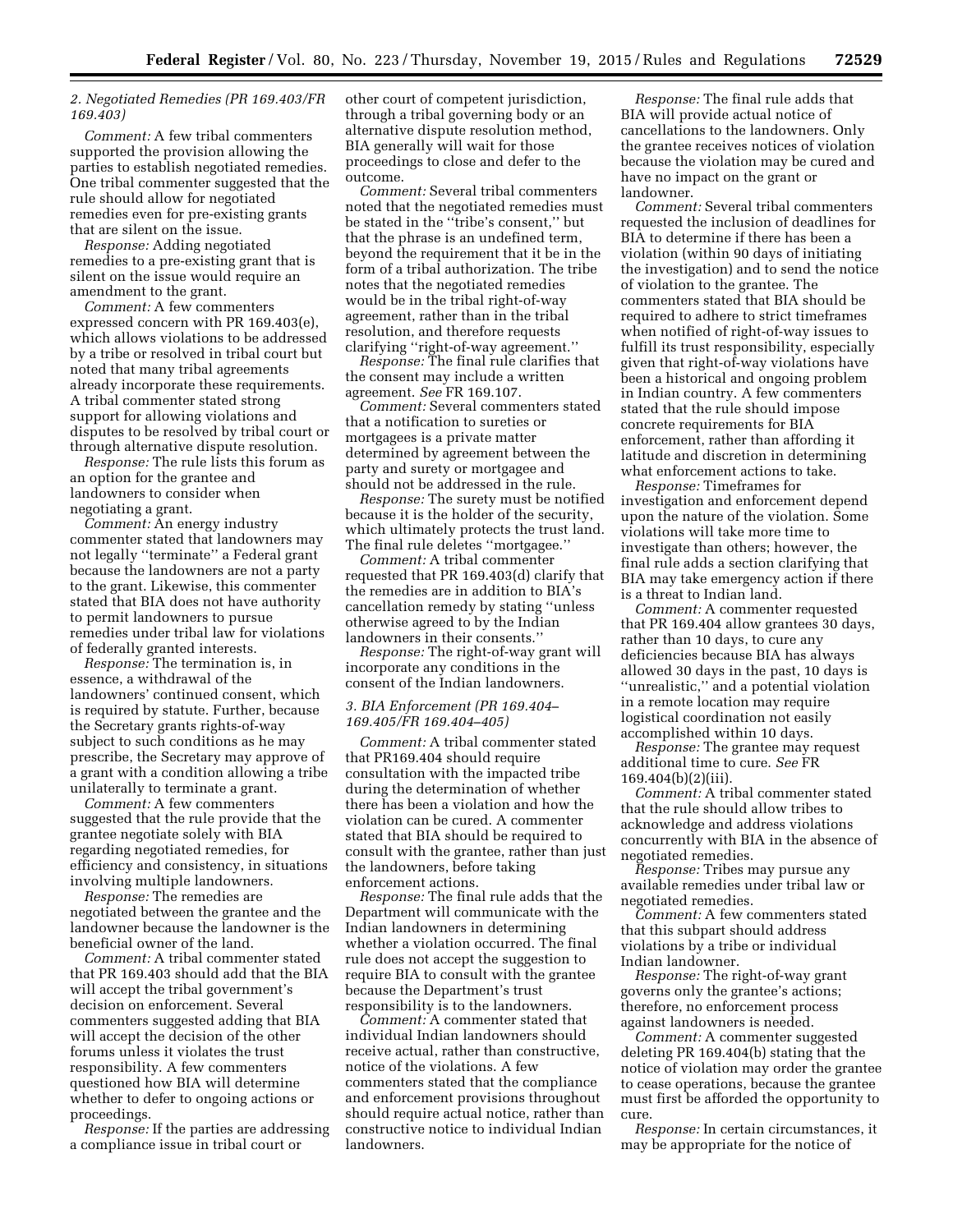# *2. Negotiated Remedies (PR 169.403/FR 169.403)*

*Comment:* A few tribal commenters supported the provision allowing the parties to establish negotiated remedies. One tribal commenter suggested that the rule should allow for negotiated remedies even for pre-existing grants that are silent on the issue.

*Response:* Adding negotiated remedies to a pre-existing grant that is silent on the issue would require an amendment to the grant.

*Comment:* A few commenters expressed concern with PR 169.403(e), which allows violations to be addressed by a tribe or resolved in tribal court but noted that many tribal agreements already incorporate these requirements. A tribal commenter stated strong support for allowing violations and disputes to be resolved by tribal court or through alternative dispute resolution.

*Response:* The rule lists this forum as an option for the grantee and landowners to consider when negotiating a grant.

*Comment:* An energy industry commenter stated that landowners may not legally ''terminate'' a Federal grant because the landowners are not a party to the grant. Likewise, this commenter stated that BIA does not have authority to permit landowners to pursue remedies under tribal law for violations of federally granted interests.

*Response:* The termination is, in essence, a withdrawal of the landowners' continued consent, which is required by statute. Further, because the Secretary grants rights-of-way subject to such conditions as he may prescribe, the Secretary may approve of a grant with a condition allowing a tribe unilaterally to terminate a grant.

*Comment:* A few commenters suggested that the rule provide that the grantee negotiate solely with BIA regarding negotiated remedies, for efficiency and consistency, in situations involving multiple landowners.

*Response:* The remedies are negotiated between the grantee and the landowner because the landowner is the beneficial owner of the land.

*Comment:* A tribal commenter stated that PR 169.403 should add that the BIA will accept the tribal government's decision on enforcement. Several commenters suggested adding that BIA will accept the decision of the other forums unless it violates the trust responsibility. A few commenters questioned how BIA will determine whether to defer to ongoing actions or proceedings.

*Response:* If the parties are addressing a compliance issue in tribal court or

other court of competent jurisdiction, through a tribal governing body or an alternative dispute resolution method, BIA generally will wait for those proceedings to close and defer to the outcome.

*Comment:* Several tribal commenters noted that the negotiated remedies must be stated in the ''tribe's consent,'' but that the phrase is an undefined term, beyond the requirement that it be in the form of a tribal authorization. The tribe notes that the negotiated remedies would be in the tribal right-of-way agreement, rather than in the tribal resolution, and therefore requests clarifying ''right-of-way agreement.''

*Response:* The final rule clarifies that the consent may include a written agreement. *See* FR 169.107.

*Comment:* Several commenters stated that a notification to sureties or mortgagees is a private matter determined by agreement between the party and surety or mortgagee and should not be addressed in the rule.

*Response:* The surety must be notified because it is the holder of the security, which ultimately protects the trust land. The final rule deletes ''mortgagee.''

*Comment:* A tribal commenter requested that PR 169.403(d) clarify that the remedies are in addition to BIA's cancellation remedy by stating ''unless otherwise agreed to by the Indian landowners in their consents.''

*Response:* The right-of-way grant will incorporate any conditions in the consent of the Indian landowners.

# *3. BIA Enforcement (PR 169.404– 169.405/FR 169.404–405)*

*Comment:* A tribal commenter stated that PR169.404 should require consultation with the impacted tribe during the determination of whether there has been a violation and how the violation can be cured. A commenter stated that BIA should be required to consult with the grantee, rather than just the landowners, before taking enforcement actions.

*Response:* The final rule adds that the Department will communicate with the Indian landowners in determining whether a violation occurred. The final rule does not accept the suggestion to require BIA to consult with the grantee because the Department's trust responsibility is to the landowners.

*Comment:* A commenter stated that individual Indian landowners should receive actual, rather than constructive, notice of the violations. A few commenters stated that the compliance and enforcement provisions throughout should require actual notice, rather than constructive notice to individual Indian landowners.

*Response:* The final rule adds that BIA will provide actual notice of cancellations to the landowners. Only the grantee receives notices of violation because the violation may be cured and have no impact on the grant or landowner.

*Comment:* Several tribal commenters requested the inclusion of deadlines for BIA to determine if there has been a violation (within 90 days of initiating the investigation) and to send the notice of violation to the grantee. The commenters stated that BIA should be required to adhere to strict timeframes when notified of right-of-way issues to fulfill its trust responsibility, especially given that right-of-way violations have been a historical and ongoing problem in Indian country. A few commenters stated that the rule should impose concrete requirements for BIA enforcement, rather than affording it latitude and discretion in determining what enforcement actions to take.

*Response:* Timeframes for investigation and enforcement depend upon the nature of the violation. Some violations will take more time to investigate than others; however, the final rule adds a section clarifying that BIA may take emergency action if there is a threat to Indian land.

*Comment:* A commenter requested that PR 169.404 allow grantees 30 days, rather than 10 days, to cure any deficiencies because BIA has always allowed 30 days in the past, 10 days is ''unrealistic,'' and a potential violation in a remote location may require logistical coordination not easily accomplished within 10 days.

*Response:* The grantee may request additional time to cure. *See* FR 169.404(b)(2)(iii).

*Comment:* A tribal commenter stated that the rule should allow tribes to acknowledge and address violations concurrently with BIA in the absence of negotiated remedies.

*Response:* Tribes may pursue any available remedies under tribal law or negotiated remedies.

*Comment:* A few commenters stated that this subpart should address violations by a tribe or individual Indian landowner.

*Response:* The right-of-way grant governs only the grantee's actions; therefore, no enforcement process against landowners is needed.

*Comment:* A commenter suggested deleting PR 169.404(b) stating that the notice of violation may order the grantee to cease operations, because the grantee must first be afforded the opportunity to cure.

*Response:* In certain circumstances, it may be appropriate for the notice of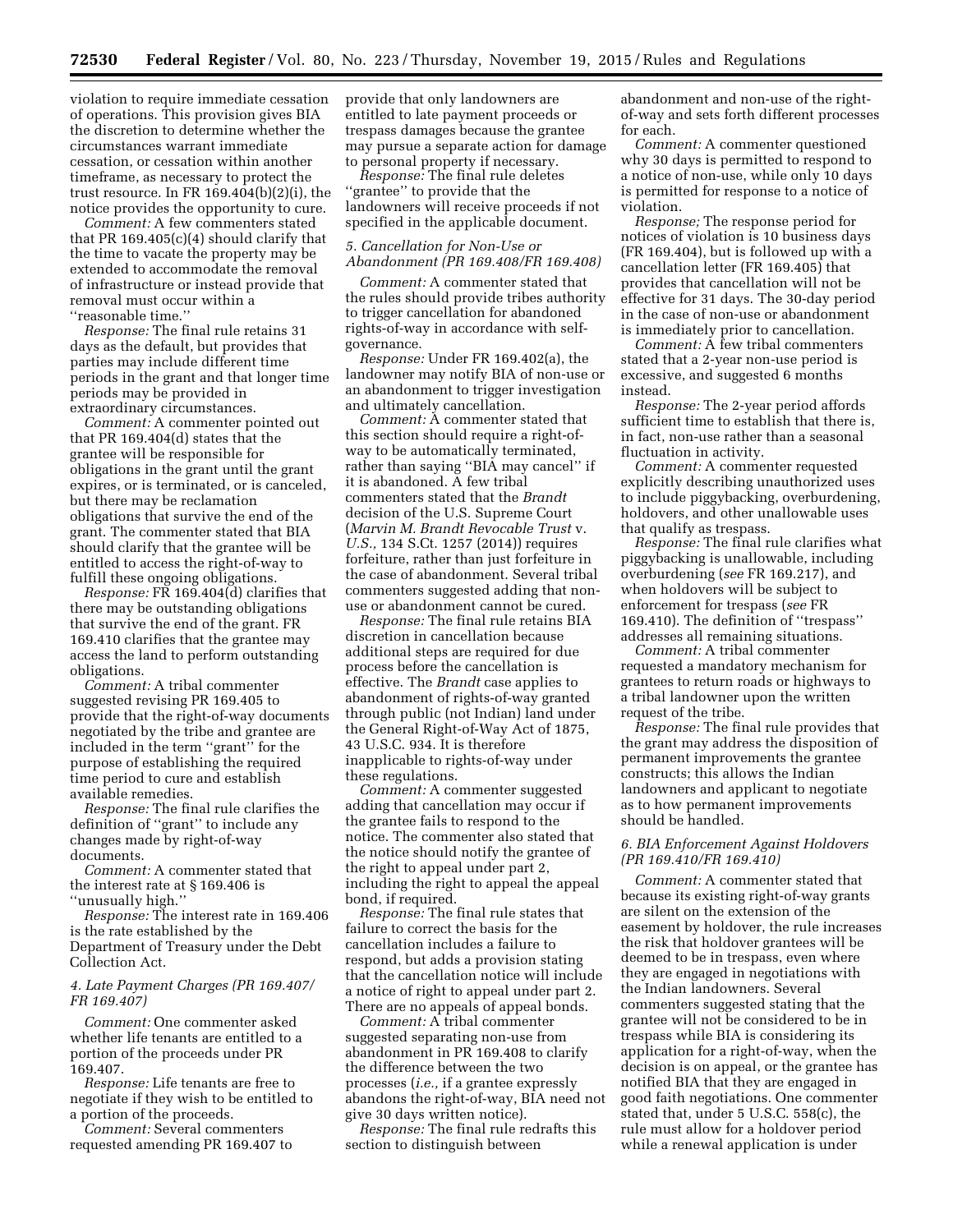violation to require immediate cessation of operations. This provision gives BIA the discretion to determine whether the circumstances warrant immediate cessation, or cessation within another timeframe, as necessary to protect the trust resource. In FR 169.404(b)(2)(i), the notice provides the opportunity to cure.

*Comment:* A few commenters stated that PR 169.405(c)(4) should clarify that the time to vacate the property may be extended to accommodate the removal of infrastructure or instead provide that removal must occur within a ''reasonable time.''

*Response:* The final rule retains 31 days as the default, but provides that parties may include different time periods in the grant and that longer time periods may be provided in extraordinary circumstances.

*Comment:* A commenter pointed out that PR 169.404(d) states that the grantee will be responsible for obligations in the grant until the grant expires, or is terminated, or is canceled, but there may be reclamation obligations that survive the end of the grant. The commenter stated that BIA should clarify that the grantee will be entitled to access the right-of-way to fulfill these ongoing obligations.

*Response:* FR 169.404(d) clarifies that there may be outstanding obligations that survive the end of the grant. FR 169.410 clarifies that the grantee may access the land to perform outstanding obligations.

*Comment:* A tribal commenter suggested revising PR 169.405 to provide that the right-of-way documents negotiated by the tribe and grantee are included in the term ''grant'' for the purpose of establishing the required time period to cure and establish available remedies.

*Response:* The final rule clarifies the definition of ''grant'' to include any changes made by right-of-way documents.

*Comment:* A commenter stated that the interest rate at § 169.406 is ''unusually high.''

*Response:* The interest rate in 169.406 is the rate established by the Department of Treasury under the Debt Collection Act.

# *4. Late Payment Charges (PR 169.407/ FR 169.407)*

*Comment:* One commenter asked whether life tenants are entitled to a portion of the proceeds under PR 169.407.

*Response:* Life tenants are free to negotiate if they wish to be entitled to a portion of the proceeds.

*Comment:* Several commenters requested amending PR 169.407 to provide that only landowners are entitled to late payment proceeds or trespass damages because the grantee may pursue a separate action for damage to personal property if necessary.

*Response:* The final rule deletes ''grantee'' to provide that the landowners will receive proceeds if not specified in the applicable document.

# *5. Cancellation for Non-Use or Abandonment (PR 169.408/FR 169.408)*

*Comment:* A commenter stated that the rules should provide tribes authority to trigger cancellation for abandoned rights-of-way in accordance with selfgovernance.

*Response:* Under FR 169.402(a), the landowner may notify BIA of non-use or an abandonment to trigger investigation and ultimately cancellation.

*Comment:* A commenter stated that this section should require a right-ofway to be automatically terminated, rather than saying ''BIA may cancel'' if it is abandoned. A few tribal commenters stated that the *Brandt*  decision of the U.S. Supreme Court (*Marvin M. Brandt Revocable Trust* v. *U.S.,* 134 S.Ct. 1257 (2014)) requires forfeiture, rather than just forfeiture in the case of abandonment. Several tribal commenters suggested adding that nonuse or abandonment cannot be cured.

*Response:* The final rule retains BIA discretion in cancellation because additional steps are required for due process before the cancellation is effective. The *Brandt* case applies to abandonment of rights-of-way granted through public (not Indian) land under the General Right-of-Way Act of 1875, 43 U.S.C. 934. It is therefore inapplicable to rights-of-way under these regulations.

*Comment:* A commenter suggested adding that cancellation may occur if the grantee fails to respond to the notice. The commenter also stated that the notice should notify the grantee of the right to appeal under part 2, including the right to appeal the appeal bond, if required.

*Response:* The final rule states that failure to correct the basis for the cancellation includes a failure to respond, but adds a provision stating that the cancellation notice will include a notice of right to appeal under part 2. There are no appeals of appeal bonds.

*Comment:* A tribal commenter suggested separating non-use from abandonment in PR 169.408 to clarify the difference between the two processes (*i.e.,* if a grantee expressly abandons the right-of-way, BIA need not give 30 days written notice).

*Response:* The final rule redrafts this section to distinguish between

abandonment and non-use of the rightof-way and sets forth different processes for each.

*Comment:* A commenter questioned why 30 days is permitted to respond to a notice of non-use, while only 10 days is permitted for response to a notice of violation.

*Response;* The response period for notices of violation is 10 business days (FR 169.404), but is followed up with a cancellation letter (FR 169.405) that provides that cancellation will not be effective for 31 days. The 30-day period in the case of non-use or abandonment is immediately prior to cancellation.

*Comment:* A few tribal commenters stated that a 2-year non-use period is excessive, and suggested 6 months instead.

*Response:* The 2-year period affords sufficient time to establish that there is, in fact, non-use rather than a seasonal fluctuation in activity.

*Comment:* A commenter requested explicitly describing unauthorized uses to include piggybacking, overburdening, holdovers, and other unallowable uses that qualify as trespass.

*Response:* The final rule clarifies what piggybacking is unallowable, including overburdening (*see* FR 169.217), and when holdovers will be subject to enforcement for trespass (*see* FR 169.410). The definition of ''trespass'' addresses all remaining situations.

*Comment:* A tribal commenter requested a mandatory mechanism for grantees to return roads or highways to a tribal landowner upon the written request of the tribe.

*Response:* The final rule provides that the grant may address the disposition of permanent improvements the grantee constructs; this allows the Indian landowners and applicant to negotiate as to how permanent improvements should be handled.

# *6. BIA Enforcement Against Holdovers (PR 169.410/FR 169.410)*

*Comment:* A commenter stated that because its existing right-of-way grants are silent on the extension of the easement by holdover, the rule increases the risk that holdover grantees will be deemed to be in trespass, even where they are engaged in negotiations with the Indian landowners. Several commenters suggested stating that the grantee will not be considered to be in trespass while BIA is considering its application for a right-of-way, when the decision is on appeal, or the grantee has notified BIA that they are engaged in good faith negotiations. One commenter stated that, under 5 U.S.C. 558(c), the rule must allow for a holdover period while a renewal application is under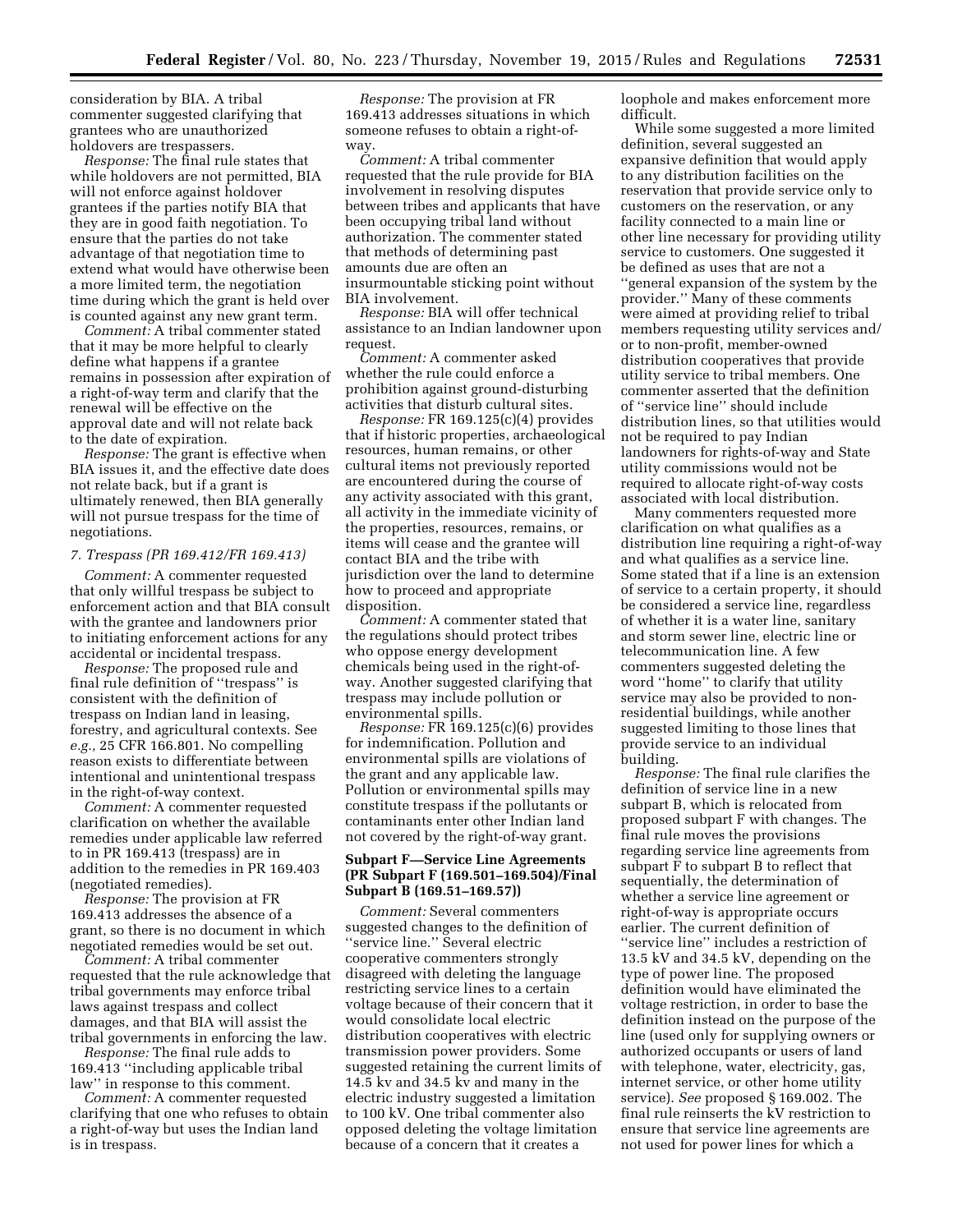consideration by BIA. A tribal commenter suggested clarifying that grantees who are unauthorized holdovers are trespassers.

*Response:* The final rule states that while holdovers are not permitted, BIA will not enforce against holdover grantees if the parties notify BIA that they are in good faith negotiation. To ensure that the parties do not take advantage of that negotiation time to extend what would have otherwise been a more limited term, the negotiation time during which the grant is held over is counted against any new grant term.

*Comment:* A tribal commenter stated that it may be more helpful to clearly define what happens if a grantee remains in possession after expiration of a right-of-way term and clarify that the renewal will be effective on the approval date and will not relate back to the date of expiration.

*Response:* The grant is effective when BIA issues it, and the effective date does not relate back, but if a grant is ultimately renewed, then BIA generally will not pursue trespass for the time of negotiations.

#### *7. Trespass (PR 169.412/FR 169.413)*

*Comment:* A commenter requested that only willful trespass be subject to enforcement action and that BIA consult with the grantee and landowners prior to initiating enforcement actions for any accidental or incidental trespass.

*Response:* The proposed rule and final rule definition of ''trespass'' is consistent with the definition of trespass on Indian land in leasing, forestry, and agricultural contexts. See *e.g.,* 25 CFR 166.801. No compelling reason exists to differentiate between intentional and unintentional trespass in the right-of-way context.

*Comment:* A commenter requested clarification on whether the available remedies under applicable law referred to in PR 169.413 (trespass) are in addition to the remedies in PR 169.403 (negotiated remedies).

*Response:* The provision at FR 169.413 addresses the absence of a grant, so there is no document in which negotiated remedies would be set out.

*Comment:* A tribal commenter requested that the rule acknowledge that tribal governments may enforce tribal laws against trespass and collect damages, and that BIA will assist the tribal governments in enforcing the law.

*Response:* The final rule adds to 169.413 ''including applicable tribal law'' in response to this comment.

*Comment:* A commenter requested clarifying that one who refuses to obtain a right-of-way but uses the Indian land is in trespass.

*Response:* The provision at FR 169.413 addresses situations in which someone refuses to obtain a right-ofway.

*Comment:* A tribal commenter requested that the rule provide for BIA involvement in resolving disputes between tribes and applicants that have been occupying tribal land without authorization. The commenter stated that methods of determining past amounts due are often an insurmountable sticking point without BIA involvement.

*Response:* BIA will offer technical assistance to an Indian landowner upon request.

*Comment:* A commenter asked whether the rule could enforce a prohibition against ground-disturbing activities that disturb cultural sites.

*Response:* FR 169.125(c)(4) provides that if historic properties, archaeological resources, human remains, or other cultural items not previously reported are encountered during the course of any activity associated with this grant, all activity in the immediate vicinity of the properties, resources, remains, or items will cease and the grantee will contact BIA and the tribe with jurisdiction over the land to determine how to proceed and appropriate disposition.

*Comment:* A commenter stated that the regulations should protect tribes who oppose energy development chemicals being used in the right-ofway. Another suggested clarifying that trespass may include pollution or environmental spills.

*Response:* FR 169.125(c)(6) provides for indemnification. Pollution and environmental spills are violations of the grant and any applicable law. Pollution or environmental spills may constitute trespass if the pollutants or contaminants enter other Indian land not covered by the right-of-way grant.

# **Subpart F—Service Line Agreements (PR Subpart F (169.501–169.504)/Final Subpart B (169.51–169.57))**

*Comment:* Several commenters suggested changes to the definition of ''service line.'' Several electric cooperative commenters strongly disagreed with deleting the language restricting service lines to a certain voltage because of their concern that it would consolidate local electric distribution cooperatives with electric transmission power providers. Some suggested retaining the current limits of 14.5 kv and 34.5 kv and many in the electric industry suggested a limitation to 100 kV. One tribal commenter also opposed deleting the voltage limitation because of a concern that it creates a

loophole and makes enforcement more difficult.

While some suggested a more limited definition, several suggested an expansive definition that would apply to any distribution facilities on the reservation that provide service only to customers on the reservation, or any facility connected to a main line or other line necessary for providing utility service to customers. One suggested it be defined as uses that are not a ''general expansion of the system by the provider.'' Many of these comments were aimed at providing relief to tribal members requesting utility services and/ or to non-profit, member-owned distribution cooperatives that provide utility service to tribal members. One commenter asserted that the definition of ''service line'' should include distribution lines, so that utilities would not be required to pay Indian landowners for rights-of-way and State utility commissions would not be required to allocate right-of-way costs associated with local distribution.

Many commenters requested more clarification on what qualifies as a distribution line requiring a right-of-way and what qualifies as a service line. Some stated that if a line is an extension of service to a certain property, it should be considered a service line, regardless of whether it is a water line, sanitary and storm sewer line, electric line or telecommunication line. A few commenters suggested deleting the word ''home'' to clarify that utility service may also be provided to nonresidential buildings, while another suggested limiting to those lines that provide service to an individual building.

*Response:* The final rule clarifies the definition of service line in a new subpart B, which is relocated from proposed subpart F with changes. The final rule moves the provisions regarding service line agreements from subpart F to subpart B to reflect that sequentially, the determination of whether a service line agreement or right-of-way is appropriate occurs earlier. The current definition of ''service line'' includes a restriction of 13.5 kV and 34.5 kV, depending on the type of power line. The proposed definition would have eliminated the voltage restriction, in order to base the definition instead on the purpose of the line (used only for supplying owners or authorized occupants or users of land with telephone, water, electricity, gas, internet service, or other home utility service). *See* proposed § 169.002. The final rule reinserts the kV restriction to ensure that service line agreements are not used for power lines for which a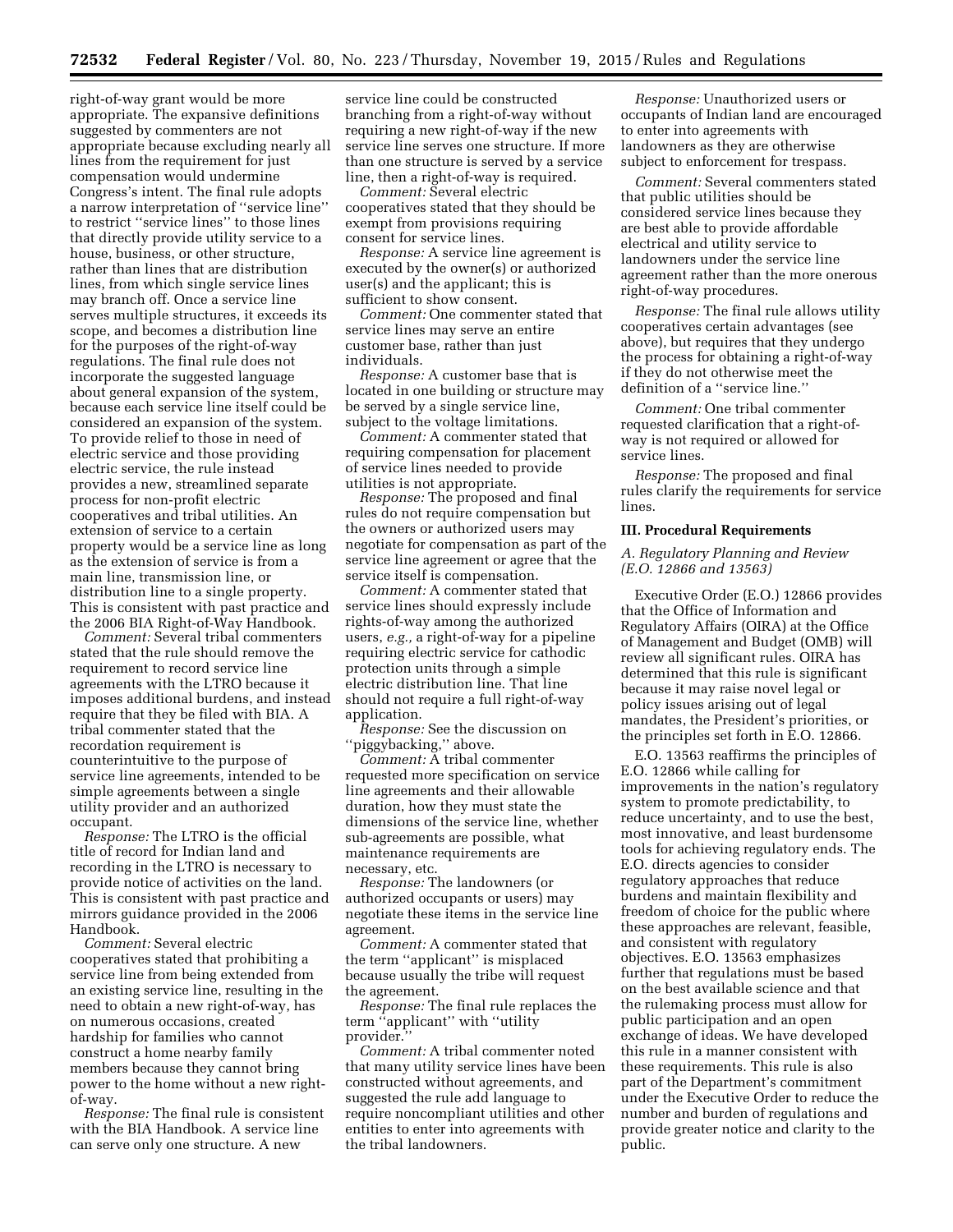right-of-way grant would be more appropriate. The expansive definitions suggested by commenters are not appropriate because excluding nearly all lines from the requirement for just compensation would undermine Congress's intent. The final rule adopts a narrow interpretation of ''service line'' to restrict ''service lines'' to those lines that directly provide utility service to a house, business, or other structure, rather than lines that are distribution lines, from which single service lines may branch off. Once a service line serves multiple structures, it exceeds its scope, and becomes a distribution line for the purposes of the right-of-way regulations. The final rule does not incorporate the suggested language about general expansion of the system, because each service line itself could be considered an expansion of the system. To provide relief to those in need of electric service and those providing electric service, the rule instead provides a new, streamlined separate process for non-profit electric cooperatives and tribal utilities. An extension of service to a certain property would be a service line as long as the extension of service is from a main line, transmission line, or distribution line to a single property. This is consistent with past practice and the 2006 BIA Right-of-Way Handbook.

*Comment:* Several tribal commenters stated that the rule should remove the requirement to record service line agreements with the LTRO because it imposes additional burdens, and instead require that they be filed with BIA. A tribal commenter stated that the recordation requirement is counterintuitive to the purpose of service line agreements, intended to be simple agreements between a single utility provider and an authorized occupant.

*Response:* The LTRO is the official title of record for Indian land and recording in the LTRO is necessary to provide notice of activities on the land. This is consistent with past practice and mirrors guidance provided in the 2006 Handbook.

*Comment:* Several electric cooperatives stated that prohibiting a service line from being extended from an existing service line, resulting in the need to obtain a new right-of-way, has on numerous occasions, created hardship for families who cannot construct a home nearby family members because they cannot bring power to the home without a new rightof-way.

*Response:* The final rule is consistent with the BIA Handbook. A service line can serve only one structure. A new

service line could be constructed branching from a right-of-way without requiring a new right-of-way if the new service line serves one structure. If more than one structure is served by a service line, then a right-of-way is required.

*Comment:* Several electric cooperatives stated that they should be exempt from provisions requiring consent for service lines.

*Response:* A service line agreement is executed by the owner(s) or authorized user(s) and the applicant; this is sufficient to show consent.

*Comment:* One commenter stated that service lines may serve an entire customer base, rather than just individuals.

*Response:* A customer base that is located in one building or structure may be served by a single service line, subject to the voltage limitations.

*Comment:* A commenter stated that requiring compensation for placement of service lines needed to provide utilities is not appropriate.

*Response:* The proposed and final rules do not require compensation but the owners or authorized users may negotiate for compensation as part of the service line agreement or agree that the service itself is compensation.

*Comment:* A commenter stated that service lines should expressly include rights-of-way among the authorized users, *e.g.,* a right-of-way for a pipeline requiring electric service for cathodic protection units through a simple electric distribution line. That line should not require a full right-of-way application.

*Response:* See the discussion on 'piggybacking," above.

*Comment:* A tribal commenter requested more specification on service line agreements and their allowable duration, how they must state the dimensions of the service line, whether sub-agreements are possible, what maintenance requirements are necessary, etc.

*Response:* The landowners (or authorized occupants or users) may negotiate these items in the service line agreement.

*Comment:* A commenter stated that the term ''applicant'' is misplaced because usually the tribe will request the agreement.

*Response:* The final rule replaces the term ''applicant'' with ''utility provider.''

*Comment:* A tribal commenter noted that many utility service lines have been constructed without agreements, and suggested the rule add language to require noncompliant utilities and other entities to enter into agreements with the tribal landowners.

*Response:* Unauthorized users or occupants of Indian land are encouraged to enter into agreements with landowners as they are otherwise subject to enforcement for trespass.

*Comment:* Several commenters stated that public utilities should be considered service lines because they are best able to provide affordable electrical and utility service to landowners under the service line agreement rather than the more onerous right-of-way procedures.

*Response:* The final rule allows utility cooperatives certain advantages (see above), but requires that they undergo the process for obtaining a right-of-way if they do not otherwise meet the definition of a ''service line.''

*Comment:* One tribal commenter requested clarification that a right-ofway is not required or allowed for service lines.

*Response:* The proposed and final rules clarify the requirements for service lines.

# **III. Procedural Requirements**

# *A. Regulatory Planning and Review (E.O. 12866 and 13563)*

Executive Order (E.O.) 12866 provides that the Office of Information and Regulatory Affairs (OIRA) at the Office of Management and Budget (OMB) will review all significant rules. OIRA has determined that this rule is significant because it may raise novel legal or policy issues arising out of legal mandates, the President's priorities, or the principles set forth in E.O. 12866.

E.O. 13563 reaffirms the principles of E.O. 12866 while calling for improvements in the nation's regulatory system to promote predictability, to reduce uncertainty, and to use the best, most innovative, and least burdensome tools for achieving regulatory ends. The E.O. directs agencies to consider regulatory approaches that reduce burdens and maintain flexibility and freedom of choice for the public where these approaches are relevant, feasible, and consistent with regulatory objectives. E.O. 13563 emphasizes further that regulations must be based on the best available science and that the rulemaking process must allow for public participation and an open exchange of ideas. We have developed this rule in a manner consistent with these requirements. This rule is also part of the Department's commitment under the Executive Order to reduce the number and burden of regulations and provide greater notice and clarity to the public.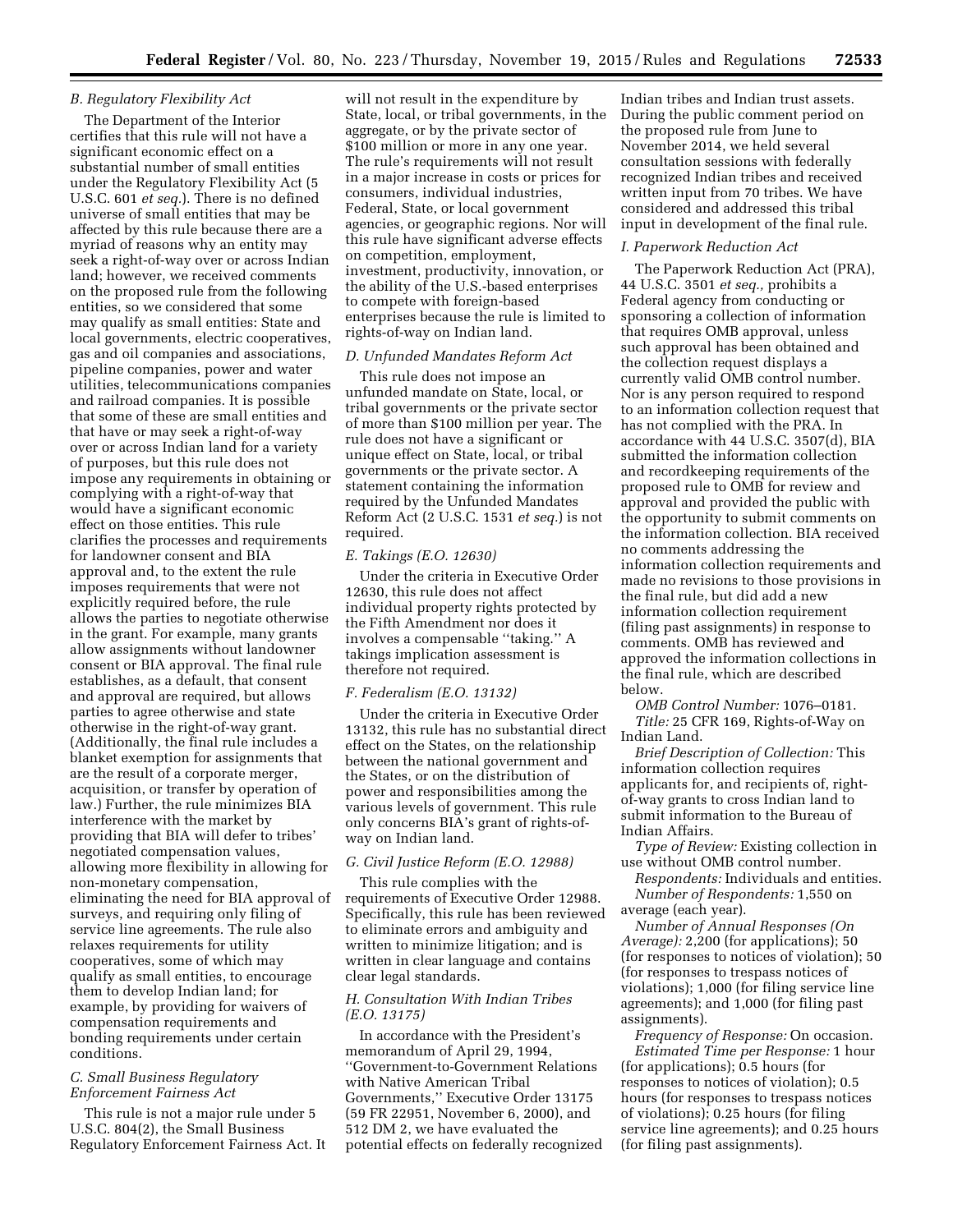# *B. Regulatory Flexibility Act*

The Department of the Interior certifies that this rule will not have a significant economic effect on a substantial number of small entities under the Regulatory Flexibility Act (5 U.S.C. 601 *et seq.*). There is no defined universe of small entities that may be affected by this rule because there are a myriad of reasons why an entity may seek a right-of-way over or across Indian land; however, we received comments on the proposed rule from the following entities, so we considered that some may qualify as small entities: State and local governments, electric cooperatives, gas and oil companies and associations, pipeline companies, power and water utilities, telecommunications companies and railroad companies. It is possible that some of these are small entities and that have or may seek a right-of-way over or across Indian land for a variety of purposes, but this rule does not impose any requirements in obtaining or complying with a right-of-way that would have a significant economic effect on those entities. This rule clarifies the processes and requirements for landowner consent and BIA approval and, to the extent the rule imposes requirements that were not explicitly required before, the rule allows the parties to negotiate otherwise in the grant. For example, many grants allow assignments without landowner consent or BIA approval. The final rule establishes, as a default, that consent and approval are required, but allows parties to agree otherwise and state otherwise in the right-of-way grant. (Additionally, the final rule includes a blanket exemption for assignments that are the result of a corporate merger, acquisition, or transfer by operation of law.) Further, the rule minimizes BIA interference with the market by providing that BIA will defer to tribes' negotiated compensation values, allowing more flexibility in allowing for non-monetary compensation, eliminating the need for BIA approval of surveys, and requiring only filing of service line agreements. The rule also relaxes requirements for utility cooperatives, some of which may qualify as small entities, to encourage them to develop Indian land; for example, by providing for waivers of compensation requirements and bonding requirements under certain conditions.

# *C. Small Business Regulatory Enforcement Fairness Act*

This rule is not a major rule under 5 U.S.C. 804(2), the Small Business Regulatory Enforcement Fairness Act. It

will not result in the expenditure by State, local, or tribal governments, in the aggregate, or by the private sector of \$100 million or more in any one year. The rule's requirements will not result in a major increase in costs or prices for consumers, individual industries, Federal, State, or local government agencies, or geographic regions. Nor will this rule have significant adverse effects on competition, employment, investment, productivity, innovation, or the ability of the U.S.-based enterprises to compete with foreign-based enterprises because the rule is limited to rights-of-way on Indian land.

# *D. Unfunded Mandates Reform Act*

This rule does not impose an unfunded mandate on State, local, or tribal governments or the private sector of more than \$100 million per year. The rule does not have a significant or unique effect on State, local, or tribal governments or the private sector. A statement containing the information required by the Unfunded Mandates Reform Act (2 U.S.C. 1531 *et seq.*) is not required.

## *E. Takings (E.O. 12630)*

Under the criteria in Executive Order 12630, this rule does not affect individual property rights protected by the Fifth Amendment nor does it involves a compensable ''taking.'' A takings implication assessment is therefore not required.

# *F. Federalism (E.O. 13132)*

Under the criteria in Executive Order 13132, this rule has no substantial direct effect on the States, on the relationship between the national government and the States, or on the distribution of power and responsibilities among the various levels of government. This rule only concerns BIA's grant of rights-ofway on Indian land.

# *G. Civil Justice Reform (E.O. 12988)*

This rule complies with the requirements of Executive Order 12988. Specifically, this rule has been reviewed to eliminate errors and ambiguity and written to minimize litigation; and is written in clear language and contains clear legal standards.

# *H. Consultation With Indian Tribes (E.O. 13175)*

In accordance with the President's memorandum of April 29, 1994, ''Government-to-Government Relations with Native American Tribal Governments,'' Executive Order 13175 (59 FR 22951, November 6, 2000), and 512 DM 2, we have evaluated the potential effects on federally recognized

Indian tribes and Indian trust assets. During the public comment period on the proposed rule from June to November 2014, we held several consultation sessions with federally recognized Indian tribes and received written input from 70 tribes. We have considered and addressed this tribal input in development of the final rule.

## *I. Paperwork Reduction Act*

The Paperwork Reduction Act (PRA), 44 U.S.C. 3501 *et seq.,* prohibits a Federal agency from conducting or sponsoring a collection of information that requires OMB approval, unless such approval has been obtained and the collection request displays a currently valid OMB control number. Nor is any person required to respond to an information collection request that has not complied with the PRA. In accordance with 44 U.S.C. 3507(d), BIA submitted the information collection and recordkeeping requirements of the proposed rule to OMB for review and approval and provided the public with the opportunity to submit comments on the information collection. BIA received no comments addressing the information collection requirements and made no revisions to those provisions in the final rule, but did add a new information collection requirement (filing past assignments) in response to comments. OMB has reviewed and approved the information collections in the final rule, which are described below.

*OMB Control Number:* 1076–0181. *Title:* 25 CFR 169, Rights-of-Way on Indian Land.

*Brief Description of Collection:* This information collection requires applicants for, and recipients of, rightof-way grants to cross Indian land to submit information to the Bureau of Indian Affairs.

*Type of Review:* Existing collection in use without OMB control number.

*Respondents:* Individuals and entities. *Number of Respondents:* 1,550 on average (each year).

*Number of Annual Responses (On Average):* 2,200 (for applications); 50 (for responses to notices of violation); 50 (for responses to trespass notices of violations); 1,000 (for filing service line agreements); and 1,000 (for filing past assignments).

*Frequency of Response:* On occasion. *Estimated Time per Response:* 1 hour (for applications); 0.5 hours (for responses to notices of violation); 0.5 hours (for responses to trespass notices of violations); 0.25 hours (for filing service line agreements); and 0.25 hours (for filing past assignments).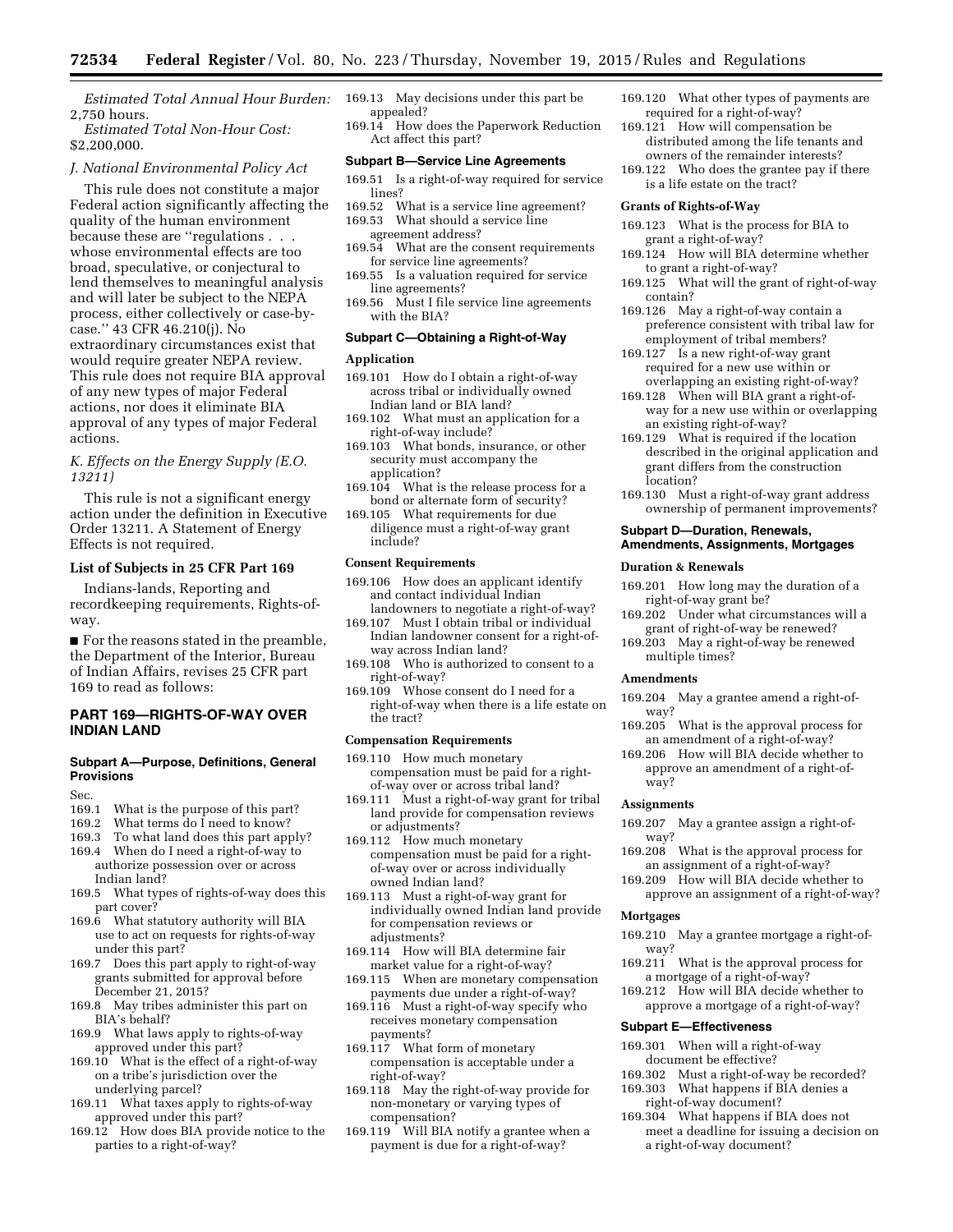*Estimated Total Annual Hour Burden:*  169.13 May decisions under this part be 2,750 hours.

*Estimated Total Non-Hour Cost:*  \$2,200,000.

#### *J. National Environmental Policy Act*

This rule does not constitute a major Federal action significantly affecting the quality of the human environment because these are ''regulations . . . whose environmental effects are too broad, speculative, or conjectural to lend themselves to meaningful analysis and will later be subject to the NEPA process, either collectively or case-bycase.'' 43 CFR 46.210(j). No extraordinary circumstances exist that would require greater NEPA review. This rule does not require BIA approval of any new types of major Federal actions, nor does it eliminate BIA approval of any types of major Federal actions.

# *K. Effects on the Energy Supply (E.O. 13211)*

This rule is not a significant energy action under the definition in Executive Order 13211. A Statement of Energy Effects is not required.

#### **List of Subjects in 25 CFR Part 169**

Indians-lands, Reporting and recordkeeping requirements, Rights-ofway.

■ For the reasons stated in the preamble, the Department of the Interior, Bureau of Indian Affairs, revises 25 CFR part 169 to read as follows:

# **PART 169—RIGHTS-OF-WAY OVER INDIAN LAND**

#### **Subpart A—Purpose, Definitions, General Provisions**

Sec.

- 169.1 What is the purpose of this part?
- 169.2 What terms do  $\overline{I}$  need to know?<br>169.3 To what land does this part appr
- To what land does this part apply?
- 169.4 When do I need a right-of-way to authorize possession over or across Indian land?
- 169.5 What types of rights-of-way does this part cover?
- 169.6 What statutory authority will BIA use to act on requests for rights-of-way under this part?
- 169.7 Does this part apply to right-of-way grants submitted for approval before December 21, 2015?
- 169.8 May tribes administer this part on BIA's behalf?
- 169.9 What laws apply to rights-of-way approved under this part?
- 169.10 What is the effect of a right-of-way on a tribe's jurisdiction over the underlying parcel?
- 169.11 What taxes apply to rights-of-way approved under this part?
- 169.12 How does BIA provide notice to the parties to a right-of-way?
- appealed?
- 169.14 How does the Paperwork Reduction Act affect this part?

# **Subpart B—Service Line Agreements**

- 169.51 Is a right-of-way required for service lines?
- 169.52 What is a service line agreement?<br>169.53 What should a service line
- What should a service line agreement address?
- 169.54 What are the consent requirements for service line agreements?
- 169.55 Is a valuation required for service line agreements?
- 169.56 Must I file service line agreements with the BIA?

# **Subpart C—Obtaining a Right-of-Way**

#### **Application**

- 169.101 How do I obtain a right-of-way across tribal or individually owned Indian land or BIA land?
- 169.102 What must an application for a right-of-way include?
- 169.103 What bonds, insurance, or other security must accompany the application?
- 169.104 What is the release process for a bond or alternate form of security?
- 169.105 What requirements for due diligence must a right-of-way grant include?

#### **Consent Requirements**

- 169.106 How does an applicant identify and contact individual Indian landowners to negotiate a right-of-way?
- 169.107 Must I obtain tribal or individual Indian landowner consent for a right-ofway across Indian land?
- 169.108 Who is authorized to consent to a right-of-way?
- 169.109 Whose consent do I need for a right-of-way when there is a life estate on the tract?

#### **Compensation Requirements**

- 169.110 How much monetary compensation must be paid for a rightof-way over or across tribal land?
- 169.111 Must a right-of-way grant for tribal land provide for compensation reviews or adjustments?
- 169.112 How much monetary compensation must be paid for a rightof-way over or across individually owned Indian land?
- 169.113 Must a right-of-way grant for individually owned Indian land provide for compensation reviews or adjustments?
- 169.114 How will BIA determine fair market value for a right-of-way?
- 169.115 When are monetary compensation payments due under a right-of-way?
- 169.116 Must a right-of-way specify who receives monetary compensation payments?
- 169.117 What form of monetary compensation is acceptable under a right-of-way?
- 169.118 May the right-of-way provide for non-monetary or varying types of compensation?
- 169.119 Will BIA notify a grantee when a payment is due for a right-of-way?
- 169.120 What other types of payments are required for a right-of-way?
- 169.121 How will compensation be distributed among the life tenants and owners of the remainder interests?
- 169.122 Who does the grantee pay if there is a life estate on the tract?

# **Grants of Rights-of-Way**

- 169.123 What is the process for BIA to grant a right-of-way?
- 169.124 How will BIA determine whether to grant a right-of-way?
- 169.125 What will the grant of right-of-way contain?
- 169.126 May a right-of-way contain a preference consistent with tribal law for employment of tribal members?
- 169.127 Is a new right-of-way grant required for a new use within or overlapping an existing right-of-way?
- 169.128 When will BIA grant a right-ofway for a new use within or overlapping an existing right-of-way?
- 169.129 What is required if the location described in the original application and grant differs from the construction location?
- 169.130 Must a right-of-way grant address ownership of permanent improvements?

# **Subpart D—Duration, Renewals, Amendments, Assignments, Mortgages**

#### **Duration & Renewals**

- 169.201 How long may the duration of a right-of-way grant be?
- 169.202 Under what circumstances will a grant of right-of-way be renewed?
- 169.203 May a right-of-way be renewed multiple times?

#### **Amendments**

- 169.204 May a grantee amend a right-ofway?
- 169.205 What is the approval process for an amendment of a right-of-way?
- 169.206 How will BIA decide whether to approve an amendment of a right-ofway?

#### **Assignments**

- 169.207 May a grantee assign a right-ofway?
- 169.208 What is the approval process for an assignment of a right-of-way?
- 169.209 How will BIA decide whether to approve an assignment of a right-of-way?

#### **Mortgages**

- 169.210 May a grantee mortgage a right-ofway?
- 169.211 What is the approval process for a mortgage of a right-of-way?
- 169.212 How will BIA decide whether to approve a mortgage of a right-of-way?

# **Subpart E—Effectiveness**

- 169.301 When will a right-of-way document be effective?
- 169.302 Must a right-of-way be recorded? 169.303 What happens if BIA denies a
- right-of-way document? 169.304 What happens if BIA does not
- meet a deadline for issuing a decision on a right-of-way document?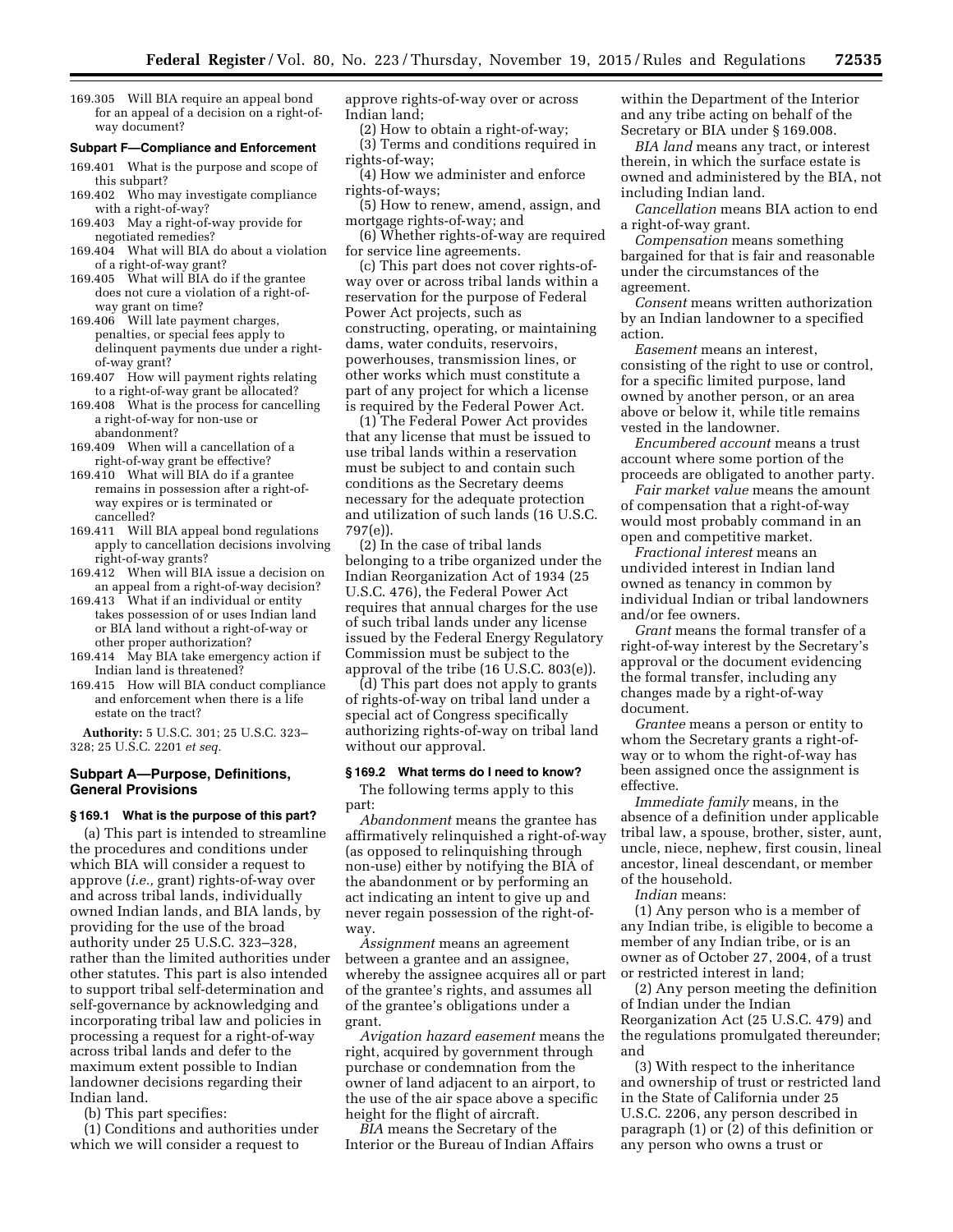169.305 Will BIA require an appeal bond for an appeal of a decision on a right-ofway document?

#### **Subpart F—Compliance and Enforcement**

- 169.401 What is the purpose and scope of this subpart?
- 169.402 Who may investigate compliance with a right-of-way?
- 169.403 May a right-of-way provide for negotiated remedies?
- 169.404 What will BIA do about a violation of a right-of-way grant?
- 169.405 What will BIA do if the grantee does not cure a violation of a right-ofway grant on time?
- 169.406 Will late payment charges, penalties, or special fees apply to delinquent payments due under a rightof-way grant?
- 169.407 How will payment rights relating to a right-of-way grant be allocated?
- 169.408 What is the process for cancelling a right-of-way for non-use or abandonment?
- 169.409 When will a cancellation of a right-of-way grant be effective?
- 169.410 What will BIA do if a grantee remains in possession after a right-ofway expires or is terminated or cancelled?
- 169.411 Will BIA appeal bond regulations apply to cancellation decisions involving right-of-way grants?
- 169.412 When will BIA issue a decision on an appeal from a right-of-way decision?
- 169.413 What if an individual or entity takes possession of or uses Indian land or BIA land without a right-of-way or other proper authorization?
- 169.414 May BIA take emergency action if Indian land is threatened?
- 169.415 How will BIA conduct compliance and enforcement when there is a life estate on the tract?

**Authority:** 5 U.S.C. 301; 25 U.S.C. 323– 328; 25 U.S.C. 2201 *et seq.* 

# **Subpart A—Purpose, Definitions, General Provisions**

# **§ 169.1 What is the purpose of this part?**

(a) This part is intended to streamline the procedures and conditions under which BIA will consider a request to approve (*i.e.,* grant) rights-of-way over and across tribal lands, individually owned Indian lands, and BIA lands, by providing for the use of the broad authority under 25 U.S.C. 323–328, rather than the limited authorities under other statutes. This part is also intended to support tribal self-determination and self-governance by acknowledging and incorporating tribal law and policies in processing a request for a right-of-way across tribal lands and defer to the maximum extent possible to Indian landowner decisions regarding their Indian land.

(b) This part specifies:

(1) Conditions and authorities under which we will consider a request to

approve rights-of-way over or across Indian land;

(2) How to obtain a right-of-way;

(3) Terms and conditions required in rights-of-way;

- (4) How we administer and enforce rights-of-ways;
- (5) How to renew, amend, assign, and mortgage rights-of-way; and

(6) Whether rights-of-way are required for service line agreements.

(c) This part does not cover rights-ofway over or across tribal lands within a reservation for the purpose of Federal Power Act projects, such as constructing, operating, or maintaining dams, water conduits, reservoirs, powerhouses, transmission lines, or other works which must constitute a part of any project for which a license is required by the Federal Power Act.

(1) The Federal Power Act provides that any license that must be issued to use tribal lands within a reservation must be subject to and contain such conditions as the Secretary deems necessary for the adequate protection and utilization of such lands (16 U.S.C. 797(e)).

(2) In the case of tribal lands belonging to a tribe organized under the Indian Reorganization Act of 1934 (25 U.S.C. 476), the Federal Power Act requires that annual charges for the use of such tribal lands under any license issued by the Federal Energy Regulatory Commission must be subject to the approval of the tribe  $(16 \text{ U.S.C. } 803 \text{ (e)}).$ 

(d) This part does not apply to grants of rights-of-way on tribal land under a special act of Congress specifically authorizing rights-of-way on tribal land without our approval.

#### **§ 169.2 What terms do I need to know?**

The following terms apply to this part:

*Abandonment* means the grantee has affirmatively relinquished a right-of-way (as opposed to relinquishing through non-use) either by notifying the BIA of the abandonment or by performing an act indicating an intent to give up and never regain possession of the right-ofway.

*Assignment* means an agreement between a grantee and an assignee, whereby the assignee acquires all or part of the grantee's rights, and assumes all of the grantee's obligations under a grant.

*Avigation hazard easement* means the right, acquired by government through purchase or condemnation from the owner of land adjacent to an airport, to the use of the air space above a specific height for the flight of aircraft.

*BIA* means the Secretary of the Interior or the Bureau of Indian Affairs within the Department of the Interior and any tribe acting on behalf of the Secretary or BIA under § 169.008.

*BIA land* means any tract, or interest therein, in which the surface estate is owned and administered by the BIA, not including Indian land.

*Cancellation* means BIA action to end a right-of-way grant.

*Compensation* means something bargained for that is fair and reasonable under the circumstances of the agreement.

*Consent* means written authorization by an Indian landowner to a specified action.

*Easement* means an interest, consisting of the right to use or control, for a specific limited purpose, land owned by another person, or an area above or below it, while title remains vested in the landowner.

*Encumbered account* means a trust account where some portion of the proceeds are obligated to another party.

*Fair market value* means the amount of compensation that a right-of-way would most probably command in an open and competitive market.

*Fractional interest* means an undivided interest in Indian land owned as tenancy in common by individual Indian or tribal landowners and/or fee owners.

*Grant* means the formal transfer of a right-of-way interest by the Secretary's approval or the document evidencing the formal transfer, including any changes made by a right-of-way document.

*Grantee* means a person or entity to whom the Secretary grants a right-ofway or to whom the right-of-way has been assigned once the assignment is effective.

*Immediate family* means, in the absence of a definition under applicable tribal law, a spouse, brother, sister, aunt, uncle, niece, nephew, first cousin, lineal ancestor, lineal descendant, or member of the household.

*Indian* means:

(1) Any person who is a member of any Indian tribe, is eligible to become a member of any Indian tribe, or is an owner as of October 27, 2004, of a trust or restricted interest in land;

(2) Any person meeting the definition of Indian under the Indian Reorganization Act (25 U.S.C. 479) and the regulations promulgated thereunder; and

(3) With respect to the inheritance and ownership of trust or restricted land in the State of California under 25 U.S.C. 2206, any person described in paragraph (1) or (2) of this definition or any person who owns a trust or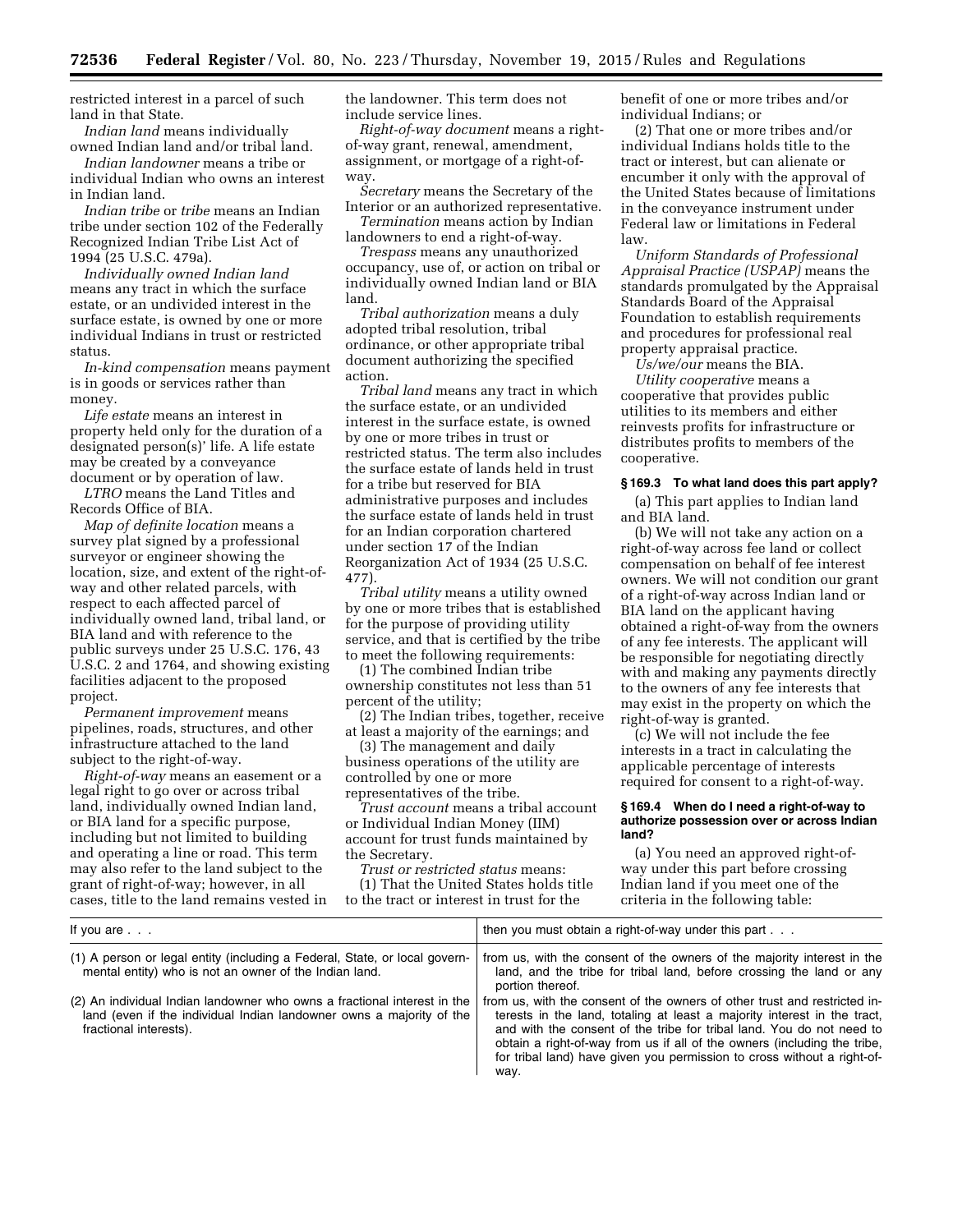restricted interest in a parcel of such land in that State.

*Indian land* means individually owned Indian land and/or tribal land.

*Indian landowner* means a tribe or individual Indian who owns an interest in Indian land.

*Indian tribe* or *tribe* means an Indian tribe under section 102 of the Federally Recognized Indian Tribe List Act of 1994 (25 U.S.C. 479a).

*Individually owned Indian land*  means any tract in which the surface estate, or an undivided interest in the surface estate, is owned by one or more individual Indians in trust or restricted status.

*In-kind compensation* means payment is in goods or services rather than money.

*Life estate* means an interest in property held only for the duration of a designated person(s)' life. A life estate may be created by a conveyance document or by operation of law.

*LTRO* means the Land Titles and Records Office of BIA.

*Map of definite location* means a survey plat signed by a professional surveyor or engineer showing the location, size, and extent of the right-ofway and other related parcels, with respect to each affected parcel of individually owned land, tribal land, or BIA land and with reference to the public surveys under 25 U.S.C. 176, 43 U.S.C. 2 and 1764, and showing existing facilities adjacent to the proposed project.

*Permanent improvement* means pipelines, roads, structures, and other infrastructure attached to the land subject to the right-of-way.

*Right-of-way* means an easement or a legal right to go over or across tribal land, individually owned Indian land, or BIA land for a specific purpose, including but not limited to building and operating a line or road. This term may also refer to the land subject to the grant of right-of-way; however, in all cases, title to the land remains vested in the landowner. This term does not include service lines.

*Right-of-way document* means a rightof-way grant, renewal, amendment, assignment, or mortgage of a right-ofway.

*Secretary* means the Secretary of the Interior or an authorized representative. *Termination* means action by Indian

landowners to end a right-of-way.

*Trespass* means any unauthorized occupancy, use of, or action on tribal or individually owned Indian land or BIA land.

*Tribal authorization* means a duly adopted tribal resolution, tribal ordinance, or other appropriate tribal document authorizing the specified action.

*Tribal land* means any tract in which the surface estate, or an undivided interest in the surface estate, is owned by one or more tribes in trust or restricted status. The term also includes the surface estate of lands held in trust for a tribe but reserved for BIA administrative purposes and includes the surface estate of lands held in trust for an Indian corporation chartered under section 17 of the Indian Reorganization Act of 1934 (25 U.S.C. 477).

*Tribal utility* means a utility owned by one or more tribes that is established for the purpose of providing utility service, and that is certified by the tribe to meet the following requirements:

(1) The combined Indian tribe ownership constitutes not less than 51 percent of the utility;

(2) The Indian tribes, together, receive at least a majority of the earnings; and

(3) The management and daily business operations of the utility are controlled by one or more representatives of the tribe.

*Trust account* means a tribal account or Individual Indian Money (IIM) account for trust funds maintained by the Secretary.

*Trust or restricted status* means: (1) That the United States holds title to the tract or interest in trust for the

benefit of one or more tribes and/or individual Indians; or

(2) That one or more tribes and/or individual Indians holds title to the tract or interest, but can alienate or encumber it only with the approval of the United States because of limitations in the conveyance instrument under Federal law or limitations in Federal law.

*Uniform Standards of Professional Appraisal Practice (USPAP)* means the standards promulgated by the Appraisal Standards Board of the Appraisal Foundation to establish requirements and procedures for professional real property appraisal practice.

*Us/we/our* means the BIA.

*Utility cooperative* means a cooperative that provides public utilities to its members and either reinvests profits for infrastructure or distributes profits to members of the cooperative.

#### **§ 169.3 To what land does this part apply?**

(a) This part applies to Indian land and BIA land.

(b) We will not take any action on a right-of-way across fee land or collect compensation on behalf of fee interest owners. We will not condition our grant of a right-of-way across Indian land or BIA land on the applicant having obtained a right-of-way from the owners of any fee interests. The applicant will be responsible for negotiating directly with and making any payments directly to the owners of any fee interests that may exist in the property on which the right-of-way is granted.

(c) We will not include the fee interests in a tract in calculating the applicable percentage of interests required for consent to a right-of-way.

#### **§ 169.4 When do I need a right-of-way to authorize possession over or across Indian land?**

(a) You need an approved right-ofway under this part before crossing Indian land if you meet one of the criteria in the following table:

| If you are $\ldots$                                                                                                                                                        | then you must obtain a right-of-way under this part                                                                                                                                                                                                                                                                                                                                           |
|----------------------------------------------------------------------------------------------------------------------------------------------------------------------------|-----------------------------------------------------------------------------------------------------------------------------------------------------------------------------------------------------------------------------------------------------------------------------------------------------------------------------------------------------------------------------------------------|
| (1) A person or legal entity (including a Federal, State, or local govern-<br>mental entity) who is not an owner of the Indian land.                                       | from us, with the consent of the owners of the majority interest in the<br>land, and the tribe for tribal land, before crossing the land or any<br>portion thereof.                                                                                                                                                                                                                           |
| (2) An individual Indian landowner who owns a fractional interest in the<br>land (even if the individual Indian landowner owns a majority of the<br>fractional interests). | from us, with the consent of the owners of other trust and restricted in-<br>terests in the land, totaling at least a majority interest in the tract,<br>and with the consent of the tribe for tribal land. You do not need to<br>obtain a right-of-way from us if all of the owners (including the tribe,<br>for tribal land) have given you permission to cross without a right-of-<br>way. |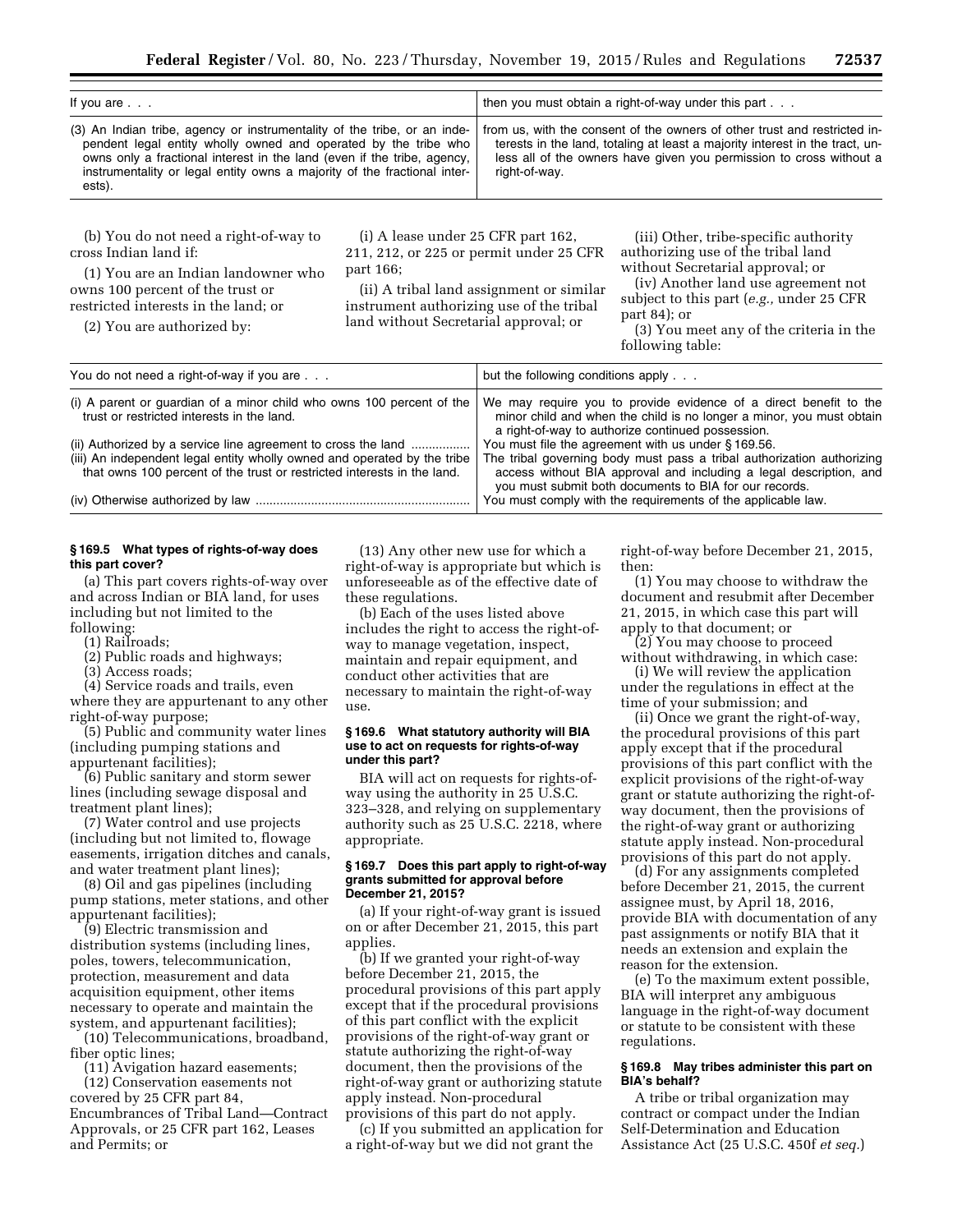| If you are $\ldots$                                                                                                                                                                                                                                                                                          | then you must obtain a right-of-way under this part                                                                                                                                                                                               |
|--------------------------------------------------------------------------------------------------------------------------------------------------------------------------------------------------------------------------------------------------------------------------------------------------------------|---------------------------------------------------------------------------------------------------------------------------------------------------------------------------------------------------------------------------------------------------|
| (3) An Indian tribe, agency or instrumentality of the tribe, or an inde-<br>pendent legal entity wholly owned and operated by the tribe who<br>owns only a fractional interest in the land (even if the tribe, agency,<br>instrumentality or legal entity owns a majority of the fractional inter-<br>ests). | from us, with the consent of the owners of other trust and restricted in-<br>terests in the land, totaling at least a majority interest in the tract, un-<br>less all of the owners have given you permission to cross without a<br>right-of-way. |

(b) You do not need a right-of-way to cross Indian land if:

(i) A lease under 25 CFR part 162, 211, 212, or 225 or permit under 25 CFR part 166;

(1) You are an Indian landowner who owns 100 percent of the trust or restricted interests in the land; or

(2) You are authorized by:

(ii) A tribal land assignment or similar instrument authorizing use of the tribal land without Secretarial approval; or

(iii) Other, tribe-specific authority authorizing use of the tribal land without Secretarial approval; or

(iv) Another land use agreement not subject to this part (*e.g.,* under 25 CFR part 84); or

(3) You meet any of the criteria in the following table:

| You do not need a right-of-way if you are                                                                                                                                                                            | but the following conditions apply                                                                                                                                                                                                                           |
|----------------------------------------------------------------------------------------------------------------------------------------------------------------------------------------------------------------------|--------------------------------------------------------------------------------------------------------------------------------------------------------------------------------------------------------------------------------------------------------------|
| (i) A parent or guardian of a minor child who owns 100 percent of the<br>trust or restricted interests in the land.                                                                                                  | We may require you to provide evidence of a direct benefit to the<br>minor child and when the child is no longer a minor, you must obtain<br>a right-of-way to authorize continued possession.                                                               |
| (ii) Authorized by a service line agreement to cross the land<br>(iii) An independent legal entity wholly owned and operated by the tribe<br>that owns 100 percent of the trust or restricted interests in the land. | You must file the agreement with us under §169.56.<br>The tribal governing body must pass a tribal authorization authorizing<br>access without BIA approval and including a legal description, and<br>you must submit both documents to BIA for our records. |
|                                                                                                                                                                                                                      | You must comply with the requirements of the applicable law.                                                                                                                                                                                                 |

# **§ 169.5 What types of rights-of-way does this part cover?**

(a) This part covers rights-of-way over and across Indian or BIA land, for uses including but not limited to the following:

(1) Railroads;

(2) Public roads and highways;

(3) Access roads;

(4) Service roads and trails, even where they are appurtenant to any other right-of-way purpose;

(5) Public and community water lines (including pumping stations and appurtenant facilities);

(6) Public sanitary and storm sewer lines (including sewage disposal and treatment plant lines);

(7) Water control and use projects (including but not limited to, flowage easements, irrigation ditches and canals, and water treatment plant lines);

(8) Oil and gas pipelines (including pump stations, meter stations, and other appurtenant facilities);

(9) Electric transmission and distribution systems (including lines, poles, towers, telecommunication, protection, measurement and data acquisition equipment, other items necessary to operate and maintain the system, and appurtenant facilities);

(10) Telecommunications, broadband, fiber optic lines;

(11) Avigation hazard easements;

(12) Conservation easements not covered by 25 CFR part 84, Encumbrances of Tribal Land—Contract Approvals, or 25 CFR part 162, Leases and Permits; or

(13) Any other new use for which a right-of-way is appropriate but which is unforeseeable as of the effective date of these regulations.

(b) Each of the uses listed above includes the right to access the right-ofway to manage vegetation, inspect, maintain and repair equipment, and conduct other activities that are necessary to maintain the right-of-way use.

#### **§ 169.6 What statutory authority will BIA use to act on requests for rights-of-way under this part?**

BIA will act on requests for rights-ofway using the authority in 25 U.S.C. 323–328, and relying on supplementary authority such as 25 U.S.C. 2218, where appropriate.

#### **§ 169.7 Does this part apply to right-of-way grants submitted for approval before December 21, 2015?**

(a) If your right-of-way grant is issued on or after December 21, 2015, this part applies.

(b) If we granted your right-of-way before December 21, 2015, the procedural provisions of this part apply except that if the procedural provisions of this part conflict with the explicit provisions of the right-of-way grant or statute authorizing the right-of-way document, then the provisions of the right-of-way grant or authorizing statute apply instead. Non-procedural provisions of this part do not apply.

(c) If you submitted an application for a right-of-way but we did not grant the

right-of-way before December 21, 2015, then:

(1) You may choose to withdraw the document and resubmit after December 21, 2015, in which case this part will apply to that document; or

(2) You may choose to proceed without withdrawing, in which case:

(i) We will review the application under the regulations in effect at the time of your submission; and

(ii) Once we grant the right-of-way, the procedural provisions of this part apply except that if the procedural provisions of this part conflict with the explicit provisions of the right-of-way grant or statute authorizing the right-ofway document, then the provisions of the right-of-way grant or authorizing statute apply instead. Non-procedural provisions of this part do not apply.

(d) For any assignments completed before December 21, 2015, the current assignee must, by April 18, 2016, provide BIA with documentation of any past assignments or notify BIA that it needs an extension and explain the reason for the extension.

(e) To the maximum extent possible, BIA will interpret any ambiguous language in the right-of-way document or statute to be consistent with these regulations.

# **§ 169.8 May tribes administer this part on BIA's behalf?**

A tribe or tribal organization may contract or compact under the Indian Self-Determination and Education Assistance Act (25 U.S.C. 450f *et seq.*)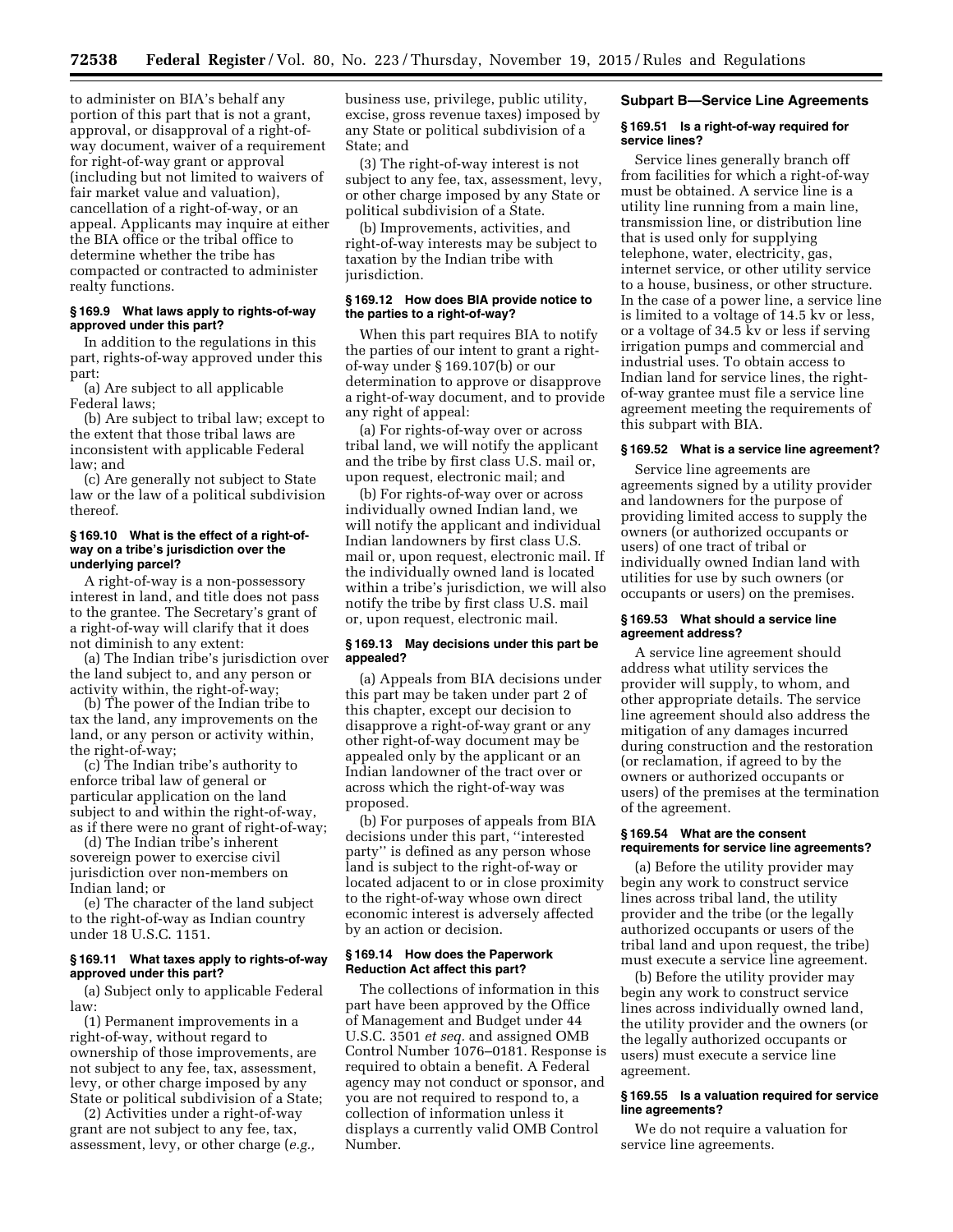to administer on BIA's behalf any portion of this part that is not a grant, approval, or disapproval of a right-ofway document, waiver of a requirement for right-of-way grant or approval (including but not limited to waivers of fair market value and valuation), cancellation of a right-of-way, or an appeal. Applicants may inquire at either the BIA office or the tribal office to determine whether the tribe has compacted or contracted to administer realty functions.

# **§ 169.9 What laws apply to rights-of-way approved under this part?**

In addition to the regulations in this part, rights-of-way approved under this part:

(a) Are subject to all applicable Federal laws;

(b) Are subject to tribal law; except to the extent that those tribal laws are inconsistent with applicable Federal law; and

(c) Are generally not subject to State law or the law of a political subdivision thereof.

# **§ 169.10 What is the effect of a right-ofway on a tribe's jurisdiction over the underlying parcel?**

A right-of-way is a non-possessory interest in land, and title does not pass to the grantee. The Secretary's grant of a right-of-way will clarify that it does not diminish to any extent:

(a) The Indian tribe's jurisdiction over the land subject to, and any person or activity within, the right-of-way;

(b) The power of the Indian tribe to tax the land, any improvements on the land, or any person or activity within, the right-of-way;

(c) The Indian tribe's authority to enforce tribal law of general or particular application on the land subject to and within the right-of-way, as if there were no grant of right-of-way;

(d) The Indian tribe's inherent sovereign power to exercise civil jurisdiction over non-members on Indian land; or

(e) The character of the land subject to the right-of-way as Indian country under 18 U.S.C. 1151.

# **§ 169.11 What taxes apply to rights-of-way approved under this part?**

(a) Subject only to applicable Federal law:

(1) Permanent improvements in a right-of-way, without regard to ownership of those improvements, are not subject to any fee, tax, assessment, levy, or other charge imposed by any State or political subdivision of a State;

(2) Activities under a right-of-way grant are not subject to any fee, tax, assessment, levy, or other charge (*e.g.,* 

business use, privilege, public utility, excise, gross revenue taxes) imposed by any State or political subdivision of a State; and

(3) The right-of-way interest is not subject to any fee, tax, assessment, levy, or other charge imposed by any State or political subdivision of a State.

(b) Improvements, activities, and right-of-way interests may be subject to taxation by the Indian tribe with jurisdiction.

# **§ 169.12 How does BIA provide notice to the parties to a right-of-way?**

When this part requires BIA to notify the parties of our intent to grant a rightof-way under § 169.107(b) or our determination to approve or disapprove a right-of-way document, and to provide any right of appeal:

(a) For rights-of-way over or across tribal land, we will notify the applicant and the tribe by first class U.S. mail or, upon request, electronic mail; and

(b) For rights-of-way over or across individually owned Indian land, we will notify the applicant and individual Indian landowners by first class U.S. mail or, upon request, electronic mail. If the individually owned land is located within a tribe's jurisdiction, we will also notify the tribe by first class U.S. mail or, upon request, electronic mail.

# **§ 169.13 May decisions under this part be appealed?**

(a) Appeals from BIA decisions under this part may be taken under part 2 of this chapter, except our decision to disapprove a right-of-way grant or any other right-of-way document may be appealed only by the applicant or an Indian landowner of the tract over or across which the right-of-way was proposed.

(b) For purposes of appeals from BIA decisions under this part, ''interested party'' is defined as any person whose land is subject to the right-of-way or located adjacent to or in close proximity to the right-of-way whose own direct economic interest is adversely affected by an action or decision.

# **§ 169.14 How does the Paperwork Reduction Act affect this part?**

The collections of information in this part have been approved by the Office of Management and Budget under 44 U.S.C. 3501 *et seq.* and assigned OMB Control Number 1076–0181. Response is required to obtain a benefit. A Federal agency may not conduct or sponsor, and you are not required to respond to, a collection of information unless it displays a currently valid OMB Control Number.

#### **Subpart B—Service Line Agreements**

#### **§ 169.51 Is a right-of-way required for service lines?**

Service lines generally branch off from facilities for which a right-of-way must be obtained. A service line is a utility line running from a main line, transmission line, or distribution line that is used only for supplying telephone, water, electricity, gas, internet service, or other utility service to a house, business, or other structure. In the case of a power line, a service line is limited to a voltage of 14.5 kv or less, or a voltage of 34.5 kv or less if serving irrigation pumps and commercial and industrial uses. To obtain access to Indian land for service lines, the rightof-way grantee must file a service line agreement meeting the requirements of this subpart with BIA.

#### **§ 169.52 What is a service line agreement?**

Service line agreements are agreements signed by a utility provider and landowners for the purpose of providing limited access to supply the owners (or authorized occupants or users) of one tract of tribal or individually owned Indian land with utilities for use by such owners (or occupants or users) on the premises.

#### **§ 169.53 What should a service line agreement address?**

A service line agreement should address what utility services the provider will supply, to whom, and other appropriate details. The service line agreement should also address the mitigation of any damages incurred during construction and the restoration (or reclamation, if agreed to by the owners or authorized occupants or users) of the premises at the termination of the agreement.

#### **§ 169.54 What are the consent requirements for service line agreements?**

(a) Before the utility provider may begin any work to construct service lines across tribal land, the utility provider and the tribe (or the legally authorized occupants or users of the tribal land and upon request, the tribe) must execute a service line agreement.

(b) Before the utility provider may begin any work to construct service lines across individually owned land, the utility provider and the owners (or the legally authorized occupants or users) must execute a service line agreement.

# **§ 169.55 Is a valuation required for service line agreements?**

We do not require a valuation for service line agreements.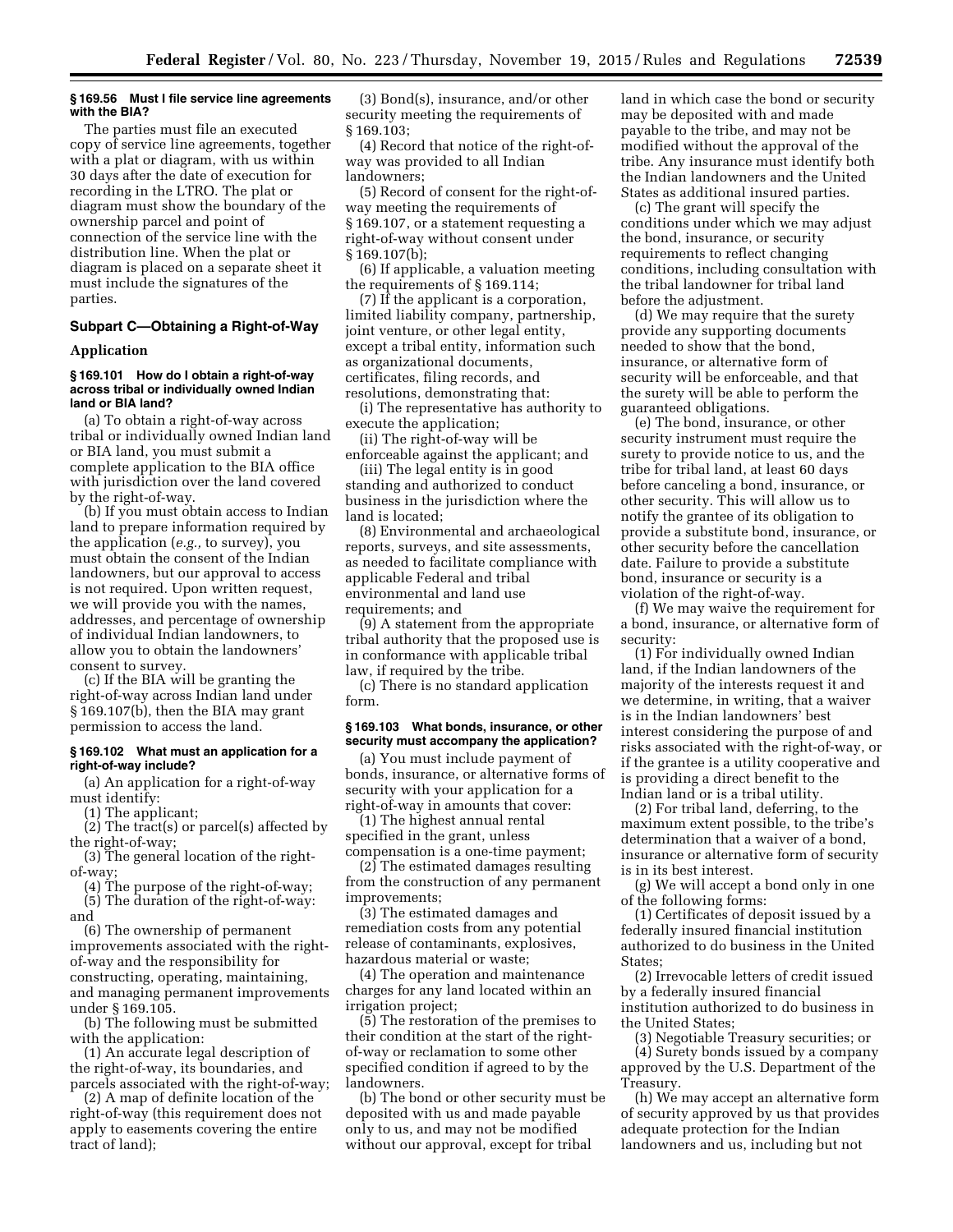# **§ 169.56 Must I file service line agreements with the BIA?**

The parties must file an executed copy of service line agreements, together with a plat or diagram, with us within 30 days after the date of execution for recording in the LTRO. The plat or diagram must show the boundary of the ownership parcel and point of connection of the service line with the distribution line. When the plat or diagram is placed on a separate sheet it must include the signatures of the parties.

# **Subpart C—Obtaining a Right-of-Way**

#### **Application**

# **§ 169.101 How do I obtain a right-of-way across tribal or individually owned Indian land or BIA land?**

(a) To obtain a right-of-way across tribal or individually owned Indian land or BIA land, you must submit a complete application to the BIA office with jurisdiction over the land covered by the right-of-way.

(b) If you must obtain access to Indian land to prepare information required by the application (*e.g.,* to survey), you must obtain the consent of the Indian landowners, but our approval to access is not required. Upon written request, we will provide you with the names, addresses, and percentage of ownership of individual Indian landowners, to allow you to obtain the landowners' consent to survey.

(c) If the BIA will be granting the right-of-way across Indian land under § 169.107(b), then the BIA may grant permission to access the land.

#### **§ 169.102 What must an application for a right-of-way include?**

(a) An application for a right-of-way must identify:

(1) The applicant;

(2) The tract(s) or parcel(s) affected by the right-of-way;

(3) The general location of the rightof-way;

(4) The purpose of the right-of-way; (5) The duration of the right-of-way: and

(6) The ownership of permanent improvements associated with the rightof-way and the responsibility for constructing, operating, maintaining, and managing permanent improvements under § 169.105.

(b) The following must be submitted with the application:

(1) An accurate legal description of the right-of-way, its boundaries, and parcels associated with the right-of-way;

(2) A map of definite location of the right-of-way (this requirement does not apply to easements covering the entire tract of land);

(3) Bond(s), insurance, and/or other security meeting the requirements of § 169.103;

(4) Record that notice of the right-ofway was provided to all Indian landowners;

(5) Record of consent for the right-ofway meeting the requirements of § 169.107, or a statement requesting a right-of-way without consent under § 169.107(b);

(6) If applicable, a valuation meeting the requirements of § 169.114;

(7) If the applicant is a corporation, limited liability company, partnership, joint venture, or other legal entity, except a tribal entity, information such as organizational documents, certificates, filing records, and resolutions, demonstrating that:

(i) The representative has authority to execute the application; (ii) The right-of-way will be

enforceable against the applicant; and

(iii) The legal entity is in good standing and authorized to conduct business in the jurisdiction where the land is located;

(8) Environmental and archaeological reports, surveys, and site assessments, as needed to facilitate compliance with applicable Federal and tribal environmental and land use requirements; and

(9) A statement from the appropriate tribal authority that the proposed use is in conformance with applicable tribal law, if required by the tribe.

(c) There is no standard application form.

# **§ 169.103 What bonds, insurance, or other security must accompany the application?**

(a) You must include payment of bonds, insurance, or alternative forms of security with your application for a right-of-way in amounts that cover:

(1) The highest annual rental specified in the grant, unless compensation is a one-time payment;

(2) The estimated damages resulting from the construction of any permanent improvements;

(3) The estimated damages and remediation costs from any potential release of contaminants, explosives, hazardous material or waste;

(4) The operation and maintenance charges for any land located within an irrigation project;

(5) The restoration of the premises to their condition at the start of the rightof-way or reclamation to some other specified condition if agreed to by the landowners.

(b) The bond or other security must be deposited with us and made payable only to us, and may not be modified without our approval, except for tribal

land in which case the bond or security may be deposited with and made payable to the tribe, and may not be modified without the approval of the tribe. Any insurance must identify both the Indian landowners and the United States as additional insured parties.

(c) The grant will specify the conditions under which we may adjust the bond, insurance, or security requirements to reflect changing conditions, including consultation with the tribal landowner for tribal land before the adjustment.

(d) We may require that the surety provide any supporting documents needed to show that the bond, insurance, or alternative form of security will be enforceable, and that the surety will be able to perform the guaranteed obligations.

(e) The bond, insurance, or other security instrument must require the surety to provide notice to us, and the tribe for tribal land, at least 60 days before canceling a bond, insurance, or other security. This will allow us to notify the grantee of its obligation to provide a substitute bond, insurance, or other security before the cancellation date. Failure to provide a substitute bond, insurance or security is a violation of the right-of-way.

(f) We may waive the requirement for a bond, insurance, or alternative form of security:

(1) For individually owned Indian land, if the Indian landowners of the majority of the interests request it and we determine, in writing, that a waiver is in the Indian landowners' best interest considering the purpose of and risks associated with the right-of-way, or if the grantee is a utility cooperative and is providing a direct benefit to the Indian land or is a tribal utility.

(2) For tribal land, deferring, to the maximum extent possible, to the tribe's determination that a waiver of a bond, insurance or alternative form of security is in its best interest.

(g) We will accept a bond only in one of the following forms:

(1) Certificates of deposit issued by a federally insured financial institution authorized to do business in the United States;

(2) Irrevocable letters of credit issued by a federally insured financial institution authorized to do business in the United States;

(3) Negotiable Treasury securities; or

(4) Surety bonds issued by a company approved by the U.S. Department of the Treasury.

(h) We may accept an alternative form of security approved by us that provides adequate protection for the Indian landowners and us, including but not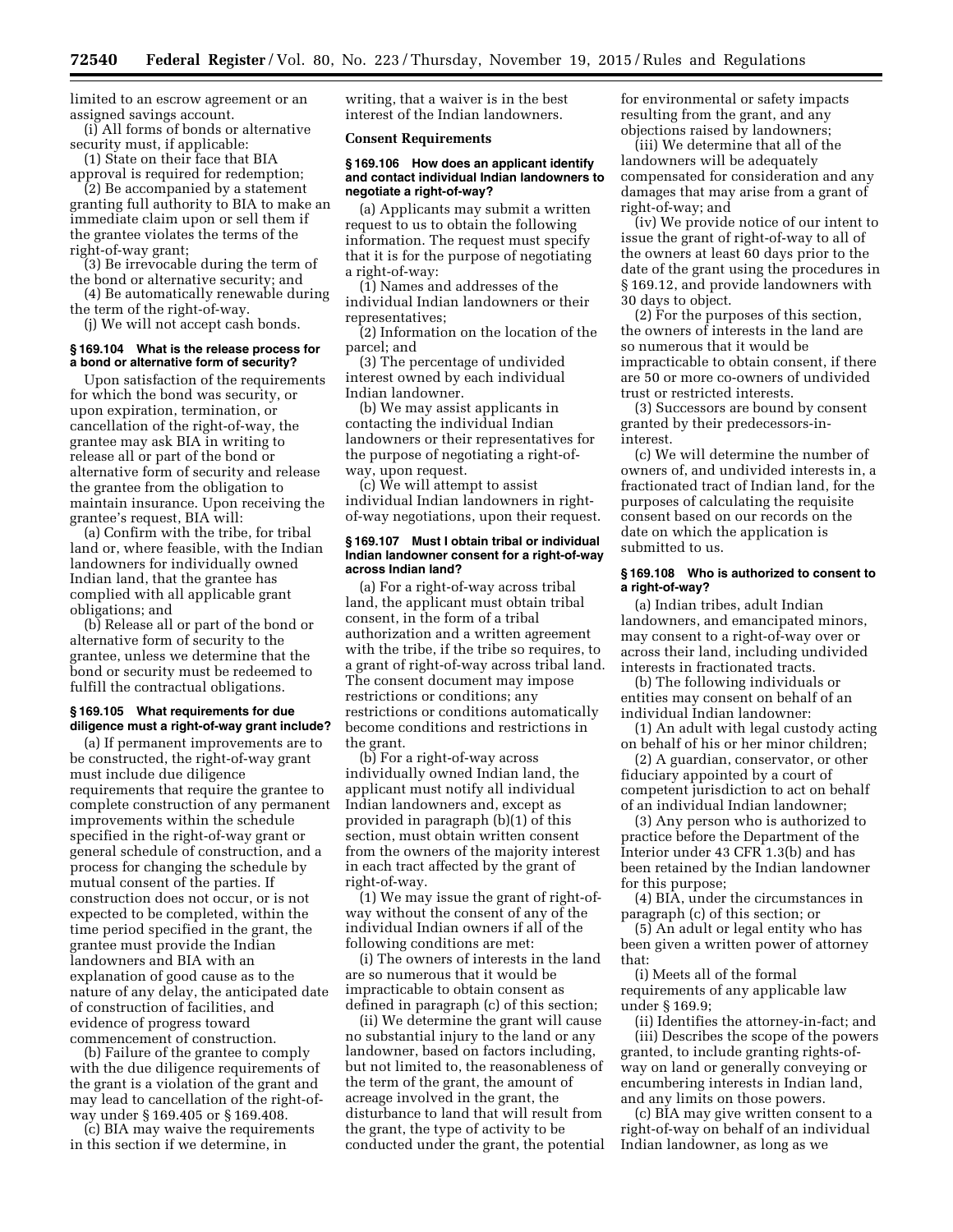limited to an escrow agreement or an assigned savings account.

(i) All forms of bonds or alternative security must, if applicable:

(1) State on their face that BIA approval is required for redemption;

(2) Be accompanied by a statement granting full authority to BIA to make an immediate claim upon or sell them if the grantee violates the terms of the right-of-way grant;

(3) Be irrevocable during the term of the bond or alternative security; and

(4) Be automatically renewable during the term of the right-of-way.

(j) We will not accept cash bonds.

#### **§ 169.104 What is the release process for a bond or alternative form of security?**

Upon satisfaction of the requirements for which the bond was security, or upon expiration, termination, or cancellation of the right-of-way, the grantee may ask BIA in writing to release all or part of the bond or alternative form of security and release the grantee from the obligation to maintain insurance. Upon receiving the grantee's request, BIA will:

(a) Confirm with the tribe, for tribal land or, where feasible, with the Indian landowners for individually owned Indian land, that the grantee has complied with all applicable grant obligations; and

(b) Release all or part of the bond or alternative form of security to the grantee, unless we determine that the bond or security must be redeemed to fulfill the contractual obligations.

# **§ 169.105 What requirements for due diligence must a right-of-way grant include?**

(a) If permanent improvements are to be constructed, the right-of-way grant must include due diligence requirements that require the grantee to complete construction of any permanent improvements within the schedule specified in the right-of-way grant or general schedule of construction, and a process for changing the schedule by mutual consent of the parties. If construction does not occur, or is not expected to be completed, within the time period specified in the grant, the grantee must provide the Indian landowners and BIA with an explanation of good cause as to the nature of any delay, the anticipated date of construction of facilities, and evidence of progress toward commencement of construction.

(b) Failure of the grantee to comply with the due diligence requirements of the grant is a violation of the grant and may lead to cancellation of the right-ofway under § 169.405 or § 169.408.

(c) BIA may waive the requirements in this section if we determine, in

writing, that a waiver is in the best interest of the Indian landowners.

#### **Consent Requirements**

#### **§ 169.106 How does an applicant identify and contact individual Indian landowners to negotiate a right-of-way?**

(a) Applicants may submit a written request to us to obtain the following information. The request must specify that it is for the purpose of negotiating a right-of-way:

(1) Names and addresses of the individual Indian landowners or their representatives;

(2) Information on the location of the parcel; and

(3) The percentage of undivided interest owned by each individual Indian landowner.

(b) We may assist applicants in contacting the individual Indian landowners or their representatives for the purpose of negotiating a right-ofway, upon request.

(c) We will attempt to assist individual Indian landowners in rightof-way negotiations, upon their request.

#### **§ 169.107 Must I obtain tribal or individual Indian landowner consent for a right-of-way across Indian land?**

(a) For a right-of-way across tribal land, the applicant must obtain tribal consent, in the form of a tribal authorization and a written agreement with the tribe, if the tribe so requires, to a grant of right-of-way across tribal land. The consent document may impose restrictions or conditions; any restrictions or conditions automatically become conditions and restrictions in the grant.

(b) For a right-of-way across individually owned Indian land, the applicant must notify all individual Indian landowners and, except as provided in paragraph (b)(1) of this section, must obtain written consent from the owners of the majority interest in each tract affected by the grant of right-of-way.

(1) We may issue the grant of right-ofway without the consent of any of the individual Indian owners if all of the following conditions are met:

(i) The owners of interests in the land are so numerous that it would be impracticable to obtain consent as defined in paragraph (c) of this section;

(ii) We determine the grant will cause no substantial injury to the land or any landowner, based on factors including, but not limited to, the reasonableness of the term of the grant, the amount of acreage involved in the grant, the disturbance to land that will result from the grant, the type of activity to be conducted under the grant, the potential for environmental or safety impacts resulting from the grant, and any objections raised by landowners;

(iii) We determine that all of the landowners will be adequately compensated for consideration and any damages that may arise from a grant of right-of-way; and

(iv) We provide notice of our intent to issue the grant of right-of-way to all of the owners at least 60 days prior to the date of the grant using the procedures in § 169.12, and provide landowners with 30 days to object.

(2) For the purposes of this section, the owners of interests in the land are so numerous that it would be impracticable to obtain consent, if there are 50 or more co-owners of undivided trust or restricted interests.

(3) Successors are bound by consent granted by their predecessors-ininterest.

(c) We will determine the number of owners of, and undivided interests in, a fractionated tract of Indian land, for the purposes of calculating the requisite consent based on our records on the date on which the application is submitted to us.

# **§ 169.108 Who is authorized to consent to a right-of-way?**

(a) Indian tribes, adult Indian landowners, and emancipated minors, may consent to a right-of-way over or across their land, including undivided interests in fractionated tracts.

(b) The following individuals or entities may consent on behalf of an individual Indian landowner:

(1) An adult with legal custody acting on behalf of his or her minor children;

(2) A guardian, conservator, or other fiduciary appointed by a court of competent jurisdiction to act on behalf of an individual Indian landowner;

(3) Any person who is authorized to practice before the Department of the Interior under 43 CFR 1.3(b) and has been retained by the Indian landowner for this purpose;

(4) BIA, under the circumstances in paragraph (c) of this section; or

(5) An adult or legal entity who has been given a written power of attorney that:

(i) Meets all of the formal requirements of any applicable law under § 169.9;

(ii) Identifies the attorney-in-fact; and (iii) Describes the scope of the powers granted, to include granting rights-ofway on land or generally conveying or encumbering interests in Indian land, and any limits on those powers.

(c) BIA may give written consent to a right-of-way on behalf of an individual Indian landowner, as long as we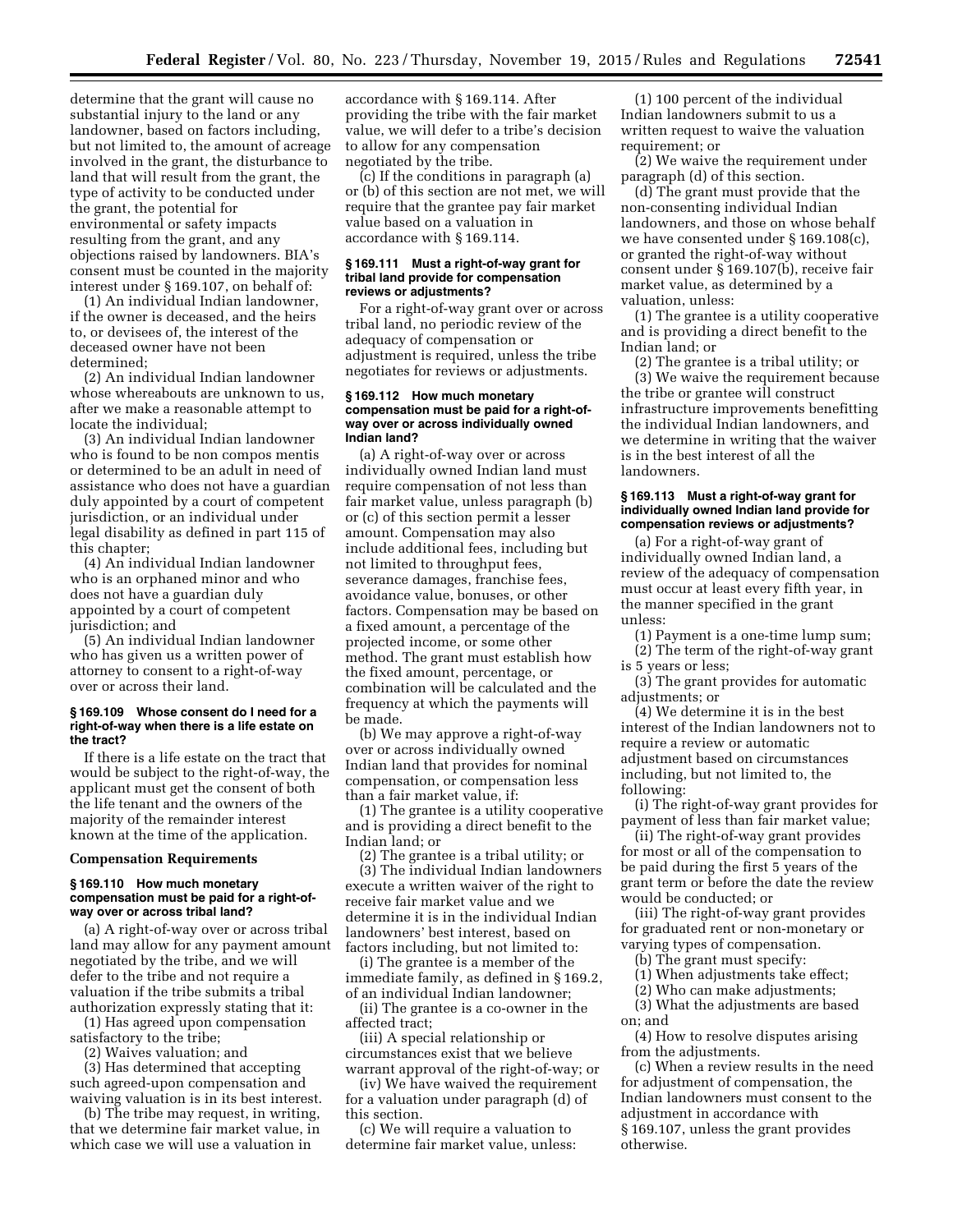determine that the grant will cause no substantial injury to the land or any landowner, based on factors including, but not limited to, the amount of acreage involved in the grant, the disturbance to land that will result from the grant, the type of activity to be conducted under the grant, the potential for environmental or safety impacts resulting from the grant, and any objections raised by landowners. BIA's consent must be counted in the majority interest under § 169.107, on behalf of:

(1) An individual Indian landowner, if the owner is deceased, and the heirs to, or devisees of, the interest of the deceased owner have not been determined;

(2) An individual Indian landowner whose whereabouts are unknown to us, after we make a reasonable attempt to locate the individual;

(3) An individual Indian landowner who is found to be non compos mentis or determined to be an adult in need of assistance who does not have a guardian duly appointed by a court of competent jurisdiction, or an individual under legal disability as defined in part 115 of this chapter;

(4) An individual Indian landowner who is an orphaned minor and who does not have a guardian duly appointed by a court of competent jurisdiction; and

(5) An individual Indian landowner who has given us a written power of attorney to consent to a right-of-way over or across their land.

#### **§ 169.109 Whose consent do I need for a right-of-way when there is a life estate on the tract?**

If there is a life estate on the tract that would be subject to the right-of-way, the applicant must get the consent of both the life tenant and the owners of the majority of the remainder interest known at the time of the application.

#### **Compensation Requirements**

#### **§ 169.110 How much monetary compensation must be paid for a right-ofway over or across tribal land?**

(a) A right-of-way over or across tribal land may allow for any payment amount negotiated by the tribe, and we will defer to the tribe and not require a valuation if the tribe submits a tribal authorization expressly stating that it:

(1) Has agreed upon compensation satisfactory to the tribe;

(2) Waives valuation; and

(3) Has determined that accepting such agreed-upon compensation and waiving valuation is in its best interest.

(b) The tribe may request, in writing, that we determine fair market value, in which case we will use a valuation in

accordance with § 169.114. After providing the tribe with the fair market value, we will defer to a tribe's decision to allow for any compensation negotiated by the tribe.

(c) If the conditions in paragraph (a) or (b) of this section are not met, we will require that the grantee pay fair market value based on a valuation in accordance with § 169.114.

#### **§ 169.111 Must a right-of-way grant for tribal land provide for compensation reviews or adjustments?**

For a right-of-way grant over or across tribal land, no periodic review of the adequacy of compensation or adjustment is required, unless the tribe negotiates for reviews or adjustments.

#### **§ 169.112 How much monetary compensation must be paid for a right-ofway over or across individually owned Indian land?**

(a) A right-of-way over or across individually owned Indian land must require compensation of not less than fair market value, unless paragraph (b) or (c) of this section permit a lesser amount. Compensation may also include additional fees, including but not limited to throughput fees, severance damages, franchise fees, avoidance value, bonuses, or other factors. Compensation may be based on a fixed amount, a percentage of the projected income, or some other method. The grant must establish how the fixed amount, percentage, or combination will be calculated and the frequency at which the payments will be made.

(b) We may approve a right-of-way over or across individually owned Indian land that provides for nominal compensation, or compensation less than a fair market value, if:

(1) The grantee is a utility cooperative and is providing a direct benefit to the Indian land; or

(2) The grantee is a tribal utility; or (3) The individual Indian landowners execute a written waiver of the right to

receive fair market value and we determine it is in the individual Indian landowners' best interest, based on factors including, but not limited to:

(i) The grantee is a member of the immediate family, as defined in § 169.2, of an individual Indian landowner;

(ii) The grantee is a co-owner in the affected tract; (iii) A special relationship or

circumstances exist that we believe warrant approval of the right-of-way; or

(iv) We have waived the requirement for a valuation under paragraph (d) of this section.

(c) We will require a valuation to determine fair market value, unless:

(1) 100 percent of the individual Indian landowners submit to us a written request to waive the valuation requirement; or

(2) We waive the requirement under paragraph (d) of this section.

(d) The grant must provide that the non-consenting individual Indian landowners, and those on whose behalf we have consented under § 169.108(c), or granted the right-of-way without consent under § 169.107(b), receive fair market value, as determined by a valuation, unless:

(1) The grantee is a utility cooperative and is providing a direct benefit to the Indian land; or

(2) The grantee is a tribal utility; or (3) We waive the requirement because the tribe or grantee will construct infrastructure improvements benefitting the individual Indian landowners, and we determine in writing that the waiver is in the best interest of all the landowners.

## **§ 169.113 Must a right-of-way grant for individually owned Indian land provide for compensation reviews or adjustments?**

(a) For a right-of-way grant of individually owned Indian land, a review of the adequacy of compensation must occur at least every fifth year, in the manner specified in the grant unless:

- (1) Payment is a one-time lump sum;
- (2) The term of the right-of-way grant is 5 years or less;

(3) The grant provides for automatic adjustments; or

(4) We determine it is in the best interest of the Indian landowners not to require a review or automatic adjustment based on circumstances including, but not limited to, the following:

(i) The right-of-way grant provides for payment of less than fair market value;

(ii) The right-of-way grant provides for most or all of the compensation to be paid during the first 5 years of the grant term or before the date the review would be conducted; or

(iii) The right-of-way grant provides for graduated rent or non-monetary or varying types of compensation.

- (b) The grant must specify:
- (1) When adjustments take effect;
- (2) Who can make adjustments;

(3) What the adjustments are based on; and

(4) How to resolve disputes arising from the adjustments.

(c) When a review results in the need for adjustment of compensation, the Indian landowners must consent to the adjustment in accordance with § 169.107, unless the grant provides otherwise.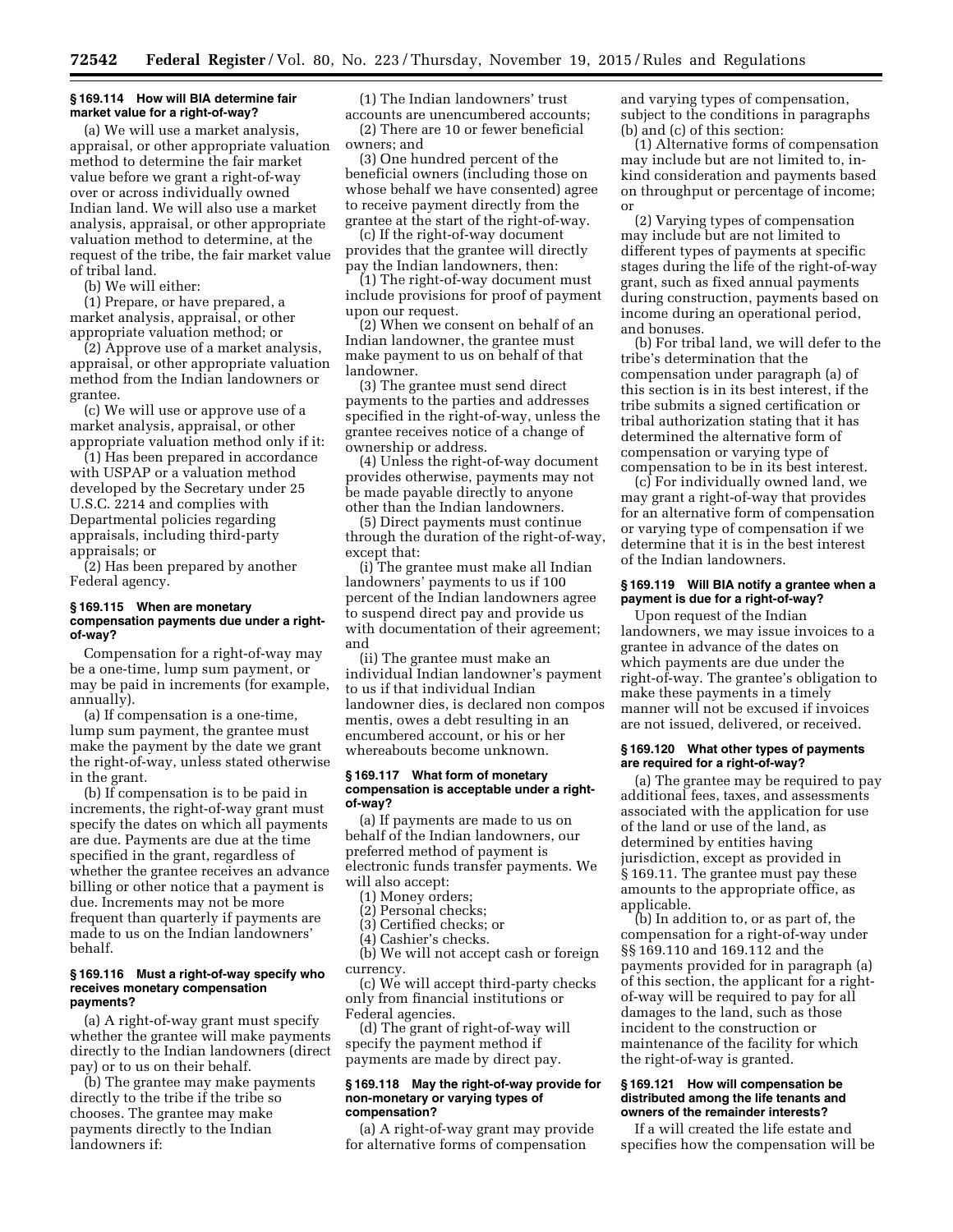# **§ 169.114 How will BIA determine fair market value for a right-of-way?**

(a) We will use a market analysis, appraisal, or other appropriate valuation method to determine the fair market value before we grant a right-of-way over or across individually owned Indian land. We will also use a market analysis, appraisal, or other appropriate valuation method to determine, at the request of the tribe, the fair market value of tribal land.

(b) We will either:

(1) Prepare, or have prepared, a market analysis, appraisal, or other appropriate valuation method; or

(2) Approve use of a market analysis, appraisal, or other appropriate valuation method from the Indian landowners or grantee.

(c) We will use or approve use of a market analysis, appraisal, or other appropriate valuation method only if it:

(1) Has been prepared in accordance with USPAP or a valuation method developed by the Secretary under 25 U.S.C. 2214 and complies with Departmental policies regarding appraisals, including third-party appraisals; or

(2) Has been prepared by another Federal agency.

# **§ 169.115 When are monetary compensation payments due under a rightof-way?**

Compensation for a right-of-way may be a one-time, lump sum payment, or may be paid in increments (for example, annually).

(a) If compensation is a one-time, lump sum payment, the grantee must make the payment by the date we grant the right-of-way, unless stated otherwise in the grant.

(b) If compensation is to be paid in increments, the right-of-way grant must specify the dates on which all payments are due. Payments are due at the time specified in the grant, regardless of whether the grantee receives an advance billing or other notice that a payment is due. Increments may not be more frequent than quarterly if payments are made to us on the Indian landowners' behalf.

#### **§ 169.116 Must a right-of-way specify who receives monetary compensation payments?**

(a) A right-of-way grant must specify whether the grantee will make payments directly to the Indian landowners (direct pay) or to us on their behalf.

(b) The grantee may make payments directly to the tribe if the tribe so chooses. The grantee may make payments directly to the Indian landowners if:

(1) The Indian landowners' trust accounts are unencumbered accounts;

(2) There are 10 or fewer beneficial owners; and

(3) One hundred percent of the beneficial owners (including those on whose behalf we have consented) agree to receive payment directly from the grantee at the start of the right-of-way.

(c) If the right-of-way document provides that the grantee will directly pay the Indian landowners, then:

(1) The right-of-way document must include provisions for proof of payment upon our request.

(2) When we consent on behalf of an Indian landowner, the grantee must make payment to us on behalf of that landowner.

(3) The grantee must send direct payments to the parties and addresses specified in the right-of-way, unless the grantee receives notice of a change of ownership or address.

(4) Unless the right-of-way document provides otherwise, payments may not be made payable directly to anyone other than the Indian landowners.

(5) Direct payments must continue through the duration of the right-of-way, except that:

(i) The grantee must make all Indian landowners' payments to us if 100 percent of the Indian landowners agree to suspend direct pay and provide us with documentation of their agreement; and

(ii) The grantee must make an individual Indian landowner's payment to us if that individual Indian landowner dies, is declared non compos mentis, owes a debt resulting in an encumbered account, or his or her whereabouts become unknown.

#### **§ 169.117 What form of monetary compensation is acceptable under a rightof-way?**

(a) If payments are made to us on behalf of the Indian landowners, our preferred method of payment is electronic funds transfer payments. We will also accept:

- (1) Money orders;
- (2) Personal checks;
- (3) Certified checks; or
- (4) Cashier's checks.

(b) We will not accept cash or foreign currency.

(c) We will accept third-party checks only from financial institutions or Federal agencies.

(d) The grant of right-of-way will specify the payment method if payments are made by direct pay.

#### **§ 169.118 May the right-of-way provide for non-monetary or varying types of compensation?**

(a) A right-of-way grant may provide for alternative forms of compensation

and varying types of compensation, subject to the conditions in paragraphs (b) and (c) of this section:

(1) Alternative forms of compensation may include but are not limited to, inkind consideration and payments based on throughput or percentage of income; or

(2) Varying types of compensation may include but are not limited to different types of payments at specific stages during the life of the right-of-way grant, such as fixed annual payments during construction, payments based on income during an operational period, and bonuses.

(b) For tribal land, we will defer to the tribe's determination that the compensation under paragraph (a) of this section is in its best interest, if the tribe submits a signed certification or tribal authorization stating that it has determined the alternative form of compensation or varying type of compensation to be in its best interest.

(c) For individually owned land, we may grant a right-of-way that provides for an alternative form of compensation or varying type of compensation if we determine that it is in the best interest of the Indian landowners.

# **§ 169.119 Will BIA notify a grantee when a payment is due for a right-of-way?**

Upon request of the Indian landowners, we may issue invoices to a grantee in advance of the dates on which payments are due under the right-of-way. The grantee's obligation to make these payments in a timely manner will not be excused if invoices are not issued, delivered, or received.

# **§ 169.120 What other types of payments are required for a right-of-way?**

(a) The grantee may be required to pay additional fees, taxes, and assessments associated with the application for use of the land or use of the land, as determined by entities having jurisdiction, except as provided in § 169.11. The grantee must pay these amounts to the appropriate office, as applicable.

(b) In addition to, or as part of, the compensation for a right-of-way under §§ 169.110 and 169.112 and the payments provided for in paragraph (a) of this section, the applicant for a rightof-way will be required to pay for all damages to the land, such as those incident to the construction or maintenance of the facility for which the right-of-way is granted.

#### **§ 169.121 How will compensation be distributed among the life tenants and owners of the remainder interests?**

If a will created the life estate and specifies how the compensation will be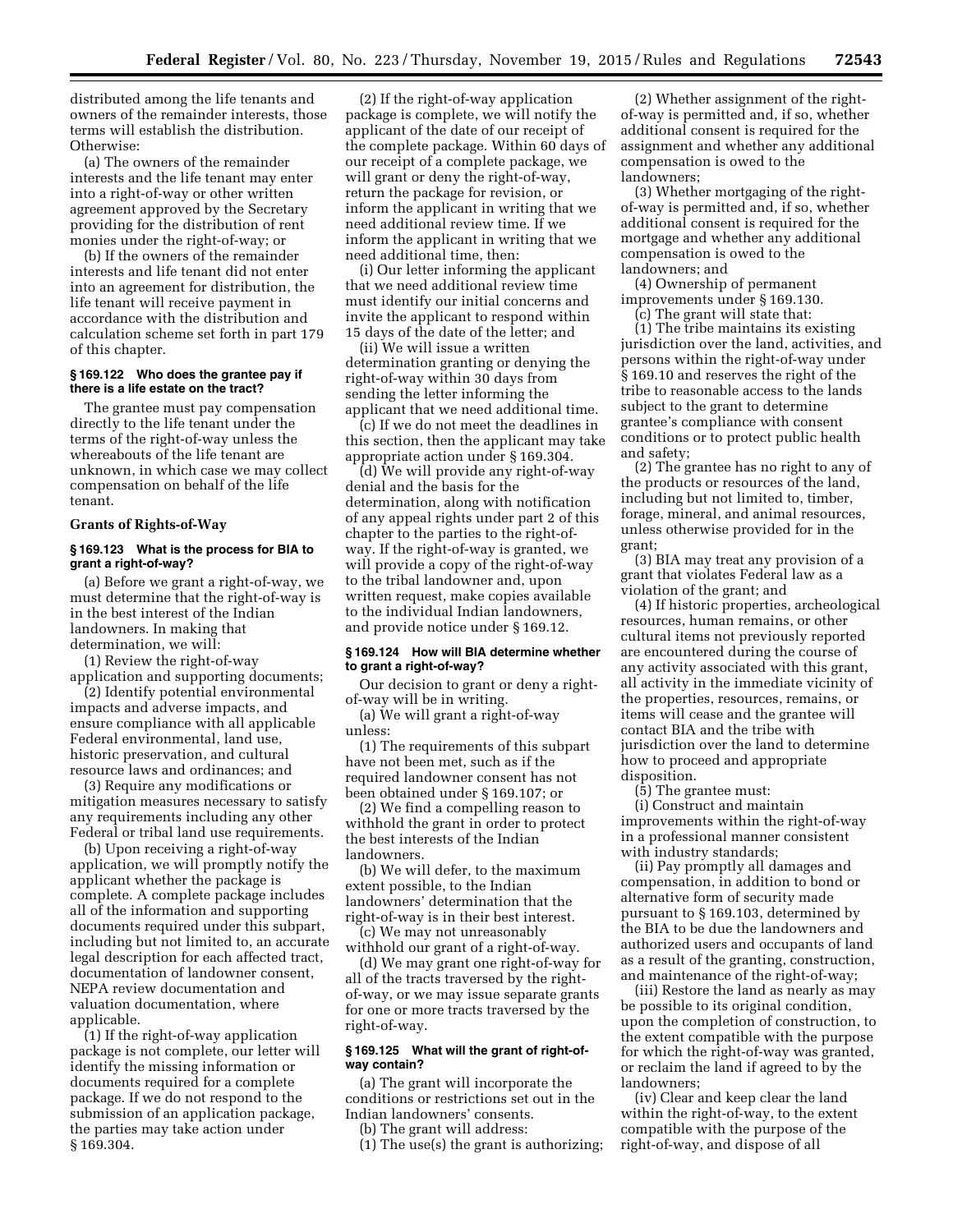distributed among the life tenants and owners of the remainder interests, those terms will establish the distribution. Otherwise:

(a) The owners of the remainder interests and the life tenant may enter into a right-of-way or other written agreement approved by the Secretary providing for the distribution of rent monies under the right-of-way; or

(b) If the owners of the remainder interests and life tenant did not enter into an agreement for distribution, the life tenant will receive payment in accordance with the distribution and calculation scheme set forth in part 179 of this chapter.

# **§ 169.122 Who does the grantee pay if there is a life estate on the tract?**

The grantee must pay compensation directly to the life tenant under the terms of the right-of-way unless the whereabouts of the life tenant are unknown, in which case we may collect compensation on behalf of the life tenant.

#### **Grants of Rights-of-Way**

# **§ 169.123 What is the process for BIA to grant a right-of-way?**

(a) Before we grant a right-of-way, we must determine that the right-of-way is in the best interest of the Indian landowners. In making that determination, we will:

(1) Review the right-of-way application and supporting documents;

(2) Identify potential environmental impacts and adverse impacts, and ensure compliance with all applicable Federal environmental, land use, historic preservation, and cultural resource laws and ordinances; and

(3) Require any modifications or mitigation measures necessary to satisfy any requirements including any other Federal or tribal land use requirements.

(b) Upon receiving a right-of-way application, we will promptly notify the applicant whether the package is complete. A complete package includes all of the information and supporting documents required under this subpart, including but not limited to, an accurate legal description for each affected tract, documentation of landowner consent, NEPA review documentation and valuation documentation, where applicable.

(1) If the right-of-way application package is not complete, our letter will identify the missing information or documents required for a complete package. If we do not respond to the submission of an application package, the parties may take action under § 169.304.

(2) If the right-of-way application package is complete, we will notify the applicant of the date of our receipt of the complete package. Within 60 days of our receipt of a complete package, we will grant or deny the right-of-way, return the package for revision, or inform the applicant in writing that we need additional review time. If we inform the applicant in writing that we need additional time, then:

(i) Our letter informing the applicant that we need additional review time must identify our initial concerns and invite the applicant to respond within 15 days of the date of the letter; and

(ii) We will issue a written determination granting or denying the right-of-way within 30 days from sending the letter informing the applicant that we need additional time.

(c) If we do not meet the deadlines in this section, then the applicant may take appropriate action under § 169.304.

(d) We will provide any right-of-way denial and the basis for the determination, along with notification of any appeal rights under part 2 of this chapter to the parties to the right-ofway. If the right-of-way is granted, we will provide a copy of the right-of-way to the tribal landowner and, upon written request, make copies available to the individual Indian landowners, and provide notice under § 169.12.

# **§ 169.124 How will BIA determine whether to grant a right-of-way?**

Our decision to grant or deny a rightof-way will be in writing.

(a) We will grant a right-of-way unless:

(1) The requirements of this subpart have not been met, such as if the required landowner consent has not been obtained under § 169.107; or

(2) We find a compelling reason to withhold the grant in order to protect the best interests of the Indian landowners.

(b) We will defer, to the maximum extent possible, to the Indian landowners' determination that the right-of-way is in their best interest. (c) We may not unreasonably

withhold our grant of a right-of-way.

(d) We may grant one right-of-way for all of the tracts traversed by the rightof-way, or we may issue separate grants for one or more tracts traversed by the right-of-way.

# **§ 169.125 What will the grant of right-ofway contain?**

(a) The grant will incorporate the conditions or restrictions set out in the Indian landowners' consents.

(b) The grant will address:

(1) The use(s) the grant is authorizing;

(2) Whether assignment of the rightof-way is permitted and, if so, whether additional consent is required for the assignment and whether any additional compensation is owed to the landowners;

(3) Whether mortgaging of the rightof-way is permitted and, if so, whether additional consent is required for the mortgage and whether any additional compensation is owed to the landowners; and

(4) Ownership of permanent

improvements under § 169.130. (c) The grant will state that:

(1) The tribe maintains its existing jurisdiction over the land, activities, and persons within the right-of-way under § 169.10 and reserves the right of the tribe to reasonable access to the lands subject to the grant to determine grantee's compliance with consent conditions or to protect public health and safety;

(2) The grantee has no right to any of the products or resources of the land, including but not limited to, timber, forage, mineral, and animal resources, unless otherwise provided for in the grant;

(3) BIA may treat any provision of a grant that violates Federal law as a violation of the grant; and

(4) If historic properties, archeological resources, human remains, or other cultural items not previously reported are encountered during the course of any activity associated with this grant, all activity in the immediate vicinity of the properties, resources, remains, or items will cease and the grantee will contact BIA and the tribe with jurisdiction over the land to determine how to proceed and appropriate disposition.

(5) The grantee must:

(i) Construct and maintain improvements within the right-of-way in a professional manner consistent with industry standards;

(ii) Pay promptly all damages and compensation, in addition to bond or alternative form of security made pursuant to § 169.103, determined by the BIA to be due the landowners and authorized users and occupants of land as a result of the granting, construction, and maintenance of the right-of-way;

(iii) Restore the land as nearly as may be possible to its original condition, upon the completion of construction, to the extent compatible with the purpose for which the right-of-way was granted, or reclaim the land if agreed to by the landowners;

(iv) Clear and keep clear the land within the right-of-way, to the extent compatible with the purpose of the right-of-way, and dispose of all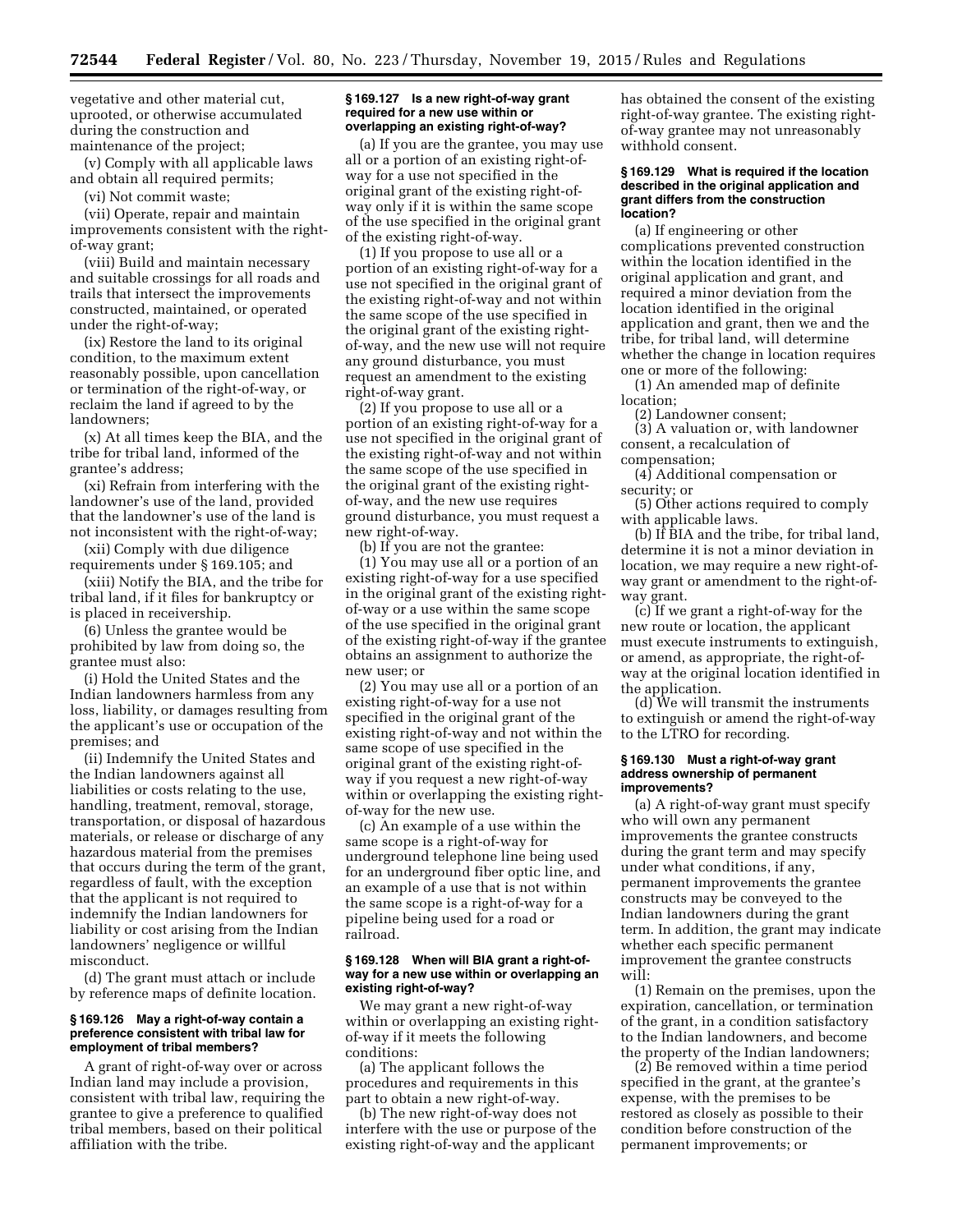vegetative and other material cut, uprooted, or otherwise accumulated during the construction and maintenance of the project;

(v) Comply with all applicable laws and obtain all required permits;

(vi) Not commit waste;

(vii) Operate, repair and maintain improvements consistent with the rightof-way grant;

(viii) Build and maintain necessary and suitable crossings for all roads and trails that intersect the improvements constructed, maintained, or operated under the right-of-way;

(ix) Restore the land to its original condition, to the maximum extent reasonably possible, upon cancellation or termination of the right-of-way, or reclaim the land if agreed to by the landowners;

(x) At all times keep the BIA, and the tribe for tribal land, informed of the grantee's address;

(xi) Refrain from interfering with the landowner's use of the land, provided that the landowner's use of the land is not inconsistent with the right-of-way;

(xii) Comply with due diligence requirements under § 169.105; and

(xiii) Notify the BIA, and the tribe for tribal land, if it files for bankruptcy or is placed in receivership.

(6) Unless the grantee would be prohibited by law from doing so, the grantee must also:

(i) Hold the United States and the Indian landowners harmless from any loss, liability, or damages resulting from the applicant's use or occupation of the premises; and

(ii) Indemnify the United States and the Indian landowners against all liabilities or costs relating to the use, handling, treatment, removal, storage, transportation, or disposal of hazardous materials, or release or discharge of any hazardous material from the premises that occurs during the term of the grant, regardless of fault, with the exception that the applicant is not required to indemnify the Indian landowners for liability or cost arising from the Indian landowners' negligence or willful misconduct.

(d) The grant must attach or include by reference maps of definite location.

#### **§ 169.126 May a right-of-way contain a preference consistent with tribal law for employment of tribal members?**

A grant of right-of-way over or across Indian land may include a provision, consistent with tribal law, requiring the grantee to give a preference to qualified tribal members, based on their political affiliation with the tribe.

#### **§ 169.127 Is a new right-of-way grant required for a new use within or overlapping an existing right-of-way?**

(a) If you are the grantee, you may use all or a portion of an existing right-ofway for a use not specified in the original grant of the existing right-ofway only if it is within the same scope of the use specified in the original grant of the existing right-of-way.

(1) If you propose to use all or a portion of an existing right-of-way for a use not specified in the original grant of the existing right-of-way and not within the same scope of the use specified in the original grant of the existing rightof-way, and the new use will not require any ground disturbance, you must request an amendment to the existing right-of-way grant.

(2) If you propose to use all or a portion of an existing right-of-way for a use not specified in the original grant of the existing right-of-way and not within the same scope of the use specified in the original grant of the existing rightof-way, and the new use requires ground disturbance, you must request a new right-of-way.

(b) If you are not the grantee:

(1) You may use all or a portion of an existing right-of-way for a use specified in the original grant of the existing rightof-way or a use within the same scope of the use specified in the original grant of the existing right-of-way if the grantee obtains an assignment to authorize the new user; or

(2) You may use all or a portion of an existing right-of-way for a use not specified in the original grant of the existing right-of-way and not within the same scope of use specified in the original grant of the existing right-ofway if you request a new right-of-way within or overlapping the existing rightof-way for the new use.

(c) An example of a use within the same scope is a right-of-way for underground telephone line being used for an underground fiber optic line, and an example of a use that is not within the same scope is a right-of-way for a pipeline being used for a road or railroad.

#### **§ 169.128 When will BIA grant a right-ofway for a new use within or overlapping an existing right-of-way?**

We may grant a new right-of-way within or overlapping an existing rightof-way if it meets the following conditions:

(a) The applicant follows the procedures and requirements in this part to obtain a new right-of-way.

(b) The new right-of-way does not interfere with the use or purpose of the existing right-of-way and the applicant

has obtained the consent of the existing right-of-way grantee. The existing rightof-way grantee may not unreasonably withhold consent.

#### **§ 169.129 What is required if the location described in the original application and grant differs from the construction location?**

(a) If engineering or other complications prevented construction within the location identified in the original application and grant, and required a minor deviation from the location identified in the original application and grant, then we and the tribe, for tribal land, will determine whether the change in location requires one or more of the following:

(1) An amended map of definite location;

(2) Landowner consent;

(3) A valuation or, with landowner consent, a recalculation of compensation;

(4) Additional compensation or security; or

(5) Other actions required to comply with applicable laws.

(b) If BIA and the tribe, for tribal land, determine it is not a minor deviation in location, we may require a new right-ofway grant or amendment to the right-ofway grant.

(c) If we grant a right-of-way for the new route or location, the applicant must execute instruments to extinguish, or amend, as appropriate, the right-ofway at the original location identified in the application.

(d) We will transmit the instruments to extinguish or amend the right-of-way to the LTRO for recording.

#### **§ 169.130 Must a right-of-way grant address ownership of permanent improvements?**

(a) A right-of-way grant must specify who will own any permanent improvements the grantee constructs during the grant term and may specify under what conditions, if any, permanent improvements the grantee constructs may be conveyed to the Indian landowners during the grant term. In addition, the grant may indicate whether each specific permanent improvement the grantee constructs will:

(1) Remain on the premises, upon the expiration, cancellation, or termination of the grant, in a condition satisfactory to the Indian landowners, and become the property of the Indian landowners;

(2) Be removed within a time period specified in the grant, at the grantee's expense, with the premises to be restored as closely as possible to their condition before construction of the permanent improvements; or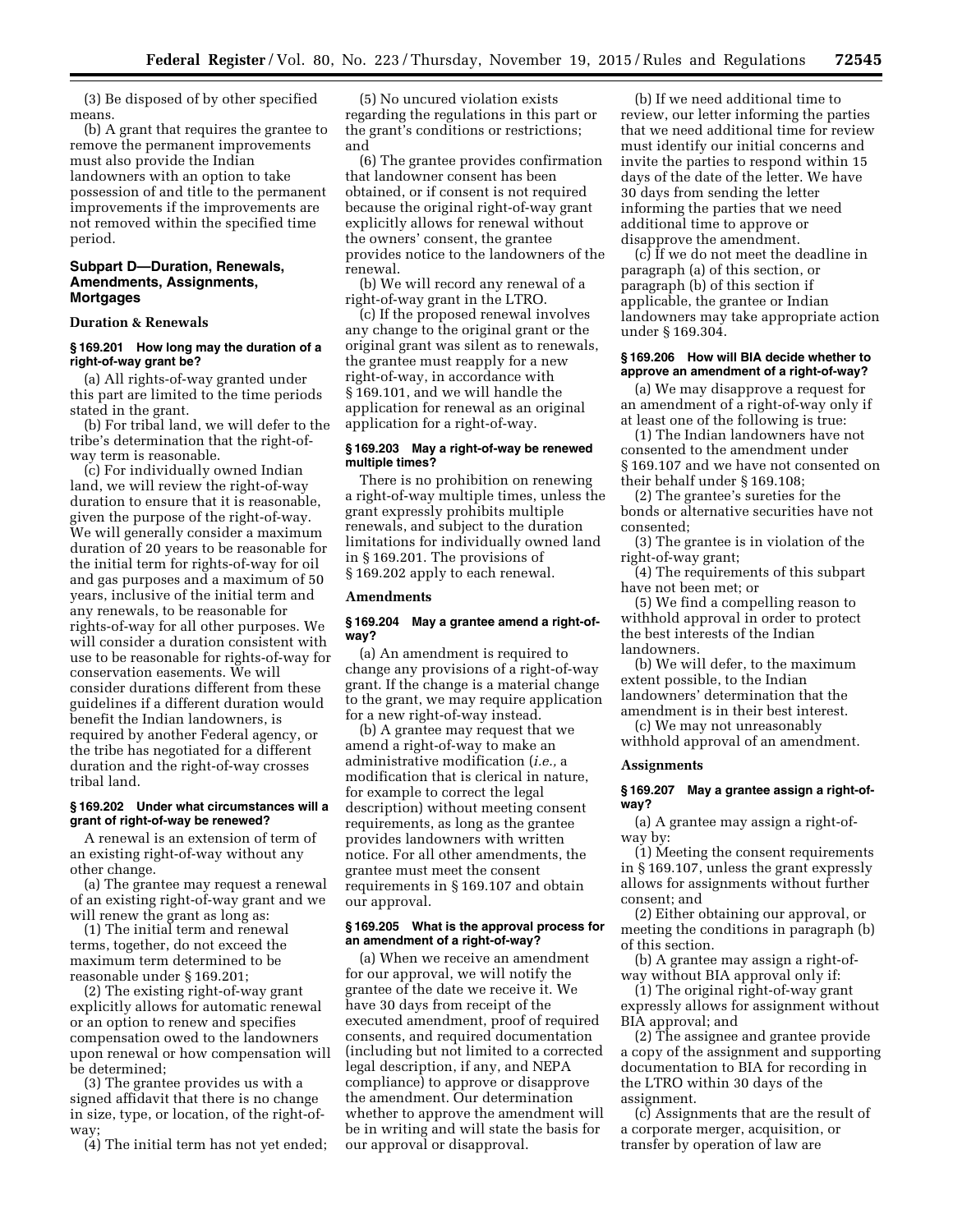(3) Be disposed of by other specified means.

(b) A grant that requires the grantee to remove the permanent improvements must also provide the Indian landowners with an option to take possession of and title to the permanent improvements if the improvements are not removed within the specified time period.

# **Subpart D—Duration, Renewals, Amendments, Assignments, Mortgages**

# **Duration & Renewals**

# **§ 169.201 How long may the duration of a right-of-way grant be?**

(a) All rights-of-way granted under this part are limited to the time periods stated in the grant.

(b) For tribal land, we will defer to the tribe's determination that the right-ofway term is reasonable.

(c) For individually owned Indian land, we will review the right-of-way duration to ensure that it is reasonable, given the purpose of the right-of-way. We will generally consider a maximum duration of 20 years to be reasonable for the initial term for rights-of-way for oil and gas purposes and a maximum of 50 years, inclusive of the initial term and any renewals, to be reasonable for rights-of-way for all other purposes. We will consider a duration consistent with use to be reasonable for rights-of-way for conservation easements. We will consider durations different from these guidelines if a different duration would benefit the Indian landowners, is required by another Federal agency, or the tribe has negotiated for a different duration and the right-of-way crosses tribal land.

# **§ 169.202 Under what circumstances will a grant of right-of-way be renewed?**

A renewal is an extension of term of an existing right-of-way without any other change.

(a) The grantee may request a renewal of an existing right-of-way grant and we will renew the grant as long as:

(1) The initial term and renewal terms, together, do not exceed the maximum term determined to be reasonable under § 169.201;

(2) The existing right-of-way grant explicitly allows for automatic renewal or an option to renew and specifies compensation owed to the landowners upon renewal or how compensation will be determined;

(3) The grantee provides us with a signed affidavit that there is no change in size, type, or location, of the right-ofway

(4) The initial term has not yet ended;

(5) No uncured violation exists regarding the regulations in this part or the grant's conditions or restrictions; and

(6) The grantee provides confirmation that landowner consent has been obtained, or if consent is not required because the original right-of-way grant explicitly allows for renewal without the owners' consent, the grantee provides notice to the landowners of the renewal.

(b) We will record any renewal of a right-of-way grant in the LTRO.

(c) If the proposed renewal involves any change to the original grant or the original grant was silent as to renewals, the grantee must reapply for a new right-of-way, in accordance with § 169.101, and we will handle the application for renewal as an original application for a right-of-way.

# **§ 169.203 May a right-of-way be renewed multiple times?**

There is no prohibition on renewing a right-of-way multiple times, unless the grant expressly prohibits multiple renewals, and subject to the duration limitations for individually owned land in § 169.201. The provisions of § 169.202 apply to each renewal.

# **Amendments**

#### **§ 169.204 May a grantee amend a right-ofway?**

(a) An amendment is required to change any provisions of a right-of-way grant. If the change is a material change to the grant, we may require application for a new right-of-way instead.

(b) A grantee may request that we amend a right-of-way to make an administrative modification (*i.e.,* a modification that is clerical in nature, for example to correct the legal description) without meeting consent requirements, as long as the grantee provides landowners with written notice. For all other amendments, the grantee must meet the consent requirements in § 169.107 and obtain our approval.

#### **§ 169.205 What is the approval process for an amendment of a right-of-way?**

(a) When we receive an amendment for our approval, we will notify the grantee of the date we receive it. We have 30 days from receipt of the executed amendment, proof of required consents, and required documentation (including but not limited to a corrected legal description, if any, and NEPA compliance) to approve or disapprove the amendment. Our determination whether to approve the amendment will be in writing and will state the basis for our approval or disapproval.

(b) If we need additional time to review, our letter informing the parties that we need additional time for review must identify our initial concerns and invite the parties to respond within 15 days of the date of the letter. We have 30 days from sending the letter informing the parties that we need additional time to approve or disapprove the amendment.

(c) If we do not meet the deadline in paragraph (a) of this section, or paragraph (b) of this section if applicable, the grantee or Indian landowners may take appropriate action under § 169.304.

# **§ 169.206 How will BIA decide whether to approve an amendment of a right-of-way?**

(a) We may disapprove a request for an amendment of a right-of-way only if at least one of the following is true:

(1) The Indian landowners have not consented to the amendment under § 169.107 and we have not consented on their behalf under § 169.108;

(2) The grantee's sureties for the bonds or alternative securities have not consented;

(3) The grantee is in violation of the right-of-way grant;

(4) The requirements of this subpart have not been met; or

(5) We find a compelling reason to withhold approval in order to protect the best interests of the Indian landowners.

(b) We will defer, to the maximum extent possible, to the Indian landowners' determination that the amendment is in their best interest.

(c) We may not unreasonably withhold approval of an amendment.

#### **Assignments**

#### **§ 169.207 May a grantee assign a right-ofway?**

(a) A grantee may assign a right-ofway by:

(1) Meeting the consent requirements in § 169.107, unless the grant expressly allows for assignments without further consent; and

(2) Either obtaining our approval, or meeting the conditions in paragraph (b) of this section.

(b) A grantee may assign a right-ofway without BIA approval only if:

(1) The original right-of-way grant expressly allows for assignment without BIA approval; and

(2) The assignee and grantee provide a copy of the assignment and supporting documentation to BIA for recording in the LTRO within 30 days of the assignment.

(c) Assignments that are the result of a corporate merger, acquisition, or transfer by operation of law are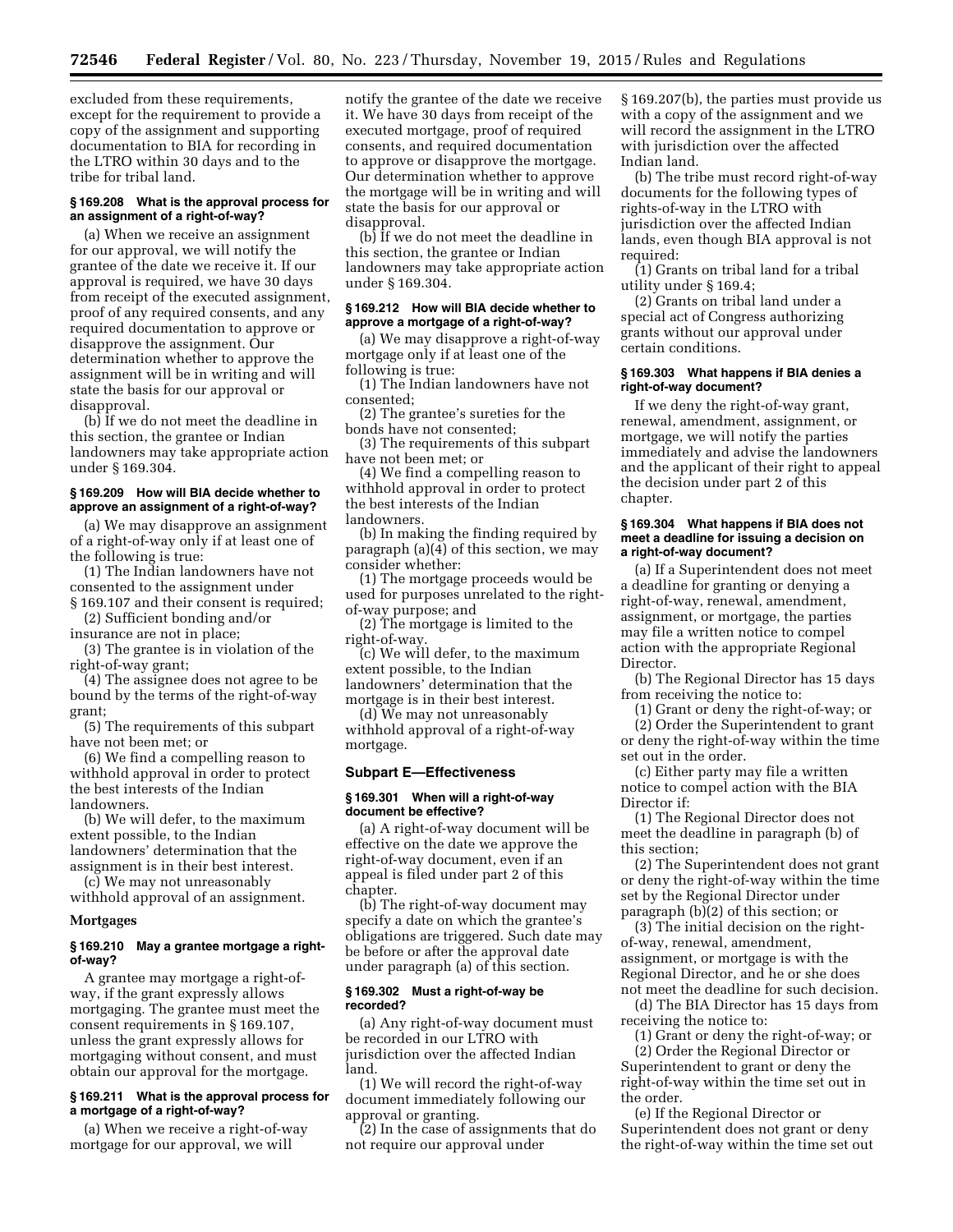excluded from these requirements, except for the requirement to provide a copy of the assignment and supporting documentation to BIA for recording in the LTRO within 30 days and to the tribe for tribal land.

# **§ 169.208 What is the approval process for an assignment of a right-of-way?**

(a) When we receive an assignment for our approval, we will notify the grantee of the date we receive it. If our approval is required, we have 30 days from receipt of the executed assignment, proof of any required consents, and any required documentation to approve or disapprove the assignment. Our determination whether to approve the assignment will be in writing and will state the basis for our approval or disapproval.

(b) If we do not meet the deadline in this section, the grantee or Indian landowners may take appropriate action under § 169.304.

# **§ 169.209 How will BIA decide whether to approve an assignment of a right-of-way?**

(a) We may disapprove an assignment of a right-of-way only if at least one of the following is true:

- (1) The Indian landowners have not consented to the assignment under § 169.107 and their consent is required;
- (2) Sufficient bonding and/or

insurance are not in place;

(3) The grantee is in violation of the right-of-way grant;

(4) The assignee does not agree to be bound by the terms of the right-of-way grant;

(5) The requirements of this subpart have not been met; or

(6) We find a compelling reason to withhold approval in order to protect the best interests of the Indian landowners.

(b) We will defer, to the maximum extent possible, to the Indian landowners' determination that the assignment is in their best interest.

(c) We may not unreasonably withhold approval of an assignment.

# **Mortgages**

# **§ 169.210 May a grantee mortgage a rightof-way?**

A grantee may mortgage a right-ofway, if the grant expressly allows mortgaging. The grantee must meet the consent requirements in § 169.107, unless the grant expressly allows for mortgaging without consent, and must obtain our approval for the mortgage.

# **§ 169.211 What is the approval process for a mortgage of a right-of-way?**

(a) When we receive a right-of-way mortgage for our approval, we will

notify the grantee of the date we receive it. We have 30 days from receipt of the executed mortgage, proof of required consents, and required documentation to approve or disapprove the mortgage. Our determination whether to approve the mortgage will be in writing and will state the basis for our approval or disapproval.

(b) If we do not meet the deadline in this section, the grantee or Indian landowners may take appropriate action under § 169.304.

# **§ 169.212 How will BIA decide whether to approve a mortgage of a right-of-way?**

(a) We may disapprove a right-of-way mortgage only if at least one of the following is true:

(1) The Indian landowners have not consented;

(2) The grantee's sureties for the bonds have not consented;

(3) The requirements of this subpart have not been met; or

(4) We find a compelling reason to withhold approval in order to protect the best interests of the Indian landowners.

(b) In making the finding required by paragraph (a)(4) of this section, we may consider whether:

(1) The mortgage proceeds would be used for purposes unrelated to the rightof-way purpose; and

(2) The mortgage is limited to the right-of-way.

 $\sim$  (c) We will defer, to the maximum extent possible, to the Indian landowners' determination that the mortgage is in their best interest.

(d) We may not unreasonably withhold approval of a right-of-way mortgage.

# **Subpart E—Effectiveness**

## **§ 169.301 When will a right-of-way document be effective?**

(a) A right-of-way document will be effective on the date we approve the right-of-way document, even if an appeal is filed under part 2 of this chapter.

(b) The right-of-way document may specify a date on which the grantee's obligations are triggered. Such date may be before or after the approval date under paragraph (a) of this section.

# **§ 169.302 Must a right-of-way be recorded?**

(a) Any right-of-way document must be recorded in our LTRO with jurisdiction over the affected Indian land.

(1) We will record the right-of-way document immediately following our approval or granting.

(2) In the case of assignments that do not require our approval under

§ 169.207(b), the parties must provide us with a copy of the assignment and we will record the assignment in the LTRO with jurisdiction over the affected Indian land.

(b) The tribe must record right-of-way documents for the following types of rights-of-way in the LTRO with jurisdiction over the affected Indian lands, even though BIA approval is not required:

(1) Grants on tribal land for a tribal utility under § 169.4;

(2) Grants on tribal land under a special act of Congress authorizing grants without our approval under certain conditions.

# **§ 169.303 What happens if BIA denies a right-of-way document?**

If we deny the right-of-way grant, renewal, amendment, assignment, or mortgage, we will notify the parties immediately and advise the landowners and the applicant of their right to appeal the decision under part 2 of this chapter.

#### **§ 169.304 What happens if BIA does not meet a deadline for issuing a decision on a right-of-way document?**

(a) If a Superintendent does not meet a deadline for granting or denying a right-of-way, renewal, amendment, assignment, or mortgage, the parties may file a written notice to compel action with the appropriate Regional Director.

(b) The Regional Director has 15 days from receiving the notice to:

(1) Grant or deny the right-of-way; or

(2) Order the Superintendent to grant or deny the right-of-way within the time set out in the order.

(c) Either party may file a written notice to compel action with the BIA Director if:

(1) The Regional Director does not meet the deadline in paragraph (b) of this section;

(2) The Superintendent does not grant or deny the right-of-way within the time set by the Regional Director under paragraph (b)(2) of this section; or

(3) The initial decision on the rightof-way, renewal, amendment, assignment, or mortgage is with the Regional Director, and he or she does not meet the deadline for such decision.

(d) The BIA Director has 15 days from receiving the notice to:

(1) Grant or deny the right-of-way; or (2) Order the Regional Director or

Superintendent to grant or deny the right-of-way within the time set out in the order.

(e) If the Regional Director or Superintendent does not grant or deny the right-of-way within the time set out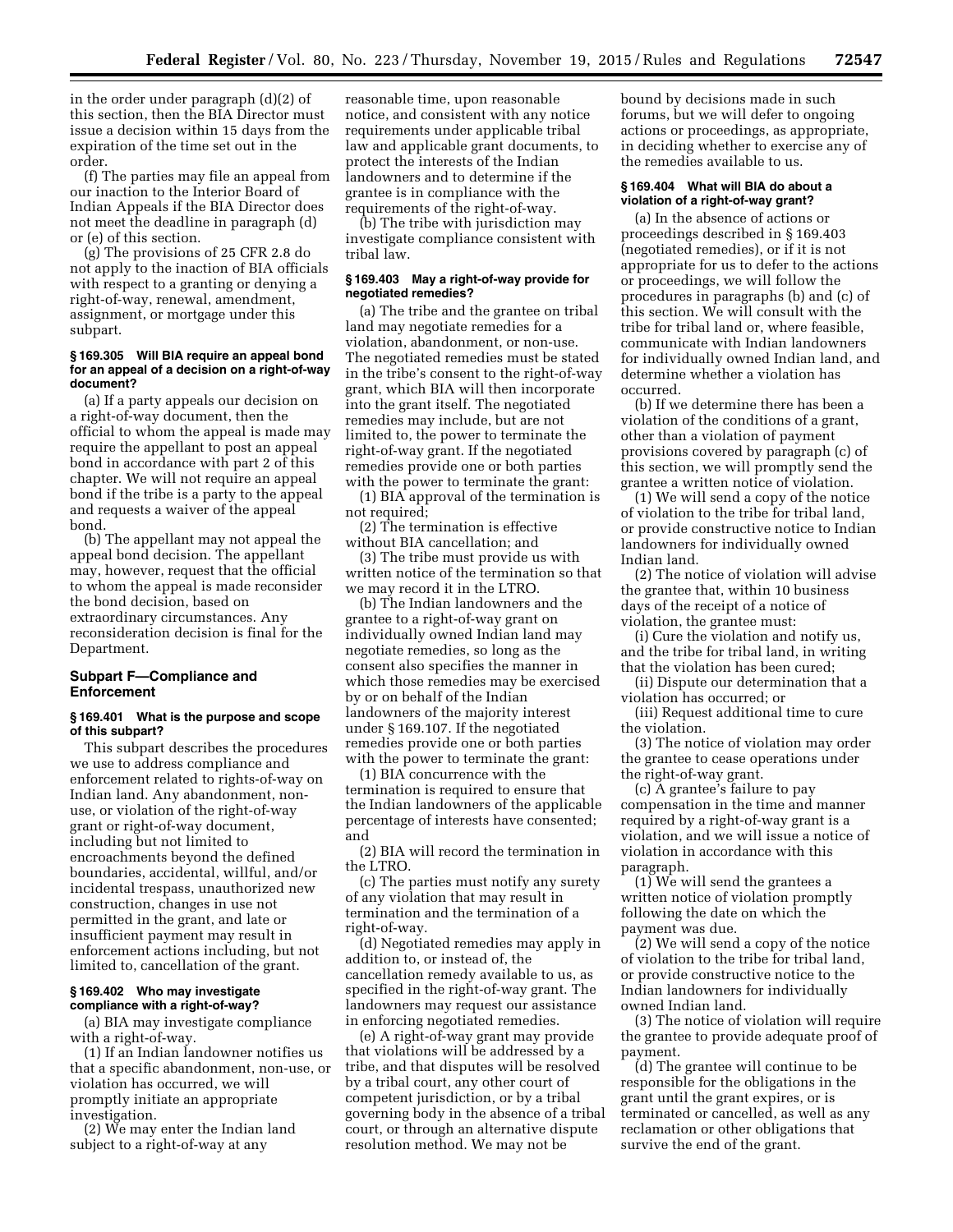in the order under paragraph (d)(2) of this section, then the BIA Director must issue a decision within 15 days from the expiration of the time set out in the order.

(f) The parties may file an appeal from our inaction to the Interior Board of Indian Appeals if the BIA Director does not meet the deadline in paragraph (d) or (e) of this section.

(g) The provisions of 25 CFR 2.8 do not apply to the inaction of BIA officials with respect to a granting or denying a right-of-way, renewal, amendment, assignment, or mortgage under this subpart.

# **§ 169.305 Will BIA require an appeal bond for an appeal of a decision on a right-of-way document?**

(a) If a party appeals our decision on a right-of-way document, then the official to whom the appeal is made may require the appellant to post an appeal bond in accordance with part 2 of this chapter. We will not require an appeal bond if the tribe is a party to the appeal and requests a waiver of the appeal bond.

(b) The appellant may not appeal the appeal bond decision. The appellant may, however, request that the official to whom the appeal is made reconsider the bond decision, based on extraordinary circumstances. Any reconsideration decision is final for the Department.

# **Subpart F—Compliance and Enforcement**

# **§ 169.401 What is the purpose and scope of this subpart?**

This subpart describes the procedures we use to address compliance and enforcement related to rights-of-way on Indian land. Any abandonment, nonuse, or violation of the right-of-way grant or right-of-way document, including but not limited to encroachments beyond the defined boundaries, accidental, willful, and/or incidental trespass, unauthorized new construction, changes in use not permitted in the grant, and late or insufficient payment may result in enforcement actions including, but not limited to, cancellation of the grant.

# **§ 169.402 Who may investigate compliance with a right-of-way?**

(a) BIA may investigate compliance with a right-of-way.

(1) If an Indian landowner notifies us that a specific abandonment, non-use, or violation has occurred, we will promptly initiate an appropriate investigation.

(2) We may enter the Indian land subject to a right-of-way at any

reasonable time, upon reasonable notice, and consistent with any notice requirements under applicable tribal law and applicable grant documents, to protect the interests of the Indian landowners and to determine if the grantee is in compliance with the requirements of the right-of-way.

(b) The tribe with jurisdiction may investigate compliance consistent with tribal law.

#### **§ 169.403 May a right-of-way provide for negotiated remedies?**

(a) The tribe and the grantee on tribal land may negotiate remedies for a violation, abandonment, or non-use. The negotiated remedies must be stated in the tribe's consent to the right-of-way grant, which BIA will then incorporate into the grant itself. The negotiated remedies may include, but are not limited to, the power to terminate the right-of-way grant. If the negotiated remedies provide one or both parties with the power to terminate the grant:

(1) BIA approval of the termination is not required;

(2) The termination is effective without BIA cancellation; and

(3) The tribe must provide us with written notice of the termination so that we may record it in the LTRO.

(b) The Indian landowners and the grantee to a right-of-way grant on individually owned Indian land may negotiate remedies, so long as the consent also specifies the manner in which those remedies may be exercised by or on behalf of the Indian landowners of the majority interest under § 169.107. If the negotiated remedies provide one or both parties with the power to terminate the grant:

(1) BIA concurrence with the termination is required to ensure that the Indian landowners of the applicable percentage of interests have consented; and

(2) BIA will record the termination in the LTRO.

(c) The parties must notify any surety of any violation that may result in termination and the termination of a right-of-way.

(d) Negotiated remedies may apply in addition to, or instead of, the cancellation remedy available to us, as specified in the right-of-way grant. The landowners may request our assistance in enforcing negotiated remedies.

(e) A right-of-way grant may provide that violations will be addressed by a tribe, and that disputes will be resolved by a tribal court, any other court of competent jurisdiction, or by a tribal governing body in the absence of a tribal court, or through an alternative dispute resolution method. We may not be

bound by decisions made in such forums, but we will defer to ongoing actions or proceedings, as appropriate, in deciding whether to exercise any of the remedies available to us.

# **§ 169.404 What will BIA do about a violation of a right-of-way grant?**

(a) In the absence of actions or proceedings described in § 169.403 (negotiated remedies), or if it is not appropriate for us to defer to the actions or proceedings, we will follow the procedures in paragraphs (b) and (c) of this section. We will consult with the tribe for tribal land or, where feasible, communicate with Indian landowners for individually owned Indian land, and determine whether a violation has occurred.

(b) If we determine there has been a violation of the conditions of a grant, other than a violation of payment provisions covered by paragraph (c) of this section, we will promptly send the grantee a written notice of violation.

(1) We will send a copy of the notice of violation to the tribe for tribal land, or provide constructive notice to Indian landowners for individually owned Indian land.

(2) The notice of violation will advise the grantee that, within 10 business days of the receipt of a notice of violation, the grantee must:

(i) Cure the violation and notify us, and the tribe for tribal land, in writing that the violation has been cured;

(ii) Dispute our determination that a violation has occurred; or

(iii) Request additional time to cure the violation.

(3) The notice of violation may order the grantee to cease operations under the right-of-way grant.

(c) A grantee's failure to pay compensation in the time and manner required by a right-of-way grant is a violation, and we will issue a notice of violation in accordance with this paragraph.

(1) We will send the grantees a written notice of violation promptly following the date on which the payment was due.

(2) We will send a copy of the notice of violation to the tribe for tribal land, or provide constructive notice to the Indian landowners for individually owned Indian land.

(3) The notice of violation will require the grantee to provide adequate proof of payment.

(d) The grantee will continue to be responsible for the obligations in the grant until the grant expires, or is terminated or cancelled, as well as any reclamation or other obligations that survive the end of the grant.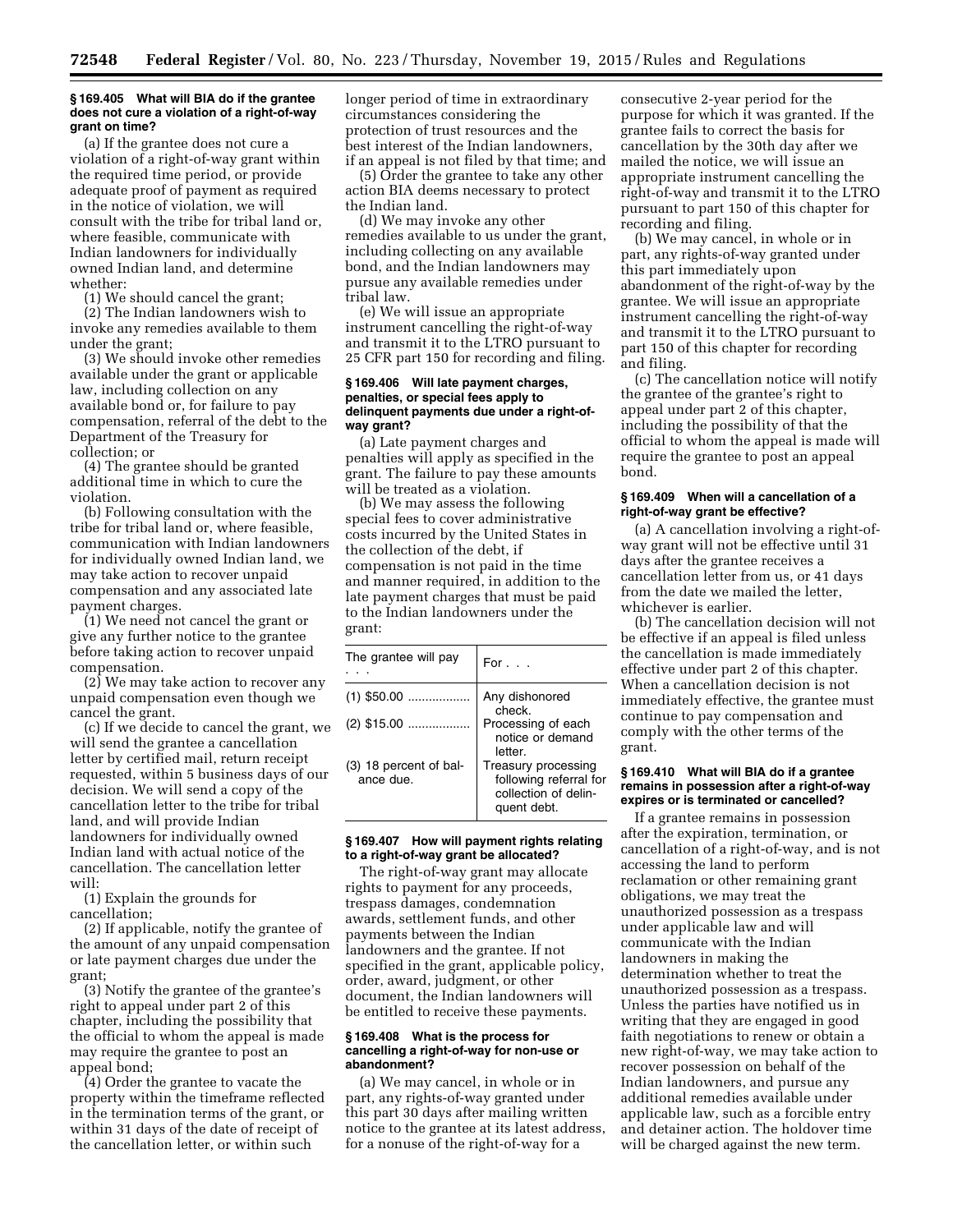#### **§ 169.405 What will BIA do if the grantee does not cure a violation of a right-of-way grant on time?**

(a) If the grantee does not cure a violation of a right-of-way grant within the required time period, or provide adequate proof of payment as required in the notice of violation, we will consult with the tribe for tribal land or, where feasible, communicate with Indian landowners for individually owned Indian land, and determine whether:

(1) We should cancel the grant;

(2) The Indian landowners wish to invoke any remedies available to them under the grant;

(3) We should invoke other remedies available under the grant or applicable law, including collection on any available bond or, for failure to pay compensation, referral of the debt to the Department of the Treasury for collection; or

(4) The grantee should be granted additional time in which to cure the violation.

(b) Following consultation with the tribe for tribal land or, where feasible, communication with Indian landowners for individually owned Indian land, we may take action to recover unpaid compensation and any associated late payment charges.

(1) We need not cancel the grant or give any further notice to the grantee before taking action to recover unpaid compensation.

(2) We may take action to recover any unpaid compensation even though we cancel the grant.

(c) If we decide to cancel the grant, we will send the grantee a cancellation letter by certified mail, return receipt requested, within 5 business days of our decision. We will send a copy of the cancellation letter to the tribe for tribal land, and will provide Indian landowners for individually owned Indian land with actual notice of the cancellation. The cancellation letter will:

(1) Explain the grounds for cancellation;

(2) If applicable, notify the grantee of the amount of any unpaid compensation or late payment charges due under the grant;

(3) Notify the grantee of the grantee's right to appeal under part 2 of this chapter, including the possibility that the official to whom the appeal is made may require the grantee to post an appeal bond;

(4) Order the grantee to vacate the property within the timeframe reflected in the termination terms of the grant, or within 31 days of the date of receipt of the cancellation letter, or within such

longer period of time in extraordinary circumstances considering the protection of trust resources and the best interest of the Indian landowners, if an appeal is not filed by that time; and

(5) Order the grantee to take any other action BIA deems necessary to protect the Indian land.

(d) We may invoke any other remedies available to us under the grant, including collecting on any available bond, and the Indian landowners may pursue any available remedies under tribal law.

(e) We will issue an appropriate instrument cancelling the right-of-way and transmit it to the LTRO pursuant to 25 CFR part 150 for recording and filing.

# **§ 169.406 Will late payment charges, penalties, or special fees apply to delinquent payments due under a right-ofway grant?**

(a) Late payment charges and penalties will apply as specified in the grant. The failure to pay these amounts will be treated as a violation.

(b) We may assess the following special fees to cover administrative costs incurred by the United States in the collection of the debt, if compensation is not paid in the time and manner required, in addition to the late payment charges that must be paid to the Indian landowners under the grant:

| The grantee will pay                | For $\ldots$                                                                         |
|-------------------------------------|--------------------------------------------------------------------------------------|
| $(1)$ \$50.00                       | Any dishonored<br>check.                                                             |
| $(2)$ \$15.00                       | Processing of each<br>notice or demand<br>letter.                                    |
| (3) 18 percent of bal-<br>ance due. | Treasury processing<br>following referral for<br>collection of delin-<br>quent debt. |

# **§ 169.407 How will payment rights relating to a right-of-way grant be allocated?**

The right-of-way grant may allocate rights to payment for any proceeds, trespass damages, condemnation awards, settlement funds, and other payments between the Indian landowners and the grantee. If not specified in the grant, applicable policy, order, award, judgment, or other document, the Indian landowners will be entitled to receive these payments.

## **§ 169.408 What is the process for cancelling a right-of-way for non-use or abandonment?**

(a) We may cancel, in whole or in part, any rights-of-way granted under this part 30 days after mailing written notice to the grantee at its latest address, for a nonuse of the right-of-way for a

consecutive 2-year period for the purpose for which it was granted. If the grantee fails to correct the basis for cancellation by the 30th day after we mailed the notice, we will issue an appropriate instrument cancelling the right-of-way and transmit it to the LTRO pursuant to part 150 of this chapter for recording and filing.

(b) We may cancel, in whole or in part, any rights-of-way granted under this part immediately upon abandonment of the right-of-way by the grantee. We will issue an appropriate instrument cancelling the right-of-way and transmit it to the LTRO pursuant to part 150 of this chapter for recording and filing.

(c) The cancellation notice will notify the grantee of the grantee's right to appeal under part 2 of this chapter, including the possibility of that the official to whom the appeal is made will require the grantee to post an appeal bond.

# **§ 169.409 When will a cancellation of a right-of-way grant be effective?**

(a) A cancellation involving a right-ofway grant will not be effective until 31 days after the grantee receives a cancellation letter from us, or 41 days from the date we mailed the letter, whichever is earlier.

(b) The cancellation decision will not be effective if an appeal is filed unless the cancellation is made immediately effective under part 2 of this chapter. When a cancellation decision is not immediately effective, the grantee must continue to pay compensation and comply with the other terms of the grant.

# **§ 169.410 What will BIA do if a grantee remains in possession after a right-of-way expires or is terminated or cancelled?**

If a grantee remains in possession after the expiration, termination, or cancellation of a right-of-way, and is not accessing the land to perform reclamation or other remaining grant obligations, we may treat the unauthorized possession as a trespass under applicable law and will communicate with the Indian landowners in making the determination whether to treat the unauthorized possession as a trespass. Unless the parties have notified us in writing that they are engaged in good faith negotiations to renew or obtain a new right-of-way, we may take action to recover possession on behalf of the Indian landowners, and pursue any additional remedies available under applicable law, such as a forcible entry and detainer action. The holdover time will be charged against the new term.